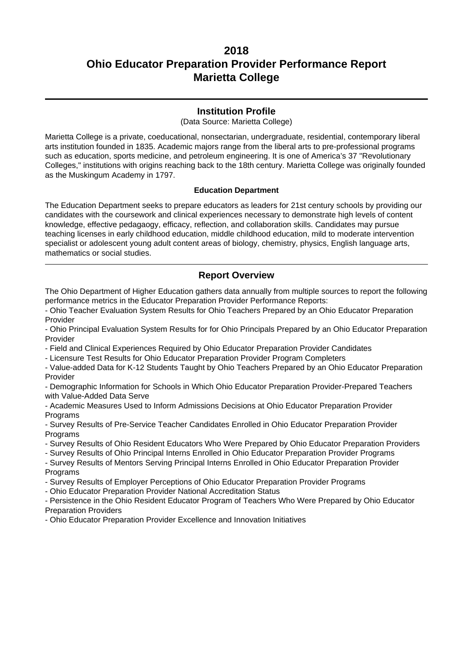### **Institution Profile**

(Data Source: Marietta College)

Marietta College is a private, coeducational, nonsectarian, undergraduate, residential, contemporary liberal arts institution founded in 1835. Academic majors range from the liberal arts to pre-professional programs such as education, sports medicine, and petroleum engineering. It is one of America's 37 "Revolutionary Colleges," institutions with origins reaching back to the 18th century. Marietta College was originally founded as the Muskingum Academy in 1797.

#### **Education Department**

The Education Department seeks to prepare educators as leaders for 21st century schools by providing our candidates with the coursework and clinical experiences necessary to demonstrate high levels of content knowledge, effective pedagaogy, efficacy, reflection, and collaboration skills. Candidates may pursue teaching licenses in early childhood education, middle childhood education, mild to moderate intervention specialist or adolescent young adult content areas of biology, chemistry, physics, English language arts, mathematics or social studies.

### **Report Overview**

The Ohio Department of Higher Education gathers data annually from multiple sources to report the following performance metrics in the Educator Preparation Provider Performance Reports:

- Ohio Teacher Evaluation System Results for Ohio Teachers Prepared by an Ohio Educator Preparation Provider

- Ohio Principal Evaluation System Results for for Ohio Principals Prepared by an Ohio Educator Preparation Provider

- Field and Clinical Experiences Required by Ohio Educator Preparation Provider Candidates

- Licensure Test Results for Ohio Educator Preparation Provider Program Completers

- Value-added Data for K-12 Students Taught by Ohio Teachers Prepared by an Ohio Educator Preparation Provider

- Demographic Information for Schools in Which Ohio Educator Preparation Provider-Prepared Teachers with Value-Added Data Serve

- Academic Measures Used to Inform Admissions Decisions at Ohio Educator Preparation Provider **Programs** 

- Survey Results of Pre-Service Teacher Candidates Enrolled in Ohio Educator Preparation Provider **Programs** 

- Survey Results of Ohio Resident Educators Who Were Prepared by Ohio Educator Preparation Providers

- Survey Results of Ohio Principal Interns Enrolled in Ohio Educator Preparation Provider Programs

- Survey Results of Mentors Serving Principal Interns Enrolled in Ohio Educator Preparation Provider **Programs** 

- Survey Results of Employer Perceptions of Ohio Educator Preparation Provider Programs

- Ohio Educator Preparation Provider National Accreditation Status

- Persistence in the Ohio Resident Educator Program of Teachers Who Were Prepared by Ohio Educator Preparation Providers

- Ohio Educator Preparation Provider Excellence and Innovation Initiatives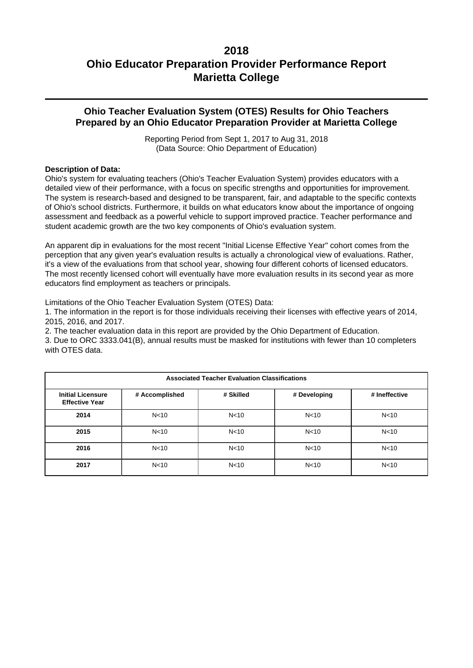## **Ohio Teacher Evaluation System (OTES) Results for Ohio Teachers Prepared by an Ohio Educator Preparation Provider at Marietta College**

Reporting Period from Sept 1, 2017 to Aug 31, 2018 (Data Source: Ohio Department of Education)

### **Description of Data:**

Ohio's system for evaluating teachers (Ohio's Teacher Evaluation System) provides educators with a detailed view of their performance, with a focus on specific strengths and opportunities for improvement. The system is research-based and designed to be transparent, fair, and adaptable to the specific contexts of Ohio's school districts. Furthermore, it builds on what educators know about the importance of ongoing assessment and feedback as a powerful vehicle to support improved practice. Teacher performance and student academic growth are the two key components of Ohio's evaluation system.

An apparent dip in evaluations for the most recent "Initial License Effective Year" cohort comes from the perception that any given year's evaluation results is actually a chronological view of evaluations. Rather, it's a view of the evaluations from that school year, showing four different cohorts of licensed educators. The most recently licensed cohort will eventually have more evaluation results in its second year as more educators find employment as teachers or principals.

Limitations of the Ohio Teacher Evaluation System (OTES) Data:

1. The information in the report is for those individuals receiving their licenses with effective years of 2014, 2015, 2016, and 2017.

2. The teacher evaluation data in this report are provided by the Ohio Department of Education.

3. Due to ORC 3333.041(B), annual results must be masked for institutions with fewer than 10 completers with OTES data.

| <b>Associated Teacher Evaluation Classifications</b> |                 |                 |                 |                 |  |  |
|------------------------------------------------------|-----------------|-----------------|-----------------|-----------------|--|--|
| <b>Initial Licensure</b><br><b>Effective Year</b>    | # Accomplished  | # Skilled       | # Developing    | # Ineffective   |  |  |
| 2014                                                 | N <sub>10</sub> | N <sub>10</sub> | N <sub>10</sub> | N <sub>10</sub> |  |  |
| 2015                                                 | N <sub>10</sub> | N <sub>10</sub> | N <sub>10</sub> | N <sub>10</sub> |  |  |
| 2016                                                 | N <sub>10</sub> | N <sub>10</sub> | N <sub>10</sub> | N <sub>10</sub> |  |  |
| 2017                                                 | N <sub>10</sub> | N <sub>10</sub> | N <sub>10</sub> | N <sub>10</sub> |  |  |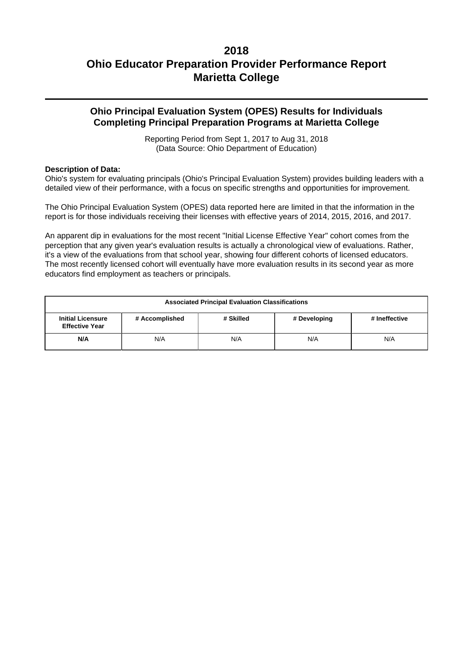## **Ohio Principal Evaluation System (OPES) Results for Individuals Completing Principal Preparation Programs at Marietta College**

Reporting Period from Sept 1, 2017 to Aug 31, 2018 (Data Source: Ohio Department of Education)

### **Description of Data:**

Ohio's system for evaluating principals (Ohio's Principal Evaluation System) provides building leaders with a detailed view of their performance, with a focus on specific strengths and opportunities for improvement.

The Ohio Principal Evaluation System (OPES) data reported here are limited in that the information in the report is for those individuals receiving their licenses with effective years of 2014, 2015, 2016, and 2017.

An apparent dip in evaluations for the most recent "Initial License Effective Year" cohort comes from the perception that any given year's evaluation results is actually a chronological view of evaluations. Rather, it's a view of the evaluations from that school year, showing four different cohorts of licensed educators. The most recently licensed cohort will eventually have more evaluation results in its second year as more educators find employment as teachers or principals.

| <b>Associated Principal Evaluation Classifications</b>                                                            |  |  |  |  |  |
|-------------------------------------------------------------------------------------------------------------------|--|--|--|--|--|
| # Accomplished<br># Skilled<br># Ineffective<br><b>Initial Licensure</b><br># Developing<br><b>Effective Year</b> |  |  |  |  |  |
| N/A<br>N/A<br>N/A<br>N/A<br>N/A                                                                                   |  |  |  |  |  |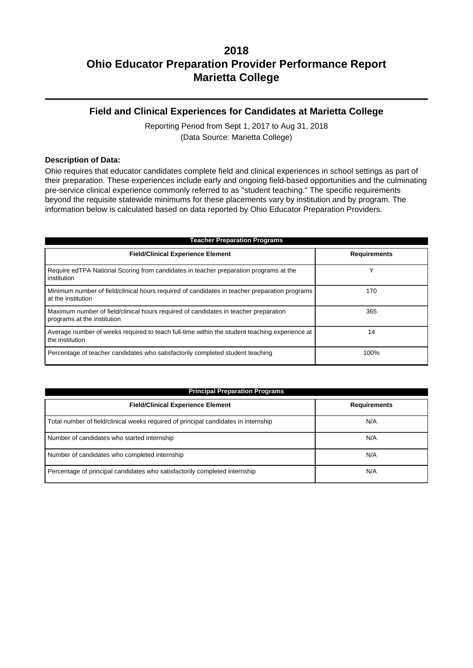## **Field and Clinical Experiences for Candidates at Marietta College**

Reporting Period from Sept 1, 2017 to Aug 31, 2018 (Data Source: Marietta College)

### **Description of Data:**

Ohio requires that educator candidates complete field and clinical experiences in school settings as part of their preparation. These experiences include early and ongoing field-based opportunities and the culminating pre-service clinical experience commonly referred to as "student teaching." The specific requirements beyond the requisite statewide minimums for these placements vary by institution and by program. The information below is calculated based on data reported by Ohio Educator Preparation Providers.

| <b>Teacher Preparation Programs</b>                                                                                 |                     |  |  |  |  |
|---------------------------------------------------------------------------------------------------------------------|---------------------|--|--|--|--|
| <b>Field/Clinical Experience Element</b>                                                                            | <b>Requirements</b> |  |  |  |  |
| Require edTPA National Scoring from candidates in teacher preparation programs at the<br>institution                |                     |  |  |  |  |
| Minimum number of field/clinical hours required of candidates in teacher preparation programs<br>at the institution | 170                 |  |  |  |  |
| Maximum number of field/clinical hours required of candidates in teacher preparation<br>programs at the institution | 365                 |  |  |  |  |
| Average number of weeks required to teach full-time within the student teaching experience at<br>the institution    | 14                  |  |  |  |  |
| Percentage of teacher candidates who satisfactorily completed student teaching                                      | 100%                |  |  |  |  |

| <b>Principal Preparation Programs</b>                                               |                     |  |  |  |  |
|-------------------------------------------------------------------------------------|---------------------|--|--|--|--|
| <b>Field/Clinical Experience Element</b>                                            | <b>Requirements</b> |  |  |  |  |
| Total number of field/clinical weeks required of principal candidates in internship | N/A                 |  |  |  |  |
| Number of candidates who started internship                                         | N/A                 |  |  |  |  |
| Number of candidates who completed internship                                       | N/A                 |  |  |  |  |
| Percentage of principal candidates who satisfactorily completed internship          | N/A                 |  |  |  |  |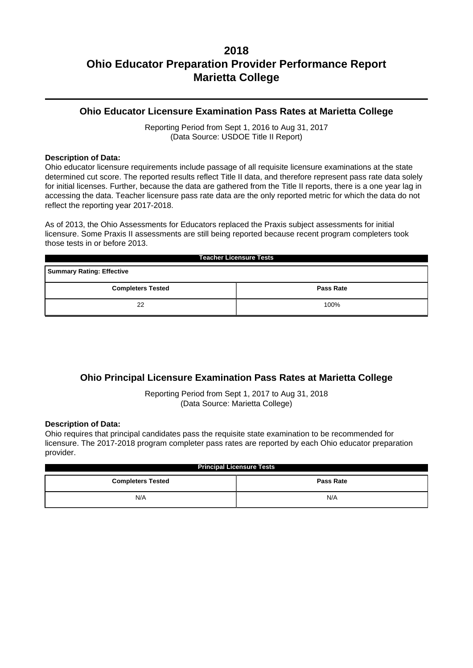## **Ohio Educator Licensure Examination Pass Rates at Marietta College**

Reporting Period from Sept 1, 2016 to Aug 31, 2017 (Data Source: USDOE Title II Report)

### **Description of Data:**

Ohio educator licensure requirements include passage of all requisite licensure examinations at the state determined cut score. The reported results reflect Title II data, and therefore represent pass rate data solely for initial licenses. Further, because the data are gathered from the Title II reports, there is a one year lag in accessing the data. Teacher licensure pass rate data are the only reported metric for which the data do not reflect the reporting year 2017-2018.

As of 2013, the Ohio Assessments for Educators replaced the Praxis subject assessments for initial licensure. Some Praxis II assessments are still being reported because recent program completers took those tests in or before 2013.

| <b>Teacher Licensure Tests</b>               |  |  |  |  |  |
|----------------------------------------------|--|--|--|--|--|
| <b>Summary Rating: Effective</b>             |  |  |  |  |  |
| <b>Completers Tested</b><br><b>Pass Rate</b> |  |  |  |  |  |
| 100%<br>22                                   |  |  |  |  |  |

## **Ohio Principal Licensure Examination Pass Rates at Marietta College**

Reporting Period from Sept 1, 2017 to Aug 31, 2018 (Data Source: Marietta College)

### **Description of Data:**

Ohio requires that principal candidates pass the requisite state examination to be recommended for licensure. The 2017-2018 program completer pass rates are reported by each Ohio educator preparation provider.

| <b>Principal Licensure Tests</b>             |     |  |  |  |
|----------------------------------------------|-----|--|--|--|
| <b>Completers Tested</b><br><b>Pass Rate</b> |     |  |  |  |
| N/A                                          | N/A |  |  |  |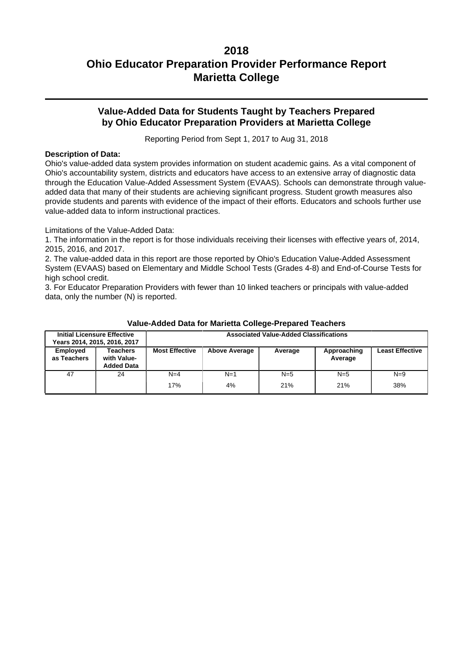## **Value-Added Data for Students Taught by Teachers Prepared by Ohio Educator Preparation Providers at Marietta College**

Reporting Period from Sept 1, 2017 to Aug 31, 2018

### **Description of Data:**

Ohio's value-added data system provides information on student academic gains. As a vital component of Ohio's accountability system, districts and educators have access to an extensive array of diagnostic data through the Education Value-Added Assessment System (EVAAS). Schools can demonstrate through valueadded data that many of their students are achieving significant progress. Student growth measures also provide students and parents with evidence of the impact of their efforts. Educators and schools further use value-added data to inform instructional practices.

Limitations of the Value-Added Data:

1. The information in the report is for those individuals receiving their licenses with effective years of, 2014, 2015, 2016, and 2017.

2. The value-added data in this report are those reported by Ohio's Education Value-Added Assessment System (EVAAS) based on Elementary and Middle School Tests (Grades 4-8) and End-of-Course Tests for high school credit.

3. For Educator Preparation Providers with fewer than 10 linked teachers or principals with value-added data, only the number (N) is reported.

|                         | <b>Initial Licensure Effective</b><br>Years 2014, 2015, 2016, 2017 | <b>Associated Value-Added Classifications</b>                                      |             |              |              |                        |
|-------------------------|--------------------------------------------------------------------|------------------------------------------------------------------------------------|-------------|--------------|--------------|------------------------|
| Employed<br>as Teachers | <b>Teachers</b><br>with Value-<br><b>Added Data</b>                | <b>Most Effective</b><br><b>Above Average</b><br>Approaching<br>Average<br>Average |             |              |              | <b>Least Effective</b> |
| 47                      | 24                                                                 | $N=4$<br>17%                                                                       | $N=1$<br>4% | $N=5$<br>21% | $N=5$<br>21% | $N=9$<br>38%           |

### **Value-Added Data for Marietta College-Prepared Teachers**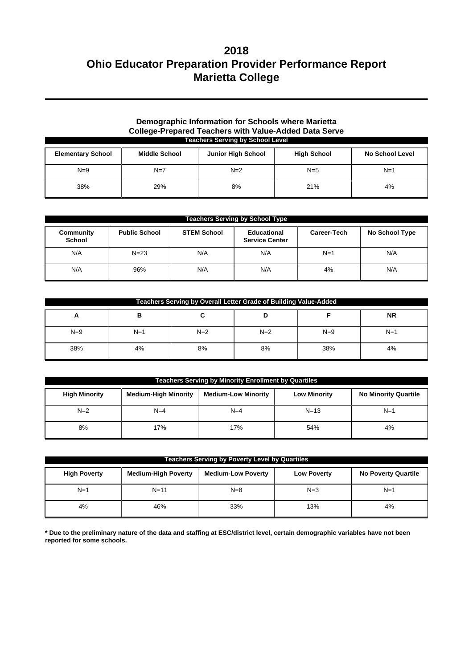### **Demographic Information for Schools where Marietta College-Prepared Teachers with Value-Added Data Serve Teachers Serving by School Level**

| <b>Elementary School</b> | <b>Middle School</b> | <b>Junior High School</b> | <b>High School</b> | <b>No School Level</b> |
|--------------------------|----------------------|---------------------------|--------------------|------------------------|
| $N=9$                    | $N=7$                | $N=2$                     | $N=5$              | $N=1$                  |
| 38%                      | 29%                  | 8%                        | 21%                | 4%                     |

| <b>Teachers Serving by School Type</b> |                      |                    |                                      |             |                |  |
|----------------------------------------|----------------------|--------------------|--------------------------------------|-------------|----------------|--|
| Community<br><b>School</b>             | <b>Public School</b> | <b>STEM School</b> | Educational<br><b>Service Center</b> | Career-Tech | No School Type |  |
| N/A                                    | $N = 23$             | N/A                | N/A                                  | $N=1$       | N/A            |  |
| N/A                                    | 96%                  | N/A                | N/A                                  | 4%          | N/A            |  |

| Teachers Serving by Overall Letter Grade of Building Value-Added |       |       |       |       |           |  |
|------------------------------------------------------------------|-------|-------|-------|-------|-----------|--|
| А                                                                | в     | ີ     |       |       | <b>NR</b> |  |
| $N=9$                                                            | $N=1$ | $N=2$ | $N=2$ | $N=9$ | $N=1$     |  |
| 38%                                                              | 4%    | 8%    | 8%    | 38%   | 4%        |  |

| <b>Teachers Serving by Minority Enrollment by Quartiles</b> |                             |                            |                     |                             |  |  |  |
|-------------------------------------------------------------|-----------------------------|----------------------------|---------------------|-----------------------------|--|--|--|
| <b>High Minority</b>                                        | <b>Medium-High Minority</b> | <b>Medium-Low Minority</b> | <b>Low Minority</b> | <b>No Minority Quartile</b> |  |  |  |
| $N=2$                                                       | $N=4$                       | $N=4$                      | $N = 13$            | $N=1$                       |  |  |  |
| 8%                                                          | 17%                         | 17%                        | 54%                 | 4%                          |  |  |  |

| <b>Teachers Serving by Poverty Level by Quartiles</b> |                            |                           |                    |                            |  |  |  |
|-------------------------------------------------------|----------------------------|---------------------------|--------------------|----------------------------|--|--|--|
| <b>High Poverty</b>                                   | <b>Medium-High Poverty</b> | <b>Medium-Low Poverty</b> | <b>Low Poverty</b> | <b>No Poverty Quartile</b> |  |  |  |
| $N=1$                                                 | $N = 11$                   | $N=8$                     | $N=3$              | $N=1$                      |  |  |  |
| 4%                                                    | 46%                        | 33%                       | 13%                | 4%                         |  |  |  |

**\* Due to the preliminary nature of the data and staffing at ESC/district level, certain demographic variables have not been reported for some schools.**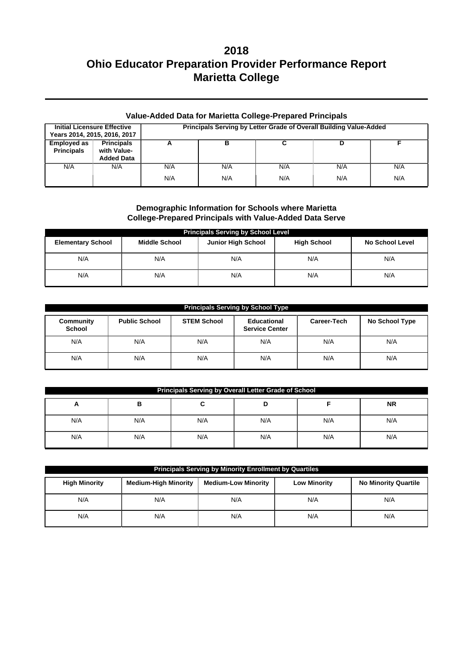| Value-Added Data for Marietta College-Prepared Principals |                                                       |                                                                    |     |     |     |     |  |
|-----------------------------------------------------------|-------------------------------------------------------|--------------------------------------------------------------------|-----|-----|-----|-----|--|
| <b>Initial Licensure Effective</b>                        | Years 2014, 2015, 2016, 2017                          | Principals Serving by Letter Grade of Overall Building Value-Added |     |     |     |     |  |
| <b>Employed as</b><br><b>Principals</b>                   | <b>Principals</b><br>with Value-<br><b>Added Data</b> | А                                                                  | в   | C   | D   |     |  |
| N/A                                                       | N/A                                                   | N/A                                                                | N/A | N/A | N/A | N/A |  |
|                                                           |                                                       | N/A                                                                | N/A | N/A | N/A | N/A |  |

### **Demographic Information for Schools where Marietta College-Prepared Principals with Value-Added Data Serve**

| <b>Principals Serving by School Level</b>                                                                                     |     |     |     |     |  |  |  |  |
|-------------------------------------------------------------------------------------------------------------------------------|-----|-----|-----|-----|--|--|--|--|
| <b>Junior High School</b><br><b>High School</b><br><b>Elementary School</b><br><b>Middle School</b><br><b>No School Level</b> |     |     |     |     |  |  |  |  |
| N/A                                                                                                                           | N/A | N/A | N/A | N/A |  |  |  |  |
| N/A                                                                                                                           | N/A | N/A | N/A | N/A |  |  |  |  |

| <b>Principals Serving by School Type</b> |                      |                                                                           |     |                |     |  |  |  |  |
|------------------------------------------|----------------------|---------------------------------------------------------------------------|-----|----------------|-----|--|--|--|--|
| Community<br><b>School</b>               | <b>Public School</b> | <b>STEM School</b><br>Educational<br>Career-Tech<br><b>Service Center</b> |     | No School Type |     |  |  |  |  |
| N/A                                      | N/A                  | N/A                                                                       | N/A | N/A            | N/A |  |  |  |  |
| N/A                                      | N/A                  | N/A                                                                       | N/A | N/A            | N/A |  |  |  |  |

| <b>Principals Serving by Overall Letter Grade of School</b> |     |     |     |     |     |  |  |  |
|-------------------------------------------------------------|-----|-----|-----|-----|-----|--|--|--|
| <b>NR</b><br>в<br>A                                         |     |     |     |     |     |  |  |  |
| N/A                                                         | N/A | N/A | N/A | N/A | N/A |  |  |  |
| N/A                                                         | N/A | N/A | N/A | N/A | N/A |  |  |  |

| Principals Serving by Minority Enrollment by Quartiles                                                                                  |     |     |     |     |  |  |  |
|-----------------------------------------------------------------------------------------------------------------------------------------|-----|-----|-----|-----|--|--|--|
| <b>High Minority</b><br><b>Medium-High Minority</b><br><b>Medium-Low Minority</b><br><b>Low Minority</b><br><b>No Minority Quartile</b> |     |     |     |     |  |  |  |
| N/A                                                                                                                                     | N/A | N/A | N/A | N/A |  |  |  |
| N/A                                                                                                                                     | N/A | N/A | N/A | N/A |  |  |  |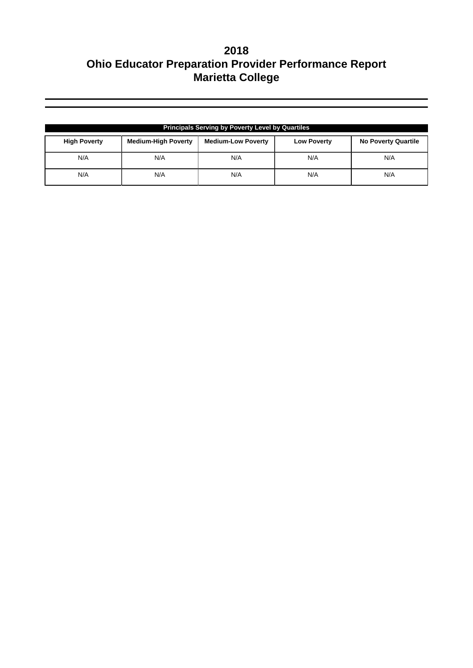| <b>Principals Serving by Poverty Level by Quartiles</b> |                            |                           |                    |                            |  |  |  |
|---------------------------------------------------------|----------------------------|---------------------------|--------------------|----------------------------|--|--|--|
| <b>High Poverty</b>                                     | <b>Medium-High Poverty</b> | <b>Medium-Low Poverty</b> | <b>Low Poverty</b> | <b>No Poverty Quartile</b> |  |  |  |
| N/A                                                     | N/A                        | N/A                       | N/A                | N/A                        |  |  |  |
| N/A                                                     | N/A                        | N/A                       | N/A                | N/A                        |  |  |  |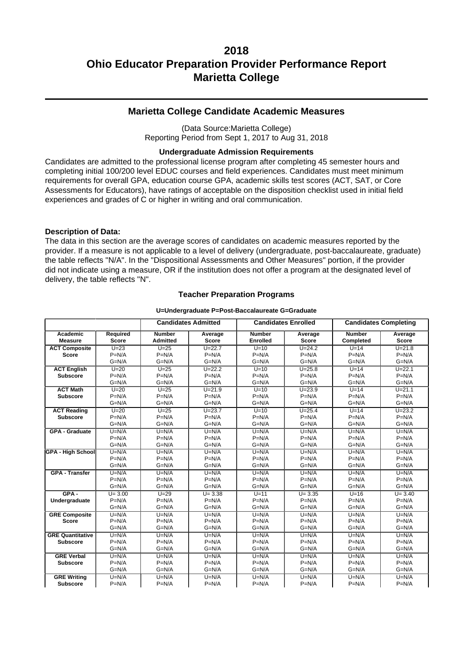## **Marietta College Candidate Academic Measures**

(Data Source:Marietta College) Reporting Period from Sept 1, 2017 to Aug 31, 2018

#### **Undergraduate Admission Requirements**

Candidates are admitted to the professional license program after completing 45 semester hours and completing initial 100/200 level EDUC courses and field experiences. Candidates must meet minimum requirements for overall GPA, education course GPA, academic skills test scores (ACT, SAT, or Core Assessments for Educators), have ratings of acceptable on the disposition checklist used in initial field experiences and grades of C or higher in writing and oral communication.

#### **Description of Data:**

The data in this section are the average scores of candidates on academic measures reported by the provider. If a measure is not applicable to a level of delivery (undergraduate, post-baccalaureate, graduate) the table reflects "N/A". In the "Dispositional Assessments and Other Measures" portion, if the provider did not indicate using a measure, OR if the institution does not offer a program at the designated level of delivery, the table reflects "N".

#### **Teacher Preparation Programs**

#### **U=Undergraduate P=Post-Baccalaureate G=Graduate**

|                          | <b>Candidates Admitted</b> |                 |              | <b>Candidates Enrolled</b> | <b>Candidates Completing</b> |               |              |
|--------------------------|----------------------------|-----------------|--------------|----------------------------|------------------------------|---------------|--------------|
| Academic                 | <b>Required</b>            | <b>Number</b>   | Average      | <b>Number</b>              | Average                      | <b>Number</b> | Average      |
| <b>Measure</b>           | <b>Score</b>               | <b>Admitted</b> | <b>Score</b> | <b>Enrolled</b>            | <b>Score</b>                 | Completed     | <b>Score</b> |
| <b>ACT Composite</b>     | $U=23$                     | $U=25$          | $U = 22.7$   | $U=10$                     | $\overline{U}$ =24.2         | $U=14$        | $U = 21.8$   |
| <b>Score</b>             | $P=N/A$                    | $P=N/A$         | $P=N/A$      | $P=N/A$                    | $P=N/A$                      | $P=N/A$       | $P=N/A$      |
|                          | $G=N/A$                    | $G=N/A$         | $G=N/A$      | $G=N/A$                    | $G=N/A$                      | $G=N/A$       | $G=N/A$      |
| <b>ACT English</b>       | $U=20$                     | $U=25$          | $U = 22.2$   | $U=10$                     | $U = 25.8$                   | $U=14$        | $U = 22.1$   |
| <b>Subscore</b>          | $P=N/A$                    | $P=N/A$         | $P=N/A$      | $P=N/A$                    | $P=N/A$                      | $P=N/A$       | $P=N/A$      |
|                          | $G=N/A$                    | $G=N/A$         | $G=N/A$      | $G=N/A$                    | $G=N/A$                      | $G=N/A$       | $G=N/A$      |
| <b>ACT Math</b>          | $U=20$                     | $U=25$          | $U = 21.9$   | $U=10$                     | $U = 23.9$                   | $U=14$        | $U = 21.1$   |
| <b>Subscore</b>          | $P=N/A$                    | $P=N/A$         | $P=N/A$      | $P=N/A$                    | $P=N/A$                      | $P=N/A$       | $P=N/A$      |
|                          | $G=N/A$                    | $G=N/A$         | $G=N/A$      | $G=N/A$                    | $G=N/A$                      | $G=N/A$       | $G=N/A$      |
| <b>ACT Reading</b>       | $U=20$                     | $U=25$          | $U = 23.7$   | $U=10$                     | $U = 25.4$                   | $U=14$        | $U = 23.2$   |
| <b>Subscore</b>          | $P=N/A$                    | $P=N/A$         | $P=N/A$      | $P=N/A$                    | $P=N/A$                      | $P=N/A$       | $P=N/A$      |
|                          | $G=N/A$                    | $G=N/A$         | $G=N/A$      | $G=N/A$                    | $G=N/A$                      | $G=N/A$       | $G=N/A$      |
| <b>GPA - Graduate</b>    | $U=N/A$                    | $U=N/A$         | $U=N/A$      | $U=N/A$                    | $U=N/A$                      | $U=N/A$       | $U=N/A$      |
|                          | $P=N/A$                    | $P=N/A$         | $P=N/A$      | $P=N/A$                    | $P=N/A$                      | $P=N/A$       | $P=N/A$      |
|                          | $G=N/A$                    | $G=N/A$         | $G=N/A$      | $G=N/A$                    | $G=N/A$                      | $G=N/A$       | $G=N/A$      |
| <b>GPA - High School</b> | $U=N/A$                    | $U=N/A$         | $U=N/A$      | $U=N/A$                    | $U=N/A$                      | $U=N/A$       | $U=N/A$      |
|                          | $P=N/A$                    | $P=N/A$         | $P=N/A$      | $P=N/A$                    | $P=N/A$                      | $P=N/A$       | $P=N/A$      |
|                          | $G=N/A$                    | $G=N/A$         | $G=N/A$      | $G=N/A$                    | $G=N/A$                      | $G=N/A$       | $G=N/A$      |
| <b>GPA - Transfer</b>    | $U=N/A$                    | $U=N/A$         | $U=N/A$      | $U=N/A$                    | $U=N/A$                      | $U=N/A$       | $U=N/A$      |
|                          | $P=N/A$                    | $P=N/A$         | $P=N/A$      | $P=N/A$                    | $P=N/A$                      | $P=N/A$       | $P=N/A$      |
|                          | $G=N/A$                    | $G=N/A$         | $G=N/A$      | $G=N/A$                    | $G=N/A$                      | $G=N/A$       | $G=N/A$      |
| $GPA -$                  | $U = 3.00$                 | $U=29$          | $U = 3.38$   | $U=11$                     | $U = 3.35$                   | $U=16$        | $U = 3.40$   |
| Undergraduate            | $P=N/A$                    | $P=N/A$         | $P=N/A$      | $P=N/A$                    | $P=N/A$                      | $P=N/A$       | $P=N/A$      |
|                          | $G=N/A$                    | $G=N/A$         | $G=N/A$      | $G=N/A$                    | $G=N/A$                      | $G=N/A$       | $G=N/A$      |
| <b>GRE Composite</b>     | $U=N/A$                    | $U=N/A$         | $U=N/A$      | $U=N/A$                    | $U=N/A$                      | $U=N/A$       | $U=N/A$      |
| <b>Score</b>             | $P=N/A$                    | $P=N/A$         | $P=N/A$      | $P=N/A$                    | $P=N/A$                      | $P=N/A$       | $P=N/A$      |
|                          | $G=N/A$                    | $G=N/A$         | $G=N/A$      | $G=N/A$                    | $G=N/A$                      | $G=N/A$       | $G=N/A$      |
| <b>GRE Quantitative</b>  | $U=N/A$                    | $U=N/A$         | $U=N/A$      | $U=N/A$                    | $U=N/A$                      | $U=N/A$       | $U=N/A$      |
| <b>Subscore</b>          | $P=N/A$                    | $P=N/A$         | $P=N/A$      | $P=N/A$                    | $P=N/A$                      | $P=N/A$       | $P=N/A$      |
|                          | $G=N/A$                    | $G=N/A$         | $G=N/A$      | $G=N/A$                    | $G=N/A$                      | $G=N/A$       | $G=N/A$      |
| <b>GRE Verbal</b>        | $U=N/A$                    | $U=N/A$         | $U=N/A$      | $U=N/A$                    | $U=N/A$                      | $U=N/A$       | $U=N/A$      |
| <b>Subscore</b>          | $P=N/A$                    | $P=N/A$         | $P=N/A$      | $P=N/A$                    | $P=N/A$                      | $P=N/A$       | $P=N/A$      |
|                          | $G=N/A$                    | $G=N/A$         | $G=N/A$      | $G=N/A$                    | $G=N/A$                      | $G=N/A$       | $G=N/A$      |
| <b>GRE Writing</b>       | $U=N/A$                    | $U=N/A$         | $U=N/A$      | $U=N/A$                    | $U=N/A$                      | $U=N/A$       | $U=N/A$      |
| <b>Subscore</b>          | $P=N/A$                    | $P=N/A$         | $P=N/A$      | $P=N/A$                    | $P=N/A$                      | $P=N/A$       | $P=N/A$      |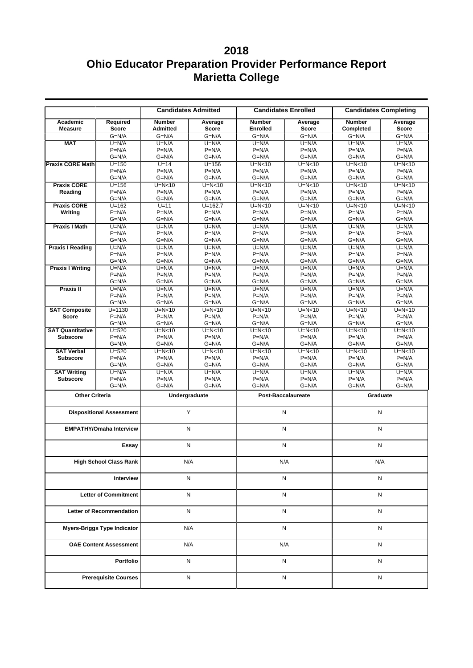|                                    |                                 | <b>Candidates Admitted</b>       |                         | <b>Candidates Enrolled</b>       |                    | <b>Candidates Completing</b> |                         |
|------------------------------------|---------------------------------|----------------------------------|-------------------------|----------------------------------|--------------------|------------------------------|-------------------------|
| Academic<br><b>Measure</b>         | Required<br><b>Score</b>        | <b>Number</b><br><b>Admitted</b> | Average<br><b>Score</b> | <b>Number</b><br><b>Enrolled</b> | Average<br>Score   | <b>Number</b><br>Completed   | Average<br><b>Score</b> |
|                                    | $G=N/A$                         | $G=N/A$                          | $G=N/A$                 | $G=N/A$                          | $G=N/A$            | $G=N/A$                      | $G=N/A$                 |
| <b>MAT</b>                         | $U=N/A$                         | $U=N/A$                          | $U=N/A$                 | $U=N/A$                          | $U=N/A$            | $U=N/A$                      | $U=N/A$                 |
|                                    | $P=N/A$<br>$G=N/A$              | $P=N/A$<br>$G=N/A$               | $P=N/A$<br>$G=N/A$      | $P=N/A$<br>$G=N/A$               | $P=N/A$<br>$G=N/A$ | $P=N/A$                      | $P=N/A$<br>$G=N/A$      |
| <b>Praxis CORE Math</b>            | $U = 150$                       | $U=14$                           | $U=156$                 | $U=N<10$                         | $U=N<10$           | $G=N/A$<br>$U=N<10$          | $U=N10$                 |
|                                    | $P=N/A$                         | $P=N/A$                          | $P=N/A$                 | $P=N/A$                          | $P=N/A$            | $P=N/A$                      | $P=N/A$                 |
|                                    | $G=N/A$                         | $G=N/A$                          | $G=N/A$                 | $G=N/A$                          | $G=N/A$            | $G=N/A$                      | $G=N/A$                 |
| <b>Praxis CORE</b>                 | $U = 156$                       | $U=N<10$                         | $U=N10$                 | $U=N<10$                         | $U=N<10$           | $U=N10$                      | $U=N<10$                |
| Reading                            | $P=N/A$                         | $P=N/A$                          | $P=N/A$                 | $P=N/A$                          | $P=N/A$            | $P=N/A$                      | $P=N/A$                 |
|                                    | $G=N/A$                         | $G=N/A$                          | $G=N/A$                 | $G=N/A$                          | $G=N/A$            | $G=N/A$                      | $G=N/A$                 |
| <b>Praxis CORE</b>                 | $U = 162$                       | $U=11$                           | $U = 162.7$             | $U=N<10$                         | $U=N<10$           | $U=N<10$                     | $U=N10$                 |
| Writing                            | $P=N/A$                         | $P=N/A$                          | $P=N/A$                 | $P=N/A$                          | $P=N/A$            | $P=N/A$                      | $P=N/A$                 |
|                                    | $G=N/A$                         | $G=N/A$                          | $G=N/A$                 | $G=N/A$                          | $G=N/A$            | $G=N/A$                      | $G=N/A$                 |
| <b>Praxis I Math</b>               | $U=N/A$                         | $U=N/A$                          | $U=N/A$                 | $U=N/A$                          | $U=N/A$            | $U=N/A$                      | $U=N/A$                 |
|                                    | $P=N/A$                         | $P=N/A$                          | $P=N/A$                 | $P=N/A$                          | $P=N/A$            | $P=N/A$                      | $P=N/A$                 |
|                                    | $G=N/A$                         | $G=N/A$                          | $G=N/A$                 | $G=N/A$                          | $G=N/A$            | $G=N/A$                      | $G=N/A$                 |
| <b>Praxis I Reading</b>            | $U=N/A$<br>$P=N/A$              | $U=N/A$<br>$P=N/A$               | $U=N/A$<br>$P=N/A$      | $U=N/A$<br>$P=N/A$               | $U=N/A$<br>$P=N/A$ | $U=N/A$<br>$P=N/A$           | $U=N/A$<br>$P=N/A$      |
|                                    | $G=N/A$                         | $G=N/A$                          | $G=N/A$                 | $G=N/A$                          | $G=N/A$            | $G=N/A$                      | $G=N/A$                 |
| <b>Praxis I Writing</b>            | $U=N/A$                         | $U=N/A$                          | $U=N/A$                 | $U=N/A$                          | $U=N/A$            | $U=N/A$                      | $U=N/A$                 |
|                                    | $P=N/A$                         | $P=N/A$                          | $P=N/A$                 | $P=N/A$                          | $P=N/A$            | $P=N/A$                      | $P=N/A$                 |
|                                    | $G=N/A$                         | $G=N/A$                          | $G=N/A$                 | $G=N/A$                          | $G=N/A$            | $G=N/A$                      | $G=N/A$                 |
| Praxis II                          | $U=N/A$                         | $U=N/A$                          | $U=N/A$                 | $U=N/A$                          | $U=N/A$            | $U=N/A$                      | $U=N/A$                 |
|                                    | $P=N/A$                         | $P=N/A$                          | $P=N/A$                 | $P=N/A$                          | $P=N/A$            | $P=N/A$                      | $P=N/A$                 |
|                                    | $G=N/A$                         | $G=N/A$                          | $G=N/A$                 | $G=N/A$                          | G=N/A              | $G=N/A$                      | $G=N/A$                 |
| <b>SAT Composite</b>               | $U = 1130$                      | $U=N<10$                         | $U=N<10$                | $U=N<10$                         | $U=N<10$           | $U=N<10$                     | $U=N<10$                |
| <b>Score</b>                       | $P=N/A$                         | $P=N/A$                          | $P=N/A$                 | $P=N/A$                          | $P=N/A$            | $P=N/A$                      | $P=N/A$                 |
|                                    | $G=N/A$                         | $G=N/A$                          | $G=N/A$                 | $G=N/A$                          | $G=N/A$            | $G=N/A$                      | $G=N/A$                 |
| <b>SAT Quantitative</b>            | $U = 520$                       | $U=N<10$                         | $U=N<10$                | $U=N<10$                         | $U=N<10$           | $U=N<10$                     | $U=N<10$                |
| <b>Subscore</b>                    | $P=N/A$<br>$G=N/A$              | $P=N/A$<br>$G=N/A$               | $P=N/A$<br>$G=N/A$      | $P=N/A$<br>$G=N/A$               | $P=N/A$<br>$G=N/A$ | $P=N/A$<br>$G=N/A$           | $P=N/A$<br>$G=N/A$      |
| <b>SAT Verbal</b>                  | $U = 520$                       | $U=N<10$                         | $U=N10$                 | $U=N<10$                         | $U=N10$            | $U=N<10$                     | $U=N10$                 |
| <b>Subscore</b>                    | $P=N/A$                         | $P=N/A$                          | $P=N/A$                 | $P=N/A$                          | $P=N/A$            | $P=N/A$                      | $P=N/A$                 |
|                                    | $G=N/A$                         | $G=N/A$                          | $G=N/A$                 | $G=N/A$                          | $G=N/A$            | $G=N/A$                      | $G=N/A$                 |
| <b>SAT Writing</b>                 | $U=N/A$                         | $U=N/A$                          | $U=N/A$                 | $U=N/A$                          | $U=N/A$            | $U=N/A$                      | $U=N/A$                 |
| <b>Subscore</b>                    | $P=N/A$                         | $P=N/A$                          | $P=N/A$                 | $P=N/A$                          | $P=N/A$            | $P=N/A$                      | $P=N/A$                 |
|                                    | $G=N/A$                         | $G=N/A$                          | $G=N/A$                 | $G=N/A$                          | $G=N/A$            | $G=N/A$                      | $G=N/A$                 |
| <b>Other Criteria</b>              |                                 | Undergraduate                    |                         | <b>Post-Baccalaureate</b>        |                    | Graduate                     |                         |
|                                    | <b>Dispositional Assessment</b> |                                  | Y                       | N                                |                    | N                            |                         |
|                                    | <b>EMPATHY/Omaha Interview</b>  |                                  | N                       | N                                |                    | N                            |                         |
|                                    | Essay                           |                                  | N                       | N                                |                    | N                            |                         |
|                                    | <b>High School Class Rank</b>   |                                  | N/A                     | N/A                              |                    | N/A                          |                         |
|                                    | Interview                       |                                  | N                       | N                                |                    | N                            |                         |
| <b>Letter of Commitment</b>        |                                 |                                  | N                       |                                  | N                  |                              | N                       |
| <b>Letter of Recommendation</b>    |                                 |                                  | N                       |                                  | N                  | N                            |                         |
| <b>Myers-Briggs Type Indicator</b> |                                 |                                  | N/A                     | N                                |                    | N                            |                         |
|                                    | <b>OAE Content Assessment</b>   |                                  | N/A                     | N/A                              |                    | N                            |                         |
|                                    | Portfolio                       |                                  | N                       | N                                |                    | Ν                            |                         |
|                                    | <b>Prerequisite Courses</b>     |                                  | N                       | N                                |                    | N                            |                         |
|                                    |                                 |                                  |                         |                                  |                    |                              |                         |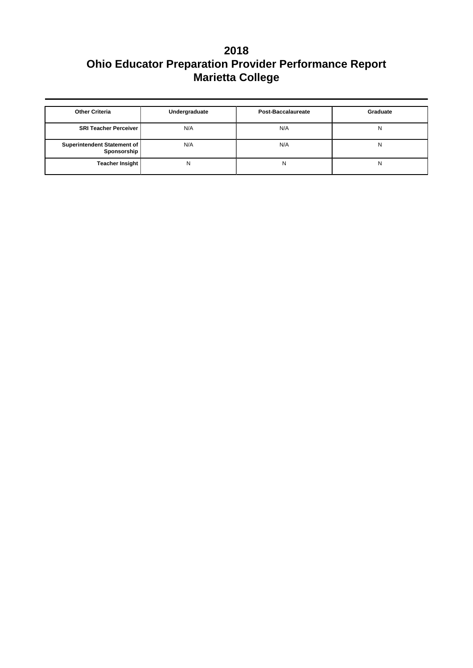| <b>Other Criteria</b>                      | Undergraduate | Post-Baccalaureate | Graduate |
|--------------------------------------------|---------------|--------------------|----------|
| <b>SRI Teacher Perceiver  </b>             | N/A           | N/A                | N        |
| Superintendent Statement of<br>Sponsorship | N/A           | N/A                | N        |
| Teacher Insight                            | N             | N                  | N        |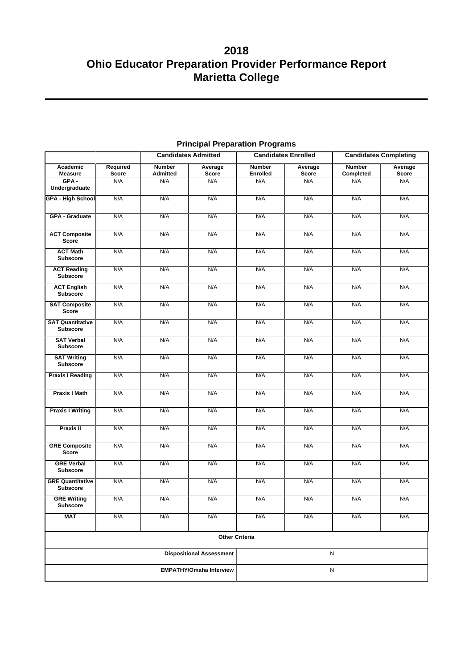|                                            | <b>Candidates Admitted</b><br><b>Candidates Enrolled</b> |                           |                                 | <b>Candidates Completing</b>     |                         |                            |                  |
|--------------------------------------------|----------------------------------------------------------|---------------------------|---------------------------------|----------------------------------|-------------------------|----------------------------|------------------|
| Academic<br><b>Measure</b>                 | Required<br><b>Score</b>                                 | <b>Number</b><br>Admitted | Average<br>Score                | <b>Number</b><br><b>Enrolled</b> | Average<br><b>Score</b> | <b>Number</b><br>Completed | Average<br>Score |
| $GPA -$<br>Undergraduate                   | N/A                                                      | N/A                       | N/A                             | N/A                              | N/A                     | N/A                        | N/A              |
| <b>GPA - High School</b>                   | N/A                                                      | N/A                       | N/A                             | N/A                              | N/A                     | N/A                        | N/A              |
|                                            |                                                          |                           |                                 |                                  |                         |                            |                  |
| <b>GPA - Graduate</b>                      | N/A                                                      | N/A                       | N/A                             | N/A                              | N/A                     | N/A                        | N/A              |
| <b>ACT Composite</b><br><b>Score</b>       | N/A                                                      | N/A                       | N/A                             | N/A                              | N/A                     | N/A                        | N/A              |
| <b>ACT Math</b><br><b>Subscore</b>         | N/A                                                      | N/A                       | N/A                             | N/A                              | N/A                     | N/A                        | N/A              |
| <b>ACT Reading</b><br><b>Subscore</b>      | N/A                                                      | N/A                       | N/A                             | N/A                              | N/A                     | N/A                        | N/A              |
| <b>ACT English</b><br><b>Subscore</b>      | N/A                                                      | N/A                       | N/A                             | N/A                              | N/A                     | N/A                        | N/A              |
| <b>SAT Composite</b><br><b>Score</b>       | N/A                                                      | N/A                       | N/A                             | N/A                              | N/A                     | N/A                        | N/A              |
| <b>SAT Quantitative</b><br><b>Subscore</b> | N/A                                                      | N/A                       | N/A                             | N/A                              | N/A                     | N/A                        | N/A              |
| <b>SAT Verbal</b><br><b>Subscore</b>       | N/A                                                      | N/A                       | N/A                             | N/A                              | N/A                     | N/A                        | N/A              |
| <b>SAT Writing</b><br><b>Subscore</b>      | N/A                                                      | N/A                       | N/A                             | N/A                              | N/A                     | N/A                        | N/A              |
| <b>Praxis I Reading</b>                    | N/A                                                      | N/A                       | N/A                             | N/A                              | N/A                     | N/A                        | N/A              |
| <b>Praxis I Math</b>                       | N/A                                                      | N/A                       | N/A                             | N/A                              | N/A                     | N/A                        | N/A              |
| <b>Praxis I Writing</b>                    | N/A                                                      | N/A                       | N/A                             | N/A                              | N/A                     | N/A                        | N/A              |
| <b>Praxis II</b>                           | N/A                                                      | N/A                       | N/A                             | N/A                              | N/A                     | N/A                        | N/A              |
| <b>GRE Composite</b><br><b>Score</b>       | N/A                                                      | N/A                       | N/A                             | N/A                              | N/A                     | N/A                        | N/A              |
| <b>GRE Verbal</b><br><b>Subscore</b>       | N/A                                                      | N/A                       | N/A                             | N/A                              | N/A                     | N/A                        | N/A              |
| <b>GRE Quantitative</b><br><b>Subscore</b> | N/A                                                      | N/A                       | N/A                             | N/A                              | N/A                     | N/A                        | N/A              |
| <b>GRE Writing</b><br>Subscore             | N/A                                                      | N/A                       | N/A                             | N/A                              | N/A                     | N/A                        | N/A              |
| MAT                                        | N/A                                                      | N/A                       | N/A                             | N/A                              | N/A                     | N/A                        | N/A              |
|                                            |                                                          |                           | <b>Other Criteria</b>           |                                  |                         |                            |                  |
|                                            |                                                          |                           | <b>Dispositional Assessment</b> | ${\sf N}$                        |                         |                            |                  |
| <b>EMPATHY/Omaha Interview</b>             |                                                          |                           |                                 | ${\sf N}$                        |                         |                            |                  |

## **Principal Preparation Programs**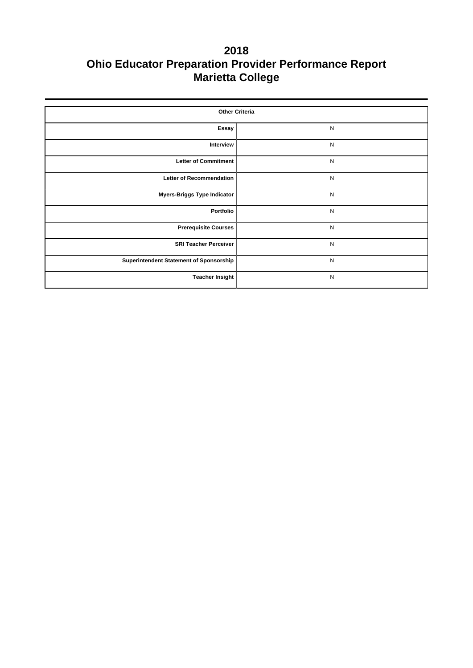| <b>Other Criteria</b>                   |              |  |  |  |  |  |
|-----------------------------------------|--------------|--|--|--|--|--|
| Essay                                   | ${\sf N}$    |  |  |  |  |  |
| Interview                               | ${\sf N}$    |  |  |  |  |  |
| <b>Letter of Commitment</b>             | ${\sf N}$    |  |  |  |  |  |
| <b>Letter of Recommendation</b>         | $\mathsf{N}$ |  |  |  |  |  |
| <b>Myers-Briggs Type Indicator</b>      | ${\sf N}$    |  |  |  |  |  |
| Portfolio                               | ${\sf N}$    |  |  |  |  |  |
| <b>Prerequisite Courses</b>             | ${\sf N}$    |  |  |  |  |  |
| <b>SRI Teacher Perceiver</b>            | N            |  |  |  |  |  |
| Superintendent Statement of Sponsorship | ${\sf N}$    |  |  |  |  |  |
| <b>Teacher Insight</b>                  | ${\sf N}$    |  |  |  |  |  |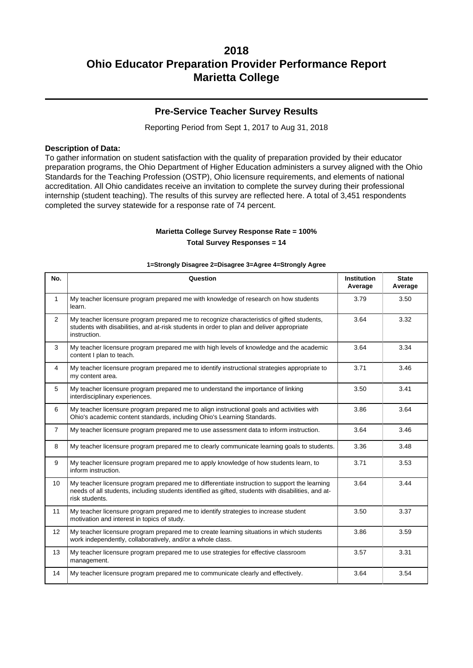## **Pre-Service Teacher Survey Results**

Reporting Period from Sept 1, 2017 to Aug 31, 2018

#### **Description of Data:**

To gather information on student satisfaction with the quality of preparation provided by their educator preparation programs, the Ohio Department of Higher Education administers a survey aligned with the Ohio Standards for the Teaching Profession (OSTP), Ohio licensure requirements, and elements of national accreditation. All Ohio candidates receive an invitation to complete the survey during their professional internship (student teaching). The results of this survey are reflected here. A total of 3,451 respondents completed the survey statewide for a response rate of 74 percent.

# **Marietta College Survey Response Rate = 100%**

**Total Survey Responses = 14**

| No.            | Question                                                                                                                                                                                                               | <b>Institution</b><br>Average | <b>State</b><br>Average |
|----------------|------------------------------------------------------------------------------------------------------------------------------------------------------------------------------------------------------------------------|-------------------------------|-------------------------|
| $\mathbf{1}$   | My teacher licensure program prepared me with knowledge of research on how students<br>learn.                                                                                                                          | 3.79                          | 3.50                    |
| 2              | My teacher licensure program prepared me to recognize characteristics of gifted students,<br>students with disabilities, and at-risk students in order to plan and deliver appropriate<br>instruction.                 | 3.64                          | 3.32                    |
| 3              | My teacher licensure program prepared me with high levels of knowledge and the academic<br>content I plan to teach.                                                                                                    | 3.64                          | 3.34                    |
| $\overline{4}$ | My teacher licensure program prepared me to identify instructional strategies appropriate to<br>my content area.                                                                                                       | 3.71                          | 3.46                    |
| 5              | My teacher licensure program prepared me to understand the importance of linking<br>interdisciplinary experiences.                                                                                                     | 3.50                          | 3.41                    |
| 6              | My teacher licensure program prepared me to align instructional goals and activities with<br>Ohio's academic content standards, including Ohio's Learning Standards.                                                   | 3.86                          | 3.64                    |
| $\overline{7}$ | My teacher licensure program prepared me to use assessment data to inform instruction.                                                                                                                                 | 3.64                          | 3.46                    |
| 8              | My teacher licensure program prepared me to clearly communicate learning goals to students.                                                                                                                            | 3.36                          | 3.48                    |
| 9              | My teacher licensure program prepared me to apply knowledge of how students learn, to<br>inform instruction.                                                                                                           | 3.71                          | 3.53                    |
| 10             | My teacher licensure program prepared me to differentiate instruction to support the learning<br>needs of all students, including students identified as gifted, students with disabilities, and at-<br>risk students. | 3.64                          | 3.44                    |
| 11             | My teacher licensure program prepared me to identify strategies to increase student<br>motivation and interest in topics of study.                                                                                     | 3.50                          | 3.37                    |
| 12             | My teacher licensure program prepared me to create learning situations in which students<br>work independently, collaboratively, and/or a whole class.                                                                 | 3.86                          | 3.59                    |
| 13             | My teacher licensure program prepared me to use strategies for effective classroom<br>management.                                                                                                                      | 3.57                          | 3.31                    |
| 14             | My teacher licensure program prepared me to communicate clearly and effectively.                                                                                                                                       | 3.64                          | 3.54                    |

#### **1=Strongly Disagree 2=Disagree 3=Agree 4=Strongly Agree**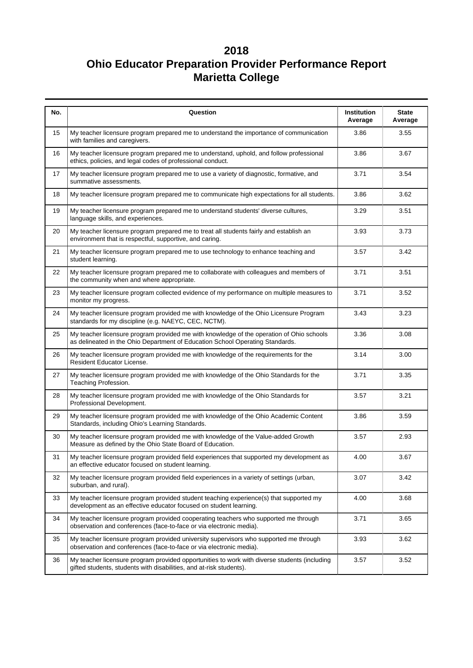| No. | Question                                                                                                                                                                  | Institution<br>Average | <b>State</b><br>Average |
|-----|---------------------------------------------------------------------------------------------------------------------------------------------------------------------------|------------------------|-------------------------|
| 15  | My teacher licensure program prepared me to understand the importance of communication<br>with families and caregivers.                                                   | 3.86                   | 3.55                    |
| 16  | My teacher licensure program prepared me to understand, uphold, and follow professional<br>ethics, policies, and legal codes of professional conduct.                     | 3.86                   | 3.67                    |
| 17  | My teacher licensure program prepared me to use a variety of diagnostic, formative, and<br>summative assessments.                                                         | 3.71                   | 3.54                    |
| 18  | My teacher licensure program prepared me to communicate high expectations for all students.                                                                               | 3.86                   | 3.62                    |
| 19  | My teacher licensure program prepared me to understand students' diverse cultures,<br>language skills, and experiences.                                                   | 3.29                   | 3.51                    |
| 20  | My teacher licensure program prepared me to treat all students fairly and establish an<br>environment that is respectful, supportive, and caring.                         | 3.93                   | 3.73                    |
| 21  | My teacher licensure program prepared me to use technology to enhance teaching and<br>student learning.                                                                   | 3.57                   | 3.42                    |
| 22  | My teacher licensure program prepared me to collaborate with colleagues and members of<br>the community when and where appropriate.                                       | 3.71                   | 3.51                    |
| 23  | My teacher licensure program collected evidence of my performance on multiple measures to<br>monitor my progress.                                                         | 3.71                   | 3.52                    |
| 24  | My teacher licensure program provided me with knowledge of the Ohio Licensure Program<br>standards for my discipline (e.g. NAEYC, CEC, NCTM).                             | 3.43                   | 3.23                    |
| 25  | My teacher licensure program provided me with knowledge of the operation of Ohio schools<br>as delineated in the Ohio Department of Education School Operating Standards. | 3.36                   | 3.08                    |
| 26  | My teacher licensure program provided me with knowledge of the requirements for the<br>Resident Educator License.                                                         | 3.14                   | 3.00                    |
| 27  | My teacher licensure program provided me with knowledge of the Ohio Standards for the<br>Teaching Profession.                                                             | 3.71                   | 3.35                    |
| 28  | My teacher licensure program provided me with knowledge of the Ohio Standards for<br>Professional Development.                                                            | 3.57                   | 3.21                    |
| 29  | My teacher licensure program provided me with knowledge of the Ohio Academic Content<br>Standards, including Ohio's Learning Standards.                                   | 3.86                   | 3.59                    |
| 30  | My teacher licensure program provided me with knowledge of the Value-added Growth<br>Measure as defined by the Ohio State Board of Education.                             | 3.57                   | 2.93                    |
| 31  | My teacher licensure program provided field experiences that supported my development as<br>an effective educator focused on student learning.                            | 4.00                   | 3.67                    |
| 32  | My teacher licensure program provided field experiences in a variety of settings (urban,<br>suburban, and rural).                                                         | 3.07                   | 3.42                    |
| 33  | My teacher licensure program provided student teaching experience(s) that supported my<br>development as an effective educator focused on student learning.               | 4.00                   | 3.68                    |
| 34  | My teacher licensure program provided cooperating teachers who supported me through<br>observation and conferences (face-to-face or via electronic media).                | 3.71                   | 3.65                    |
| 35  | My teacher licensure program provided university supervisors who supported me through<br>observation and conferences (face-to-face or via electronic media).              | 3.93                   | 3.62                    |
| 36  | My teacher licensure program provided opportunities to work with diverse students (including<br>gifted students, students with disabilities, and at-risk students).       | 3.57                   | 3.52                    |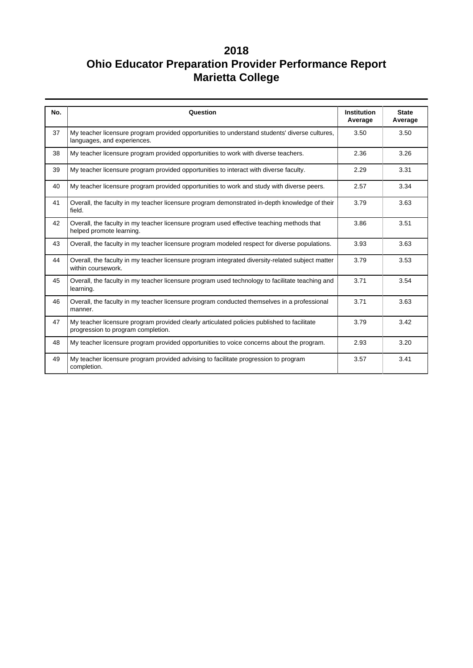| No. | Question                                                                                                                         | <b>Institution</b><br>Average | <b>State</b><br>Average |
|-----|----------------------------------------------------------------------------------------------------------------------------------|-------------------------------|-------------------------|
| 37  | My teacher licensure program provided opportunities to understand students' diverse cultures,<br>languages, and experiences.     | 3.50                          | 3.50                    |
| 38  | My teacher licensure program provided opportunities to work with diverse teachers.                                               | 2.36                          | 3.26                    |
| 39  | My teacher licensure program provided opportunities to interact with diverse faculty.                                            | 2.29                          | 3.31                    |
| 40  | My teacher licensure program provided opportunities to work and study with diverse peers.                                        | 2.57                          | 3.34                    |
| 41  | Overall, the faculty in my teacher licensure program demonstrated in-depth knowledge of their<br>field.                          | 3.79                          | 3.63                    |
| 42  | Overall, the faculty in my teacher licensure program used effective teaching methods that<br>helped promote learning.            | 3.86                          | 3.51                    |
| 43  | Overall, the faculty in my teacher licensure program modeled respect for diverse populations.                                    | 3.93                          | 3.63                    |
| 44  | Overall, the faculty in my teacher licensure program integrated diversity-related subject matter<br>within coursework.           | 3.79                          | 3.53                    |
| 45  | Overall, the faculty in my teacher licensure program used technology to facilitate teaching and<br>learning.                     | 3.71                          | 3.54                    |
| 46  | Overall, the faculty in my teacher licensure program conducted themselves in a professional<br>manner.                           | 3.71                          | 3.63                    |
| 47  | My teacher licensure program provided clearly articulated policies published to facilitate<br>progression to program completion. | 3.79                          | 3.42                    |
| 48  | My teacher licensure program provided opportunities to voice concerns about the program.                                         | 2.93                          | 3.20                    |
| 49  | My teacher licensure program provided advising to facilitate progression to program<br>completion.                               | 3.57                          | 3.41                    |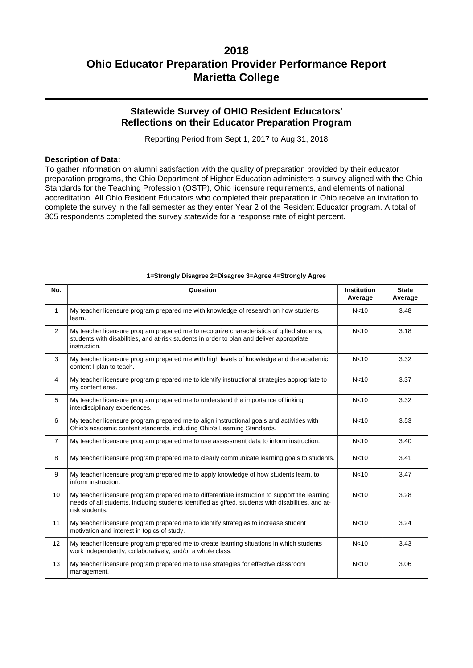## **Statewide Survey of OHIO Resident Educators' Reflections on their Educator Preparation Program**

Reporting Period from Sept 1, 2017 to Aug 31, 2018

#### **Description of Data:**

To gather information on alumni satisfaction with the quality of preparation provided by their educator preparation programs, the Ohio Department of Higher Education administers a survey aligned with the Ohio Standards for the Teaching Profession (OSTP), Ohio licensure requirements, and elements of national accreditation. All Ohio Resident Educators who completed their preparation in Ohio receive an invitation to complete the survey in the fall semester as they enter Year 2 of the Resident Educator program. A total of 305 respondents completed the survey statewide for a response rate of eight percent.

| No.            | Question                                                                                                                                                                                                               | <b>Institution</b><br>Average | <b>State</b><br>Average |
|----------------|------------------------------------------------------------------------------------------------------------------------------------------------------------------------------------------------------------------------|-------------------------------|-------------------------|
| $\mathbf{1}$   | My teacher licensure program prepared me with knowledge of research on how students<br>learn.                                                                                                                          | N <sub>10</sub>               | 3.48                    |
| $\overline{2}$ | My teacher licensure program prepared me to recognize characteristics of gifted students,<br>students with disabilities, and at-risk students in order to plan and deliver appropriate<br>instruction.                 | N <sub>10</sub>               | 3.18                    |
| 3              | My teacher licensure program prepared me with high levels of knowledge and the academic<br>content I plan to teach.                                                                                                    | N <sub>10</sub>               | 3.32                    |
| $\overline{4}$ | My teacher licensure program prepared me to identify instructional strategies appropriate to<br>my content area.                                                                                                       | N <sub>10</sub>               | 3.37                    |
| 5              | My teacher licensure program prepared me to understand the importance of linking<br>interdisciplinary experiences.                                                                                                     | N <sub>10</sub>               | 3.32                    |
| 6              | My teacher licensure program prepared me to align instructional goals and activities with<br>Ohio's academic content standards, including Ohio's Learning Standards.                                                   | N <sub>10</sub>               | 3.53                    |
| $\overline{7}$ | My teacher licensure program prepared me to use assessment data to inform instruction.                                                                                                                                 | N <sub>10</sub>               | 3.40                    |
| 8              | My teacher licensure program prepared me to clearly communicate learning goals to students.                                                                                                                            | N <sub>10</sub>               | 3.41                    |
| 9              | My teacher licensure program prepared me to apply knowledge of how students learn, to<br>inform instruction.                                                                                                           | N <sub>10</sub>               | 3.47                    |
| 10             | My teacher licensure program prepared me to differentiate instruction to support the learning<br>needs of all students, including students identified as gifted, students with disabilities, and at-<br>risk students. | N <sub>10</sub>               | 3.28                    |
| 11             | My teacher licensure program prepared me to identify strategies to increase student<br>motivation and interest in topics of study.                                                                                     | N <sub>10</sub>               | 3.24                    |
| 12             | My teacher licensure program prepared me to create learning situations in which students<br>work independently, collaboratively, and/or a whole class.                                                                 | N <sub>10</sub>               | 3.43                    |
| 13             | My teacher licensure program prepared me to use strategies for effective classroom<br>management.                                                                                                                      | N <sub>10</sub>               | 3.06                    |

### **1=Strongly Disagree 2=Disagree 3=Agree 4=Strongly Agree**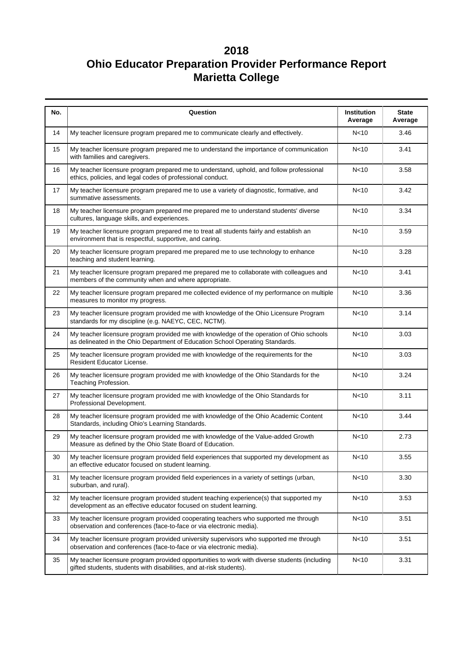| No. | Question                                                                                                                                                                  | <b>Institution</b><br>Average | <b>State</b><br>Average |  |  |  |
|-----|---------------------------------------------------------------------------------------------------------------------------------------------------------------------------|-------------------------------|-------------------------|--|--|--|
| 14  | My teacher licensure program prepared me to communicate clearly and effectively.                                                                                          | N <sub>10</sub>               | 3.46                    |  |  |  |
| 15  | My teacher licensure program prepared me to understand the importance of communication<br>with families and caregivers.                                                   | N <sub>10</sub>               | 3.41                    |  |  |  |
| 16  | My teacher licensure program prepared me to understand, uphold, and follow professional<br>ethics, policies, and legal codes of professional conduct.                     | N <sub>10</sub>               | 3.58                    |  |  |  |
| 17  | My teacher licensure program prepared me to use a variety of diagnostic, formative, and<br>summative assessments.                                                         | N <sub>10</sub>               | 3.42                    |  |  |  |
| 18  | My teacher licensure program prepared me prepared me to understand students' diverse<br>cultures, language skills, and experiences.                                       | N <sub>10</sub>               | 3.34                    |  |  |  |
| 19  | My teacher licensure program prepared me to treat all students fairly and establish an<br>environment that is respectful, supportive, and caring.                         | N <sub>10</sub>               | 3.59                    |  |  |  |
| 20  | My teacher licensure program prepared me prepared me to use technology to enhance<br>teaching and student learning.                                                       | N <sub>10</sub>               | 3.28                    |  |  |  |
| 21  | My teacher licensure program prepared me prepared me to collaborate with colleagues and<br>members of the community when and where appropriate.                           | N <sub>10</sub>               | 3.41                    |  |  |  |
| 22  | My teacher licensure program prepared me collected evidence of my performance on multiple<br>measures to monitor my progress.                                             | N <sub>10</sub>               | 3.36                    |  |  |  |
| 23  | My teacher licensure program provided me with knowledge of the Ohio Licensure Program<br>standards for my discipline (e.g. NAEYC, CEC, NCTM).                             | N<10                          | 3.14                    |  |  |  |
| 24  | My teacher licensure program provided me with knowledge of the operation of Ohio schools<br>as delineated in the Ohio Department of Education School Operating Standards. | N <sub>10</sub>               | 3.03                    |  |  |  |
| 25  | My teacher licensure program provided me with knowledge of the requirements for the<br>Resident Educator License.                                                         | N <sub>10</sub>               | 3.03                    |  |  |  |
| 26  | My teacher licensure program provided me with knowledge of the Ohio Standards for the<br>Teaching Profession.                                                             | N <sub>10</sub>               | 3.24                    |  |  |  |
| 27  | My teacher licensure program provided me with knowledge of the Ohio Standards for<br>Professional Development.                                                            | N <sub>10</sub>               | 3.11                    |  |  |  |
| 28  | My teacher licensure program provided me with knowledge of the Ohio Academic Content<br>Standards, including Ohio's Learning Standards.                                   | N <sub>10</sub>               | 3.44                    |  |  |  |
| 29  | My teacher licensure program provided me with knowledge of the Value-added Growth<br>Measure as defined by the Ohio State Board of Education.                             | N <sub>10</sub>               | 2.73                    |  |  |  |
| 30  | My teacher licensure program provided field experiences that supported my development as<br>an effective educator focused on student learning.                            | N<10                          | 3.55                    |  |  |  |
| 31  | My teacher licensure program provided field experiences in a variety of settings (urban,<br>suburban, and rural).                                                         | N <sub>10</sub>               |                         |  |  |  |
| 32  | My teacher licensure program provided student teaching experience(s) that supported my<br>development as an effective educator focused on student learning.               | N <sub>10</sub>               |                         |  |  |  |
| 33  | My teacher licensure program provided cooperating teachers who supported me through<br>observation and conferences (face-to-face or via electronic media).                | N <sub>10</sub>               | 3.51                    |  |  |  |
| 34  | My teacher licensure program provided university supervisors who supported me through<br>observation and conferences (face-to-face or via electronic media).              | N <sub>10</sub>               | 3.51                    |  |  |  |
| 35  | My teacher licensure program provided opportunities to work with diverse students (including<br>gifted students, students with disabilities, and at-risk students).       | N <sub>10</sub>               | 3.31                    |  |  |  |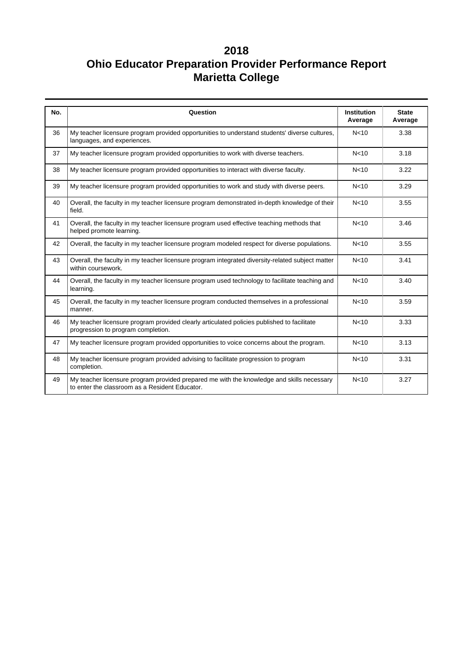| No. | Question                                                                                                                                    | <b>Institution</b><br>Average | <b>State</b><br>Average |
|-----|---------------------------------------------------------------------------------------------------------------------------------------------|-------------------------------|-------------------------|
| 36  | My teacher licensure program provided opportunities to understand students' diverse cultures,<br>languages, and experiences.                | N <sub>10</sub>               | 3.38                    |
| 37  | My teacher licensure program provided opportunities to work with diverse teachers.                                                          | N <sub>10</sub>               | 3.18                    |
| 38  | My teacher licensure program provided opportunities to interact with diverse faculty.                                                       | N <sub>10</sub>               | 3.22                    |
| 39  | My teacher licensure program provided opportunities to work and study with diverse peers.                                                   | N <sub>10</sub>               | 3.29                    |
| 40  | Overall, the faculty in my teacher licensure program demonstrated in-depth knowledge of their<br>field.                                     | N <sub>10</sub>               | 3.55                    |
| 41  | Overall, the faculty in my teacher licensure program used effective teaching methods that<br>helped promote learning.                       | N <sub>10</sub>               | 3.46                    |
| 42  | Overall, the faculty in my teacher licensure program modeled respect for diverse populations.                                               | N <sub>10</sub>               | 3.55                    |
| 43  | Overall, the faculty in my teacher licensure program integrated diversity-related subject matter<br>within coursework.                      | N <sub>10</sub>               | 3.41                    |
| 44  | Overall, the faculty in my teacher licensure program used technology to facilitate teaching and<br>learning.                                | N <sub>10</sub>               | 3.40                    |
| 45  | Overall, the faculty in my teacher licensure program conducted themselves in a professional<br>manner.                                      | N <sub>10</sub>               | 3.59                    |
| 46  | My teacher licensure program provided clearly articulated policies published to facilitate<br>progression to program completion.            | N <sub>10</sub>               | 3.33                    |
| 47  | My teacher licensure program provided opportunities to voice concerns about the program.                                                    | N <sub>10</sub>               | 3.13                    |
| 48  | My teacher licensure program provided advising to facilitate progression to program<br>completion.                                          | N <sub>10</sub>               | 3.31                    |
| 49  | My teacher licensure program provided prepared me with the knowledge and skills necessary<br>to enter the classroom as a Resident Educator. | N <sub>10</sub>               | 3.27                    |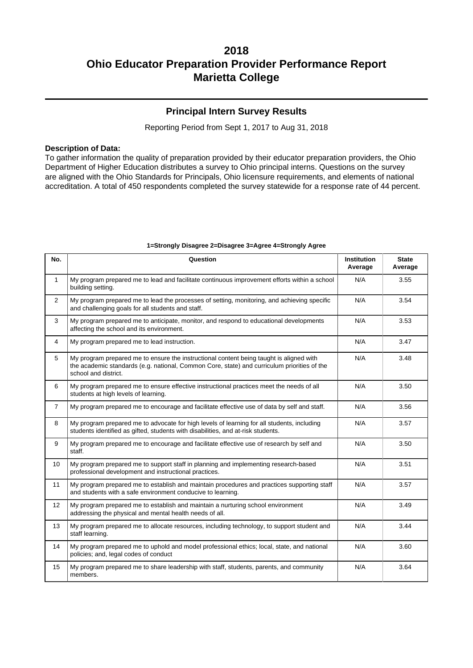## **Principal Intern Survey Results**

Reporting Period from Sept 1, 2017 to Aug 31, 2018

#### **Description of Data:**

To gather information the quality of preparation provided by their educator preparation providers, the Ohio Department of Higher Education distributes a survey to Ohio principal interns. Questions on the survey are aligned with the Ohio Standards for Principals, Ohio licensure requirements, and elements of national accreditation. A total of 450 respondents completed the survey statewide for a response rate of 44 percent.

| No.            | Question                                                                                                                                                                                                       | <b>Institution</b><br>Average | <b>State</b><br>Average |
|----------------|----------------------------------------------------------------------------------------------------------------------------------------------------------------------------------------------------------------|-------------------------------|-------------------------|
| $\mathbf{1}$   | My program prepared me to lead and facilitate continuous improvement efforts within a school<br>building setting.                                                                                              | N/A                           | 3.55                    |
| $\overline{2}$ | My program prepared me to lead the processes of setting, monitoring, and achieving specific<br>and challenging goals for all students and staff.                                                               | N/A                           | 3.54                    |
| 3              | My program prepared me to anticipate, monitor, and respond to educational developments<br>affecting the school and its environment.                                                                            | N/A                           | 3.53                    |
| 4              | My program prepared me to lead instruction.                                                                                                                                                                    | N/A                           | 3.47                    |
| 5              | My program prepared me to ensure the instructional content being taught is aligned with<br>the academic standards (e.g. national, Common Core, state) and curriculum priorities of the<br>school and district. | N/A                           | 3.48                    |
| 6              | My program prepared me to ensure effective instructional practices meet the needs of all<br>students at high levels of learning.                                                                               | N/A                           | 3.50                    |
| $\overline{7}$ | My program prepared me to encourage and facilitate effective use of data by self and staff.                                                                                                                    | N/A                           | 3.56                    |
| 8              | My program prepared me to advocate for high levels of learning for all students, including<br>students identified as gifted, students with disabilities, and at-risk students.                                 | N/A                           | 3.57                    |
| 9              | My program prepared me to encourage and facilitate effective use of research by self and<br>staff.                                                                                                             | N/A                           | 3.50                    |
| 10             | My program prepared me to support staff in planning and implementing research-based<br>professional development and instructional practices.                                                                   | N/A                           | 3.51                    |
| 11             | My program prepared me to establish and maintain procedures and practices supporting staff<br>and students with a safe environment conducive to learning.                                                      | N/A                           | 3.57                    |
| 12             | My program prepared me to establish and maintain a nurturing school environment<br>addressing the physical and mental health needs of all.                                                                     | N/A                           | 3.49                    |
| 13             | My program prepared me to allocate resources, including technology, to support student and<br>staff learning.                                                                                                  | N/A                           | 3.44                    |
| 14             | My program prepared me to uphold and model professional ethics; local, state, and national<br>policies; and, legal codes of conduct                                                                            | N/A                           | 3.60                    |
| 15             | My program prepared me to share leadership with staff, students, parents, and community<br>members.                                                                                                            | N/A                           | 3.64                    |

#### **1=Strongly Disagree 2=Disagree 3=Agree 4=Strongly Agree**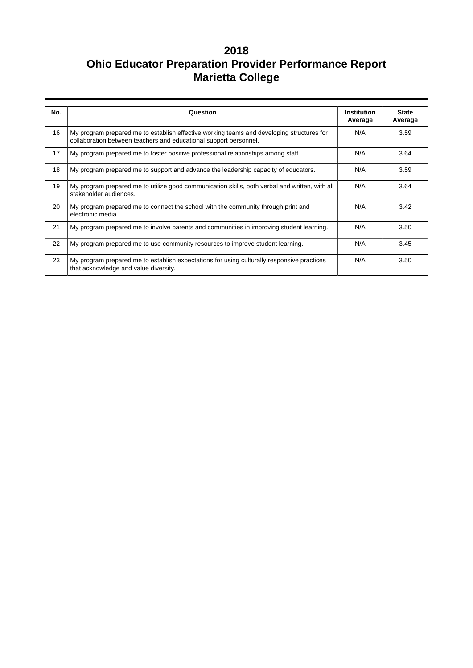| No. | Question                                                                                                                                                       | Institution<br>Average | <b>State</b><br>Average |
|-----|----------------------------------------------------------------------------------------------------------------------------------------------------------------|------------------------|-------------------------|
| 16  | My program prepared me to establish effective working teams and developing structures for<br>collaboration between teachers and educational support personnel. | N/A                    | 3.59                    |
| 17  | My program prepared me to foster positive professional relationships among staff.                                                                              | N/A                    | 3.64                    |
| 18  | My program prepared me to support and advance the leadership capacity of educators.                                                                            | N/A                    | 3.59                    |
| 19  | My program prepared me to utilize good communication skills, both verbal and written, with all<br>stakeholder audiences.                                       | N/A                    | 3.64                    |
| 20  | My program prepared me to connect the school with the community through print and<br>electronic media.                                                         | N/A                    | 3.42                    |
| 21  | My program prepared me to involve parents and communities in improving student learning.                                                                       | N/A                    | 3.50                    |
| 22  | My program prepared me to use community resources to improve student learning.                                                                                 | N/A                    | 3.45                    |
| 23  | My program prepared me to establish expectations for using culturally responsive practices<br>that acknowledge and value diversity.                            | N/A                    | 3.50                    |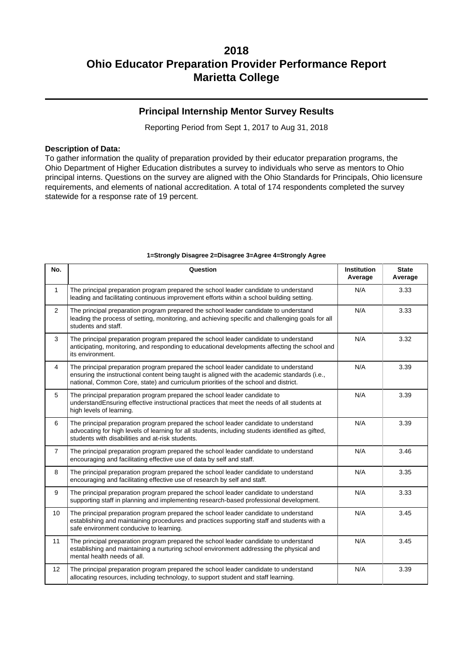## **Principal Internship Mentor Survey Results**

Reporting Period from Sept 1, 2017 to Aug 31, 2018

### **Description of Data:**

To gather information the quality of preparation provided by their educator preparation programs, the Ohio Department of Higher Education distributes a survey to individuals who serve as mentors to Ohio principal interns. Questions on the survey are aligned with the Ohio Standards for Principals, Ohio licensure requirements, and elements of national accreditation. A total of 174 respondents completed the survey statewide for a response rate of 19 percent.

| No.            | Question                                                                                                                                                                                                                                                                     | <b>Institution</b><br>Average | <b>State</b><br>Average |
|----------------|------------------------------------------------------------------------------------------------------------------------------------------------------------------------------------------------------------------------------------------------------------------------------|-------------------------------|-------------------------|
| $\mathbf{1}$   | The principal preparation program prepared the school leader candidate to understand<br>leading and facilitating continuous improvement efforts within a school building setting.                                                                                            | N/A                           | 3.33                    |
| $\overline{2}$ | The principal preparation program prepared the school leader candidate to understand<br>leading the process of setting, monitoring, and achieving specific and challenging goals for all<br>students and staff.                                                              | N/A                           | 3.33                    |
| 3              | The principal preparation program prepared the school leader candidate to understand<br>anticipating, monitoring, and responding to educational developments affecting the school and<br>its environment.                                                                    | N/A                           | 3.32                    |
| $\overline{4}$ | The principal preparation program prepared the school leader candidate to understand<br>ensuring the instructional content being taught is aligned with the academic standards (i.e.,<br>national, Common Core, state) and curriculum priorities of the school and district. | N/A                           | 3.39                    |
| 5              | The principal preparation program prepared the school leader candidate to<br>understandEnsuring effective instructional practices that meet the needs of all students at<br>high levels of learning.                                                                         | N/A                           | 3.39                    |
| 6              | The principal preparation program prepared the school leader candidate to understand<br>advocating for high levels of learning for all students, including students identified as gifted,<br>students with disabilities and at-risk students.                                | N/A                           | 3.39                    |
| $\overline{7}$ | The principal preparation program prepared the school leader candidate to understand<br>encouraging and facilitating effective use of data by self and staff.                                                                                                                | N/A                           | 3.46                    |
| 8              | The principal preparation program prepared the school leader candidate to understand<br>encouraging and facilitating effective use of research by self and staff.                                                                                                            | N/A                           | 3.35                    |
| 9              | The principal preparation program prepared the school leader candidate to understand<br>supporting staff in planning and implementing research-based professional development.                                                                                               | N/A                           | 3.33                    |
| 10             | The principal preparation program prepared the school leader candidate to understand<br>establishing and maintaining procedures and practices supporting staff and students with a<br>safe environment conducive to learning.                                                | N/A                           | 3.45                    |
| 11             | The principal preparation program prepared the school leader candidate to understand<br>establishing and maintaining a nurturing school environment addressing the physical and<br>mental health needs of all.                                                               | N/A                           | 3.45                    |
| 12             | The principal preparation program prepared the school leader candidate to understand<br>allocating resources, including technology, to support student and staff learning.                                                                                                   | N/A                           | 3.39                    |

### **1=Strongly Disagree 2=Disagree 3=Agree 4=Strongly Agree**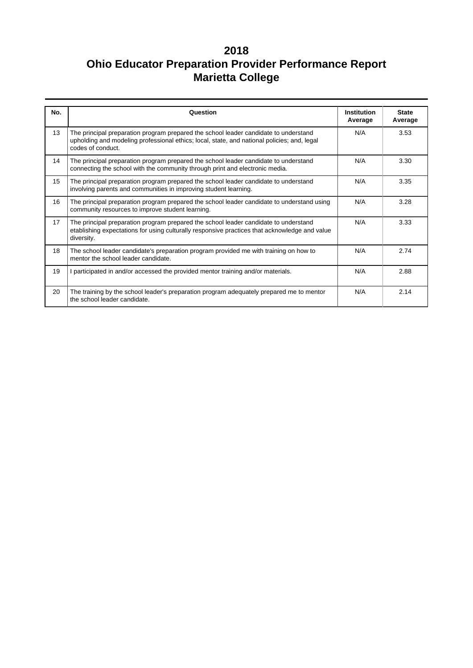| No. | Question                                                                                                                                                                                                 | <b>Institution</b><br>Average | <b>State</b><br>Average |  |
|-----|----------------------------------------------------------------------------------------------------------------------------------------------------------------------------------------------------------|-------------------------------|-------------------------|--|
| 13  | The principal preparation program prepared the school leader candidate to understand<br>upholding and modeling professional ethics; local, state, and national policies; and, legal<br>codes of conduct. | N/A                           | 3.53                    |  |
| 14  | The principal preparation program prepared the school leader candidate to understand<br>connecting the school with the community through print and electronic media.                                     | N/A                           | 3.30                    |  |
| 15  | The principal preparation program prepared the school leader candidate to understand<br>involving parents and communities in improving student learning.                                                 | N/A                           | 3.35                    |  |
| 16  | The principal preparation program prepared the school leader candidate to understand using<br>community resources to improve student learning.                                                           | N/A                           | 3.28                    |  |
| 17  | The principal preparation program prepared the school leader candidate to understand<br>etablishing expectations for using culturally responsive practices that acknowledge and value<br>diversity.      | N/A                           | 3.33                    |  |
| 18  | The school leader candidate's preparation program provided me with training on how to<br>mentor the school leader candidate.                                                                             | N/A                           | 2.74                    |  |
| 19  | I participated in and/or accessed the provided mentor training and/or materials.                                                                                                                         | N/A                           | 2.88                    |  |
| 20  | The training by the school leader's preparation program adequately prepared me to mentor<br>the school leader candidate.                                                                                 | N/A                           | 2.14                    |  |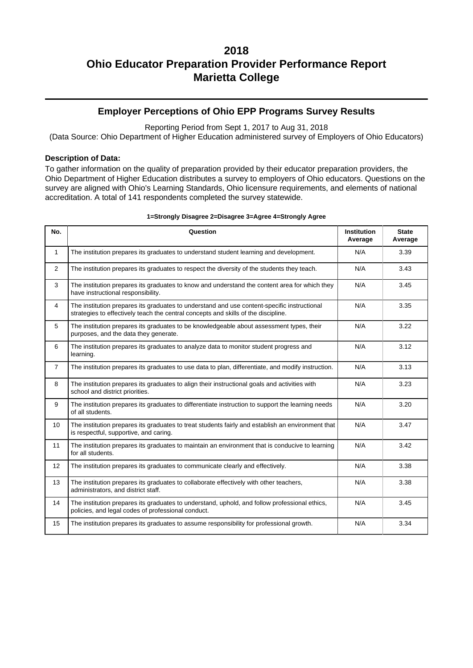## **Employer Perceptions of Ohio EPP Programs Survey Results**

Reporting Period from Sept 1, 2017 to Aug 31, 2018

(Data Source: Ohio Department of Higher Education administered survey of Employers of Ohio Educators)

### **Description of Data:**

To gather information on the quality of preparation provided by their educator preparation providers, the Ohio Department of Higher Education distributes a survey to employers of Ohio educators. Questions on the survey are aligned with Ohio's Learning Standards, Ohio licensure requirements, and elements of national accreditation. A total of 141 respondents completed the survey statewide.

| No.            | Question                                                                                                                                                                          | <b>Institution</b><br>Average | <b>State</b><br>Average |
|----------------|-----------------------------------------------------------------------------------------------------------------------------------------------------------------------------------|-------------------------------|-------------------------|
| $\mathbf{1}$   | The institution prepares its graduates to understand student learning and development.                                                                                            | N/A                           | 3.39                    |
| 2              | The institution prepares its graduates to respect the diversity of the students they teach.                                                                                       | N/A                           | 3.43                    |
| 3              | The institution prepares its graduates to know and understand the content area for which they<br>have instructional responsibility.                                               | N/A                           | 3.45                    |
| 4              | The institution prepares its graduates to understand and use content-specific instructional<br>strategies to effectively teach the central concepts and skills of the discipline. | N/A                           | 3.35                    |
| 5              | The institution prepares its graduates to be knowledgeable about assessment types, their<br>purposes, and the data they generate.                                                 | N/A                           | 3.22                    |
| 6              | The institution prepares its graduates to analyze data to monitor student progress and<br>learning.                                                                               | N/A                           | 3.12                    |
| $\overline{7}$ | The institution prepares its graduates to use data to plan, differentiate, and modify instruction.                                                                                | N/A                           | 3.13                    |
| 8              | The institution prepares its graduates to align their instructional goals and activities with<br>school and district priorities.                                                  | N/A                           | 3.23                    |
| 9              | The institution prepares its graduates to differentiate instruction to support the learning needs<br>of all students.                                                             | N/A                           | 3.20                    |
| 10             | The institution prepares its graduates to treat students fairly and establish an environment that<br>is respectful, supportive, and caring.                                       | N/A                           | 3.47                    |
| 11             | The institution prepares its graduates to maintain an environment that is conducive to learning<br>for all students.                                                              | N/A                           | 3.42                    |
| 12             | The institution prepares its graduates to communicate clearly and effectively.                                                                                                    | N/A                           | 3.38                    |
| 13             | The institution prepares its graduates to collaborate effectively with other teachers,<br>administrators, and district staff.                                                     | N/A                           | 3.38                    |
| 14             | The institution prepares its graduates to understand, uphold, and follow professional ethics,<br>policies, and legal codes of professional conduct.                               | N/A                           | 3.45                    |
| 15             | The institution prepares its graduates to assume responsibility for professional growth.                                                                                          | N/A                           | 3.34                    |

#### **1=Strongly Disagree 2=Disagree 3=Agree 4=Strongly Agree**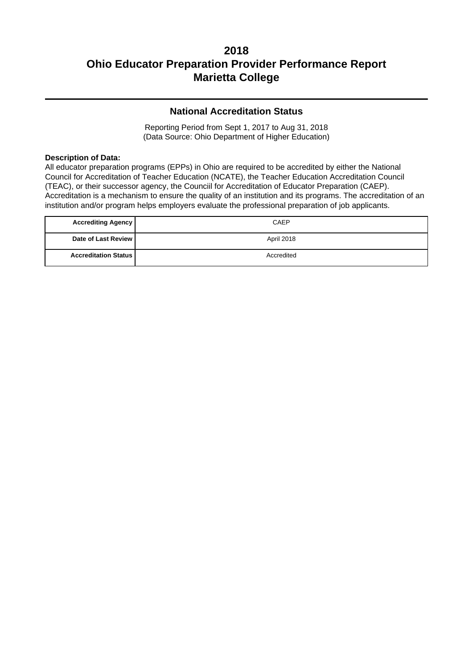## **National Accreditation Status**

Reporting Period from Sept 1, 2017 to Aug 31, 2018 (Data Source: Ohio Department of Higher Education)

### **Description of Data:**

All educator preparation programs (EPPs) in Ohio are required to be accredited by either the National Council for Accreditation of Teacher Education (NCATE), the Teacher Education Accreditation Council (TEAC), or their successor agency, the Counciil for Accreditation of Educator Preparation (CAEP). Accreditation is a mechanism to ensure the quality of an institution and its programs. The accreditation of an institution and/or program helps employers evaluate the professional preparation of job applicants.

| <b>Accrediting Agency</b>   | CAEP       |
|-----------------------------|------------|
| Date of Last Review I       | April 2018 |
| <b>Accreditation Status</b> | Accredited |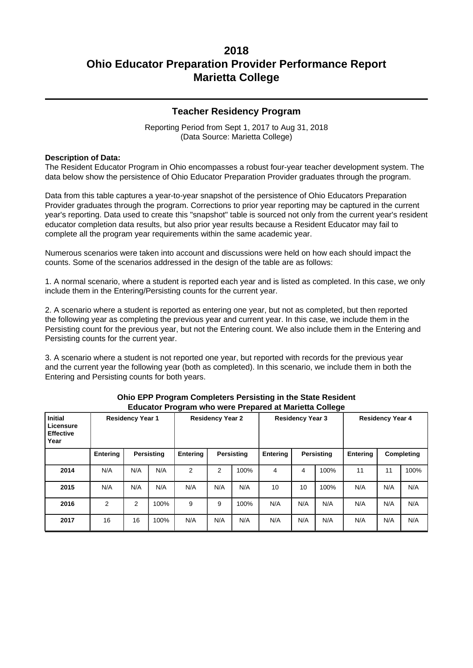### **Teacher Residency Program**

Reporting Period from Sept 1, 2017 to Aug 31, 2018 (Data Source: Marietta College)

### **Description of Data:**

The Resident Educator Program in Ohio encompasses a robust four-year teacher development system. The data below show the persistence of Ohio Educator Preparation Provider graduates through the program.

Data from this table captures a year-to-year snapshot of the persistence of Ohio Educators Preparation Provider graduates through the program. Corrections to prior year reporting may be captured in the current year's reporting. Data used to create this "snapshot" table is sourced not only from the current year's resident educator completion data results, but also prior year results because a Resident Educator may fail to complete all the program year requirements within the same academic year.

Numerous scenarios were taken into account and discussions were held on how each should impact the counts. Some of the scenarios addressed in the design of the table are as follows:

1. A normal scenario, where a student is reported each year and is listed as completed. In this case, we only include them in the Entering/Persisting counts for the current year.

2. A scenario where a student is reported as entering one year, but not as completed, but then reported the following year as completing the previous year and current year. In this case, we include them in the Persisting count for the previous year, but not the Entering count. We also include them in the Entering and Persisting counts for the current year.

3. A scenario where a student is not reported one year, but reported with records for the previous year and the current year the following year (both as completed). In this scenario, we include them in both the Entering and Persisting counts for both years.

| <b>Initial</b><br>Licensure<br><b>Effective</b><br>Year | <b>Residency Year 1</b> |                                             | <b>Residency Year 2</b> |                | <b>Residency Year 3</b> |                   |     | <b>Residency Year 4</b> |      |     |     |      |
|---------------------------------------------------------|-------------------------|---------------------------------------------|-------------------------|----------------|-------------------------|-------------------|-----|-------------------------|------|-----|-----|------|
|                                                         | Entering                | <b>Entering</b><br>Persisting<br>Persisting |                         |                | Entering                | <b>Persisting</b> |     | Completing<br>Entering  |      |     |     |      |
| 2014                                                    | N/A                     | N/A                                         | N/A                     | $\overline{2}$ | 2                       | 100%              | 4   | 4                       | 100% | 11  | 11  | 100% |
| 2015                                                    | N/A                     | N/A                                         | N/A                     | N/A            | N/A                     | N/A               | 10  | 10                      | 100% | N/A | N/A | N/A  |
| 2016                                                    | $\overline{2}$          | 2                                           | 100%                    | 9              | 9                       | 100%              | N/A | N/A                     | N/A  | N/A | N/A | N/A  |
| 2017                                                    | 16                      | 16                                          | 100%                    | N/A            | N/A                     | N/A               | N/A | N/A                     | N/A  | N/A | N/A | N/A  |

#### **Ohio EPP Program Completers Persisting in the State Resident Educator Program who were Prepared at Marietta College**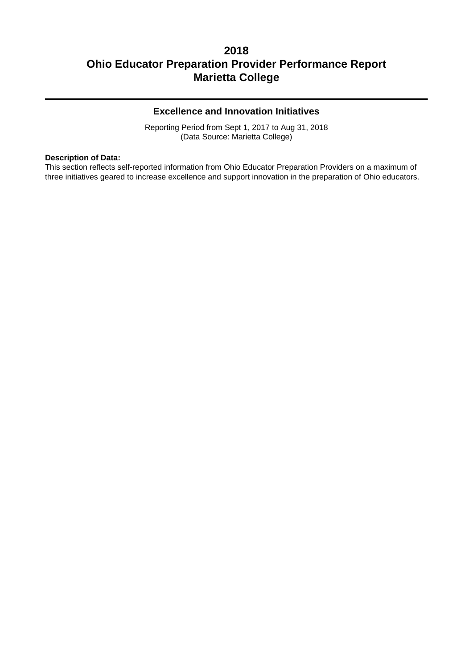## **Excellence and Innovation Initiatives**

Reporting Period from Sept 1, 2017 to Aug 31, 2018 (Data Source: Marietta College)

#### **Description of Data:**

This section reflects self-reported information from Ohio Educator Preparation Providers on a maximum of three initiatives geared to increase excellence and support innovation in the preparation of Ohio educators.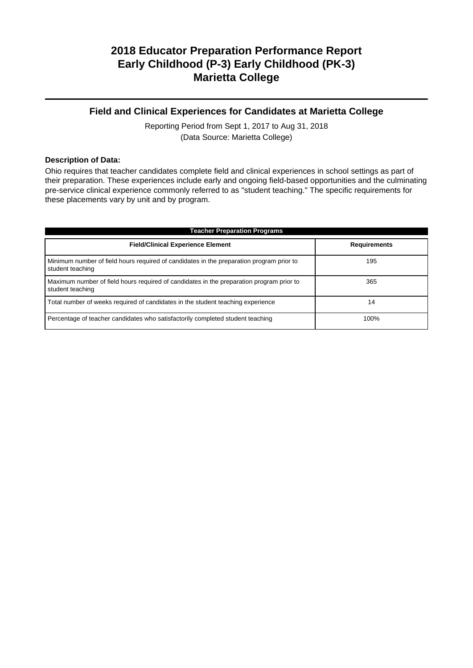## **Field and Clinical Experiences for Candidates at Marietta College**

Reporting Period from Sept 1, 2017 to Aug 31, 2018 (Data Source: Marietta College)

### **Description of Data:**

Ohio requires that teacher candidates complete field and clinical experiences in school settings as part of their preparation. These experiences include early and ongoing field-based opportunities and the culminating pre-service clinical experience commonly referred to as "student teaching." The specific requirements for these placements vary by unit and by program.

| <b>Teacher Preparation Programs</b>                                                                          |                     |  |  |  |  |  |
|--------------------------------------------------------------------------------------------------------------|---------------------|--|--|--|--|--|
| <b>Field/Clinical Experience Element</b>                                                                     | <b>Requirements</b> |  |  |  |  |  |
| Minimum number of field hours required of candidates in the preparation program prior to<br>student teaching | 195                 |  |  |  |  |  |
| Maximum number of field hours required of candidates in the preparation program prior to<br>student teaching | 365                 |  |  |  |  |  |
| Total number of weeks required of candidates in the student teaching experience                              | 14                  |  |  |  |  |  |
| Percentage of teacher candidates who satisfactorily completed student teaching                               | 100%                |  |  |  |  |  |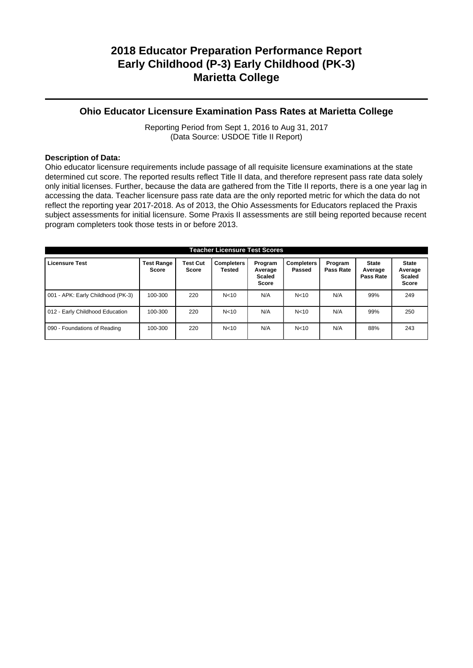## **Ohio Educator Licensure Examination Pass Rates at Marietta College**

Reporting Period from Sept 1, 2016 to Aug 31, 2017 (Data Source: USDOE Title II Report)

### **Description of Data:**

Ohio educator licensure requirements include passage of all requisite licensure examinations at the state determined cut score. The reported results reflect Title II data, and therefore represent pass rate data solely only initial licenses. Further, because the data are gathered from the Title II reports, there is a one year lag in accessing the data. Teacher licensure pass rate data are the only reported metric for which the data do not reflect the reporting year 2017-2018. As of 2013, the Ohio Assessments for Educators replaced the Praxis subject assessments for initial licensure. Some Praxis II assessments are still being reported because recent program completers took those tests in or before 2013.

| <b>Teacher Licensure Test Scores</b> |                                   |                          |                             |                                                     |                             |                      |                                      |                                                          |
|--------------------------------------|-----------------------------------|--------------------------|-----------------------------|-----------------------------------------------------|-----------------------------|----------------------|--------------------------------------|----------------------------------------------------------|
| <b>Licensure Test</b>                | <b>Test Range</b><br><b>Score</b> | <b>Test Cut</b><br>Score | <b>Completers</b><br>Tested | Program<br>Average<br><b>Scaled</b><br><b>Score</b> | <b>Completers</b><br>Passed | Program<br>Pass Rate | <b>State</b><br>Average<br>Pass Rate | <b>State</b><br>Average<br><b>Scaled</b><br><b>Score</b> |
| 001 - APK: Early Childhood (PK-3)    | 100-300                           | 220                      | N <sub>10</sub>             | N/A                                                 | N <sub>10</sub>             | N/A                  | 99%                                  | 249                                                      |
| 012 - Early Childhood Education      | 100-300                           | 220                      | N < 10                      | N/A                                                 | N < 10                      | N/A                  | 99%                                  | 250                                                      |
| 090 - Foundations of Reading         | 100-300                           | 220                      | N <sub>10</sub>             | N/A                                                 | N < 10                      | N/A                  | 88%                                  | 243                                                      |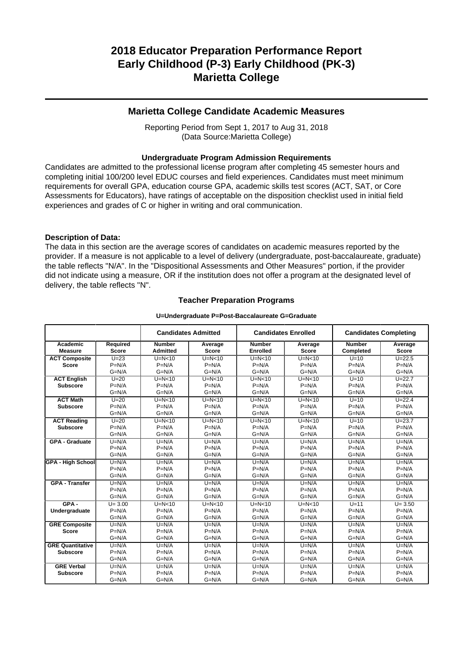## **Marietta College Candidate Academic Measures**

Reporting Period from Sept 1, 2017 to Aug 31, 2018 (Data Source:Marietta College)

#### **Undergraduate Program Admission Requirements**

Candidates are admitted to the professional license program after completing 45 semester hours and completing initial 100/200 level EDUC courses and field experiences. Candidates must meet minimum requirements for overall GPA, education course GPA, academic skills test scores (ACT, SAT, or Core Assessments for Educators), have ratings of acceptable on the disposition checklist used in initial field experiences and grades of C or higher in writing and oral communication.

#### **Description of Data:**

The data in this section are the average scores of candidates on academic measures reported by the provider. If a measure is not applicable to a level of delivery (undergraduate, post-baccalaureate, graduate) the table reflects "N/A". In the "Dispositional Assessments and Other Measures" portion, if the provider did not indicate using a measure, OR if the institution does not offer a program at the designated level of delivery, the table reflects "N".

#### **Teacher Preparation Programs**

#### **U=Undergraduate P=Post-Baccalaureate G=Graduate**

|                          |              | <b>Candidates Admitted</b><br><b>Candidates Enrolled</b> |              | <b>Candidates Completing</b> |              |               |              |
|--------------------------|--------------|----------------------------------------------------------|--------------|------------------------------|--------------|---------------|--------------|
| Academic                 | Required     | <b>Number</b>                                            | Average      | <b>Number</b>                | Average      | <b>Number</b> | Average      |
| <b>Measure</b>           | <b>Score</b> | <b>Admitted</b>                                          | <b>Score</b> | <b>Enrolled</b>              | <b>Score</b> | Completed     | <b>Score</b> |
| <b>ACT Composite</b>     | $U = 23$     | $U=N<10$                                                 | $U=N<10$     | $U=N<10$                     | $U=N<10$     | $U=10$        | $U = 22.5$   |
| <b>Score</b>             | $P=N/A$      | $P=N/A$                                                  | $P=N/A$      | $P=N/A$                      | $P=N/A$      | $P=N/A$       | $P=N/A$      |
|                          | $G=N/A$      | $G=N/A$                                                  | $G=N/A$      | $G=N/A$                      | $G=N/A$      | $G=N/A$       | $G=N/A$      |
| <b>ACT English</b>       | $U=20$       | $U=N<10$                                                 | $U=N<10$     | $U=N<10$                     | $U=N<10$     | $U=10$        | $U = 22.7$   |
| <b>Subscore</b>          | $P=N/A$      | $P=N/A$                                                  | $P=N/A$      | $P=N/A$                      | $P=N/A$      | $P=N/A$       | $P=N/A$      |
|                          | $G=N/A$      | $G=N/A$                                                  | $G=N/A$      | $G=N/A$                      | $G=N/A$      | $G=N/A$       | $G=N/A$      |
| <b>ACT Math</b>          | $U=20$       | $U=N<10$                                                 | $U=N<10$     | $U=N<10$                     | $U=N<10$     | $U=10$        | $U = 22.4$   |
| <b>Subscore</b>          | $P=N/A$      | $P=N/A$                                                  | $P=N/A$      | $P=N/A$                      | $P=N/A$      | $P=N/A$       | $P=N/A$      |
|                          | $G=N/A$      | $G=N/A$                                                  | $G=N/A$      | $G=N/A$                      | $G=N/A$      | $G=N/A$       | $G=N/A$      |
| <b>ACT Reading</b>       | $U=20$       | $U=N<10$                                                 | $U=N<10$     | $U=N<10$                     | $U=N<10$     | $U=10$        | $U = 23.7$   |
| <b>Subscore</b>          | $P=N/A$      | $P=N/A$                                                  | $P=N/A$      | $P=N/A$                      | $P=N/A$      | $P=N/A$       | $P=N/A$      |
|                          | $G=N/A$      | $G=N/A$                                                  | $G=N/A$      | $G=N/A$                      | $G=N/A$      | $G=N/A$       | $G=N/A$      |
| <b>GPA - Graduate</b>    | $U=N/A$      | $U=N/A$                                                  | $U=N/A$      | $U=N/A$                      | $U=N/A$      | $U=N/A$       | $U=N/A$      |
|                          | $P=N/A$      | $P=N/A$                                                  | $P=N/A$      | $P=N/A$                      | $P=N/A$      | $P=N/A$       | $P=N/A$      |
|                          | $G=N/A$      | $G=N/A$                                                  | $G=N/A$      | $G=N/A$                      | $G=N/A$      | $G=N/A$       | $G=N/A$      |
| <b>GPA - High School</b> | $U=N/A$      | $U=N/A$                                                  | $U=N/A$      | $U=N/A$                      | $U=N/A$      | $U=N/A$       | $U=N/A$      |
|                          | $P=N/A$      | $P=N/A$                                                  | $P=N/A$      | $P=N/A$                      | $P=N/A$      | $P=N/A$       | $P=N/A$      |
|                          | $G=N/A$      | $G=N/A$                                                  | $G=N/A$      | $G=N/A$                      | $G=N/A$      | $G=N/A$       | $G=N/A$      |
| <b>GPA - Transfer</b>    | $U=N/A$      | $U=N/A$                                                  | $U=N/A$      | $U=N/A$                      | $U=N/A$      | $U=N/A$       | $U=N/A$      |
|                          | $P=N/A$      | $P=N/A$                                                  | $P=N/A$      | $P=N/A$                      | $P=N/A$      | $P=N/A$       | $P=N/A$      |
|                          | $G=N/A$      | $G=N/A$                                                  | $G=N/A$      | $G=N/A$                      | $G=N/A$      | $G=N/A$       | $G=N/A$      |
| $GPA -$                  | $U = 3.00$   | $U=N<10$                                                 | $U=N10$      | $U=N<10$                     | $U=N<10$     | $U=11$        | $U = 3.50$   |
| Undergraduate            | $P=N/A$      | $P=N/A$                                                  | $P=N/A$      | $P=N/A$                      | $P=N/A$      | $P=N/A$       | $P=N/A$      |
|                          | $G=N/A$      | $G=N/A$                                                  | $G=N/A$      | $G=N/A$                      | $G=N/A$      | $G=N/A$       | $G=N/A$      |
| <b>GRE Composite</b>     | $U=N/A$      | $U=N/A$                                                  | $U=N/A$      | $U=N/A$                      | $U=N/A$      | $U=N/A$       | $U=N/A$      |
| <b>Score</b>             | $P=N/A$      | $P=N/A$                                                  | $P=N/A$      | $P=N/A$                      | $P=N/A$      | $P=N/A$       | $P=N/A$      |
|                          | $G=N/A$      | $G=N/A$                                                  | $G=N/A$      | $G=N/A$                      | $G=N/A$      | $G=N/A$       | $G=N/A$      |
| <b>GRE Quantitative</b>  | $U=N/A$      | $U=N/A$                                                  | $U=N/A$      | $U=N/A$                      | $U=N/A$      | $U=N/A$       | $U=N/A$      |
| <b>Subscore</b>          | $P=N/A$      | $P=N/A$                                                  | $P=N/A$      | $P=N/A$                      | $P=N/A$      | $P=N/A$       | $P=N/A$      |
|                          | $G=N/A$      | $G=N/A$                                                  | $G=N/A$      | $G=N/A$                      | $G=N/A$      | $G=N/A$       | $G=N/A$      |
| <b>GRE Verbal</b>        | $U=N/A$      | $U=N/A$                                                  | $U=N/A$      | $U=N/A$                      | $U=N/A$      | $U=N/A$       | $U=N/A$      |
| <b>Subscore</b>          | $P=N/A$      | $P=N/A$                                                  | $P=N/A$      | $P=N/A$                      | $P=N/A$      | $P=N/A$       | $P=N/A$      |
|                          | $G=N/A$      | $G=N/A$                                                  | $G=N/A$      | $G=N/A$                      | $G=N/A$      | $G=N/A$       | $G=N/A$      |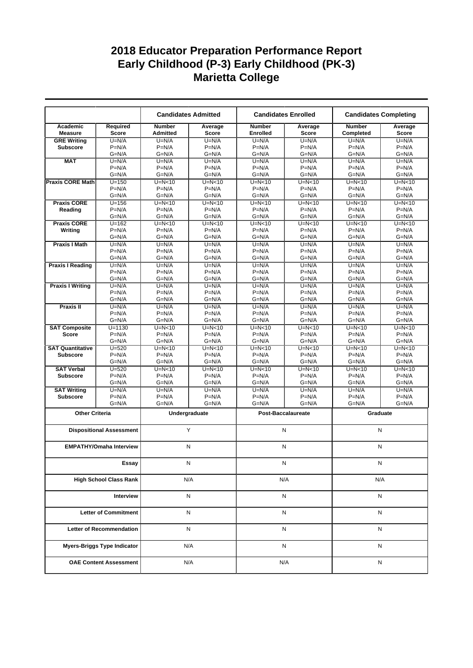|                                 |                                    |                                  | <b>Candidates Admitted</b> | <b>Candidates Enrolled</b>       |                                       | <b>Candidates Completing</b> |                  |  |
|---------------------------------|------------------------------------|----------------------------------|----------------------------|----------------------------------|---------------------------------------|------------------------------|------------------|--|
| Academic<br><b>Measure</b>      | Required<br><b>Score</b>           | <b>Number</b><br><b>Admitted</b> | Average<br><b>Score</b>    | <b>Number</b><br><b>Enrolled</b> | Average<br><b>Score</b>               | <b>Number</b><br>Completed   | Average<br>Score |  |
| <b>GRE Writing</b>              | $U=N/A$                            | $U=N/A$                          | $U=N/A$                    | $U=N/A$                          | $U=N/A$                               | $U=N/A$                      | $U=N/A$          |  |
| <b>Subscore</b>                 | $P=N/A$                            | $P=N/A$                          | $P=N/A$                    | $P=N/A$                          | $P=N/A$                               | $P=N/A$                      | $P=N/A$          |  |
|                                 | $G=N/A$                            | $G=N/A$                          | $G=N/A$                    | $G=N/A$                          | $G=N/A$                               | $G=N/A$                      | $G=N/A$          |  |
| <b>MAT</b>                      | $U=N/A$                            | $U=N/A$                          | $U=N/A$                    | $U=N/A$                          | $U=N/A$                               | $U=N/A$                      | $U=N/A$          |  |
|                                 | $P=N/A$                            | $P=N/A$                          | $P=N/A$                    | $P=N/A$                          | $P=N/A$                               | $P=N/A$                      | $P=N/A$          |  |
|                                 | $G=N/A$                            | $G=N/A$                          | $G=N/A$                    | $G=N/A$                          | $G=N/A$                               | $G=N/A$                      | $G=N/A$          |  |
| <b>Praxis CORE Math</b>         | $U = 150$                          | $U=N<10$                         | $U=N10$                    | $U=N<10$                         | $U=N<10$                              | $U=N10$                      | $U=N<10$         |  |
|                                 | $P=N/A$                            | $P=N/A$                          | $P=N/A$                    | $P=N/A$                          | $P=N/A$                               | $P=N/A$                      | $P=N/A$          |  |
|                                 | $G=N/A$                            | $G=N/A$                          | $G=N/A$                    | $G=N/A$                          | $G=N/A$                               | $G=N/A$                      | $G=N/A$          |  |
| <b>Praxis CORE</b>              | $U = 156$                          | $U=N<10$                         | $U=N<10$                   | $U=N<10$                         | $U=N<10$                              | $U=N<10$                     | $U=N<10$         |  |
| Reading                         | $P=N/A$                            | $P=N/A$                          | $P=N/A$                    | $P=N/A$                          | $P=N/A$                               | $P=N/A$                      | $P=N/A$          |  |
|                                 | $G=N/A$                            | $G=N/A$                          | $G=N/A$                    | $G=N/A$                          | G=N/A                                 | $G=N/A$                      | $G=N/A$          |  |
| <b>Praxis CORE</b>              | $U = 162$                          | $U=N<10$                         | $U=N<10$                   | $U=N<10$                         | $U=N<10$                              | $U=N<10$                     | $U=N<10$         |  |
| Writing                         | $P=N/A$                            | $P=N/A$                          | $P=N/A$                    | $P=N/A$                          | $P=N/A$                               | $P=N/A$                      | $P=N/A$          |  |
|                                 | $G=N/A$                            | $G=N/A$                          | $G=N/A$                    | $G=N/A$                          | $G=N/A$                               | $G=N/A$                      | $G=N/A$          |  |
| <b>Praxis I Math</b>            | $U=N/A$                            | $U=N/A$                          | $U=N/A$                    | $U=N/A$                          | $U=N/A$                               | $U=N/A$                      | $U=N/A$          |  |
|                                 | $P=N/A$                            | $P=N/A$                          | $P=N/A$                    | $P=N/A$                          | $P=N/A$                               | $P=N/A$                      | $P=N/A$          |  |
|                                 | $G=N/A$                            | $G=N/A$                          | $G=N/A$                    | $G=N/A$                          | $G=N/A$                               | $G=N/A$                      | $G=N/A$          |  |
| <b>Praxis I Reading</b>         | $U=N/A$                            | $U=N/A$                          | $U=N/A$                    | $U=N/A$                          | $U=N/A$                               | $U=N/A$                      | $U=N/A$          |  |
|                                 | $P=N/A$                            | $P=N/A$                          | $P=N/A$                    | $P=N/A$                          | $P=N/A$                               | $P=N/A$                      | $P=N/A$          |  |
|                                 | $G=N/A$                            | $G=N/A$                          | $G=N/A$                    | $G=N/A$                          | $G=N/A$                               | $G=N/A$                      | $G=N/A$          |  |
| <b>Praxis I Writing</b>         | $U=N/A$                            | $U=N/A$                          | $U=N/A$                    | $U=N/A$                          | $U=N/A$                               | $U=N/A$                      | $U=N/A$          |  |
|                                 | $P=N/A$                            | $P=N/A$                          | $P=N/A$                    | $P=N/A$                          | $P=N/A$                               | $P=N/A$                      | $P=N/A$          |  |
|                                 | $G=N/A$                            | $G=N/A$                          | $G=N/A$                    | $G=N/A$                          | $G=N/A$                               | $G=N/A$                      | $G=N/A$          |  |
| <b>Praxis II</b>                | $U=N/A$                            | $U=N/A$                          | $\overline{U}$ =N/A        | $U=N/A$                          | $U=N/A$                               | $U=N/A$                      | $U=N/A$          |  |
|                                 | $P=N/A$                            | $P=N/A$                          | $P=N/A$                    | $P=N/A$                          | $P=N/A$                               | $P=N/A$                      | $P=N/A$          |  |
|                                 | $G=N/A$                            | $G=N/A$                          | $G=N/A$                    | $G=N/A$                          | $G=N/A$                               | $G=N/A$                      | $G=N/A$          |  |
| <b>SAT Composite</b>            | $U = 1130$                         | $U=N10$                          | $U=N<10$                   | $U=N<10$                         | $U=N10$                               | $U=N10$                      | $U=N<10$         |  |
| <b>Score</b>                    | $P=N/A$                            | $P=N/A$                          | $P=N/A$                    | $P=N/A$                          | $P=N/A$                               | $P=N/A$                      | $P=N/A$          |  |
|                                 | $G=N/A$                            | $G=N/A$                          | $G=N/A$                    | $G=N/A$                          | G=N/A                                 | $G=N/A$                      | $G=N/A$          |  |
| <b>SAT Quantitative</b>         | $U = 520$                          | $U=N<10$                         | $U=N<10$                   | $U=N<10$                         | $U=N<10$                              | $U=N10$                      | $U=N<10$         |  |
| <b>Subscore</b>                 | $P=N/A$                            | $P=N/A$                          | $P=N/A$                    | $P=N/A$                          | $P=N/A$                               | $P=N/A$                      | $P=N/A$          |  |
|                                 | $G=N/A$                            | $G=N/A$                          | $G=N/A$                    | $G=N/A$                          | $G=N/A$                               | $G=N/A$                      | $G=N/A$          |  |
| <b>SAT Verbal</b>               | $U = 520$                          | $U=N<10$                         | $U=N<10$                   | $U=N<10$                         | $U=N<10$                              | $U=N10$                      | $U=N10$          |  |
|                                 | $P=N/A$                            | $P=N/A$                          | $P=N/A$                    | $P=N/A$                          | $P=N/A$                               | $P=N/A$                      | $P=N/A$          |  |
| <b>Subscore</b>                 | $G=N/A$                            | $G=N/A$                          | $G=N/A$                    | $G=N/A$                          | $G=N/A$                               | $G=N/A$                      | $G=N/A$          |  |
| <b>SAT Writing</b>              |                                    |                                  |                            | $U=N/A$                          |                                       |                              | $U=N/A$          |  |
| <b>Subscore</b>                 | $U=N/A$<br>$P=N/A$                 | $U=N/A$<br>$P=N/A$               | $U=N/A$<br>$P=N/A$         | $P=N/A$                          | $U=N/A$<br>$P=N/A$                    | $U=N/A$<br>$P=N/A$           | $P=N/A$          |  |
|                                 | $G=N/A$                            | $G=N/A$                          | $G=N/A$                    | $G=N/A$                          | G=N/A                                 | $G=N/A$                      | $G=N/A$          |  |
|                                 |                                    |                                  |                            |                                  |                                       |                              |                  |  |
| <b>Other Criteria</b>           |                                    |                                  | Undergraduate              |                                  | <b>Post-Baccalaureate</b><br>Graduate |                              |                  |  |
|                                 |                                    |                                  |                            |                                  |                                       |                              |                  |  |
|                                 | <b>Dispositional Assessment</b>    |                                  | Y                          |                                  | N                                     | N                            |                  |  |
|                                 |                                    |                                  |                            |                                  |                                       |                              |                  |  |
|                                 | <b>EMPATHY/Omaha Interview</b>     |                                  | N                          |                                  | N                                     | N                            |                  |  |
|                                 |                                    |                                  |                            |                                  |                                       |                              |                  |  |
|                                 |                                    |                                  |                            |                                  |                                       |                              |                  |  |
|                                 | Essay                              |                                  | N                          | N                                |                                       | N                            |                  |  |
|                                 |                                    |                                  |                            |                                  |                                       |                              |                  |  |
| <b>High School Class Rank</b>   |                                    | N/A                              |                            | N/A                              |                                       | N/A                          |                  |  |
|                                 |                                    |                                  | Ν                          |                                  |                                       |                              |                  |  |
| Interview                       |                                    |                                  |                            | N                                |                                       | N                            |                  |  |
| <b>Letter of Commitment</b>     |                                    |                                  | Ν                          | N                                |                                       | N                            |                  |  |
|                                 |                                    |                                  |                            |                                  |                                       |                              |                  |  |
| <b>Letter of Recommendation</b> |                                    | Ν                                |                            | N                                |                                       | N                            |                  |  |
|                                 |                                    |                                  |                            |                                  |                                       |                              |                  |  |
|                                 | <b>Myers-Briggs Type Indicator</b> |                                  | N/A                        |                                  | N                                     | N                            |                  |  |
|                                 |                                    |                                  |                            |                                  |                                       |                              |                  |  |
|                                 | <b>OAE Content Assessment</b>      | N/A                              |                            | N/A                              |                                       | N                            |                  |  |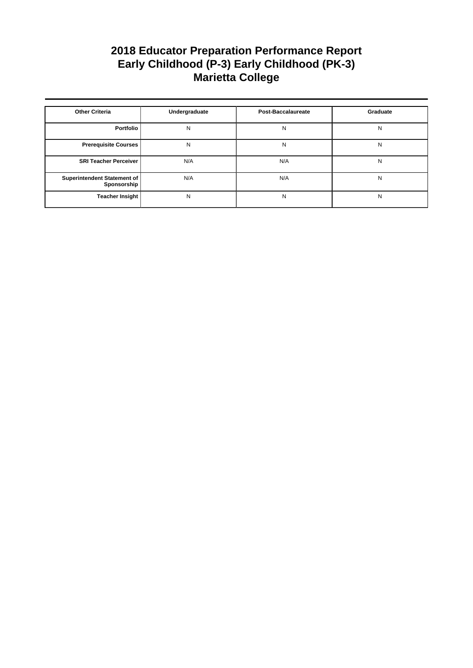| <b>Other Criteria</b>                      | Undergraduate | <b>Post-Baccalaureate</b> | Graduate |
|--------------------------------------------|---------------|---------------------------|----------|
| Portfolio                                  | N             | N                         | N        |
| <b>Prerequisite Courses</b>                | N             | N                         | N        |
| <b>SRI Teacher Perceiver</b>               | N/A           | N/A                       | N        |
| Superintendent Statement of<br>Sponsorship | N/A           | N/A                       | N        |
| <b>Teacher Insight</b>                     | N             | N                         | N        |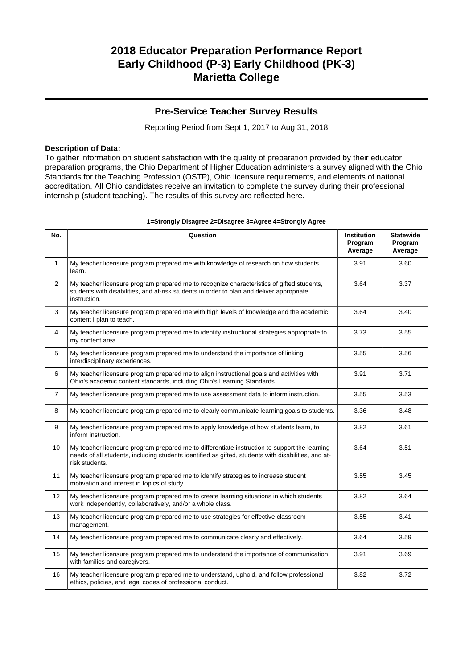## **Pre-Service Teacher Survey Results**

Reporting Period from Sept 1, 2017 to Aug 31, 2018

### **Description of Data:**

To gather information on student satisfaction with the quality of preparation provided by their educator preparation programs, the Ohio Department of Higher Education administers a survey aligned with the Ohio Standards for the Teaching Profession (OSTP), Ohio licensure requirements, and elements of national accreditation. All Ohio candidates receive an invitation to complete the survey during their professional internship (student teaching). The results of this survey are reflected here.

| No.            | Question                                                                                                                                                                                                               | <b>Institution</b><br>Program<br>Average | <b>Statewide</b><br>Program<br>Average |
|----------------|------------------------------------------------------------------------------------------------------------------------------------------------------------------------------------------------------------------------|------------------------------------------|----------------------------------------|
| $\mathbf{1}$   | My teacher licensure program prepared me with knowledge of research on how students<br>learn.                                                                                                                          | 3.91                                     | 3.60                                   |
| $\overline{2}$ | My teacher licensure program prepared me to recognize characteristics of gifted students,<br>students with disabilities, and at-risk students in order to plan and deliver appropriate<br>instruction.                 | 3.64                                     | 3.37                                   |
| 3              | My teacher licensure program prepared me with high levels of knowledge and the academic<br>content I plan to teach.                                                                                                    | 3.64                                     | 3.40                                   |
| 4              | My teacher licensure program prepared me to identify instructional strategies appropriate to<br>my content area.                                                                                                       | 3.73                                     | 3.55                                   |
| 5              | My teacher licensure program prepared me to understand the importance of linking<br>interdisciplinary experiences.                                                                                                     | 3.55                                     | 3.56                                   |
| 6              | My teacher licensure program prepared me to align instructional goals and activities with<br>Ohio's academic content standards, including Ohio's Learning Standards.                                                   | 3.91                                     | 3.71                                   |
| $\overline{7}$ | My teacher licensure program prepared me to use assessment data to inform instruction.                                                                                                                                 | 3.55                                     | 3.53                                   |
| 8              | My teacher licensure program prepared me to clearly communicate learning goals to students.                                                                                                                            | 3.36                                     | 3.48                                   |
| 9              | My teacher licensure program prepared me to apply knowledge of how students learn, to<br>inform instruction.                                                                                                           | 3.82                                     | 3.61                                   |
| 10             | My teacher licensure program prepared me to differentiate instruction to support the learning<br>needs of all students, including students identified as gifted, students with disabilities, and at-<br>risk students. | 3.64                                     | 3.51                                   |
| 11             | My teacher licensure program prepared me to identify strategies to increase student<br>motivation and interest in topics of study.                                                                                     | 3.55                                     | 3.45                                   |
| 12             | My teacher licensure program prepared me to create learning situations in which students<br>work independently, collaboratively, and/or a whole class.                                                                 | 3.82                                     | 3.64                                   |
| 13             | My teacher licensure program prepared me to use strategies for effective classroom<br>management.                                                                                                                      | 3.55                                     | 3.41                                   |
| 14             | My teacher licensure program prepared me to communicate clearly and effectively.                                                                                                                                       | 3.64                                     | 3.59                                   |
| 15             | My teacher licensure program prepared me to understand the importance of communication<br>with families and caregivers.                                                                                                | 3.91                                     | 3.69                                   |
| 16             | My teacher licensure program prepared me to understand, uphold, and follow professional<br>ethics, policies, and legal codes of professional conduct.                                                                  | 3.82                                     | 3.72                                   |

#### **1=Strongly Disagree 2=Disagree 3=Agree 4=Strongly Agree**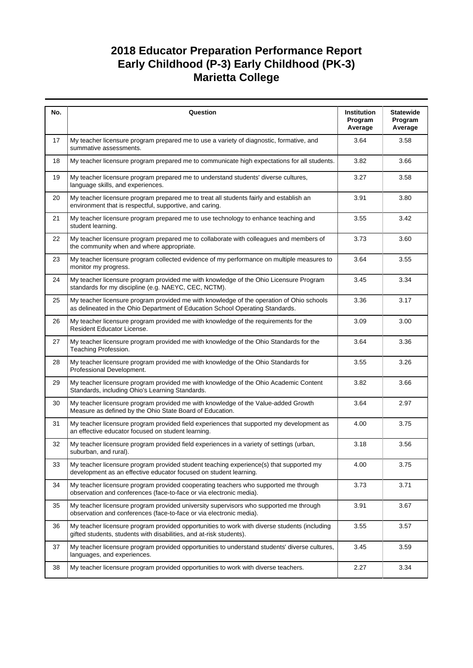| No. | Question                                                                                                                                                                  | Institution<br>Program<br>Average | <b>Statewide</b><br>Program<br>Average |
|-----|---------------------------------------------------------------------------------------------------------------------------------------------------------------------------|-----------------------------------|----------------------------------------|
| 17  | My teacher licensure program prepared me to use a variety of diagnostic, formative, and<br>summative assessments.                                                         | 3.64                              | 3.58                                   |
| 18  | My teacher licensure program prepared me to communicate high expectations for all students.                                                                               | 3.82                              | 3.66                                   |
| 19  | My teacher licensure program prepared me to understand students' diverse cultures,<br>language skills, and experiences.                                                   | 3.27                              | 3.58                                   |
| 20  | My teacher licensure program prepared me to treat all students fairly and establish an<br>environment that is respectful, supportive, and caring.                         | 3.91                              | 3.80                                   |
| 21  | My teacher licensure program prepared me to use technology to enhance teaching and<br>student learning.                                                                   | 3.55                              | 3.42                                   |
| 22  | My teacher licensure program prepared me to collaborate with colleagues and members of<br>the community when and where appropriate.                                       | 3.73                              | 3.60                                   |
| 23  | My teacher licensure program collected evidence of my performance on multiple measures to<br>monitor my progress.                                                         | 3.64                              | 3.55                                   |
| 24  | My teacher licensure program provided me with knowledge of the Ohio Licensure Program<br>standards for my discipline (e.g. NAEYC, CEC, NCTM).                             | 3.45                              | 3.34                                   |
| 25  | My teacher licensure program provided me with knowledge of the operation of Ohio schools<br>as delineated in the Ohio Department of Education School Operating Standards. | 3.36                              | 3.17                                   |
| 26  | My teacher licensure program provided me with knowledge of the requirements for the<br>Resident Educator License.                                                         | 3.09                              | 3.00                                   |
| 27  | My teacher licensure program provided me with knowledge of the Ohio Standards for the<br>Teaching Profession.                                                             | 3.64                              | 3.36                                   |
| 28  | My teacher licensure program provided me with knowledge of the Ohio Standards for<br>Professional Development.                                                            | 3.55                              | 3.26                                   |
| 29  | My teacher licensure program provided me with knowledge of the Ohio Academic Content<br>Standards, including Ohio's Learning Standards.                                   | 3.82                              | 3.66                                   |
| 30  | My teacher licensure program provided me with knowledge of the Value-added Growth<br>Measure as defined by the Ohio State Board of Education.                             | 3.64                              | 2.97                                   |
| 31  | My teacher licensure program provided field experiences that supported my development as<br>an effective educator focused on student learning.                            | 4.00                              | 3.75                                   |
| 32  | My teacher licensure program provided field experiences in a variety of settings (urban,<br>suburban, and rural).                                                         | 3.18                              | 3.56                                   |
| 33  | My teacher licensure program provided student teaching experience(s) that supported my<br>development as an effective educator focused on student learning.               | 4.00                              | 3.75                                   |
| 34  | My teacher licensure program provided cooperating teachers who supported me through<br>observation and conferences (face-to-face or via electronic media).                | 3.73                              | 3.71                                   |
| 35  | My teacher licensure program provided university supervisors who supported me through<br>observation and conferences (face-to-face or via electronic media).              | 3.91                              | 3.67                                   |
| 36  | My teacher licensure program provided opportunities to work with diverse students (including<br>gifted students, students with disabilities, and at-risk students).       | 3.55                              | 3.57                                   |
| 37  | My teacher licensure program provided opportunities to understand students' diverse cultures,<br>languages, and experiences.                                              | 3.45                              | 3.59                                   |
| 38  | My teacher licensure program provided opportunities to work with diverse teachers.                                                                                        | 2.27                              | 3.34                                   |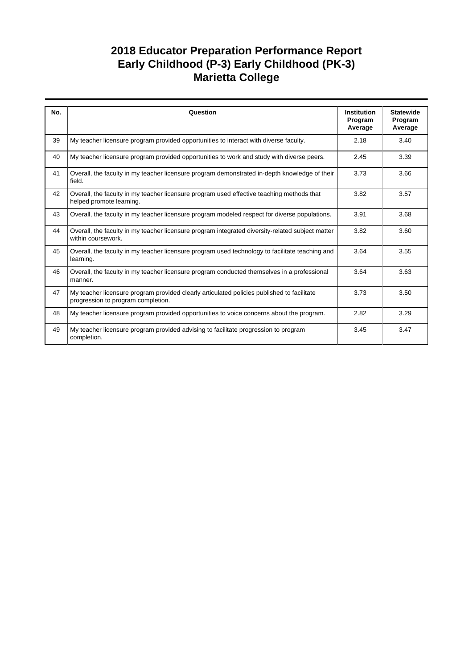| No. | Question                                                                                                                         | <b>Institution</b><br>Program<br>Average | <b>Statewide</b><br>Program<br>Average |
|-----|----------------------------------------------------------------------------------------------------------------------------------|------------------------------------------|----------------------------------------|
| 39  | My teacher licensure program provided opportunities to interact with diverse faculty.                                            | 2.18                                     | 3.40                                   |
| 40  | My teacher licensure program provided opportunities to work and study with diverse peers.                                        | 2.45                                     | 3.39                                   |
| 41  | Overall, the faculty in my teacher licensure program demonstrated in-depth knowledge of their<br>field.                          | 3.73                                     | 3.66                                   |
| 42  | Overall, the faculty in my teacher licensure program used effective teaching methods that<br>helped promote learning.            | 3.82                                     | 3.57                                   |
| 43  | Overall, the faculty in my teacher licensure program modeled respect for diverse populations.                                    | 3.91                                     | 3.68                                   |
| 44  | Overall, the faculty in my teacher licensure program integrated diversity-related subject matter<br>within coursework.           | 3.82                                     | 3.60                                   |
| 45  | Overall, the faculty in my teacher licensure program used technology to facilitate teaching and<br>learning.                     | 3.64                                     | 3.55                                   |
| 46  | Overall, the faculty in my teacher licensure program conducted themselves in a professional<br>manner.                           | 3.64                                     | 3.63                                   |
| 47  | My teacher licensure program provided clearly articulated policies published to facilitate<br>progression to program completion. | 3.73                                     | 3.50                                   |
| 48  | My teacher licensure program provided opportunities to voice concerns about the program.                                         | 2.82                                     | 3.29                                   |
| 49  | My teacher licensure program provided advising to facilitate progression to program<br>completion.                               | 3.45                                     | 3.47                                   |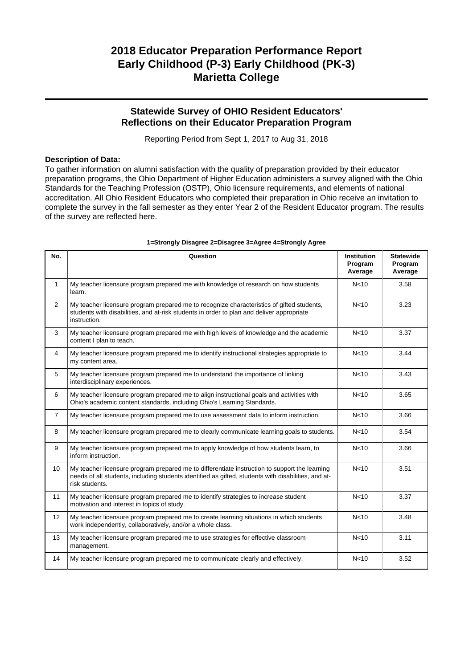### **Statewide Survey of OHIO Resident Educators' Reflections on their Educator Preparation Program**

Reporting Period from Sept 1, 2017 to Aug 31, 2018

#### **Description of Data:**

To gather information on alumni satisfaction with the quality of preparation provided by their educator preparation programs, the Ohio Department of Higher Education administers a survey aligned with the Ohio Standards for the Teaching Profession (OSTP), Ohio licensure requirements, and elements of national accreditation. All Ohio Resident Educators who completed their preparation in Ohio receive an invitation to complete the survey in the fall semester as they enter Year 2 of the Resident Educator program. The results of the survey are reflected here.

| No.            | Question                                                                                                                                                                                                               | <b>Institution</b><br>Program<br>Average | <b>Statewide</b><br>Program<br>Average |
|----------------|------------------------------------------------------------------------------------------------------------------------------------------------------------------------------------------------------------------------|------------------------------------------|----------------------------------------|
| $\mathbf{1}$   | My teacher licensure program prepared me with knowledge of research on how students<br>learn.                                                                                                                          | N <sub>10</sub>                          | 3.58                                   |
| $\overline{2}$ | My teacher licensure program prepared me to recognize characteristics of gifted students,<br>students with disabilities, and at-risk students in order to plan and deliver appropriate<br>instruction.                 | N <sub>10</sub>                          | 3.23                                   |
| 3              | My teacher licensure program prepared me with high levels of knowledge and the academic<br>content I plan to teach.                                                                                                    | N <sub>10</sub>                          | 3.37                                   |
| 4              | My teacher licensure program prepared me to identify instructional strategies appropriate to<br>my content area.                                                                                                       | N <sub>10</sub>                          | 3.44                                   |
| 5              | My teacher licensure program prepared me to understand the importance of linking<br>interdisciplinary experiences.                                                                                                     | N <sub>10</sub>                          | 3.43                                   |
| 6              | My teacher licensure program prepared me to align instructional goals and activities with<br>Ohio's academic content standards, including Ohio's Learning Standards.                                                   | N <sub>10</sub>                          | 3.65                                   |
| $\overline{7}$ | My teacher licensure program prepared me to use assessment data to inform instruction.                                                                                                                                 | N <sub>10</sub>                          | 3.66                                   |
| 8              | My teacher licensure program prepared me to clearly communicate learning goals to students.                                                                                                                            | N <sub>10</sub>                          | 3.54                                   |
| 9              | My teacher licensure program prepared me to apply knowledge of how students learn, to<br>inform instruction.                                                                                                           | N <sub>10</sub>                          | 3.66                                   |
| 10             | My teacher licensure program prepared me to differentiate instruction to support the learning<br>needs of all students, including students identified as gifted, students with disabilities, and at-<br>risk students. | N <sub>10</sub>                          | 3.51                                   |
| 11             | My teacher licensure program prepared me to identify strategies to increase student<br>motivation and interest in topics of study.                                                                                     | N <sub>10</sub>                          | 3.37                                   |
| 12             | My teacher licensure program prepared me to create learning situations in which students<br>work independently, collaboratively, and/or a whole class.                                                                 | N <sub>10</sub>                          | 3.48                                   |
| 13             | My teacher licensure program prepared me to use strategies for effective classroom<br>management.                                                                                                                      | N <sub>10</sub>                          | 3.11                                   |
| 14             | My teacher licensure program prepared me to communicate clearly and effectively.                                                                                                                                       | N <sub>10</sub>                          | 3.52                                   |

#### **1=Strongly Disagree 2=Disagree 3=Agree 4=Strongly Agree**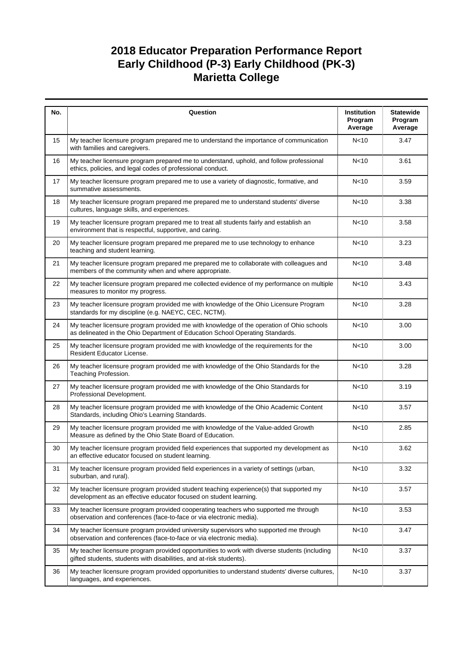| No. | Question                                                                                                                                                                  | Institution<br>Program<br>Average | <b>Statewide</b><br>Program<br>Average |
|-----|---------------------------------------------------------------------------------------------------------------------------------------------------------------------------|-----------------------------------|----------------------------------------|
| 15  | My teacher licensure program prepared me to understand the importance of communication<br>with families and caregivers.                                                   | N <sub>10</sub>                   | 3.47                                   |
| 16  | My teacher licensure program prepared me to understand, uphold, and follow professional<br>ethics, policies, and legal codes of professional conduct.                     | N <sub>10</sub>                   | 3.61                                   |
| 17  | My teacher licensure program prepared me to use a variety of diagnostic, formative, and<br>summative assessments.                                                         | N <sub>10</sub>                   | 3.59                                   |
| 18  | My teacher licensure program prepared me prepared me to understand students' diverse<br>cultures, language skills, and experiences.                                       | N <sub>10</sub>                   | 3.38                                   |
| 19  | My teacher licensure program prepared me to treat all students fairly and establish an<br>environment that is respectful, supportive, and caring.                         | N <sub>10</sub>                   | 3.58                                   |
| 20  | My teacher licensure program prepared me prepared me to use technology to enhance<br>teaching and student learning.                                                       | N <sub>10</sub>                   | 3.23                                   |
| 21  | My teacher licensure program prepared me prepared me to collaborate with colleagues and<br>members of the community when and where appropriate.                           | N <sub>10</sub>                   | 3.48                                   |
| 22  | My teacher licensure program prepared me collected evidence of my performance on multiple<br>measures to monitor my progress.                                             | N <sub>10</sub>                   | 3.43                                   |
| 23  | My teacher licensure program provided me with knowledge of the Ohio Licensure Program<br>standards for my discipline (e.g. NAEYC, CEC, NCTM).                             | N <sub>10</sub>                   | 3.28                                   |
| 24  | My teacher licensure program provided me with knowledge of the operation of Ohio schools<br>as delineated in the Ohio Department of Education School Operating Standards. | N <sub>10</sub>                   | 3.00                                   |
| 25  | My teacher licensure program provided me with knowledge of the requirements for the<br>Resident Educator License.                                                         | N <sub>10</sub>                   | 3.00                                   |
| 26  | My teacher licensure program provided me with knowledge of the Ohio Standards for the<br>Teaching Profession.                                                             | N <sub>10</sub>                   | 3.28                                   |
| 27  | My teacher licensure program provided me with knowledge of the Ohio Standards for<br>Professional Development.                                                            | N <sub>10</sub>                   | 3.19                                   |
| 28  | My teacher licensure program provided me with knowledge of the Ohio Academic Content<br>Standards, including Ohio's Learning Standards.                                   | N <sub>10</sub>                   | 3.57                                   |
| 29  | My teacher licensure program provided me with knowledge of the Value-added Growth<br>Measure as defined by the Ohio State Board of Education.                             | N<10                              | 2.85                                   |
| 30  | My teacher licensure program provided field experiences that supported my development as<br>an effective educator focused on student learning.                            | N <sub>10</sub>                   | 3.62                                   |
| 31  | My teacher licensure program provided field experiences in a variety of settings (urban,<br>suburban, and rural).                                                         | N <sub>10</sub>                   | 3.32                                   |
| 32  | My teacher licensure program provided student teaching experience(s) that supported my<br>development as an effective educator focused on student learning.               | N <sub>10</sub>                   | 3.57                                   |
| 33  | My teacher licensure program provided cooperating teachers who supported me through<br>observation and conferences (face-to-face or via electronic media).                | N <sub>10</sub>                   | 3.53                                   |
| 34  | My teacher licensure program provided university supervisors who supported me through<br>observation and conferences (face-to-face or via electronic media).              | N <sub>10</sub>                   | 3.47                                   |
| 35  | My teacher licensure program provided opportunities to work with diverse students (including<br>gifted students, students with disabilities, and at-risk students).       | N <sub>10</sub>                   | 3.37                                   |
| 36  | My teacher licensure program provided opportunities to understand students' diverse cultures,<br>languages, and experiences.                                              | N <sub>10</sub>                   | 3.37                                   |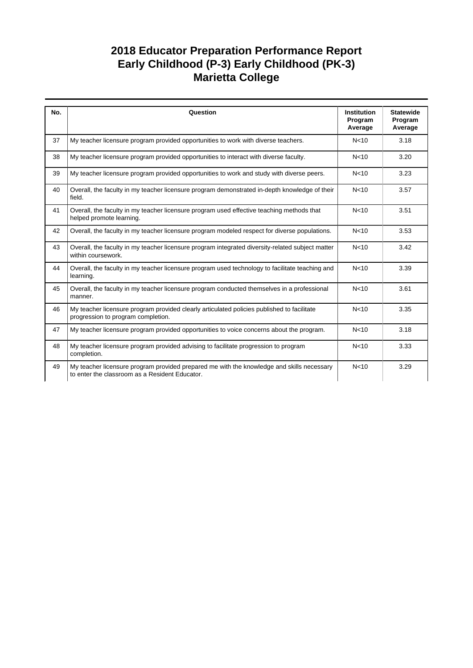| No. | Question                                                                                                                                    | <b>Institution</b><br>Program<br>Average | <b>Statewide</b><br>Program<br>Average |
|-----|---------------------------------------------------------------------------------------------------------------------------------------------|------------------------------------------|----------------------------------------|
| 37  | My teacher licensure program provided opportunities to work with diverse teachers.                                                          | N <sub>10</sub>                          | 3.18                                   |
| 38  | My teacher licensure program provided opportunities to interact with diverse faculty.                                                       | N <sub>10</sub>                          | 3.20                                   |
| 39  | My teacher licensure program provided opportunities to work and study with diverse peers.                                                   | N <sub>10</sub>                          | 3.23                                   |
| 40  | Overall, the faculty in my teacher licensure program demonstrated in-depth knowledge of their<br>field.                                     | N <sub>10</sub>                          | 3.57                                   |
| 41  | Overall, the faculty in my teacher licensure program used effective teaching methods that<br>helped promote learning.                       | N <sub>10</sub>                          | 3.51                                   |
| 42  | Overall, the faculty in my teacher licensure program modeled respect for diverse populations.                                               | N <sub>10</sub>                          | 3.53                                   |
| 43  | Overall, the faculty in my teacher licensure program integrated diversity-related subject matter<br>within coursework.                      | N <sub>10</sub>                          | 3.42                                   |
| 44  | Overall, the faculty in my teacher licensure program used technology to facilitate teaching and<br>learning.                                | N <sub>10</sub>                          | 3.39                                   |
| 45  | Overall, the faculty in my teacher licensure program conducted themselves in a professional<br>manner.                                      | N <sub>10</sub>                          | 3.61                                   |
| 46  | My teacher licensure program provided clearly articulated policies published to facilitate<br>progression to program completion.            | N <sub>10</sub>                          | 3.35                                   |
| 47  | My teacher licensure program provided opportunities to voice concerns about the program.                                                    | N <sub>10</sub>                          | 3.18                                   |
| 48  | My teacher licensure program provided advising to facilitate progression to program<br>completion.                                          | N <sub>10</sub>                          | 3.33                                   |
| 49  | My teacher licensure program provided prepared me with the knowledge and skills necessary<br>to enter the classroom as a Resident Educator. | N <sub>10</sub>                          | 3.29                                   |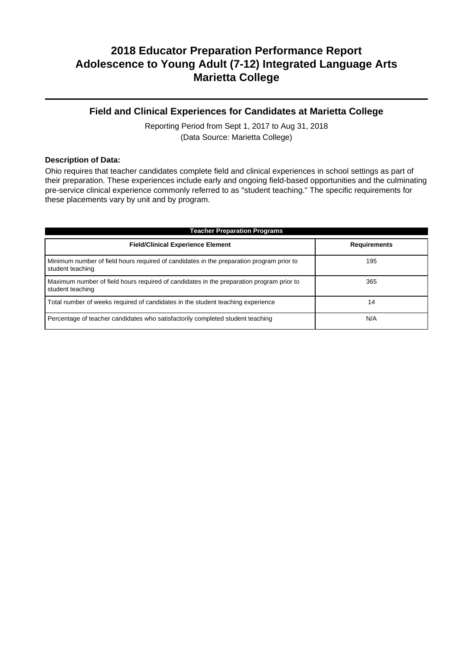### **Field and Clinical Experiences for Candidates at Marietta College**

Reporting Period from Sept 1, 2017 to Aug 31, 2018 (Data Source: Marietta College)

#### **Description of Data:**

Ohio requires that teacher candidates complete field and clinical experiences in school settings as part of their preparation. These experiences include early and ongoing field-based opportunities and the culminating pre-service clinical experience commonly referred to as "student teaching." The specific requirements for these placements vary by unit and by program.

| <b>Teacher Preparation Programs</b>                                                                          |                     |  |  |  |
|--------------------------------------------------------------------------------------------------------------|---------------------|--|--|--|
| <b>Field/Clinical Experience Element</b>                                                                     | <b>Requirements</b> |  |  |  |
| Minimum number of field hours required of candidates in the preparation program prior to<br>student teaching | 195                 |  |  |  |
| Maximum number of field hours required of candidates in the preparation program prior to<br>student teaching | 365                 |  |  |  |
| Total number of weeks required of candidates in the student teaching experience                              | 14                  |  |  |  |
| Percentage of teacher candidates who satisfactorily completed student teaching                               | N/A                 |  |  |  |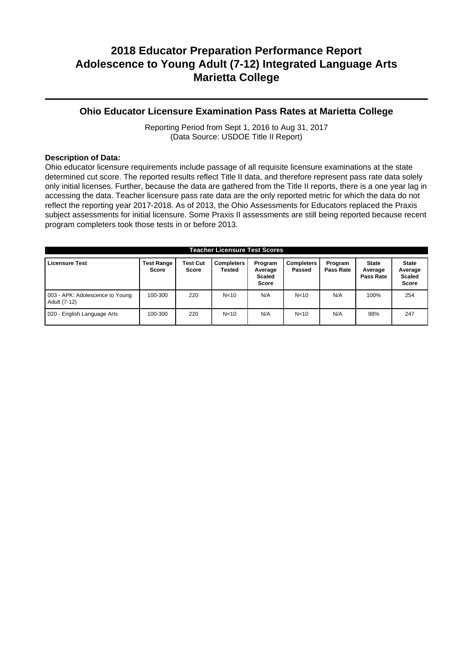### **Ohio Educator Licensure Examination Pass Rates at Marietta College**

Reporting Period from Sept 1, 2016 to Aug 31, 2017 (Data Source: USDOE Title II Report)

#### **Description of Data:**

Ohio educator licensure requirements include passage of all requisite licensure examinations at the state determined cut score. The reported results reflect Title II data, and therefore represent pass rate data solely only initial licenses. Further, because the data are gathered from the Title II reports, there is a one year lag in accessing the data. Teacher licensure pass rate data are the only reported metric for which the data do not reflect the reporting year 2017-2018. As of 2013, the Ohio Assessments for Educators replaced the Praxis subject assessments for initial licensure. Some Praxis II assessments are still being reported because recent program completers took those tests in or before 2013.

| <b>Teacher Licensure Test Scores</b>            |                                   |                          |                             |                                              |                             |                      |                                      |                                                   |
|-------------------------------------------------|-----------------------------------|--------------------------|-----------------------------|----------------------------------------------|-----------------------------|----------------------|--------------------------------------|---------------------------------------------------|
| <b>Licensure Test</b>                           | <b>Test Range</b><br><b>Score</b> | <b>Test Cut</b><br>Score | <b>Completers</b><br>Tested | Program<br>Average<br><b>Scaled</b><br>Score | <b>Completers</b><br>Passed | Program<br>Pass Rate | <b>State</b><br>Average<br>Pass Rate | <b>State</b><br>Average<br><b>Scaled</b><br>Score |
| 003 - APK: Adolescence to Young<br>Adult (7-12) | 100-300                           | 220                      | N <sub>10</sub>             | N/A                                          | N < 10                      | N/A                  | 100%                                 | 254                                               |
| 020 - English Language Arts                     | 100-300                           | 220                      | N <sub>10</sub>             | N/A                                          | N <sub>10</sub>             | N/A                  | 98%                                  | 247                                               |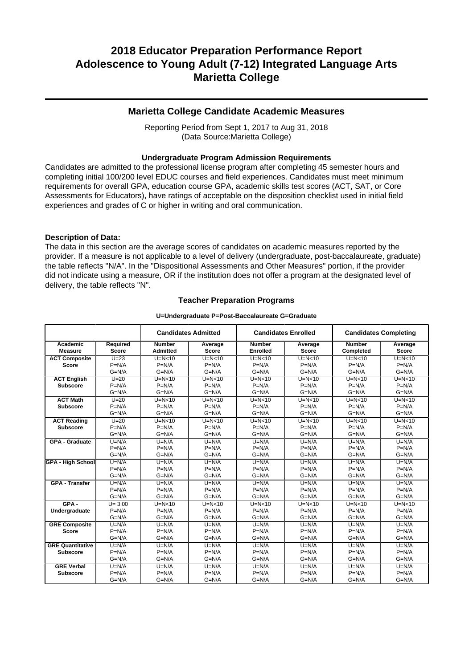### **Marietta College Candidate Academic Measures**

Reporting Period from Sept 1, 2017 to Aug 31, 2018 (Data Source:Marietta College)

#### **Undergraduate Program Admission Requirements**

Candidates are admitted to the professional license program after completing 45 semester hours and completing initial 100/200 level EDUC courses and field experiences. Candidates must meet minimum requirements for overall GPA, education course GPA, academic skills test scores (ACT, SAT, or Core Assessments for Educators), have ratings of acceptable on the disposition checklist used in initial field experiences and grades of C or higher in writing and oral communication.

#### **Description of Data:**

The data in this section are the average scores of candidates on academic measures reported by the provider. If a measure is not applicable to a level of delivery (undergraduate, post-baccalaureate, graduate) the table reflects "N/A". In the "Dispositional Assessments and Other Measures" portion, if the provider did not indicate using a measure, OR if the institution does not offer a program at the designated level of delivery, the table reflects "N".

#### **Teacher Preparation Programs**

#### **U=Undergraduate P=Post-Baccalaureate G=Graduate**

|                            |              | <b>Candidates Admitted</b>       |              |                           | <b>Candidates Enrolled</b> |               | <b>Candidates Completing</b> |  |
|----------------------------|--------------|----------------------------------|--------------|---------------------------|----------------------------|---------------|------------------------------|--|
| Academic<br><b>Measure</b> | Required     | <b>Number</b><br><b>Admitted</b> | Average      | <b>Number</b><br>Enrolled | Average                    | <b>Number</b> | Average<br><b>Score</b>      |  |
|                            | <b>Score</b> |                                  | <b>Score</b> |                           | Score                      | Completed     |                              |  |
| <b>ACT Composite</b>       | $U=23$       | $U=N<10$                         | $U=N<10$     | $U=N<10$                  | $U=N<10$                   | $U=N<10$      | $U=N<10$                     |  |
| <b>Score</b>               | $P=N/A$      | $P=N/A$                          | $P=N/A$      | $P=N/A$                   | $P=N/A$                    | $P=N/A$       | $P=N/A$                      |  |
|                            | $G=N/A$      | $G=N/A$                          | $G=N/A$      | $G=N/A$                   | $G=N/A$                    | $G=N/A$       | $G=N/A$                      |  |
| <b>ACT English</b>         | $U=20$       | $U=N<10$                         | $U=N<10$     | $U=N<10$                  | $U=N<10$                   | $U=N<10$      | $U=N<10$                     |  |
| <b>Subscore</b>            | $P=N/A$      | $P=N/A$                          | $P=N/A$      | $P=N/A$                   | $P=N/A$                    | $P=N/A$       | $P=N/A$                      |  |
|                            | $G=N/A$      | $G=N/A$                          | $G=N/A$      | $G=N/A$                   | $G=N/A$                    | $G=N/A$       | $G=N/A$                      |  |
| <b>ACT Math</b>            | $U=20$       | $U=N<10$                         | $U=N<10$     | $U=N<10$                  | $\overline{U}$ =N<10       | $U=N<10$      | $U=N<10$                     |  |
| <b>Subscore</b>            | $P=N/A$      | $P=N/A$                          | $P=N/A$      | $P=N/A$                   | $P=N/A$                    | $P=N/A$       | $P=N/A$                      |  |
|                            | $G=N/A$      | $G=N/A$                          | $G=N/A$      | $G=N/A$                   | $G=N/A$                    | $G=N/A$       | $G=N/A$                      |  |
| <b>ACT Reading</b>         | $U=20$       | $U=N<10$                         | $U=N<10$     | $U=N<10$                  | $U=N<10$                   | $U=N<10$      | $U=N10$                      |  |
| <b>Subscore</b>            | $P=N/A$      | $P=N/A$                          | $P=N/A$      | $P=N/A$                   | $P=N/A$                    | $P=N/A$       | $P=N/A$                      |  |
|                            | $G=N/A$      | $G=N/A$                          | $G=N/A$      | $G=N/A$                   | $G=N/A$                    | $G=N/A$       | $G=N/A$                      |  |
| <b>GPA - Graduate</b>      | $U=N/A$      | $U=N/A$                          | $U=N/A$      | $U=N/A$                   | $U=N/A$                    | $U=N/A$       | $U=N/A$                      |  |
|                            | $P=N/A$      | $P=N/A$                          | $P=N/A$      | $P=N/A$                   | $P=N/A$                    | $P=N/A$       | $P=N/A$                      |  |
|                            | $G=N/A$      | $G=N/A$                          | $G=N/A$      | $G=N/A$                   | $G=N/A$                    | $G=N/A$       | $G=N/A$                      |  |
| <b>GPA - High School</b>   | $U=N/A$      | $U=N/A$                          | $U=N/A$      | $U=N/A$                   | $U=N/A$                    | $U=N/A$       | $U=N/A$                      |  |
|                            | $P=N/A$      | $P=N/A$                          | $P=N/A$      | $P=N/A$                   | $P=N/A$                    | $P=N/A$       | $P=N/A$                      |  |
|                            | $G=N/A$      | $G=N/A$                          | $G=N/A$      | $G=N/A$                   | $G=N/A$                    | $G=N/A$       | $G=N/A$                      |  |
| <b>GPA - Transfer</b>      | $U=N/A$      | $U=N/A$                          | $U=N/A$      | $U=N/A$                   | $U=N/A$                    | $U=N/A$       | $U=N/A$                      |  |
|                            | $P=N/A$      | $P=N/A$                          | $P=N/A$      | $P=N/A$                   | $P=N/A$                    | $P=N/A$       | $P=N/A$                      |  |
|                            | $G=N/A$      | $G=N/A$                          | $G=N/A$      | $G=N/A$                   | $G=N/A$                    | $G=N/A$       | $G=N/A$                      |  |
| $GPA -$                    | $U = 3.00$   | $U=N<10$                         | $U=N<10$     | $U=N<10$                  | $U=N<10$                   | $U=N<10$      | $U=N10$                      |  |
| Undergraduate              | $P=N/A$      | $P=N/A$                          | $P=N/A$      | $P=N/A$                   | $P=N/A$                    | $P=N/A$       | $P=N/A$                      |  |
|                            | $G=N/A$      | $G=N/A$                          | $G=N/A$      | $G=N/A$                   | $G=N/A$                    | $G=N/A$       | $G=N/A$                      |  |
| <b>GRE Composite</b>       | $U=N/A$      | $U=N/A$                          | $U=N/A$      | $U=N/A$                   | $U=N/A$                    | $U=N/A$       | $U=N/A$                      |  |
| <b>Score</b>               | $P=N/A$      | $P=N/A$                          | $P=N/A$      | $P=N/A$                   | $P=N/A$                    | $P=N/A$       | $P=N/A$                      |  |
|                            | $G=N/A$      | $G=N/A$                          | $G=N/A$      | $G=N/A$                   | $G=N/A$                    | $G=N/A$       | $G=N/A$                      |  |
| <b>GRE</b> Quantitative    | $U=N/A$      | $U=N/A$                          | $U=N/A$      | $U=N/A$                   | $U=N/A$                    | $U=N/A$       | $U=N/A$                      |  |
| <b>Subscore</b>            | $P=N/A$      | $P=N/A$                          | $P=N/A$      | $P=N/A$                   | $P=N/A$                    | $P=N/A$       | $P=N/A$                      |  |
|                            | $G=N/A$      | $G=N/A$                          | $G=N/A$      | $G=N/A$                   | $G=N/A$                    | $G=N/A$       | $G=N/A$                      |  |
| <b>GRE Verbal</b>          | $U=N/A$      | $U=N/A$                          | $U=N/A$      | $U=N/A$                   | $U=N/A$                    | $U=N/A$       | $U=N/A$                      |  |
| <b>Subscore</b>            | $P=N/A$      | $P=N/A$                          | $P=N/A$      | $P=N/A$                   | $P=N/A$                    | $P=N/A$       | $P=N/A$                      |  |
|                            | $G=N/A$      | $G=N/A$                          | $G=N/A$      | $G=N/A$                   | $G=N/A$                    | $G=N/A$       | $G=N/A$                      |  |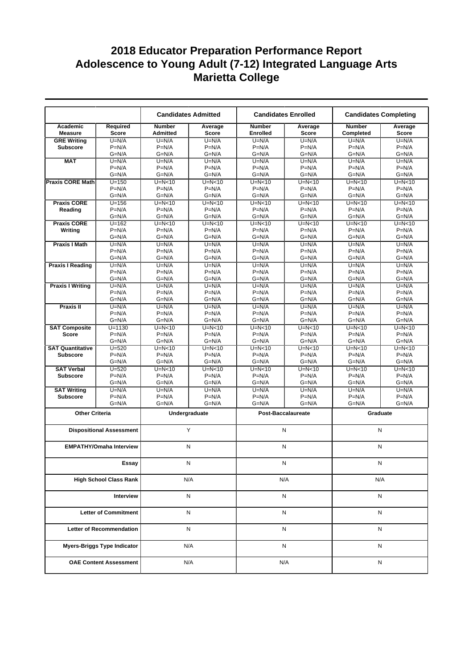|                               |                                    |                                  | <b>Candidates Admitted</b> |                                  | <b>Candidates Enrolled</b> | <b>Candidates Completing</b> |                         |
|-------------------------------|------------------------------------|----------------------------------|----------------------------|----------------------------------|----------------------------|------------------------------|-------------------------|
| Academic<br><b>Measure</b>    | Required<br><b>Score</b>           | <b>Number</b><br><b>Admitted</b> | Average<br><b>Score</b>    | <b>Number</b><br><b>Enrolled</b> | Average<br><b>Score</b>    | <b>Number</b><br>Completed   | Average<br><b>Score</b> |
| <b>GRE Writing</b>            | $U=N/A$                            | $U=N/A$                          | $U=N/A$                    | $U=N/A$                          | $U=N/A$                    | $U=N/A$                      | $U=N/A$                 |
| <b>Subscore</b>               | $P=N/A$                            | $P=N/A$                          | $P=N/A$                    | $P=N/A$                          | $P=N/A$                    | $P=N/A$                      | $P=N/A$                 |
|                               | $G=N/A$                            | $G=N/A$                          | $G=N/A$                    | $G=N/A$                          | $G=N/A$                    | $G=N/A$                      | $G=N/A$                 |
| <b>MAT</b>                    | $U=N/A$                            | $U=N/A$                          | $U=N/A$                    | $U=N/A$                          | $U=N/A$                    | $U=N/A$                      | $U=N/A$                 |
|                               | $P=N/A$                            | $P=N/A$                          | $P=N/A$                    | $P=N/A$                          | $P=N/A$                    | $P=N/A$                      | $P=N/A$                 |
|                               | $G=N/A$                            | $G=N/A$                          | $G=N/A$                    | $G=N/A$                          | $G=N/A$                    | $G=N/A$                      | $G=N/A$                 |
| <b>Praxis CORE Math</b>       | $U = 150$                          | $U=N<10$                         | $U=N<10$                   | $U=N<10$                         | $U=N<10$                   | $U=N10$                      | $U=N<10$                |
|                               | $P=N/A$                            | $P=N/A$                          | $P=N/A$                    | $P=N/A$                          | $P=N/A$                    | $P=N/A$                      | $P=N/A$                 |
|                               | $G=N/A$                            | $G=N/A$                          | $G=N/A$                    | $G=N/A$                          | $G=N/A$                    | $G=N/A$                      | $G=N/A$                 |
| <b>Praxis CORE</b>            | $U = 156$                          | $U=N<10$                         | $U=N10$                    | $U=N<10$                         | $U=N<10$                   | $U=N10$                      | $U=N10$                 |
| Reading                       | $P=N/A$                            | $P=N/A$                          | $P=N/A$                    | $P=N/A$                          | $P=N/A$                    | $P=N/A$                      | $P=N/A$                 |
|                               | $G=N/A$                            | $G=N/A$                          | $G=N/A$                    | $G=N/A$                          | $G=N/A$                    | $G=N/A$                      | $G=N/A$                 |
| <b>Praxis CORE</b>            | $U = 162$                          | $U=N<10$                         | $U=N<10$                   | $U=N<10$                         | $U=N10$                    | $U=N10$                      | $U=N<10$                |
| Writing                       | $P=N/A$                            | $P=N/A$                          | $P=N/A$                    | $P=N/A$                          | $P=N/A$                    | $P=N/A$                      | $P=N/A$                 |
|                               | $G=N/A$                            | $G=N/A$                          | $G=N/A$                    | $G=N/A$                          | $G=N/A$                    | $G=N/A$                      | $G=N/A$                 |
| <b>Praxis I Math</b>          | $U=N/A$                            | $U=N/A$                          | $U=N/A$                    | $U=N/A$                          | $U=N/A$                    | $U=N/A$                      | $U=N/A$                 |
|                               | $P=N/A$<br>$G=N/A$                 | $P=N/A$<br>$G=N/A$               | $P=N/A$<br>$G=N/A$         | $P=N/A$<br>$G=N/A$               | $P=N/A$<br>$G=N/A$         | $P=N/A$<br>$G=N/A$           | $P=N/A$<br>$G=N/A$      |
|                               | $U=N/A$                            | $U=N/A$                          | $U=N/A$                    | $\overline{U}$ =N/A              | $U=N/A$                    | $U=N/A$                      | $U=N/A$                 |
| <b>Praxis I Reading</b>       | $P=N/A$                            | $P=N/A$                          | $P=N/A$                    | $P=N/A$                          | $P=N/A$                    | $P=N/A$                      | $P=N/A$                 |
|                               | $G=N/A$                            | $G=N/A$                          | $G=N/A$                    | $G=N/A$                          | $G=N/A$                    | $G=N/A$                      | $G=N/A$                 |
| <b>Praxis I Writing</b>       | $U=N/A$                            | $U=N/A$                          | $U=N/A$                    | $U=N/A$                          | $U=N/A$                    | $U=N/A$                      | $U=N/A$                 |
|                               | $P=N/A$                            | $P=N/A$                          | $P=N/A$                    | $P=N/A$                          | $P=N/A$                    | $P=N/A$                      | $P=N/A$                 |
|                               | $G=N/A$                            | $G=N/A$                          | $G=N/A$                    | $G=N/A$                          | $G=N/A$                    | $G=N/A$                      | $G=N/A$                 |
| Praxis II                     | $U=N/A$                            | $U=N/A$                          | $U=N/A$                    | $U=N/A$                          | $U=N/A$                    | $U=N/A$                      | $U=N/A$                 |
|                               | $P=N/A$                            | $P=N/A$                          | $P=N/A$                    | $P=N/A$                          | $P=N/A$                    | $P=N/A$                      | $P=N/A$                 |
|                               | $G=N/A$                            | $G=N/A$                          | $G=N/A$                    | $G=N/A$                          | $G=N/A$                    | $G=N/A$                      | $G=N/A$                 |
| <b>SAT Composite</b>          | $U = 1130$                         | $U=N<10$                         | $U=N<10$                   | $U=N<10$                         | $U=N<10$                   | $U=N<10$                     | $U=N10$                 |
| <b>Score</b>                  | $P=N/A$                            | $P=N/A$                          | $P=N/A$                    | $P=N/A$                          | $P=N/A$                    | $P=N/A$                      | $P=N/A$                 |
|                               | $G=N/A$                            | $G=N/A$                          | $G=N/A$                    | $G=N/A$                          | $G=N/A$                    | $G=N/A$                      | $G=N/A$                 |
| <b>SAT Quantitative</b>       | $U = 520$                          | $U=N<10$                         | $U=N10$                    | $U=N<10$                         | $U=N<10$                   | $U=N10$                      | $U=N10$                 |
| <b>Subscore</b>               | $P=N/A$                            | $P=N/A$                          | $P=N/A$                    | $P=N/A$                          | $P=N/A$                    | $P=N/A$                      | $P=N/A$                 |
|                               | $G=N/A$                            | $G=N/A$                          | $G=N/A$                    | $G=N/A$                          | $G=N/A$                    | $G=N/A$                      | $G=N/A$                 |
| <b>SAT Verbal</b>             | $U = 520$                          | $U=N<10$                         | $U=N<10$                   | $U=N<10$                         | $U=N<10$                   | $U=N<10$                     | $U=N<10$                |
| <b>Subscore</b>               | $P=N/A$                            | $P=N/A$                          | $P=N/A$                    | $P=N/A$                          | $P=N/A$                    | $P=N/A$                      | $P=N/A$                 |
|                               | $G=N/A$                            | $G=N/A$                          | $G=N/A$                    | $G=N/A$                          | $G=N/A$                    | $G=N/A$                      | $G=N/A$                 |
| <b>SAT Writing</b>            | $U=N/A$                            | $U=N/A$                          | $U=N/A$                    | $U=N/A$                          | $U=N/A$                    | $U=N/A$                      | $U=N/A$                 |
| <b>Subscore</b>               | $P=N/A$<br>$G=N/A$                 | $P=N/A$                          | $P=N/A$                    | $P=N/A$                          | $P=N/A$<br>$G=N/A$         | $P=N/A$                      | $P=N/A$                 |
|                               |                                    | G=N/A                            | $G=N/A$                    | $G=N/A$                          |                            | $G=N/A$                      | $G=N/A$                 |
| <b>Other Criteria</b>         |                                    |                                  | Undergraduate              |                                  | <b>Post-Baccalaureate</b>  | Graduate                     |                         |
|                               | <b>Dispositional Assessment</b>    |                                  | Y                          |                                  | $\mathsf{N}$               | N                            |                         |
|                               | <b>EMPATHY/Omaha Interview</b>     |                                  | N                          |                                  | N                          | N                            |                         |
|                               |                                    |                                  |                            |                                  |                            |                              |                         |
|                               | Essay                              |                                  | N                          |                                  | N                          | N                            |                         |
| <b>High School Class Rank</b> |                                    |                                  | N/A                        |                                  | N/A                        | N/A                          |                         |
| Interview                     |                                    |                                  | N                          | N                                |                            | N                            |                         |
| <b>Letter of Commitment</b>   |                                    |                                  | N                          |                                  | N                          | N                            |                         |
|                               |                                    |                                  |                            |                                  |                            |                              |                         |
| Letter of Recommendation      |                                    |                                  | N                          |                                  | N                          | N                            |                         |
|                               | <b>Myers-Briggs Type Indicator</b> |                                  | N/A                        |                                  | N                          | N                            |                         |
|                               | <b>OAE Content Assessment</b>      |                                  | N/A                        |                                  | N/A                        | Ν                            |                         |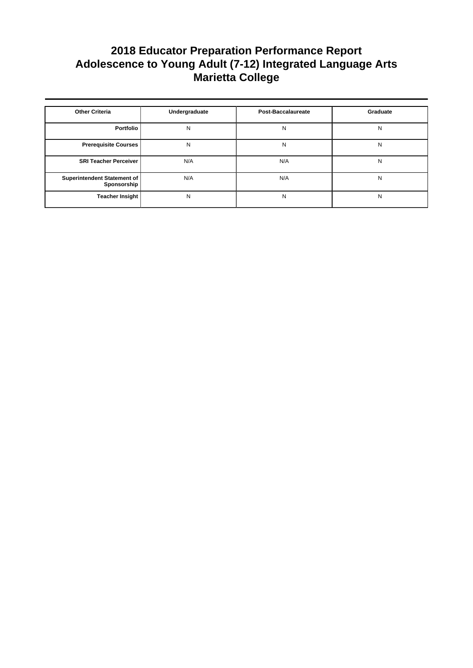| <b>Other Criteria</b>                      | Undergraduate | <b>Post-Baccalaureate</b> | Graduate |
|--------------------------------------------|---------------|---------------------------|----------|
| Portfolio                                  | N             | N                         | N        |
| <b>Prerequisite Courses</b>                | N             | N                         | N        |
| <b>SRI Teacher Perceiver</b>               | N/A           | N/A                       | N        |
| Superintendent Statement of<br>Sponsorship | N/A           | N/A                       | N        |
| <b>Teacher Insight</b>                     | N             | N                         | N        |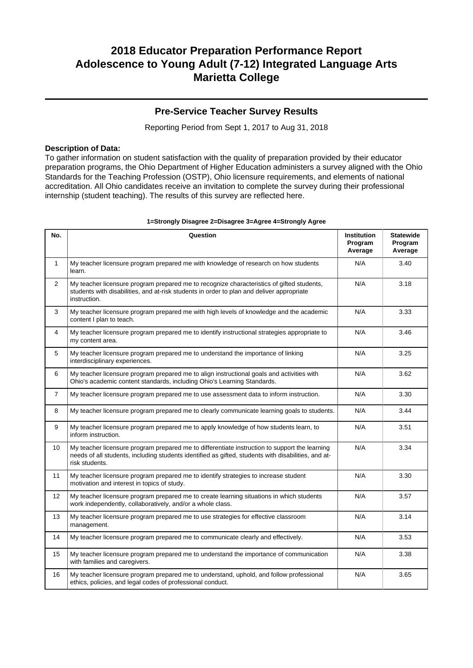### **Pre-Service Teacher Survey Results**

Reporting Period from Sept 1, 2017 to Aug 31, 2018

#### **Description of Data:**

To gather information on student satisfaction with the quality of preparation provided by their educator preparation programs, the Ohio Department of Higher Education administers a survey aligned with the Ohio Standards for the Teaching Profession (OSTP), Ohio licensure requirements, and elements of national accreditation. All Ohio candidates receive an invitation to complete the survey during their professional internship (student teaching). The results of this survey are reflected here.

| No.            | Question                                                                                                                                                                                                               | Institution<br>Program<br>Average | <b>Statewide</b><br>Program<br>Average |
|----------------|------------------------------------------------------------------------------------------------------------------------------------------------------------------------------------------------------------------------|-----------------------------------|----------------------------------------|
| $\mathbf{1}$   | My teacher licensure program prepared me with knowledge of research on how students<br>learn.                                                                                                                          | N/A                               | 3.40                                   |
| $\overline{2}$ | My teacher licensure program prepared me to recognize characteristics of gifted students,<br>students with disabilities, and at-risk students in order to plan and deliver appropriate<br>instruction.                 | N/A                               | 3.18                                   |
| 3              | My teacher licensure program prepared me with high levels of knowledge and the academic<br>content I plan to teach.                                                                                                    | N/A                               | 3.33                                   |
| 4              | My teacher licensure program prepared me to identify instructional strategies appropriate to<br>my content area.                                                                                                       | N/A                               | 3.46                                   |
| 5              | My teacher licensure program prepared me to understand the importance of linking<br>interdisciplinary experiences.                                                                                                     | N/A                               | 3.25                                   |
| 6              | My teacher licensure program prepared me to align instructional goals and activities with<br>Ohio's academic content standards, including Ohio's Learning Standards.                                                   | N/A                               | 3.62                                   |
| $\overline{7}$ | My teacher licensure program prepared me to use assessment data to inform instruction.                                                                                                                                 | N/A                               | 3.30                                   |
| 8              | My teacher licensure program prepared me to clearly communicate learning goals to students.                                                                                                                            | N/A                               | 3.44                                   |
| 9              | My teacher licensure program prepared me to apply knowledge of how students learn, to<br>inform instruction.                                                                                                           | N/A                               | 3.51                                   |
| 10             | My teacher licensure program prepared me to differentiate instruction to support the learning<br>needs of all students, including students identified as gifted, students with disabilities, and at-<br>risk students. | N/A                               | 3.34                                   |
| 11             | My teacher licensure program prepared me to identify strategies to increase student<br>motivation and interest in topics of study.                                                                                     | N/A                               | 3.30                                   |
| 12             | My teacher licensure program prepared me to create learning situations in which students<br>work independently, collaboratively, and/or a whole class.                                                                 | N/A                               | 3.57                                   |
| 13             | My teacher licensure program prepared me to use strategies for effective classroom<br>management.                                                                                                                      | N/A                               | 3.14                                   |
| 14             | My teacher licensure program prepared me to communicate clearly and effectively.                                                                                                                                       | N/A                               | 3.53                                   |
| 15             | My teacher licensure program prepared me to understand the importance of communication<br>with families and caregivers.                                                                                                | N/A                               | 3.38                                   |
| 16             | My teacher licensure program prepared me to understand, uphold, and follow professional<br>ethics, policies, and legal codes of professional conduct.                                                                  | N/A                               | 3.65                                   |

#### **1=Strongly Disagree 2=Disagree 3=Agree 4=Strongly Agree**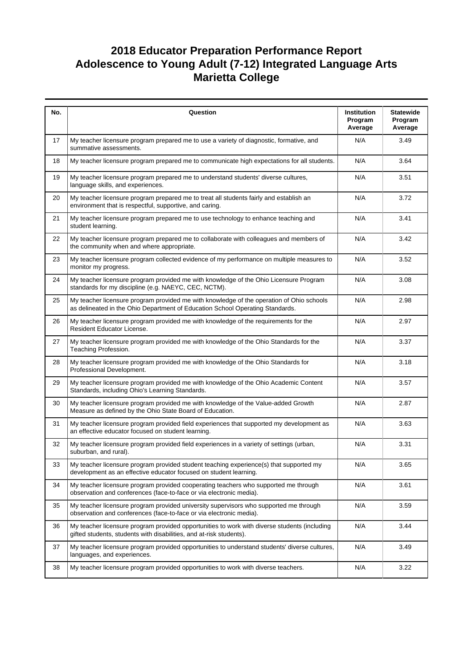| No. | Question                                                                                                                                                                  | Institution<br>Program<br>Average | <b>Statewide</b><br>Program<br>Average |
|-----|---------------------------------------------------------------------------------------------------------------------------------------------------------------------------|-----------------------------------|----------------------------------------|
| 17  | My teacher licensure program prepared me to use a variety of diagnostic, formative, and<br>summative assessments.                                                         | N/A                               | 3.49                                   |
| 18  | My teacher licensure program prepared me to communicate high expectations for all students.                                                                               | N/A                               | 3.64                                   |
| 19  | My teacher licensure program prepared me to understand students' diverse cultures,<br>language skills, and experiences.                                                   | N/A                               | 3.51                                   |
| 20  | My teacher licensure program prepared me to treat all students fairly and establish an<br>environment that is respectful, supportive, and caring.                         | N/A                               | 3.72                                   |
| 21  | My teacher licensure program prepared me to use technology to enhance teaching and<br>student learning.                                                                   | N/A                               | 3.41                                   |
| 22  | My teacher licensure program prepared me to collaborate with colleagues and members of<br>the community when and where appropriate.                                       | N/A                               | 3.42                                   |
| 23  | My teacher licensure program collected evidence of my performance on multiple measures to<br>monitor my progress.                                                         | N/A                               | 3.52                                   |
| 24  | My teacher licensure program provided me with knowledge of the Ohio Licensure Program<br>standards for my discipline (e.g. NAEYC, CEC, NCTM).                             | N/A                               | 3.08                                   |
| 25  | My teacher licensure program provided me with knowledge of the operation of Ohio schools<br>as delineated in the Ohio Department of Education School Operating Standards. | N/A                               | 2.98                                   |
| 26  | My teacher licensure program provided me with knowledge of the requirements for the<br>Resident Educator License.                                                         | N/A                               | 2.97                                   |
| 27  | My teacher licensure program provided me with knowledge of the Ohio Standards for the<br>Teaching Profession.                                                             | N/A                               | 3.37                                   |
| 28  | My teacher licensure program provided me with knowledge of the Ohio Standards for<br>Professional Development.                                                            | N/A                               | 3.18                                   |
| 29  | My teacher licensure program provided me with knowledge of the Ohio Academic Content<br>Standards, including Ohio's Learning Standards.                                   | N/A                               | 3.57                                   |
| 30  | My teacher licensure program provided me with knowledge of the Value-added Growth<br>Measure as defined by the Ohio State Board of Education.                             | N/A                               | 2.87                                   |
| 31  | My teacher licensure program provided field experiences that supported my development as<br>an effective educator focused on student learning.                            | N/A                               | 3.63                                   |
| 32  | My teacher licensure program provided field experiences in a variety of settings (urban,<br>suburban, and rural).                                                         | N/A                               | 3.31                                   |
| 33  | My teacher licensure program provided student teaching experience(s) that supported my<br>development as an effective educator focused on student learning.               | N/A                               | 3.65                                   |
| 34  | My teacher licensure program provided cooperating teachers who supported me through<br>observation and conferences (face-to-face or via electronic media).                | N/A                               | 3.61                                   |
| 35  | My teacher licensure program provided university supervisors who supported me through<br>observation and conferences (face-to-face or via electronic media).              | N/A                               | 3.59                                   |
| 36  | My teacher licensure program provided opportunities to work with diverse students (including<br>gifted students, students with disabilities, and at-risk students).       | N/A                               | 3.44                                   |
| 37  | My teacher licensure program provided opportunities to understand students' diverse cultures,<br>languages, and experiences.                                              | N/A                               | 3.49                                   |
| 38  | My teacher licensure program provided opportunities to work with diverse teachers.                                                                                        | N/A                               | 3.22                                   |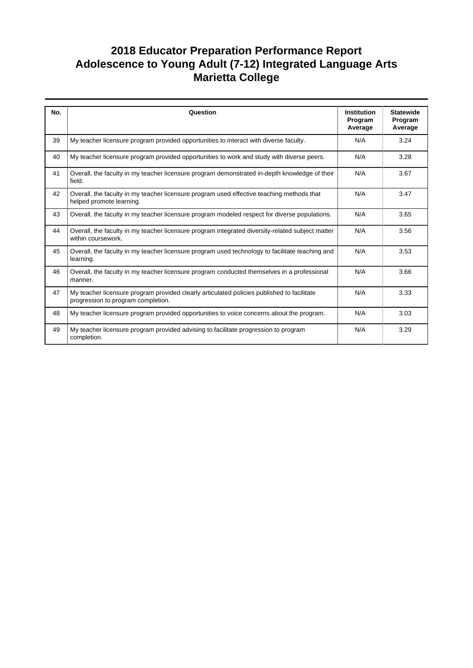| No. | Question                                                                                                                         | <b>Institution</b> | <b>Statewide</b>   |
|-----|----------------------------------------------------------------------------------------------------------------------------------|--------------------|--------------------|
|     |                                                                                                                                  | Program<br>Average | Program<br>Average |
| 39  | My teacher licensure program provided opportunities to interact with diverse faculty.                                            | N/A                | 3.24               |
| 40  | My teacher licensure program provided opportunities to work and study with diverse peers.                                        | N/A                | 3.28               |
| 41  | Overall, the faculty in my teacher licensure program demonstrated in-depth knowledge of their<br>field.                          | N/A                | 3.67               |
| 42  | Overall, the faculty in my teacher licensure program used effective teaching methods that<br>helped promote learning.            | N/A                | 3.47               |
| 43  | Overall, the faculty in my teacher licensure program modeled respect for diverse populations.                                    | N/A                | 3.65               |
| 44  | Overall, the faculty in my teacher licensure program integrated diversity-related subject matter<br>within coursework.           | N/A                | 3.56               |
| 45  | Overall, the faculty in my teacher licensure program used technology to facilitate teaching and<br>learning.                     | N/A                | 3.53               |
| 46  | Overall, the faculty in my teacher licensure program conducted themselves in a professional<br>manner.                           | N/A                | 3.66               |
| 47  | My teacher licensure program provided clearly articulated policies published to facilitate<br>progression to program completion. | N/A                | 3.33               |
| 48  | My teacher licensure program provided opportunities to voice concerns about the program.                                         | N/A                | 3.03               |
| 49  | My teacher licensure program provided advising to facilitate progression to program<br>completion.                               | N/A                | 3.29               |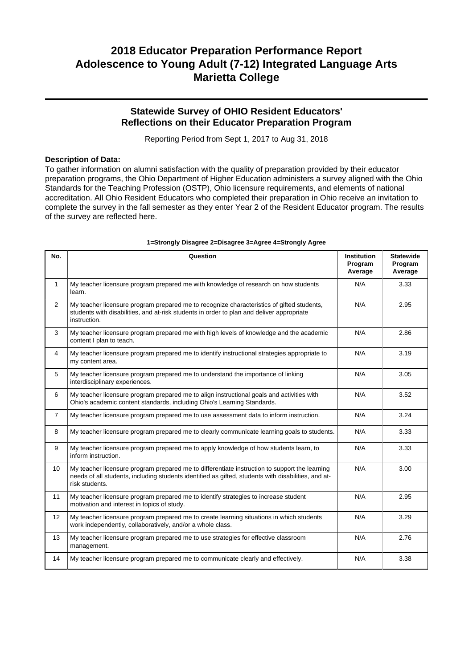### **Statewide Survey of OHIO Resident Educators' Reflections on their Educator Preparation Program**

Reporting Period from Sept 1, 2017 to Aug 31, 2018

#### **Description of Data:**

To gather information on alumni satisfaction with the quality of preparation provided by their educator preparation programs, the Ohio Department of Higher Education administers a survey aligned with the Ohio Standards for the Teaching Profession (OSTP), Ohio licensure requirements, and elements of national accreditation. All Ohio Resident Educators who completed their preparation in Ohio receive an invitation to complete the survey in the fall semester as they enter Year 2 of the Resident Educator program. The results of the survey are reflected here.

| No.            | Question                                                                                                                                                                                                               | <b>Institution</b><br>Program<br>Average | <b>Statewide</b><br>Program<br>Average |
|----------------|------------------------------------------------------------------------------------------------------------------------------------------------------------------------------------------------------------------------|------------------------------------------|----------------------------------------|
| $\mathbf{1}$   | My teacher licensure program prepared me with knowledge of research on how students<br>learn.                                                                                                                          | N/A                                      | 3.33                                   |
| $\overline{2}$ | My teacher licensure program prepared me to recognize characteristics of gifted students,<br>students with disabilities, and at-risk students in order to plan and deliver appropriate<br>instruction.                 | N/A                                      | 2.95                                   |
| 3              | My teacher licensure program prepared me with high levels of knowledge and the academic<br>content I plan to teach.                                                                                                    | N/A                                      | 2.86                                   |
| 4              | My teacher licensure program prepared me to identify instructional strategies appropriate to<br>my content area.                                                                                                       | N/A                                      | 3.19                                   |
| 5              | My teacher licensure program prepared me to understand the importance of linking<br>interdisciplinary experiences.                                                                                                     | N/A                                      | 3.05                                   |
| 6              | My teacher licensure program prepared me to align instructional goals and activities with<br>Ohio's academic content standards, including Ohio's Learning Standards.                                                   | N/A                                      | 3.52                                   |
| $\overline{7}$ | My teacher licensure program prepared me to use assessment data to inform instruction.                                                                                                                                 | N/A                                      | 3.24                                   |
| 8              | My teacher licensure program prepared me to clearly communicate learning goals to students.                                                                                                                            | N/A                                      | 3.33                                   |
| 9              | My teacher licensure program prepared me to apply knowledge of how students learn, to<br>inform instruction.                                                                                                           | N/A                                      | 3.33                                   |
| 10             | My teacher licensure program prepared me to differentiate instruction to support the learning<br>needs of all students, including students identified as gifted, students with disabilities, and at-<br>risk students. | N/A                                      | 3.00                                   |
| 11             | My teacher licensure program prepared me to identify strategies to increase student<br>motivation and interest in topics of study.                                                                                     | N/A                                      | 2.95                                   |
| 12             | My teacher licensure program prepared me to create learning situations in which students<br>work independently, collaboratively, and/or a whole class.                                                                 | N/A                                      | 3.29                                   |
| 13             | My teacher licensure program prepared me to use strategies for effective classroom<br>management.                                                                                                                      | N/A                                      | 2.76                                   |
| 14             | My teacher licensure program prepared me to communicate clearly and effectively.                                                                                                                                       | N/A                                      | 3.38                                   |

#### **1=Strongly Disagree 2=Disagree 3=Agree 4=Strongly Agree**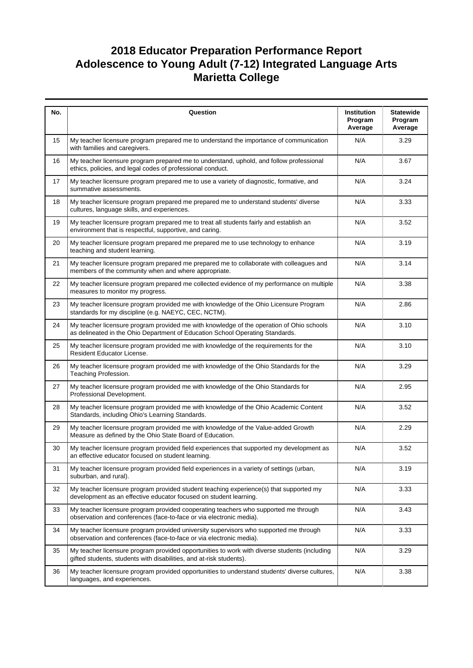| No. | Question                                                                                                                                                                  | Institution<br>Program<br>Average | <b>Statewide</b><br>Program<br>Average |
|-----|---------------------------------------------------------------------------------------------------------------------------------------------------------------------------|-----------------------------------|----------------------------------------|
| 15  | My teacher licensure program prepared me to understand the importance of communication<br>with families and caregivers.                                                   | N/A                               | 3.29                                   |
| 16  | My teacher licensure program prepared me to understand, uphold, and follow professional<br>ethics, policies, and legal codes of professional conduct.                     | N/A                               | 3.67                                   |
| 17  | My teacher licensure program prepared me to use a variety of diagnostic, formative, and<br>summative assessments.                                                         | N/A                               | 3.24                                   |
| 18  | My teacher licensure program prepared me prepared me to understand students' diverse<br>cultures, language skills, and experiences.                                       | N/A                               | 3.33                                   |
| 19  | My teacher licensure program prepared me to treat all students fairly and establish an<br>environment that is respectful, supportive, and caring.                         | N/A                               | 3.52                                   |
| 20  | My teacher licensure program prepared me prepared me to use technology to enhance<br>teaching and student learning.                                                       | N/A                               | 3.19                                   |
| 21  | My teacher licensure program prepared me prepared me to collaborate with colleagues and<br>members of the community when and where appropriate.                           | N/A                               | 3.14                                   |
| 22  | My teacher licensure program prepared me collected evidence of my performance on multiple<br>measures to monitor my progress.                                             | N/A                               | 3.38                                   |
| 23  | My teacher licensure program provided me with knowledge of the Ohio Licensure Program<br>standards for my discipline (e.g. NAEYC, CEC, NCTM).                             | N/A                               | 2.86                                   |
| 24  | My teacher licensure program provided me with knowledge of the operation of Ohio schools<br>as delineated in the Ohio Department of Education School Operating Standards. | N/A                               | 3.10                                   |
| 25  | My teacher licensure program provided me with knowledge of the requirements for the<br>Resident Educator License.                                                         | N/A                               | 3.10                                   |
| 26  | My teacher licensure program provided me with knowledge of the Ohio Standards for the<br>Teaching Profession.                                                             | N/A                               | 3.29                                   |
| 27  | My teacher licensure program provided me with knowledge of the Ohio Standards for<br>Professional Development.                                                            | N/A                               | 2.95                                   |
| 28  | My teacher licensure program provided me with knowledge of the Ohio Academic Content<br>Standards, including Ohio's Learning Standards.                                   | N/A                               | 3.52                                   |
| 29  | My teacher licensure program provided me with knowledge of the Value-added Growth<br>Measure as defined by the Ohio State Board of Education.                             | N/A                               | 2.29                                   |
| 30  | My teacher licensure program provided field experiences that supported my development as<br>an effective educator focused on student learning.                            | N/A                               | 3.52                                   |
| 31  | My teacher licensure program provided field experiences in a variety of settings (urban,<br>suburban, and rural).                                                         | N/A                               | 3.19                                   |
| 32  | My teacher licensure program provided student teaching experience(s) that supported my<br>development as an effective educator focused on student learning.               | N/A                               | 3.33                                   |
| 33  | My teacher licensure program provided cooperating teachers who supported me through<br>observation and conferences (face-to-face or via electronic media).                | N/A                               | 3.43                                   |
| 34  | My teacher licensure program provided university supervisors who supported me through<br>observation and conferences (face-to-face or via electronic media).              | N/A                               | 3.33                                   |
| 35  | My teacher licensure program provided opportunities to work with diverse students (including<br>gifted students, students with disabilities, and at-risk students).       | N/A                               | 3.29                                   |
| 36  | My teacher licensure program provided opportunities to understand students' diverse cultures,<br>languages, and experiences.                                              | N/A                               | 3.38                                   |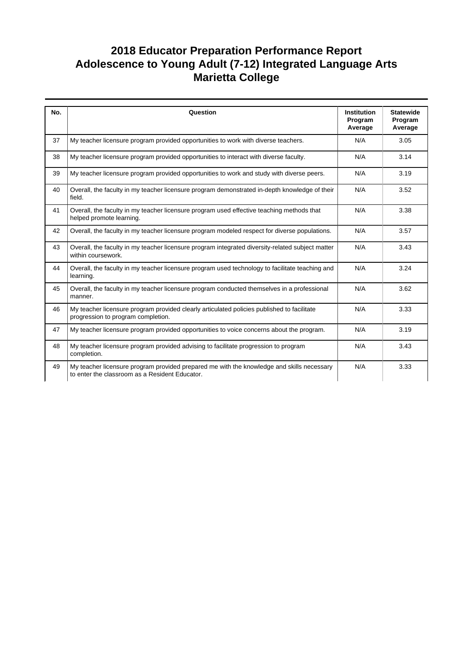| No. | Question                                                                                                                                    | <b>Institution</b><br>Program<br>Average | <b>Statewide</b><br>Program<br>Average |
|-----|---------------------------------------------------------------------------------------------------------------------------------------------|------------------------------------------|----------------------------------------|
| 37  | My teacher licensure program provided opportunities to work with diverse teachers.                                                          | N/A                                      | 3.05                                   |
| 38  | My teacher licensure program provided opportunities to interact with diverse faculty.                                                       | N/A                                      | 3.14                                   |
| 39  | My teacher licensure program provided opportunities to work and study with diverse peers.                                                   | N/A                                      | 3.19                                   |
| 40  | Overall, the faculty in my teacher licensure program demonstrated in-depth knowledge of their<br>field.                                     | N/A                                      | 3.52                                   |
| 41  | Overall, the faculty in my teacher licensure program used effective teaching methods that<br>helped promote learning.                       | N/A                                      | 3.38                                   |
| 42  | Overall, the faculty in my teacher licensure program modeled respect for diverse populations.                                               | N/A                                      | 3.57                                   |
| 43  | Overall, the faculty in my teacher licensure program integrated diversity-related subject matter<br>within coursework.                      | N/A                                      | 3.43                                   |
| 44  | Overall, the faculty in my teacher licensure program used technology to facilitate teaching and<br>learning.                                | N/A                                      | 3.24                                   |
| 45  | Overall, the faculty in my teacher licensure program conducted themselves in a professional<br>manner.                                      | N/A                                      | 3.62                                   |
| 46  | My teacher licensure program provided clearly articulated policies published to facilitate<br>progression to program completion.            | N/A                                      | 3.33                                   |
| 47  | My teacher licensure program provided opportunities to voice concerns about the program.                                                    | N/A                                      | 3.19                                   |
| 48  | My teacher licensure program provided advising to facilitate progression to program<br>completion.                                          | N/A                                      | 3.43                                   |
| 49  | My teacher licensure program provided prepared me with the knowledge and skills necessary<br>to enter the classroom as a Resident Educator. | N/A                                      | 3.33                                   |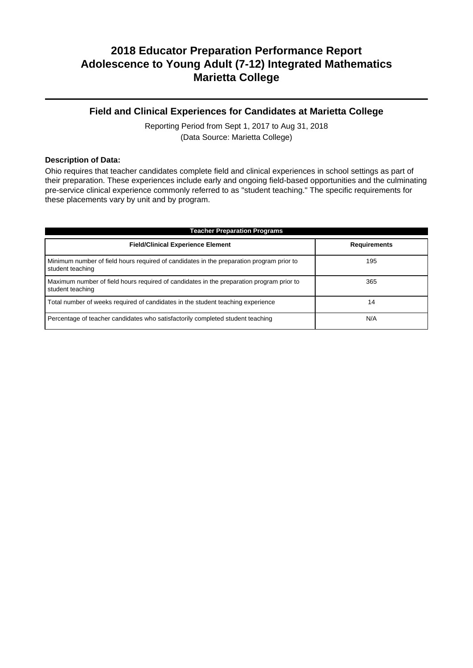### **Field and Clinical Experiences for Candidates at Marietta College**

Reporting Period from Sept 1, 2017 to Aug 31, 2018 (Data Source: Marietta College)

#### **Description of Data:**

Ohio requires that teacher candidates complete field and clinical experiences in school settings as part of their preparation. These experiences include early and ongoing field-based opportunities and the culminating pre-service clinical experience commonly referred to as "student teaching." The specific requirements for these placements vary by unit and by program.

| <b>Teacher Preparation Programs</b>                                                                          |                     |  |  |  |
|--------------------------------------------------------------------------------------------------------------|---------------------|--|--|--|
| <b>Field/Clinical Experience Element</b>                                                                     | <b>Requirements</b> |  |  |  |
| Minimum number of field hours required of candidates in the preparation program prior to<br>student teaching | 195                 |  |  |  |
| Maximum number of field hours required of candidates in the preparation program prior to<br>student teaching | 365                 |  |  |  |
| Total number of weeks required of candidates in the student teaching experience                              | 14                  |  |  |  |
| Percentage of teacher candidates who satisfactorily completed student teaching                               | N/A                 |  |  |  |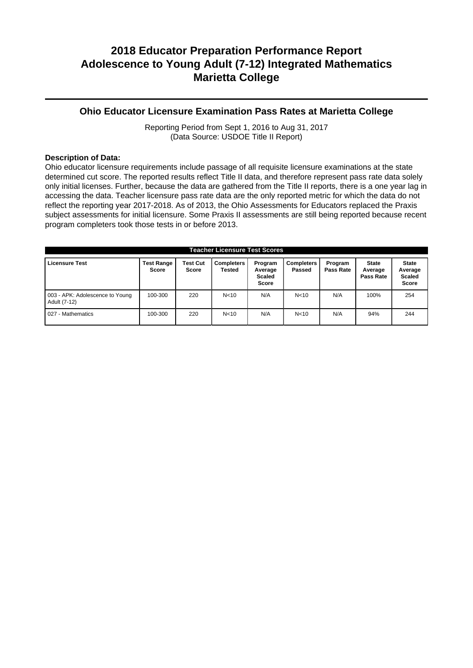### **Ohio Educator Licensure Examination Pass Rates at Marietta College**

Reporting Period from Sept 1, 2016 to Aug 31, 2017 (Data Source: USDOE Title II Report)

#### **Description of Data:**

Ohio educator licensure requirements include passage of all requisite licensure examinations at the state determined cut score. The reported results reflect Title II data, and therefore represent pass rate data solely only initial licenses. Further, because the data are gathered from the Title II reports, there is a one year lag in accessing the data. Teacher licensure pass rate data are the only reported metric for which the data do not reflect the reporting year 2017-2018. As of 2013, the Ohio Assessments for Educators replaced the Praxis subject assessments for initial licensure. Some Praxis II assessments are still being reported because recent program completers took those tests in or before 2013.

| <b>Teacher Licensure Test Scores</b>            |                                   |                                 |                             |                                              |                             |                      |                                      |                                                          |
|-------------------------------------------------|-----------------------------------|---------------------------------|-----------------------------|----------------------------------------------|-----------------------------|----------------------|--------------------------------------|----------------------------------------------------------|
| <b>Licensure Test</b>                           | <b>Test Range</b><br><b>Score</b> | <b>Test Cut</b><br><b>Score</b> | <b>Completers</b><br>Tested | Program<br>Average<br><b>Scaled</b><br>Score | <b>Completers</b><br>Passed | Program<br>Pass Rate | <b>State</b><br>Average<br>Pass Rate | <b>State</b><br>Average<br><b>Scaled</b><br><b>Score</b> |
| 003 - APK: Adolescence to Young<br>Adult (7-12) | 100-300                           | 220                             | N <sub>10</sub>             | N/A                                          | N < 10                      | N/A                  | 100%                                 | 254                                                      |
| 027 - Mathematics                               | 100-300                           | 220                             | N <sub>10</sub>             | N/A                                          | N < 10                      | N/A                  | 94%                                  | 244                                                      |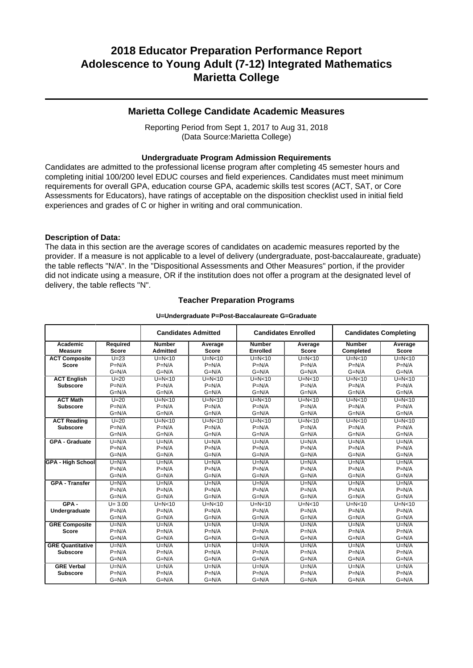#### **Marietta College Candidate Academic Measures**

Reporting Period from Sept 1, 2017 to Aug 31, 2018 (Data Source:Marietta College)

#### **Undergraduate Program Admission Requirements**

Candidates are admitted to the professional license program after completing 45 semester hours and completing initial 100/200 level EDUC courses and field experiences. Candidates must meet minimum requirements for overall GPA, education course GPA, academic skills test scores (ACT, SAT, or Core Assessments for Educators), have ratings of acceptable on the disposition checklist used in initial field experiences and grades of C or higher in writing and oral communication.

#### **Description of Data:**

The data in this section are the average scores of candidates on academic measures reported by the provider. If a measure is not applicable to a level of delivery (undergraduate, post-baccalaureate, graduate) the table reflects "N/A". In the "Dispositional Assessments and Other Measures" portion, if the provider did not indicate using a measure, OR if the institution does not offer a program at the designated level of delivery, the table reflects "N".

#### **Teacher Preparation Programs**

#### **U=Undergraduate P=Post-Baccalaureate G=Graduate**

|                          |              |                 | <b>Candidates Admitted</b> | <b>Candidates Enrolled</b> |              | <b>Candidates Completing</b> |              |
|--------------------------|--------------|-----------------|----------------------------|----------------------------|--------------|------------------------------|--------------|
| Academic                 | Required     | <b>Number</b>   | Average                    | <b>Number</b>              | Average      | <b>Number</b>                | Average      |
| <b>Measure</b>           | <b>Score</b> | <b>Admitted</b> | <b>Score</b>               | <b>Enrolled</b>            | <b>Score</b> | Completed                    | <b>Score</b> |
| <b>ACT Composite</b>     | $U=23$       | $U=N<10$        | $U=N<10$                   | $U=N<10$                   | $U=N<10$     | $U=N<10$                     | $U=N<10$     |
| <b>Score</b>             | $P=N/A$      | $P=N/A$         | $P=N/A$                    | $P=N/A$                    | $P=N/A$      | $P=N/A$                      | $P=N/A$      |
|                          | $G=N/A$      | $G=N/A$         | $G=N/A$                    | $G=N/A$                    | $G=N/A$      | $G=N/A$                      | $G=N/A$      |
| <b>ACT English</b>       | $U=20$       | $U=N<10$        | $U=N<10$                   | $U=N<10$                   | $U=N<10$     | $U=N<10$                     | $U=N<10$     |
| <b>Subscore</b>          | $P=N/A$      | $P=N/A$         | $P=N/A$                    | $P=N/A$                    | $P=N/A$      | $P=N/A$                      | $P=N/A$      |
|                          | $G=N/A$      | $G=N/A$         | $G=N/A$                    | $G=N/A$                    | $G=N/A$      | $G=N/A$                      | $G=N/A$      |
| <b>ACT Math</b>          | $U=20$       | $U=N<10$        | $U=N<10$                   | $U=N<10$                   | $U=N<10$     | $U=N<10$                     | $U=N<10$     |
| <b>Subscore</b>          | $P=N/A$      | $P=N/A$         | $P=N/A$                    | $P=N/A$                    | $P=N/A$      | $P=N/A$                      | $P=N/A$      |
|                          | $G=N/A$      | $G=N/A$         | $G=N/A$                    | $G=N/A$                    | $G=N/A$      | $G=N/A$                      | $G=N/A$      |
| <b>ACT Reading</b>       | $U=20$       | $U=N<10$        | $U=N<10$                   | $U=N<10$                   | $U=N10$      | $U=N10$                      | $U=N<10$     |
| <b>Subscore</b>          | $P=N/A$      | $P=N/A$         | $P=N/A$                    | $P=N/A$                    | $P=N/A$      | $P=N/A$                      | $P=N/A$      |
|                          | $G=N/A$      | $G=N/A$         | $G=N/A$                    | $G=N/A$                    | $G=N/A$      | $G=N/A$                      | $G=N/A$      |
| <b>GPA - Graduate</b>    | $U=N/A$      | $U=N/A$         | $U=N/A$                    | $U=N/A$                    | $U=N/A$      | $U=N/A$                      | $U=N/A$      |
|                          | $P=N/A$      | $P=N/A$         | $P=N/A$                    | $P=N/A$                    | $P=N/A$      | $P=N/A$                      | $P=N/A$      |
|                          | $G=N/A$      | $G=N/A$         | $G=N/A$                    | $G=N/A$                    | $G=N/A$      | $G=N/A$                      | $G=N/A$      |
| <b>GPA - High School</b> | $U=N/A$      | $U=N/A$         | $U=N/A$                    | $U=N/A$                    | $U=N/A$      | $U=N/A$                      | $U=N/A$      |
|                          | $P=N/A$      | $P=N/A$         | $P=N/A$                    | $P=N/A$                    | $P=N/A$      | $P=N/A$                      | $P=N/A$      |
|                          | $G=N/A$      | $G=N/A$         | $G=N/A$                    | $G=N/A$                    | $G=N/A$      | $G=N/A$                      | $G=N/A$      |
| <b>GPA - Transfer</b>    | $U=N/A$      | $U=N/A$         | $U=N/A$                    | $U=N/A$                    | $U=N/A$      | $U=N/A$                      | $U=N/A$      |
|                          | $P=N/A$      | $P=N/A$         | $P=N/A$                    | $P=N/A$                    | $P=N/A$      | $P=N/A$                      | $P=N/A$      |
|                          | $G=N/A$      | $G=N/A$         | $G=N/A$                    | $G=N/A$                    | $G=N/A$      | $G=N/A$                      | $G=N/A$      |
| $GPA -$                  | $U = 3.00$   | $U=N10$         | $U=N<10$                   | $U=N<10$                   | $U=N<10$     | $U=N<10$                     | $U=N<10$     |
| Undergraduate            | $P=N/A$      | $P=N/A$         | $P=N/A$                    | $P=N/A$                    | $P=N/A$      | $P=N/A$                      | $P=N/A$      |
|                          | $G=N/A$      | $G=N/A$         | $G=N/A$                    | $G=N/A$                    | $G=N/A$      | $G=N/A$                      | $G=N/A$      |
| <b>GRE Composite</b>     | $U=N/A$      | $U=N/A$         | $U=N/A$                    | $U=N/A$                    | $U=N/A$      | $U=N/A$                      | $U=N/A$      |
| <b>Score</b>             | $P=N/A$      | $P=N/A$         | $P=N/A$                    | $P=N/A$                    | $P=N/A$      | $P=N/A$                      | $P=N/A$      |
|                          | $G=N/A$      | $G=N/A$         | $G=N/A$                    | $G=N/A$                    | $G=N/A$      | $G=N/A$                      | $G=N/A$      |
| <b>GRE Quantitative</b>  | $U=N/A$      | $U=N/A$         | $U=N/A$                    | $U=N/A$                    | $U=N/A$      | $U=N/A$                      | $U=N/A$      |
| <b>Subscore</b>          | $P=N/A$      | $P=N/A$         | $P=N/A$                    | $P=N/A$                    | $P=N/A$      | $P=N/A$                      | $P=N/A$      |
|                          | $G=N/A$      | $G=N/A$         | $G=N/A$                    | $G=N/A$                    | $G=N/A$      | $G=N/A$                      | $G=N/A$      |
| <b>GRE Verbal</b>        | $U=N/A$      | $U=N/A$         | $U=N/A$                    | $U=N/A$                    | $U=N/A$      | $U=N/A$                      | $U=N/A$      |
| <b>Subscore</b>          | $P=N/A$      | $P=N/A$         | $P=N/A$                    | $P=N/A$                    | $P=N/A$      | $P=N/A$                      | $P=N/A$      |
|                          | $G=N/A$      | $G=N/A$         | $G=N/A$                    | $G=N/A$                    | $G=N/A$      | $G=N/A$                      | $G=N/A$      |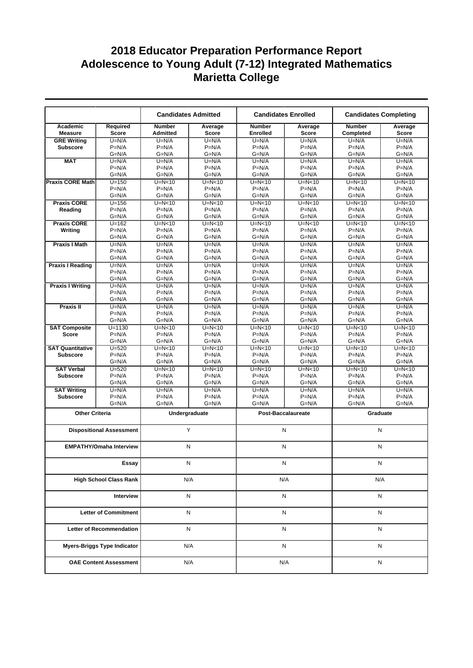|                               | <b>Candidates Admitted</b><br><b>Candidates Enrolled</b> |                                  |                         | <b>Candidates Completing</b>     |                           |                            |                         |
|-------------------------------|----------------------------------------------------------|----------------------------------|-------------------------|----------------------------------|---------------------------|----------------------------|-------------------------|
| Academic<br><b>Measure</b>    | Required<br><b>Score</b>                                 | <b>Number</b><br><b>Admitted</b> | Average<br><b>Score</b> | <b>Number</b><br><b>Enrolled</b> | Average<br><b>Score</b>   | <b>Number</b><br>Completed | Average<br><b>Score</b> |
| <b>GRE Writing</b>            | $U=N/A$                                                  | $U=N/A$                          | $U=N/A$                 | $U=N/A$                          | $U=N/A$                   | $U=N/A$                    | $U=N/A$                 |
| <b>Subscore</b>               | $P=N/A$                                                  | $P=N/A$                          | $P=N/A$                 | $P=N/A$                          | $P=N/A$                   | $P=N/A$                    | $P=N/A$                 |
|                               | $G=N/A$                                                  | $G=N/A$                          | $G=N/A$                 | $G=N/A$                          | $G=N/A$                   | $G=N/A$                    | $G=N/A$                 |
| <b>MAT</b>                    | $U=N/A$                                                  | $U=N/A$                          | $U=N/A$                 | $U=N/A$                          | $U=N/A$                   | $U=N/A$                    | $U=N/A$                 |
|                               | $P=N/A$                                                  | $P=N/A$                          | $P=N/A$                 | $P=N/A$                          | $P=N/A$                   | $P=N/A$                    | $P=N/A$                 |
|                               | $G=N/A$                                                  | $G=N/A$                          | $G=N/A$                 | $G=N/A$                          | $G=N/A$                   | $G=N/A$                    | $G=N/A$                 |
| <b>Praxis CORE Math</b>       | $U = 150$                                                | $U=N<10$                         | $U=N<10$                | $U=N<10$                         | $U=N<10$                  | $U=N<10$                   | $U=N10$                 |
|                               | $P=N/A$                                                  | $P=N/A$                          | $P=N/A$                 | $P=N/A$                          | $P=N/A$                   | $P=N/A$                    | $P=N/A$                 |
|                               | $G=N/A$                                                  | $G=N/A$                          | $G=N/A$                 | $G=N/A$                          | $G=N/A$                   | $G=N/A$                    | $G=N/A$                 |
| <b>Praxis CORE</b>            | $U = 156$                                                | $U=N<10$                         | $U=N<10$                | $U=N<10$                         | $U=N<10$                  | $U=N<10$                   | $U=N<10$                |
| Reading                       | $P=N/A$                                                  | $P=N/A$                          | $P=N/A$                 | $P=N/A$                          | $P=N/A$                   | $P=N/A$                    | $P=N/A$                 |
|                               | $G=N/A$                                                  | $G=N/A$                          | $G=N/A$                 | $G=N/A$                          | $G=N/A$                   | $G=N/A$                    | $G=N/A$                 |
| <b>Praxis CORE</b>            | $U = 162$                                                | $U=N10$                          | $U=N10$                 | $U=N<10$<br>$P=N/A$              | $U=N<10$                  | $U=N10$<br>$P=N/A$         | $U=N10$                 |
| Writing                       | $P=N/A$<br>$G=N/A$                                       | $P=N/A$<br>$G=N/A$               | $P=N/A$<br>$G=N/A$      | $G=N/A$                          | $P=N/A$<br>$G=N/A$        | $G=N/A$                    | $P=N/A$<br>$G=N/A$      |
|                               | $U=N/A$                                                  | $U=N/A$                          |                         | $U=N/A$                          | $U=N/A$                   | $U=N/A$                    | $U=N/A$                 |
| <b>Praxis I Math</b>          | $P=N/A$                                                  | $P=N/A$                          | $U=N/A$<br>$P=N/A$      | $P=N/A$                          | $P=N/A$                   | $P=N/A$                    | $P=N/A$                 |
|                               | $G=N/A$                                                  | $G=N/A$                          | $G=N/A$                 | $G=N/A$                          | $G=N/A$                   | $G=N/A$                    | $G=N/A$                 |
| <b>Praxis I Reading</b>       | $U=N/A$                                                  | $U=N/A$                          | $U=N/A$                 | $U=N/A$                          | $U=N/A$                   | $U=N/A$                    | $U=N/A$                 |
|                               | $P=N/A$                                                  | $P=N/A$                          | $P=N/A$                 | $P=N/A$                          | $P=N/A$                   | $P=N/A$                    | $P=N/A$                 |
|                               | $G=N/A$                                                  | $G=N/A$                          | $G=N/A$                 | $G=N/A$                          | $G=N/A$                   | $G=N/A$                    | $G=N/A$                 |
| <b>Praxis I Writing</b>       | $U=N/A$                                                  | $U=N/A$                          | $U=N/A$                 | $U=N/A$                          | $U=N/A$                   | $U=N/A$                    | $U=N/A$                 |
|                               | $P=N/A$                                                  | $P=N/A$                          | $P=N/A$                 | $P=N/A$                          | $P=N/A$                   | $P=N/A$                    | $P=N/A$                 |
|                               | $G=N/A$                                                  | $G=N/A$                          | $G=N/A$                 | $G=N/A$                          | $G=N/A$                   | $G=N/A$                    | $G=N/A$                 |
| <b>Praxis II</b>              | $U=N/A$                                                  | $U=N/A$                          | $U=N/A$                 | $U=N/A$                          | $U=N/A$                   | $U=N/A$                    | $U=N/A$                 |
|                               | $P=N/A$                                                  | $P=N/A$                          | $P=N/A$                 | $P=N/A$                          | $P=N/A$                   | $P=N/A$                    | $P=N/A$                 |
|                               | $G=N/A$                                                  | $G=N/A$                          | $G=N/A$                 | $G=N/A$                          | $G=N/A$                   | $G=N/A$                    | $G=N/A$                 |
| <b>SAT Composite</b>          | $U = 1130$                                               | $U=N<10$                         | $U=N<10$                | $U=N<10$                         | $U=N<10$                  | $U=N<10$                   | $U=N10$                 |
| <b>Score</b>                  | $P=N/A$                                                  | $P=N/A$                          | $P=N/A$                 | $P=N/A$                          | $P=N/A$                   | $P=N/A$                    | $P=N/A$                 |
|                               | $G=N/A$                                                  | $G=N/A$                          | $G=N/A$                 | $G=N/A$                          | $G=N/A$                   | $G=N/A$                    | $G=N/A$                 |
| <b>SAT Quantitative</b>       | $U = 520$                                                | $U=N10$                          | $U=N10$                 | $U=N<10$                         | $U=N<10$                  | $U=N10$                    | $U=N10$                 |
| <b>Subscore</b>               | $P=N/A$                                                  | $P=N/A$                          | $P=N/A$                 | $P=N/A$                          | $P=N/A$                   | $P=N/A$                    | $P=N/A$                 |
|                               | $G=N/A$                                                  | $G=N/A$                          | $G=N/A$                 | $G=N/A$                          | $G=N/A$                   | $G=N/A$                    | $G=N/A$                 |
| <b>SAT Verbal</b>             | $U = 520$                                                | $U=N<10$                         | $U=N<10$                | $U=N<10$                         | $U=N<10$                  | $U=N<10$                   | $U=N<10$                |
| <b>Subscore</b>               | $P=N/A$                                                  | $P=N/A$                          | $P=N/A$                 | $P=N/A$                          | $P=N/A$                   | $P=N/A$                    | $P=N/A$                 |
|                               | $G=N/A$                                                  | $G=N/A$                          | $G=N/A$                 | $G=N/A$                          | $G=N/A$                   | $G=N/A$                    | $G=N/A$                 |
| <b>SAT Writing</b>            | $U=N/A$                                                  | $U=N/A$                          | $U=N/A$                 | $U=N/A$                          | $U=N/A$                   | $U=N/A$                    | $U=N/A$                 |
| <b>Subscore</b>               | $P=N/A$                                                  | $P=N/A$                          | $P=N/A$                 | $P=N/A$                          | $P=N/A$                   | $P=N/A$                    | $P=N/A$                 |
|                               | $G=N/A$                                                  | $G=N/A$                          | $G=N/A$                 | $G=N/A$                          | $G=N/A$                   | $G=N/A$                    | $G=N/A$                 |
| <b>Other Criteria</b>         |                                                          |                                  | Undergraduate           |                                  | <b>Post-Baccalaureate</b> | Graduate                   |                         |
|                               | <b>Dispositional Assessment</b>                          |                                  | Y                       |                                  | N                         | N                          |                         |
|                               |                                                          |                                  |                         |                                  |                           |                            |                         |
|                               | <b>EMPATHY/Omaha Interview</b>                           |                                  | N                       |                                  | N<br>N                    |                            |                         |
|                               | Essay                                                    |                                  | N                       |                                  | N                         | N                          |                         |
| <b>High School Class Rank</b> |                                                          |                                  | N/A                     |                                  | N/A                       | N/A                        |                         |
| Interview                     |                                                          |                                  | N                       |                                  | N                         | N                          |                         |
| <b>Letter of Commitment</b>   |                                                          |                                  | N                       |                                  | N                         | N                          |                         |
|                               |                                                          |                                  |                         |                                  |                           |                            |                         |
|                               | Letter of Recommendation                                 |                                  | N                       |                                  | N                         | N                          |                         |
|                               | <b>Myers-Briggs Type Indicator</b>                       |                                  | N/A                     |                                  | N                         | N                          |                         |
|                               | <b>OAE Content Assessment</b>                            |                                  | N/A                     |                                  | N/A                       | N                          |                         |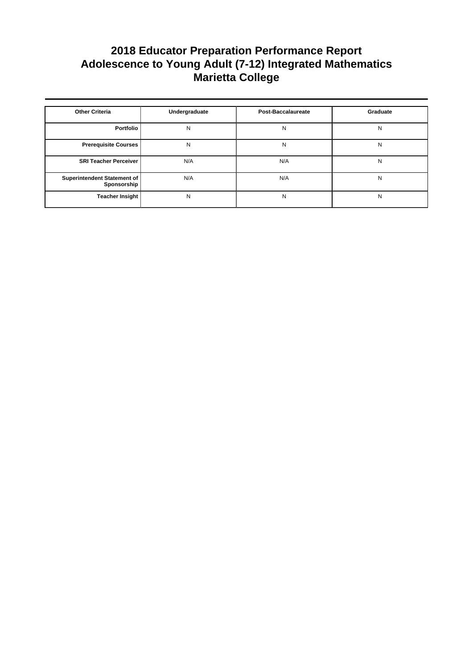| <b>Other Criteria</b>                      | Undergraduate | <b>Post-Baccalaureate</b> | Graduate |
|--------------------------------------------|---------------|---------------------------|----------|
| Portfolio                                  | N             | N                         | N        |
| <b>Prerequisite Courses</b>                | N             | N                         | N        |
| <b>SRI Teacher Perceiver</b>               | N/A           | N/A                       | N        |
| Superintendent Statement of<br>Sponsorship | N/A           | N/A                       | N        |
| <b>Teacher Insight</b>                     | N             | N                         | N        |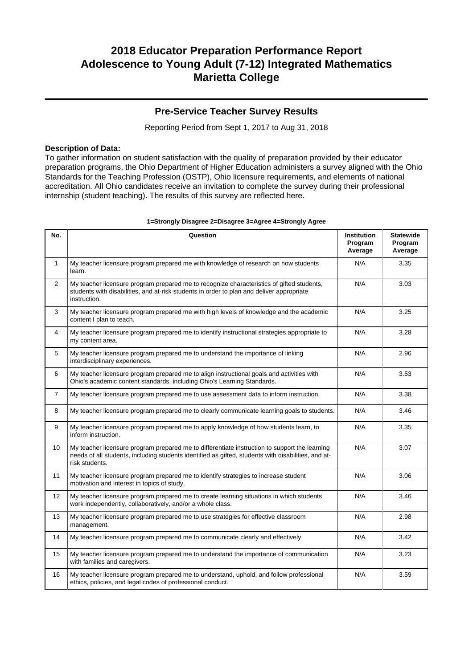### **Pre-Service Teacher Survey Results**

Reporting Period from Sept 1, 2017 to Aug 31, 2018

#### **Description of Data:**

To gather information on student satisfaction with the quality of preparation provided by their educator preparation programs, the Ohio Department of Higher Education administers a survey aligned with the Ohio Standards for the Teaching Profession (OSTP), Ohio licensure requirements, and elements of national accreditation. All Ohio candidates receive an invitation to complete the survey during their professional internship (student teaching). The results of this survey are reflected here.

| No.            | Question                                                                                                                                                                                                               | Institution<br>Program<br>Average | <b>Statewide</b><br>Program<br>Average |
|----------------|------------------------------------------------------------------------------------------------------------------------------------------------------------------------------------------------------------------------|-----------------------------------|----------------------------------------|
| $\mathbf{1}$   | My teacher licensure program prepared me with knowledge of research on how students<br>learn.                                                                                                                          | N/A                               | 3.35                                   |
| $\overline{2}$ | My teacher licensure program prepared me to recognize characteristics of gifted students,<br>students with disabilities, and at-risk students in order to plan and deliver appropriate<br>instruction.                 | N/A                               | 3.03                                   |
| 3              | My teacher licensure program prepared me with high levels of knowledge and the academic<br>content I plan to teach.                                                                                                    | N/A                               | 3.25                                   |
| 4              | My teacher licensure program prepared me to identify instructional strategies appropriate to<br>my content area.                                                                                                       | N/A                               | 3.28                                   |
| 5              | My teacher licensure program prepared me to understand the importance of linking<br>interdisciplinary experiences.                                                                                                     | N/A                               | 2.96                                   |
| 6              | My teacher licensure program prepared me to align instructional goals and activities with<br>Ohio's academic content standards, including Ohio's Learning Standards.                                                   | N/A                               | 3.53                                   |
| $\overline{7}$ | My teacher licensure program prepared me to use assessment data to inform instruction.                                                                                                                                 | N/A                               | 3.38                                   |
| 8              | My teacher licensure program prepared me to clearly communicate learning goals to students.                                                                                                                            | N/A                               | 3.46                                   |
| 9              | My teacher licensure program prepared me to apply knowledge of how students learn, to<br>inform instruction.                                                                                                           | N/A                               | 3.35                                   |
| 10             | My teacher licensure program prepared me to differentiate instruction to support the learning<br>needs of all students, including students identified as gifted, students with disabilities, and at-<br>risk students. | N/A                               | 3.07                                   |
| 11             | My teacher licensure program prepared me to identify strategies to increase student<br>motivation and interest in topics of study.                                                                                     | N/A                               | 3.06                                   |
| 12             | My teacher licensure program prepared me to create learning situations in which students<br>work independently, collaboratively, and/or a whole class.                                                                 | N/A                               | 3.46                                   |
| 13             | My teacher licensure program prepared me to use strategies for effective classroom<br>management.                                                                                                                      | N/A                               | 2.98                                   |
| 14             | My teacher licensure program prepared me to communicate clearly and effectively.                                                                                                                                       | N/A                               | 3.42                                   |
| 15             | My teacher licensure program prepared me to understand the importance of communication<br>with families and caregivers.                                                                                                | N/A                               | 3.23                                   |
| 16             | My teacher licensure program prepared me to understand, uphold, and follow professional<br>ethics, policies, and legal codes of professional conduct.                                                                  | N/A                               | 3.59                                   |

#### **1=Strongly Disagree 2=Disagree 3=Agree 4=Strongly Agree**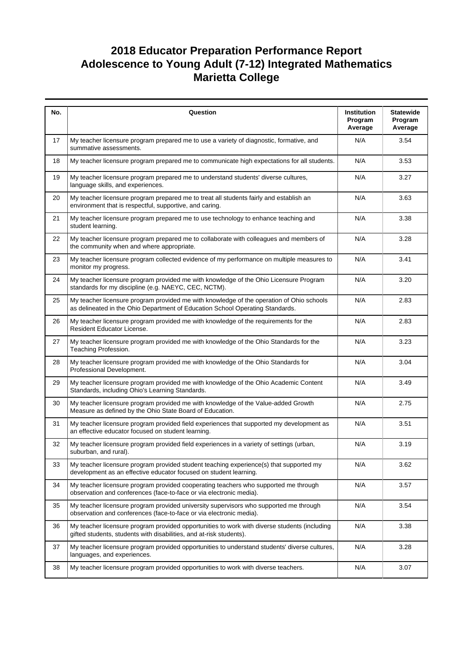| No. | Question                                                                                                                                                                  | Institution<br>Program<br>Average | <b>Statewide</b><br>Program<br>Average |
|-----|---------------------------------------------------------------------------------------------------------------------------------------------------------------------------|-----------------------------------|----------------------------------------|
| 17  | My teacher licensure program prepared me to use a variety of diagnostic, formative, and<br>summative assessments.                                                         | N/A                               | 3.54                                   |
| 18  | My teacher licensure program prepared me to communicate high expectations for all students.                                                                               | N/A                               | 3.53                                   |
| 19  | My teacher licensure program prepared me to understand students' diverse cultures,<br>language skills, and experiences.                                                   | N/A                               | 3.27                                   |
| 20  | My teacher licensure program prepared me to treat all students fairly and establish an<br>environment that is respectful, supportive, and caring.                         | N/A                               | 3.63                                   |
| 21  | My teacher licensure program prepared me to use technology to enhance teaching and<br>student learning.                                                                   | N/A                               | 3.38                                   |
| 22  | My teacher licensure program prepared me to collaborate with colleagues and members of<br>the community when and where appropriate.                                       | N/A                               | 3.28                                   |
| 23  | My teacher licensure program collected evidence of my performance on multiple measures to<br>monitor my progress.                                                         | N/A                               | 3.41                                   |
| 24  | My teacher licensure program provided me with knowledge of the Ohio Licensure Program<br>standards for my discipline (e.g. NAEYC, CEC, NCTM).                             | N/A                               | 3.20                                   |
| 25  | My teacher licensure program provided me with knowledge of the operation of Ohio schools<br>as delineated in the Ohio Department of Education School Operating Standards. | N/A                               | 2.83                                   |
| 26  | My teacher licensure program provided me with knowledge of the requirements for the<br>Resident Educator License.                                                         | N/A                               | 2.83                                   |
| 27  | My teacher licensure program provided me with knowledge of the Ohio Standards for the<br>Teaching Profession.                                                             | N/A                               | 3.23                                   |
| 28  | My teacher licensure program provided me with knowledge of the Ohio Standards for<br>Professional Development.                                                            | N/A                               | 3.04                                   |
| 29  | My teacher licensure program provided me with knowledge of the Ohio Academic Content<br>Standards, including Ohio's Learning Standards.                                   | N/A                               | 3.49                                   |
| 30  | My teacher licensure program provided me with knowledge of the Value-added Growth<br>Measure as defined by the Ohio State Board of Education.                             | N/A                               | 2.75                                   |
| 31  | My teacher licensure program provided field experiences that supported my development as<br>an effective educator focused on student learning.                            | N/A                               | 3.51                                   |
| 32  | My teacher licensure program provided field experiences in a variety of settings (urban,<br>suburban, and rural).                                                         | N/A                               | 3.19                                   |
| 33  | My teacher licensure program provided student teaching experience(s) that supported my<br>development as an effective educator focused on student learning.               | N/A                               | 3.62                                   |
| 34  | My teacher licensure program provided cooperating teachers who supported me through<br>observation and conferences (face-to-face or via electronic media).                | N/A                               | 3.57                                   |
| 35  | My teacher licensure program provided university supervisors who supported me through<br>observation and conferences (face-to-face or via electronic media).              | N/A                               | 3.54                                   |
| 36  | My teacher licensure program provided opportunities to work with diverse students (including<br>gifted students, students with disabilities, and at-risk students).       | N/A                               | 3.38                                   |
| 37  | My teacher licensure program provided opportunities to understand students' diverse cultures,<br>languages, and experiences.                                              | N/A                               | 3.28                                   |
| 38  | My teacher licensure program provided opportunities to work with diverse teachers.                                                                                        | N/A                               | 3.07                                   |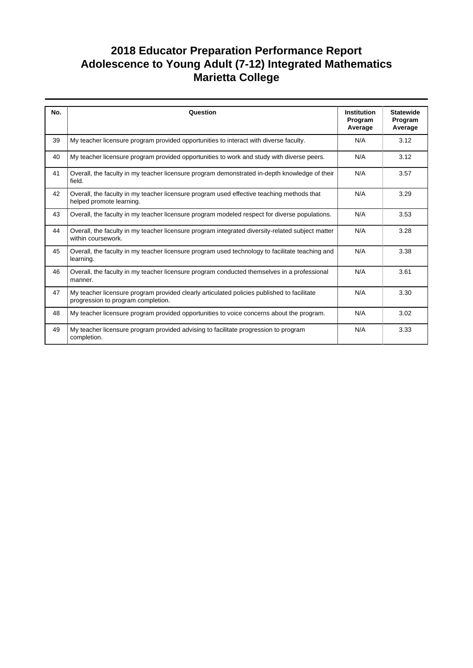| No. | Question                                                                                                                         | <b>Institution</b><br>Program<br>Average | <b>Statewide</b><br>Program<br>Average |
|-----|----------------------------------------------------------------------------------------------------------------------------------|------------------------------------------|----------------------------------------|
| 39  | My teacher licensure program provided opportunities to interact with diverse faculty.                                            | N/A                                      | 3.12                                   |
| 40  | My teacher licensure program provided opportunities to work and study with diverse peers.                                        | N/A                                      | 3.12                                   |
| 41  | Overall, the faculty in my teacher licensure program demonstrated in-depth knowledge of their<br>field.                          | N/A                                      | 3.57                                   |
| 42  | Overall, the faculty in my teacher licensure program used effective teaching methods that<br>helped promote learning.            | N/A                                      | 3.29                                   |
| 43  | Overall, the faculty in my teacher licensure program modeled respect for diverse populations.                                    | N/A                                      | 3.53                                   |
| 44  | Overall, the faculty in my teacher licensure program integrated diversity-related subject matter<br>within coursework.           | N/A                                      | 3.28                                   |
| 45  | Overall, the faculty in my teacher licensure program used technology to facilitate teaching and<br>learning.                     | N/A                                      | 3.38                                   |
| 46  | Overall, the faculty in my teacher licensure program conducted themselves in a professional<br>manner.                           | N/A                                      | 3.61                                   |
| 47  | My teacher licensure program provided clearly articulated policies published to facilitate<br>progression to program completion. | N/A                                      | 3.30                                   |
| 48  | My teacher licensure program provided opportunities to voice concerns about the program.                                         | N/A                                      | 3.02                                   |
| 49  | My teacher licensure program provided advising to facilitate progression to program<br>completion.                               | N/A                                      | 3.33                                   |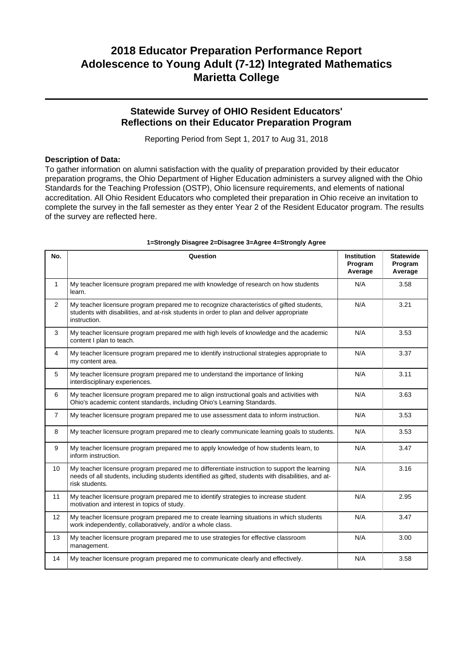### **Statewide Survey of OHIO Resident Educators' Reflections on their Educator Preparation Program**

Reporting Period from Sept 1, 2017 to Aug 31, 2018

#### **Description of Data:**

To gather information on alumni satisfaction with the quality of preparation provided by their educator preparation programs, the Ohio Department of Higher Education administers a survey aligned with the Ohio Standards for the Teaching Profession (OSTP), Ohio licensure requirements, and elements of national accreditation. All Ohio Resident Educators who completed their preparation in Ohio receive an invitation to complete the survey in the fall semester as they enter Year 2 of the Resident Educator program. The results of the survey are reflected here.

| No.            | Question                                                                                                                                                                                                               | <b>Institution</b><br>Program<br>Average | <b>Statewide</b><br>Program<br>Average |
|----------------|------------------------------------------------------------------------------------------------------------------------------------------------------------------------------------------------------------------------|------------------------------------------|----------------------------------------|
| $\mathbf{1}$   | My teacher licensure program prepared me with knowledge of research on how students<br>learn.                                                                                                                          | N/A                                      | 3.58                                   |
| $\overline{2}$ | My teacher licensure program prepared me to recognize characteristics of gifted students,<br>students with disabilities, and at-risk students in order to plan and deliver appropriate<br>instruction.                 | N/A                                      | 3.21                                   |
| 3              | My teacher licensure program prepared me with high levels of knowledge and the academic<br>content I plan to teach.                                                                                                    | N/A                                      | 3.53                                   |
| 4              | My teacher licensure program prepared me to identify instructional strategies appropriate to<br>my content area.                                                                                                       | N/A                                      | 3.37                                   |
| 5              | My teacher licensure program prepared me to understand the importance of linking<br>interdisciplinary experiences.                                                                                                     | N/A                                      | 3.11                                   |
| 6              | My teacher licensure program prepared me to align instructional goals and activities with<br>Ohio's academic content standards, including Ohio's Learning Standards.                                                   | N/A                                      | 3.63                                   |
| $\overline{7}$ | My teacher licensure program prepared me to use assessment data to inform instruction.                                                                                                                                 | N/A                                      | 3.53                                   |
| 8              | My teacher licensure program prepared me to clearly communicate learning goals to students.                                                                                                                            | N/A                                      | 3.53                                   |
| 9              | My teacher licensure program prepared me to apply knowledge of how students learn, to<br>inform instruction.                                                                                                           | N/A                                      | 3.47                                   |
| 10             | My teacher licensure program prepared me to differentiate instruction to support the learning<br>needs of all students, including students identified as gifted, students with disabilities, and at-<br>risk students. | N/A                                      | 3.16                                   |
| 11             | My teacher licensure program prepared me to identify strategies to increase student<br>motivation and interest in topics of study.                                                                                     | N/A                                      | 2.95                                   |
| 12             | My teacher licensure program prepared me to create learning situations in which students<br>work independently, collaboratively, and/or a whole class.                                                                 | N/A                                      | 3.47                                   |
| 13             | My teacher licensure program prepared me to use strategies for effective classroom<br>management.                                                                                                                      | N/A                                      | 3.00                                   |
| 14             | My teacher licensure program prepared me to communicate clearly and effectively.                                                                                                                                       | N/A                                      | 3.58                                   |

#### **1=Strongly Disagree 2=Disagree 3=Agree 4=Strongly Agree**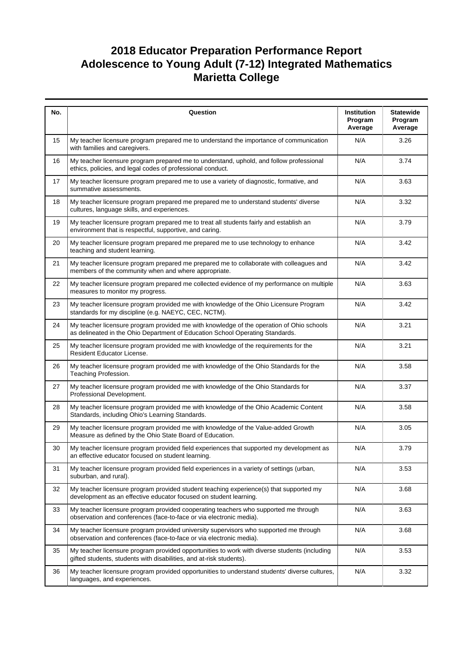| No. | Question                                                                                                                                                                  | Institution<br>Program<br>Average | <b>Statewide</b><br>Program<br>Average |
|-----|---------------------------------------------------------------------------------------------------------------------------------------------------------------------------|-----------------------------------|----------------------------------------|
| 15  | My teacher licensure program prepared me to understand the importance of communication<br>with families and caregivers.                                                   | N/A                               | 3.26                                   |
| 16  | My teacher licensure program prepared me to understand, uphold, and follow professional<br>ethics, policies, and legal codes of professional conduct.                     | N/A                               | 3.74                                   |
| 17  | My teacher licensure program prepared me to use a variety of diagnostic, formative, and<br>summative assessments.                                                         | N/A                               | 3.63                                   |
| 18  | My teacher licensure program prepared me prepared me to understand students' diverse<br>cultures, language skills, and experiences.                                       | N/A                               | 3.32                                   |
| 19  | My teacher licensure program prepared me to treat all students fairly and establish an<br>environment that is respectful, supportive, and caring.                         | N/A                               | 3.79                                   |
| 20  | My teacher licensure program prepared me prepared me to use technology to enhance<br>teaching and student learning.                                                       | N/A                               | 3.42                                   |
| 21  | My teacher licensure program prepared me prepared me to collaborate with colleagues and<br>members of the community when and where appropriate.                           | N/A                               | 3.42                                   |
| 22  | My teacher licensure program prepared me collected evidence of my performance on multiple<br>measures to monitor my progress.                                             | N/A                               | 3.63                                   |
| 23  | My teacher licensure program provided me with knowledge of the Ohio Licensure Program<br>standards for my discipline (e.g. NAEYC, CEC, NCTM).                             | N/A                               | 3.42                                   |
| 24  | My teacher licensure program provided me with knowledge of the operation of Ohio schools<br>as delineated in the Ohio Department of Education School Operating Standards. | N/A                               | 3.21                                   |
| 25  | My teacher licensure program provided me with knowledge of the requirements for the<br>Resident Educator License.                                                         | N/A                               | 3.21                                   |
| 26  | My teacher licensure program provided me with knowledge of the Ohio Standards for the<br>Teaching Profession.                                                             | N/A                               | 3.58                                   |
| 27  | My teacher licensure program provided me with knowledge of the Ohio Standards for<br>Professional Development.                                                            | N/A                               | 3.37                                   |
| 28  | My teacher licensure program provided me with knowledge of the Ohio Academic Content<br>Standards, including Ohio's Learning Standards.                                   | N/A                               | 3.58                                   |
| 29  | My teacher licensure program provided me with knowledge of the Value-added Growth<br>Measure as defined by the Ohio State Board of Education.                             | N/A                               | 3.05                                   |
| 30  | My teacher licensure program provided field experiences that supported my development as<br>an effective educator focused on student learning.                            | N/A                               | 3.79                                   |
| 31  | My teacher licensure program provided field experiences in a variety of settings (urban,<br>suburban, and rural).                                                         | N/A                               | 3.53                                   |
| 32  | My teacher licensure program provided student teaching experience(s) that supported my<br>development as an effective educator focused on student learning.               | N/A                               | 3.68                                   |
| 33  | My teacher licensure program provided cooperating teachers who supported me through<br>observation and conferences (face-to-face or via electronic media).                | N/A                               | 3.63                                   |
| 34  | My teacher licensure program provided university supervisors who supported me through<br>observation and conferences (face-to-face or via electronic media).              | N/A                               | 3.68                                   |
| 35  | My teacher licensure program provided opportunities to work with diverse students (including<br>gifted students, students with disabilities, and at-risk students).       | N/A                               | 3.53                                   |
| 36  | My teacher licensure program provided opportunities to understand students' diverse cultures,<br>languages, and experiences.                                              | N/A                               | 3.32                                   |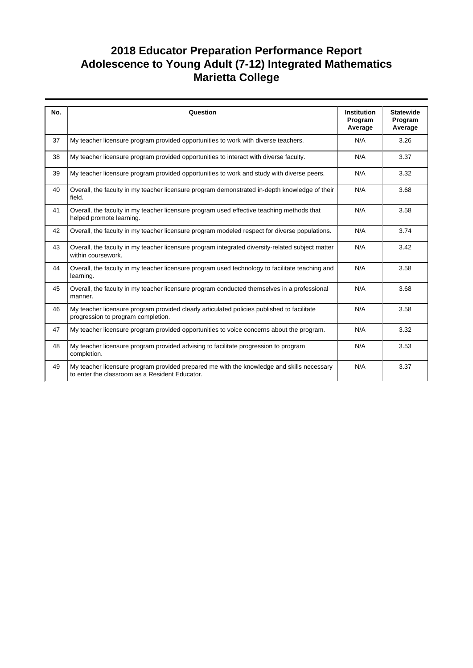| No. | Question                                                                                                                                    | <b>Institution</b><br>Program<br>Average | <b>Statewide</b><br>Program<br>Average |
|-----|---------------------------------------------------------------------------------------------------------------------------------------------|------------------------------------------|----------------------------------------|
| 37  | My teacher licensure program provided opportunities to work with diverse teachers.                                                          | N/A                                      | 3.26                                   |
| 38  | My teacher licensure program provided opportunities to interact with diverse faculty.                                                       | N/A                                      | 3.37                                   |
| 39  | My teacher licensure program provided opportunities to work and study with diverse peers.                                                   | N/A                                      | 3.32                                   |
| 40  | Overall, the faculty in my teacher licensure program demonstrated in-depth knowledge of their<br>field.                                     | N/A                                      | 3.68                                   |
| 41  | Overall, the faculty in my teacher licensure program used effective teaching methods that<br>helped promote learning.                       | N/A                                      | 3.58                                   |
| 42  | Overall, the faculty in my teacher licensure program modeled respect for diverse populations.                                               | N/A                                      | 3.74                                   |
| 43  | Overall, the faculty in my teacher licensure program integrated diversity-related subject matter<br>within coursework.                      | N/A                                      | 3.42                                   |
| 44  | Overall, the faculty in my teacher licensure program used technology to facilitate teaching and<br>learning.                                | N/A                                      | 3.58                                   |
| 45  | Overall, the faculty in my teacher licensure program conducted themselves in a professional<br>manner.                                      | N/A                                      | 3.68                                   |
| 46  | My teacher licensure program provided clearly articulated policies published to facilitate<br>progression to program completion.            | N/A                                      | 3.58                                   |
| 47  | My teacher licensure program provided opportunities to voice concerns about the program.                                                    | N/A                                      | 3.32                                   |
| 48  | My teacher licensure program provided advising to facilitate progression to program<br>completion.                                          | N/A                                      | 3.53                                   |
| 49  | My teacher licensure program provided prepared me with the knowledge and skills necessary<br>to enter the classroom as a Resident Educator. | N/A                                      | 3.37                                   |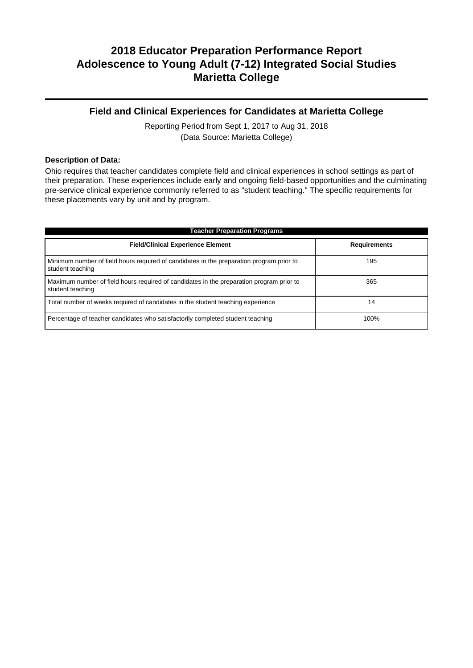### **Field and Clinical Experiences for Candidates at Marietta College**

Reporting Period from Sept 1, 2017 to Aug 31, 2018 (Data Source: Marietta College)

#### **Description of Data:**

Ohio requires that teacher candidates complete field and clinical experiences in school settings as part of their preparation. These experiences include early and ongoing field-based opportunities and the culminating pre-service clinical experience commonly referred to as "student teaching." The specific requirements for these placements vary by unit and by program.

| <b>Teacher Preparation Programs</b>                                                                          |                     |  |  |
|--------------------------------------------------------------------------------------------------------------|---------------------|--|--|
| <b>Field/Clinical Experience Element</b>                                                                     | <b>Requirements</b> |  |  |
| Minimum number of field hours required of candidates in the preparation program prior to<br>student teaching | 195                 |  |  |
| Maximum number of field hours required of candidates in the preparation program prior to<br>student teaching | 365                 |  |  |
| Total number of weeks required of candidates in the student teaching experience                              | 14                  |  |  |
| Percentage of teacher candidates who satisfactorily completed student teaching                               | 100%                |  |  |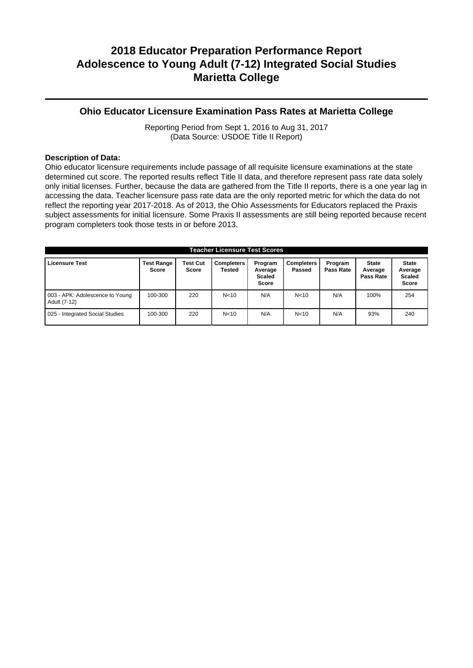#### **Ohio Educator Licensure Examination Pass Rates at Marietta College**

Reporting Period from Sept 1, 2016 to Aug 31, 2017 (Data Source: USDOE Title II Report)

#### **Description of Data:**

Ohio educator licensure requirements include passage of all requisite licensure examinations at the state determined cut score. The reported results reflect Title II data, and therefore represent pass rate data solely only initial licenses. Further, because the data are gathered from the Title II reports, there is a one year lag in accessing the data. Teacher licensure pass rate data are the only reported metric for which the data do not reflect the reporting year 2017-2018. As of 2013, the Ohio Assessments for Educators replaced the Praxis subject assessments for initial licensure. Some Praxis II assessments are still being reported because recent program completers took those tests in or before 2013.

| <b>Teacher Licensure Test Scores</b>            |                                   |                                 |                             |                                              |                             |                      |                                      |                                                          |
|-------------------------------------------------|-----------------------------------|---------------------------------|-----------------------------|----------------------------------------------|-----------------------------|----------------------|--------------------------------------|----------------------------------------------------------|
| <b>Licensure Test</b>                           | <b>Test Range</b><br><b>Score</b> | <b>Test Cut</b><br><b>Score</b> | <b>Completers</b><br>Tested | Program<br>Average<br><b>Scaled</b><br>Score | <b>Completers</b><br>Passed | Program<br>Pass Rate | <b>State</b><br>Average<br>Pass Rate | <b>State</b><br>Average<br><b>Scaled</b><br><b>Score</b> |
| 003 - APK: Adolescence to Young<br>Adult (7-12) | 100-300                           | 220                             | N <sub>10</sub>             | N/A                                          | N < 10                      | N/A                  | 100%                                 | 254                                                      |
| 025 - Integrated Social Studies                 | 100-300                           | 220                             | N <sub>10</sub>             | N/A                                          | N <sub>10</sub>             | N/A                  | 93%                                  | 240                                                      |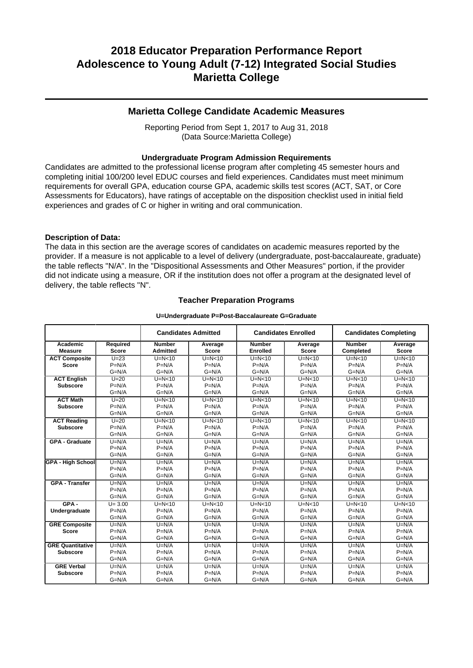### **Marietta College Candidate Academic Measures**

Reporting Period from Sept 1, 2017 to Aug 31, 2018 (Data Source:Marietta College)

#### **Undergraduate Program Admission Requirements**

Candidates are admitted to the professional license program after completing 45 semester hours and completing initial 100/200 level EDUC courses and field experiences. Candidates must meet minimum requirements for overall GPA, education course GPA, academic skills test scores (ACT, SAT, or Core Assessments for Educators), have ratings of acceptable on the disposition checklist used in initial field experiences and grades of C or higher in writing and oral communication.

#### **Description of Data:**

The data in this section are the average scores of candidates on academic measures reported by the provider. If a measure is not applicable to a level of delivery (undergraduate, post-baccalaureate, graduate) the table reflects "N/A". In the "Dispositional Assessments and Other Measures" portion, if the provider did not indicate using a measure, OR if the institution does not offer a program at the designated level of delivery, the table reflects "N".

#### **Teacher Preparation Programs**

#### **U=Undergraduate P=Post-Baccalaureate G=Graduate**

| <b>Candidates Admitted</b> |              | <b>Candidates Enrolled</b> |              | <b>Candidates Completing</b> |              |               |              |
|----------------------------|--------------|----------------------------|--------------|------------------------------|--------------|---------------|--------------|
| Academic                   | Required     | <b>Number</b>              | Average      | <b>Number</b>                | Average      | <b>Number</b> | Average      |
| <b>Measure</b>             | <b>Score</b> | <b>Admitted</b>            | <b>Score</b> | <b>Enrolled</b>              | <b>Score</b> | Completed     | <b>Score</b> |
| <b>ACT Composite</b>       | $U=23$       | $U=N<10$                   | $U=N<10$     | $U=N<10$                     | $U=N<10$     | $U=N<10$      | $U=N<10$     |
| <b>Score</b>               | $P=N/A$      | $P=N/A$                    | $P=N/A$      | $P=N/A$                      | $P=N/A$      | $P=N/A$       | $P=N/A$      |
|                            | $G=N/A$      | $G=N/A$                    | $G=N/A$      | $G=N/A$                      | $G=N/A$      | $G=N/A$       | $G=N/A$      |
| <b>ACT English</b>         | $U=20$       | $U=N<10$                   | $U=N<10$     | $U=N<10$                     | $U=N<10$     | $U=N<10$      | $U=N<10$     |
| <b>Subscore</b>            | $P=N/A$      | $P=N/A$                    | $P=N/A$      | $P=N/A$                      | $P=N/A$      | $P=N/A$       | $P=N/A$      |
|                            | $G=N/A$      | $G=N/A$                    | $G=N/A$      | $G=N/A$                      | $G=N/A$      | $G=N/A$       | $G=N/A$      |
| <b>ACT Math</b>            | $U=20$       | $U=N<10$                   | $U=N<10$     | $U=N<10$                     | $U=N<10$     | $U=N<10$      | $U=N<10$     |
| <b>Subscore</b>            | $P=N/A$      | $P=N/A$                    | $P=N/A$      | $P=N/A$                      | $P=N/A$      | $P=N/A$       | $P=N/A$      |
|                            | $G=N/A$      | $G=N/A$                    | $G=N/A$      | $G=N/A$                      | $G=N/A$      | $G=N/A$       | $G=N/A$      |
| <b>ACT Reading</b>         | $U=20$       | $U=N<10$                   | $U=N<10$     | $U=N<10$                     | $U=N<10$     | $U=N<10$      | $U=N10$      |
| <b>Subscore</b>            | $P=N/A$      | $P=N/A$                    | $P=N/A$      | $P=N/A$                      | $P=N/A$      | $P=N/A$       | $P=N/A$      |
|                            | $G=N/A$      | $G=N/A$                    | $G=N/A$      | $G=N/A$                      | $G=N/A$      | $G=N/A$       | $G=N/A$      |
| <b>GPA - Graduate</b>      | $U=N/A$      | $U=N/A$                    | $U=N/A$      | $U=N/A$                      | $U=N/A$      | $U=N/A$       | $U=N/A$      |
|                            | $P=N/A$      | $P=N/A$                    | $P=N/A$      | $P=N/A$                      | $P=N/A$      | $P=N/A$       | $P=N/A$      |
|                            | $G=N/A$      | $G=N/A$                    | $G=N/A$      | $G=N/A$                      | $G=N/A$      | $G=N/A$       | $G=N/A$      |
| <b>GPA - High School</b>   | $U=N/A$      | $U=N/A$                    | $U=N/A$      | $U=N/A$                      | $U=N/A$      | $U=N/A$       | $U=N/A$      |
|                            | $P=N/A$      | $P=N/A$                    | $P=N/A$      | $P=N/A$                      | $P=N/A$      | $P=N/A$       | $P=N/A$      |
|                            | $G=N/A$      | $G=N/A$                    | $G=N/A$      | $G=N/A$                      | $G=N/A$      | $G=N/A$       | $G=N/A$      |
| <b>GPA - Transfer</b>      | $U=N/A$      | $U=N/A$                    | $U=N/A$      | $U=N/A$                      | $U=N/A$      | $U=N/A$       | $U=N/A$      |
|                            | $P=N/A$      | $P=N/A$                    | $P=N/A$      | $P=N/A$                      | $P=N/A$      | $P=N/A$       | $P=N/A$      |
|                            | $G=N/A$      | $G=N/A$                    | $G=N/A$      | $G=N/A$                      | $G=N/A$      | $G=N/A$       | $G=N/A$      |
| $GPA -$                    | $U = 3.00$   | $U=N<10$                   | $U=N<10$     | $U=N<10$                     | $U=N<10$     | $U=N<10$      | $U=N10$      |
| Undergraduate              | $P=N/A$      | $P=N/A$                    | $P=N/A$      | $P=N/A$                      | $P=N/A$      | $P=N/A$       | $P=N/A$      |
|                            | $G=N/A$      | $G=N/A$                    | $G=N/A$      | $G=N/A$                      | $G=N/A$      | $G=N/A$       | $G=N/A$      |
| <b>GRE Composite</b>       | $U=N/A$      | $U=N/A$                    | $U=N/A$      | $U=N/A$                      | $U=N/A$      | $U=N/A$       | $U=N/A$      |
| <b>Score</b>               | $P=N/A$      | $P=N/A$                    | $P=N/A$      | $P=N/A$                      | $P=N/A$      | $P=N/A$       | $P=N/A$      |
|                            | $G=N/A$      | $G=N/A$                    | $G=N/A$      | $G=N/A$                      | $G=N/A$      | $G=N/A$       | $G=N/A$      |
| <b>GRE Quantitative</b>    | $U=N/A$      | $U=N/A$                    | $U=N/A$      | $U=N/A$                      | $U=N/A$      | $U=N/A$       | $U=N/A$      |
| <b>Subscore</b>            | $P=N/A$      | $P=N/A$                    | $P=N/A$      | $P=N/A$                      | $P=N/A$      | $P=N/A$       | $P=N/A$      |
|                            | $G=N/A$      | $G=N/A$                    | $G=N/A$      | $G=N/A$                      | $G=N/A$      | $G=N/A$       | $G=N/A$      |
| <b>GRE Verbal</b>          | $U=N/A$      | $U=N/A$                    | $U=N/A$      | $U=N/A$                      | $U=N/A$      | $U=N/A$       | $U=N/A$      |
| <b>Subscore</b>            | $P=N/A$      | $P=N/A$                    | $P=N/A$      | $P=N/A$                      | $P=N/A$      | $P=N/A$       | $P=N/A$      |
|                            | $G=N/A$      | $G=N/A$                    | $G=N/A$      | $G=N/A$                      | $G=N/A$      | $G=N/A$       | $G=N/A$      |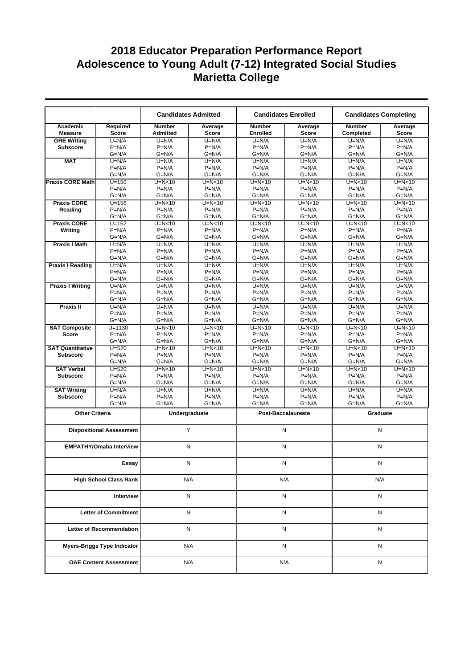|                               |                                    |                                  | <b>Candidates Admitted</b> |                                  | <b>Candidates Enrolled</b> | <b>Candidates Completing</b> |                         |
|-------------------------------|------------------------------------|----------------------------------|----------------------------|----------------------------------|----------------------------|------------------------------|-------------------------|
| Academic<br><b>Measure</b>    | Reauired<br><b>Score</b>           | <b>Number</b><br><b>Admitted</b> | Average<br><b>Score</b>    | <b>Number</b><br><b>Enrolled</b> | Average<br><b>Score</b>    | <b>Number</b><br>Completed   | Average<br><b>Score</b> |
| <b>GRE Writing</b>            | $U=N/A$                            | $U=N/A$                          | $U=N/A$                    | $U=N/A$                          | $U=N/A$                    | $U=N/A$                      | $U=N/A$                 |
| <b>Subscore</b>               | $P=N/A$                            | $P=N/A$                          | $P=N/A$                    | $P=N/A$                          | $P=N/A$                    | $P=N/A$                      | $P=N/A$                 |
|                               | $G=N/A$                            | $G=N/A$                          | $G=N/A$                    | $G=N/A$                          | $G=N/A$                    | $G=N/A$                      | $G=N/A$                 |
| <b>MAT</b>                    | $U=N/A$                            | $U=N/A$                          | $U=N/A$                    | $U=N/A$                          | $U=N/A$                    | $U=N/A$                      | $U=N/A$                 |
|                               | $P=N/A$                            | $P=N/A$                          | $P=N/A$                    | $P=N/A$                          | $P=N/A$                    | $P=N/A$                      | $P=N/A$                 |
|                               | $G=N/A$                            | $G=N/A$                          | $G=N/A$                    | $G=N/A$                          | $G=N/A$                    | $G=N/A$                      | $G=N/A$                 |
| <b>Praxis CORE Math</b>       | $U = 150$                          | $U=N<10$                         | $U=N<10$                   | $U=N<10$                         | $U=N<10$                   | $U=N<10$                     | $U=N<10$                |
|                               | $P=N/A$<br>$G=N/A$                 | $P=N/A$<br>$G=N/A$               | $P=N/A$<br>$G=N/A$         | $P=N/A$<br>$G=N/A$               | $P=N/A$<br>$G=N/A$         | $P=N/A$<br>$G=N/A$           | $P=N/A$<br>$G=N/A$      |
| <b>Praxis CORE</b>            | $U = 156$                          | $U=N<10$                         | $U=N<10$                   | $U=N<10$                         | $U=N<10$                   | $U=N10$                      | $U=N10$                 |
| Reading                       | $P=N/A$                            | $P=N/A$                          | $P=N/A$                    | $P=N/A$                          | $P=N/A$                    | $P=N/A$                      | $P=N/A$                 |
|                               | $G=N/A$                            | $G=N/A$                          | $G=N/A$                    | $G=N/A$                          | $G=N/A$                    | $G=N/A$                      | $G=N/A$                 |
| <b>Praxis CORE</b>            | $U = 162$                          | $U=N<10$                         | $U=N10$                    | $U=N<10$                         | $U=N10$                    | $U=N10$                      | $U=N10$                 |
| Writing                       | $P=N/A$                            | $P=N/A$                          | $P=N/A$                    | $P=N/A$                          | $P=N/A$                    | $P=N/A$                      | $P=N/A$                 |
|                               | $G=N/A$                            | $G=N/A$                          | $G=N/A$                    | $G=N/A$                          | $G=N/A$                    | $G=N/A$                      | $G=N/A$                 |
| <b>Praxis I Math</b>          | $U=N/A$                            | $U=N/A$                          | $U=N/A$                    | $U=N/A$                          | $U=N/A$                    | $U=N/A$                      | $U=N/A$                 |
|                               | $P=N/A$                            | $P=N/A$                          | $P=N/A$                    | $P=N/A$                          | $P=N/A$                    | $P=N/A$                      | $P=N/A$                 |
|                               | $G=N/A$                            | $G=N/A$                          | $G=N/A$                    | $G=N/A$                          | $G=N/A$                    | $G=N/A$                      | $G=N/A$                 |
| <b>Praxis I Reading</b>       | $U=N/A$                            | $U=N/A$                          | $U=N/A$                    | $U=N/A$                          | $U=N/A$                    | $U=N/A$                      | $U=N/A$                 |
|                               | $P=N/A$                            | $P=N/A$                          | $P=N/A$                    | $P=N/A$                          | $P=N/A$                    | $P=N/A$                      | $P=N/A$                 |
|                               | $G=N/A$                            | $G=N/A$                          | $G=N/A$                    | $G=N/A$                          | $G=N/A$                    | $G=N/A$                      | $G=N/A$                 |
| <b>Praxis I Writing</b>       | $U=N/A$                            | $U=N/A$                          | $U=N/A$                    | $U=N/A$                          | $U=N/A$                    | $U=N/A$                      | $U=N/A$                 |
|                               | $P=N/A$                            | $P=N/A$                          | $P=N/A$                    | $P=N/A$                          | $P=N/A$                    | $P=N/A$                      | $P=N/A$                 |
|                               | $G=N/A$                            | $G=N/A$                          | $G=N/A$                    | $G=N/A$                          | $G=N/A$                    | $G=N/A$                      | $G=N/A$                 |
| Praxis II                     | $U=N/A$<br>$P=N/A$                 | $U=N/A$<br>$P=N/A$               | $U=N/A$                    | $U=N/A$<br>$P=N/A$               | $U=N/A$<br>$P=N/A$         | $U=N/A$<br>$P=N/A$           | $U=N/A$<br>$P=N/A$      |
|                               | $G=N/A$                            | $G=N/A$                          | $P=N/A$<br>$G=N/A$         | $G=N/A$                          | $G=N/A$                    | $G=N/A$                      | $G=N/A$                 |
| <b>SAT Composite</b>          | $U = 1130$                         | $U=N<10$                         | $U=N0$                     | $U=N10$                          | $U=N<10$                   | $U=N10$                      | $U=N<10$                |
| <b>Score</b>                  | $P=N/A$                            | $P=N/A$                          | $P=N/A$                    | $P=N/A$                          | $P=N/A$                    | $P=N/A$                      | $P=N/A$                 |
|                               | $G=N/A$                            | $G=N/A$                          | $G=N/A$                    | $G=N/A$                          | $G=N/A$                    | $G=N/A$                      | $G=N/A$                 |
| <b>SAT Quantitative</b>       | $U = 520$                          | $U=N<10$                         | $U=N<10$                   | $U=N<10$                         | $U=N<10$                   | $U=N<10$                     | $U=N<10$                |
| <b>Subscore</b>               | $P=N/A$                            | $P=N/A$                          | $P=N/A$                    | $P=N/A$                          | $P=N/A$                    | $P=N/A$                      | $P=N/A$                 |
|                               | $G=N/A$                            | $G=N/A$                          | $G=N/A$                    | $G=N/A$                          | $G=N/A$                    | $G=N/A$                      | $G=N/A$                 |
| <b>SAT Verbal</b>             | $U = 520$                          | $U=N<10$                         | $U=N10$                    | $U=N<10$                         | $U=N10$                    | $U=N10$                      | $U=N10$                 |
| <b>Subscore</b>               | $P=N/A$                            | $P=N/A$                          | $P=N/A$                    | $P=N/A$                          | $P=N/A$                    | $P=N/A$                      | $P=N/A$                 |
|                               | $G=N/A$                            | $G=N/A$                          | $G=N/A$                    | $G=N/A$                          | $G=N/A$                    | $G=N/A$                      | $G=N/A$                 |
| <b>SAT Writing</b>            | $U=N/A$                            | $U=N/A$                          | $U=N/A$                    | $U=N/A$                          | $U=N/A$                    | $U=N/A$                      | $U=N/A$                 |
| <b>Subscore</b>               | $P=N/A$                            | $P=N/A$                          | $P=N/A$                    | $P=N/A$                          | $P=N/A$                    | $P=N/A$                      | $P=N/A$                 |
|                               | $G=N/A$                            | G=N/A                            | $G=N/A$                    | $G=N/A$                          | $G=N/A$                    | $G=N/A$                      | $G=N/A$                 |
| <b>Other Criteria</b>         |                                    |                                  | Undergraduate              |                                  | <b>Post-Baccalaureate</b>  | Graduate                     |                         |
|                               | <b>Dispositional Assessment</b>    |                                  | Y                          |                                  | N                          | N                            |                         |
|                               | <b>EMPATHY/Omaha Interview</b>     |                                  | N                          |                                  | N                          | N                            |                         |
|                               |                                    |                                  |                            |                                  |                            |                              |                         |
|                               | Essay                              |                                  | N                          |                                  | N                          | N                            |                         |
| <b>High School Class Rank</b> |                                    |                                  | N/A                        |                                  | N/A                        | N/A                          |                         |
| Interview                     |                                    |                                  | N                          |                                  | N                          | Ν                            |                         |
| <b>Letter of Commitment</b>   |                                    |                                  | N                          |                                  | N                          | Ν                            |                         |
|                               | <b>Letter of Recommendation</b>    |                                  | N                          |                                  | N                          | Ν                            |                         |
|                               | <b>Myers-Briggs Type Indicator</b> |                                  | N/A                        |                                  | Ν                          | N                            |                         |
|                               |                                    |                                  |                            |                                  |                            |                              |                         |
|                               | <b>OAE Content Assessment</b>      |                                  | N/A                        |                                  | N/A                        | N                            |                         |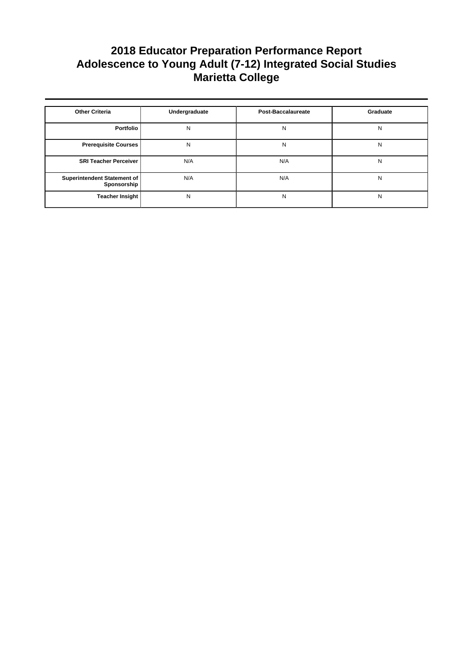| <b>Other Criteria</b>                      | Undergraduate | <b>Post-Baccalaureate</b> | Graduate |
|--------------------------------------------|---------------|---------------------------|----------|
| Portfolio                                  | N             | N                         | N        |
| <b>Prerequisite Courses</b>                | N             | N                         | N        |
| <b>SRI Teacher Perceiver</b>               | N/A           | N/A                       | N        |
| Superintendent Statement of<br>Sponsorship | N/A           | N/A                       | N        |
| <b>Teacher Insight</b>                     | N             | N                         | N        |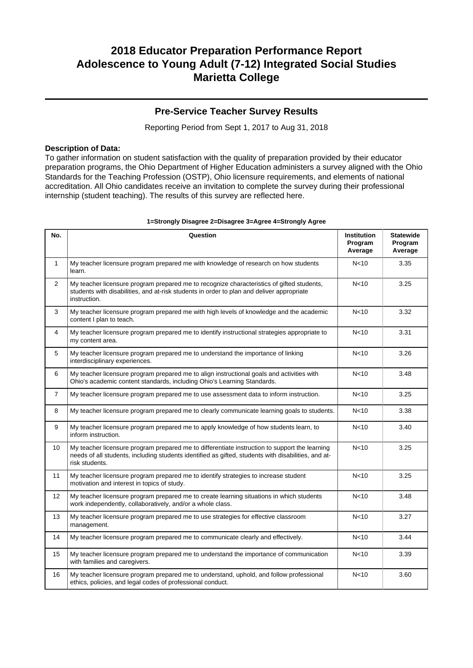### **Pre-Service Teacher Survey Results**

Reporting Period from Sept 1, 2017 to Aug 31, 2018

#### **Description of Data:**

To gather information on student satisfaction with the quality of preparation provided by their educator preparation programs, the Ohio Department of Higher Education administers a survey aligned with the Ohio Standards for the Teaching Profession (OSTP), Ohio licensure requirements, and elements of national accreditation. All Ohio candidates receive an invitation to complete the survey during their professional internship (student teaching). The results of this survey are reflected here.

| No.            | Question                                                                                                                                                                                                               | Institution<br>Program<br>Average | <b>Statewide</b><br>Program<br>Average |
|----------------|------------------------------------------------------------------------------------------------------------------------------------------------------------------------------------------------------------------------|-----------------------------------|----------------------------------------|
| $\mathbf{1}$   | My teacher licensure program prepared me with knowledge of research on how students<br>learn.                                                                                                                          | N <sub>10</sub>                   | 3.35                                   |
| $\overline{2}$ | My teacher licensure program prepared me to recognize characteristics of gifted students,<br>students with disabilities, and at-risk students in order to plan and deliver appropriate<br>instruction.                 | N <sub>10</sub>                   | 3.25                                   |
| 3              | My teacher licensure program prepared me with high levels of knowledge and the academic<br>content I plan to teach.                                                                                                    | N <sub>10</sub>                   | 3.32                                   |
| 4              | My teacher licensure program prepared me to identify instructional strategies appropriate to<br>my content area.                                                                                                       | N <sub>10</sub>                   | 3.31                                   |
| 5              | My teacher licensure program prepared me to understand the importance of linking<br>interdisciplinary experiences.                                                                                                     | N <sub>10</sub>                   | 3.26                                   |
| 6              | My teacher licensure program prepared me to align instructional goals and activities with<br>Ohio's academic content standards, including Ohio's Learning Standards.                                                   | N <sub>10</sub>                   | 3.48                                   |
| $\overline{7}$ | My teacher licensure program prepared me to use assessment data to inform instruction.                                                                                                                                 | N <sub>10</sub>                   | 3.25                                   |
| 8              | My teacher licensure program prepared me to clearly communicate learning goals to students.                                                                                                                            | N <sub>10</sub>                   | 3.38                                   |
| 9              | My teacher licensure program prepared me to apply knowledge of how students learn, to<br>inform instruction.                                                                                                           | N <sub>10</sub>                   | 3.40                                   |
| 10             | My teacher licensure program prepared me to differentiate instruction to support the learning<br>needs of all students, including students identified as gifted, students with disabilities, and at-<br>risk students. | N <sub>10</sub>                   | 3.25                                   |
| 11             | My teacher licensure program prepared me to identify strategies to increase student<br>motivation and interest in topics of study.                                                                                     | N <sub>10</sub>                   | 3.25                                   |
| 12             | My teacher licensure program prepared me to create learning situations in which students<br>work independently, collaboratively, and/or a whole class.                                                                 | N <sub>10</sub>                   | 3.48                                   |
| 13             | My teacher licensure program prepared me to use strategies for effective classroom<br>management.                                                                                                                      | N <sub>10</sub>                   | 3.27                                   |
| 14             | My teacher licensure program prepared me to communicate clearly and effectively.                                                                                                                                       | N <sub>10</sub>                   | 3.44                                   |
| 15             | My teacher licensure program prepared me to understand the importance of communication<br>with families and caregivers.                                                                                                | N <sub>10</sub>                   | 3.39                                   |
| 16             | My teacher licensure program prepared me to understand, uphold, and follow professional<br>ethics, policies, and legal codes of professional conduct.                                                                  | N <sub>10</sub>                   | 3.60                                   |

#### **1=Strongly Disagree 2=Disagree 3=Agree 4=Strongly Agree**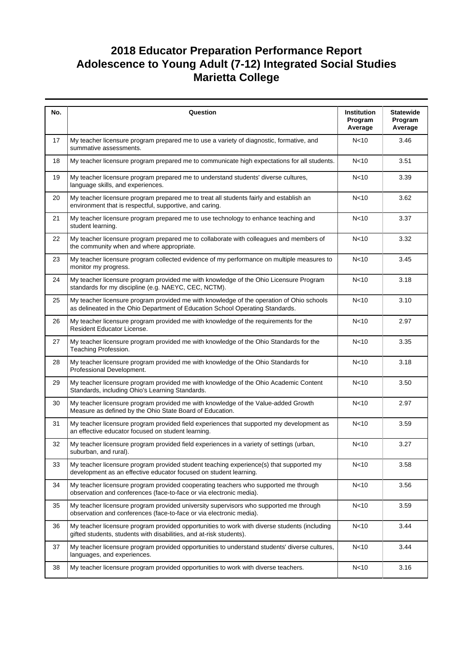| No. | Question                                                                                                                                                                  | Institution<br>Program<br>Average | <b>Statewide</b><br>Program<br>Average |
|-----|---------------------------------------------------------------------------------------------------------------------------------------------------------------------------|-----------------------------------|----------------------------------------|
| 17  | My teacher licensure program prepared me to use a variety of diagnostic, formative, and<br>summative assessments.                                                         | N <sub>10</sub>                   | 3.46                                   |
| 18  | My teacher licensure program prepared me to communicate high expectations for all students.                                                                               | N <sub>10</sub>                   | 3.51                                   |
| 19  | My teacher licensure program prepared me to understand students' diverse cultures,<br>language skills, and experiences.                                                   | N <sub>10</sub>                   | 3.39                                   |
| 20  | My teacher licensure program prepared me to treat all students fairly and establish an<br>environment that is respectful, supportive, and caring.                         | N <sub>10</sub>                   | 3.62                                   |
| 21  | My teacher licensure program prepared me to use technology to enhance teaching and<br>student learning.                                                                   | N <sub>10</sub>                   | 3.37                                   |
| 22  | My teacher licensure program prepared me to collaborate with colleagues and members of<br>the community when and where appropriate.                                       | N <sub>10</sub>                   | 3.32                                   |
| 23  | My teacher licensure program collected evidence of my performance on multiple measures to<br>monitor my progress.                                                         | N < 10                            | 3.45                                   |
| 24  | My teacher licensure program provided me with knowledge of the Ohio Licensure Program<br>standards for my discipline (e.g. NAEYC, CEC, NCTM).                             | N <sub>10</sub>                   | 3.18                                   |
| 25  | My teacher licensure program provided me with knowledge of the operation of Ohio schools<br>as delineated in the Ohio Department of Education School Operating Standards. | N <sub>10</sub>                   | 3.10                                   |
| 26  | My teacher licensure program provided me with knowledge of the requirements for the<br>Resident Educator License.                                                         | N <sub>10</sub>                   | 2.97                                   |
| 27  | My teacher licensure program provided me with knowledge of the Ohio Standards for the<br>Teaching Profession.                                                             | N <sub>10</sub>                   | 3.35                                   |
| 28  | My teacher licensure program provided me with knowledge of the Ohio Standards for<br>Professional Development.                                                            | N <sub>10</sub>                   | 3.18                                   |
| 29  | My teacher licensure program provided me with knowledge of the Ohio Academic Content<br>Standards, including Ohio's Learning Standards.                                   | N <sub>10</sub>                   | 3.50                                   |
| 30  | My teacher licensure program provided me with knowledge of the Value-added Growth<br>Measure as defined by the Ohio State Board of Education.                             | N <sub>10</sub>                   | 2.97                                   |
| 31  | My teacher licensure program provided field experiences that supported my development as<br>an effective educator focused on student learning.                            | N <sub>10</sub>                   | 3.59                                   |
| 32  | My teacher licensure program provided field experiences in a variety of settings (urban,<br>suburban, and rural).                                                         | N <sub>10</sub>                   | 3.27                                   |
| 33  | My teacher licensure program provided student teaching experience(s) that supported my<br>development as an effective educator focused on student learning.               | N <sub>10</sub>                   | 3.58                                   |
| 34  | My teacher licensure program provided cooperating teachers who supported me through<br>observation and conferences (face-to-face or via electronic media).                | N <sub>10</sub>                   | 3.56                                   |
| 35  | My teacher licensure program provided university supervisors who supported me through<br>observation and conferences (face-to-face or via electronic media).              | N<10                              | 3.59                                   |
| 36  | My teacher licensure program provided opportunities to work with diverse students (including<br>gifted students, students with disabilities, and at-risk students).       | N <sub>10</sub>                   | 3.44                                   |
| 37  | My teacher licensure program provided opportunities to understand students' diverse cultures,<br>languages, and experiences.                                              | N <sub>10</sub>                   | 3.44                                   |
| 38  | My teacher licensure program provided opportunities to work with diverse teachers.                                                                                        | N <sub>10</sub>                   | 3.16                                   |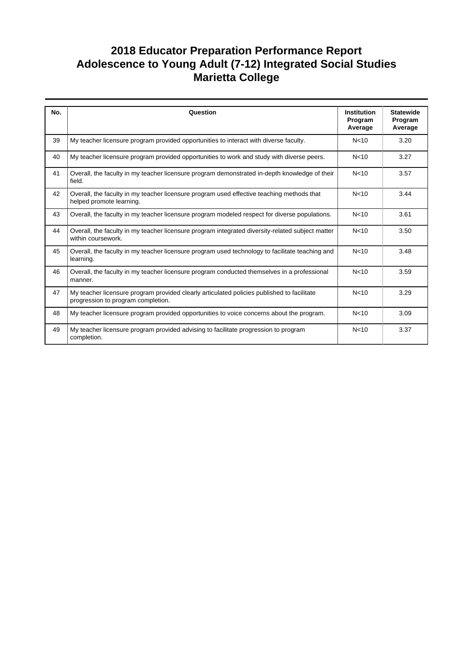| No. | Question                                                                                                                         | <b>Institution</b><br>Program<br>Average | <b>Statewide</b><br>Program<br>Average |
|-----|----------------------------------------------------------------------------------------------------------------------------------|------------------------------------------|----------------------------------------|
| 39  | My teacher licensure program provided opportunities to interact with diverse faculty.                                            | N <sub>10</sub>                          | 3.20                                   |
| 40  | My teacher licensure program provided opportunities to work and study with diverse peers.                                        | N <sub>10</sub>                          | 3.27                                   |
| 41  | Overall, the faculty in my teacher licensure program demonstrated in-depth knowledge of their<br>field.                          | N <sub>10</sub>                          | 3.57                                   |
| 42  | Overall, the faculty in my teacher licensure program used effective teaching methods that<br>helped promote learning.            | N <sub>10</sub>                          | 3.44                                   |
| 43  | Overall, the faculty in my teacher licensure program modeled respect for diverse populations.                                    | N <sub>10</sub>                          | 3.61                                   |
| 44  | Overall, the faculty in my teacher licensure program integrated diversity-related subject matter<br>within coursework.           | N <sub>10</sub>                          | 3.50                                   |
| 45  | Overall, the faculty in my teacher licensure program used technology to facilitate teaching and<br>learning.                     | N <sub>10</sub>                          | 3.48                                   |
| 46  | Overall, the faculty in my teacher licensure program conducted themselves in a professional<br>manner.                           | N <sub>10</sub>                          | 3.59                                   |
| 47  | My teacher licensure program provided clearly articulated policies published to facilitate<br>progression to program completion. | N <sub>10</sub>                          | 3.29                                   |
| 48  | My teacher licensure program provided opportunities to voice concerns about the program.                                         | N <sub>10</sub>                          | 3.09                                   |
| 49  | My teacher licensure program provided advising to facilitate progression to program<br>completion.                               | N <sub>10</sub>                          | 3.37                                   |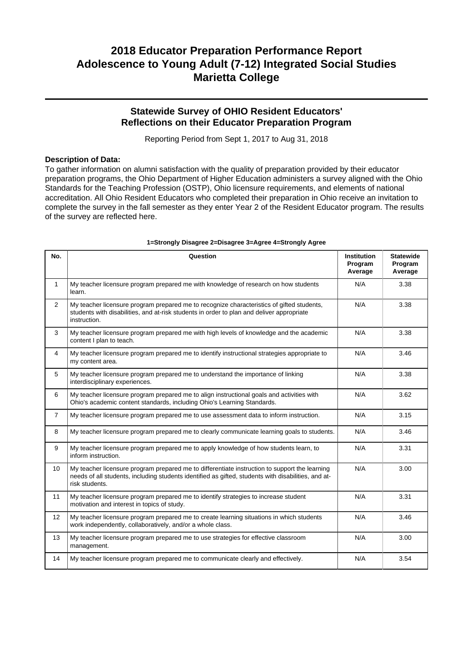### **Statewide Survey of OHIO Resident Educators' Reflections on their Educator Preparation Program**

Reporting Period from Sept 1, 2017 to Aug 31, 2018

#### **Description of Data:**

To gather information on alumni satisfaction with the quality of preparation provided by their educator preparation programs, the Ohio Department of Higher Education administers a survey aligned with the Ohio Standards for the Teaching Profession (OSTP), Ohio licensure requirements, and elements of national accreditation. All Ohio Resident Educators who completed their preparation in Ohio receive an invitation to complete the survey in the fall semester as they enter Year 2 of the Resident Educator program. The results of the survey are reflected here.

| No.            | Question                                                                                                                                                                                                               | <b>Institution</b><br>Program<br>Average | <b>Statewide</b><br>Program<br>Average |
|----------------|------------------------------------------------------------------------------------------------------------------------------------------------------------------------------------------------------------------------|------------------------------------------|----------------------------------------|
| $\mathbf{1}$   | My teacher licensure program prepared me with knowledge of research on how students<br>learn.                                                                                                                          | N/A                                      | 3.38                                   |
| $\overline{2}$ | My teacher licensure program prepared me to recognize characteristics of gifted students,<br>students with disabilities, and at-risk students in order to plan and deliver appropriate<br>instruction.                 | N/A                                      | 3.38                                   |
| 3              | My teacher licensure program prepared me with high levels of knowledge and the academic<br>content I plan to teach.                                                                                                    | N/A                                      | 3.38                                   |
| 4              | My teacher licensure program prepared me to identify instructional strategies appropriate to<br>my content area.                                                                                                       | N/A                                      | 3.46                                   |
| 5              | My teacher licensure program prepared me to understand the importance of linking<br>interdisciplinary experiences.                                                                                                     | N/A                                      | 3.38                                   |
| 6              | My teacher licensure program prepared me to align instructional goals and activities with<br>Ohio's academic content standards, including Ohio's Learning Standards.                                                   | N/A                                      | 3.62                                   |
| $\overline{7}$ | My teacher licensure program prepared me to use assessment data to inform instruction.                                                                                                                                 | N/A                                      | 3.15                                   |
| 8              | My teacher licensure program prepared me to clearly communicate learning goals to students.                                                                                                                            | N/A                                      | 3.46                                   |
| 9              | My teacher licensure program prepared me to apply knowledge of how students learn, to<br>inform instruction.                                                                                                           | N/A                                      | 3.31                                   |
| 10             | My teacher licensure program prepared me to differentiate instruction to support the learning<br>needs of all students, including students identified as gifted, students with disabilities, and at-<br>risk students. | N/A                                      | 3.00                                   |
| 11             | My teacher licensure program prepared me to identify strategies to increase student<br>motivation and interest in topics of study.                                                                                     | N/A                                      | 3.31                                   |
| 12             | My teacher licensure program prepared me to create learning situations in which students<br>work independently, collaboratively, and/or a whole class.                                                                 | N/A                                      | 3.46                                   |
| 13             | My teacher licensure program prepared me to use strategies for effective classroom<br>management.                                                                                                                      | N/A                                      | 3.00                                   |
| 14             | My teacher licensure program prepared me to communicate clearly and effectively.                                                                                                                                       | N/A                                      | 3.54                                   |

#### **1=Strongly Disagree 2=Disagree 3=Agree 4=Strongly Agree**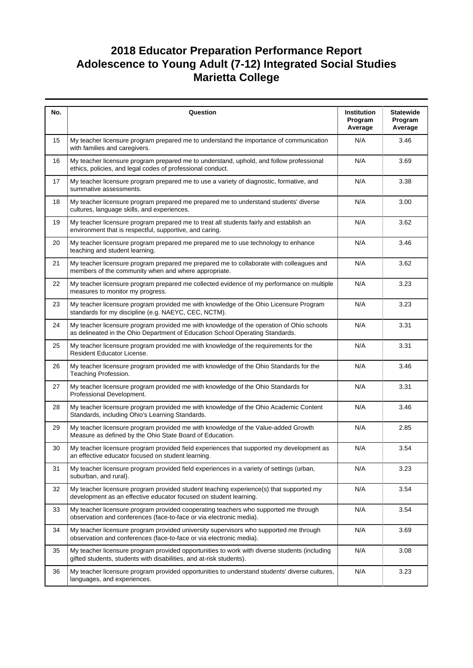| No. | Question                                                                                                                                                                  | Institution<br>Program<br>Average | <b>Statewide</b><br>Program<br>Average |
|-----|---------------------------------------------------------------------------------------------------------------------------------------------------------------------------|-----------------------------------|----------------------------------------|
| 15  | My teacher licensure program prepared me to understand the importance of communication<br>with families and caregivers.                                                   | N/A                               | 3.46                                   |
| 16  | My teacher licensure program prepared me to understand, uphold, and follow professional<br>ethics, policies, and legal codes of professional conduct.                     | N/A                               | 3.69                                   |
| 17  | My teacher licensure program prepared me to use a variety of diagnostic, formative, and<br>summative assessments.                                                         | N/A                               | 3.38                                   |
| 18  | My teacher licensure program prepared me prepared me to understand students' diverse<br>cultures, language skills, and experiences.                                       | N/A                               | 3.00                                   |
| 19  | My teacher licensure program prepared me to treat all students fairly and establish an<br>environment that is respectful, supportive, and caring.                         | N/A                               | 3.62                                   |
| 20  | My teacher licensure program prepared me prepared me to use technology to enhance<br>teaching and student learning.                                                       | N/A                               | 3.46                                   |
| 21  | My teacher licensure program prepared me prepared me to collaborate with colleagues and<br>members of the community when and where appropriate.                           | N/A                               | 3.62                                   |
| 22  | My teacher licensure program prepared me collected evidence of my performance on multiple<br>measures to monitor my progress.                                             | N/A                               | 3.23                                   |
| 23  | My teacher licensure program provided me with knowledge of the Ohio Licensure Program<br>standards for my discipline (e.g. NAEYC, CEC, NCTM).                             | N/A                               | 3.23                                   |
| 24  | My teacher licensure program provided me with knowledge of the operation of Ohio schools<br>as delineated in the Ohio Department of Education School Operating Standards. | N/A                               | 3.31                                   |
| 25  | My teacher licensure program provided me with knowledge of the requirements for the<br>Resident Educator License.                                                         | N/A                               | 3.31                                   |
| 26  | My teacher licensure program provided me with knowledge of the Ohio Standards for the<br>Teaching Profession.                                                             | N/A                               | 3.46                                   |
| 27  | My teacher licensure program provided me with knowledge of the Ohio Standards for<br>Professional Development.                                                            | N/A                               | 3.31                                   |
| 28  | My teacher licensure program provided me with knowledge of the Ohio Academic Content<br>Standards, including Ohio's Learning Standards.                                   | N/A                               | 3.46                                   |
| 29  | My teacher licensure program provided me with knowledge of the Value-added Growth<br>Measure as defined by the Ohio State Board of Education.                             | N/A                               | 2.85                                   |
| 30  | My teacher licensure program provided field experiences that supported my development as<br>an effective educator focused on student learning.                            | N/A                               | 3.54                                   |
| 31  | My teacher licensure program provided field experiences in a variety of settings (urban,<br>suburban, and rural).                                                         | N/A                               | 3.23                                   |
| 32  | My teacher licensure program provided student teaching experience(s) that supported my<br>development as an effective educator focused on student learning.               | N/A                               | 3.54                                   |
| 33  | My teacher licensure program provided cooperating teachers who supported me through<br>observation and conferences (face-to-face or via electronic media).                | N/A                               | 3.54                                   |
| 34  | My teacher licensure program provided university supervisors who supported me through<br>observation and conferences (face-to-face or via electronic media).              | N/A                               | 3.69                                   |
| 35  | My teacher licensure program provided opportunities to work with diverse students (including<br>gifted students, students with disabilities, and at-risk students).       | N/A                               | 3.08                                   |
| 36  | My teacher licensure program provided opportunities to understand students' diverse cultures,<br>languages, and experiences.                                              | N/A                               | 3.23                                   |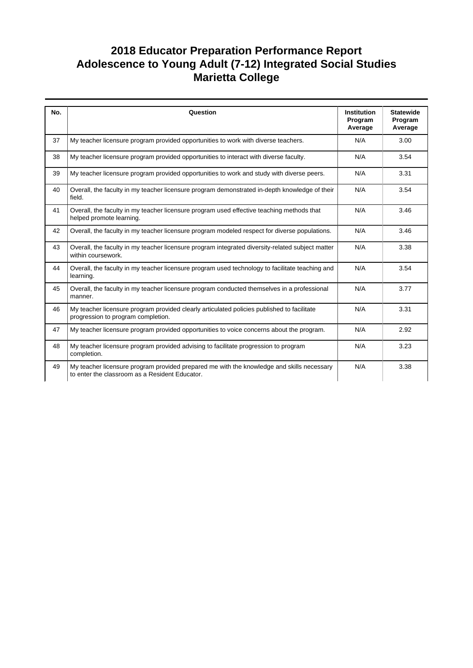# **2018 Educator Preparation Performance Report Adolescence to Young Adult (7-12) Integrated Social Studies Marietta College**

| No. | Question                                                                                                                                    | <b>Institution</b><br>Program<br>Average | <b>Statewide</b><br>Program<br>Average |
|-----|---------------------------------------------------------------------------------------------------------------------------------------------|------------------------------------------|----------------------------------------|
| 37  | My teacher licensure program provided opportunities to work with diverse teachers.                                                          | N/A                                      | 3.00                                   |
| 38  | My teacher licensure program provided opportunities to interact with diverse faculty.                                                       | N/A                                      | 3.54                                   |
| 39  | My teacher licensure program provided opportunities to work and study with diverse peers.                                                   | N/A                                      | 3.31                                   |
| 40  | Overall, the faculty in my teacher licensure program demonstrated in-depth knowledge of their<br>field.                                     | N/A                                      | 3.54                                   |
| 41  | Overall, the faculty in my teacher licensure program used effective teaching methods that<br>helped promote learning.                       | N/A                                      | 3.46                                   |
| 42  | Overall, the faculty in my teacher licensure program modeled respect for diverse populations.                                               | N/A                                      | 3.46                                   |
| 43  | Overall, the faculty in my teacher licensure program integrated diversity-related subject matter<br>within coursework.                      | N/A                                      | 3.38                                   |
| 44  | Overall, the faculty in my teacher licensure program used technology to facilitate teaching and<br>learning.                                | N/A                                      | 3.54                                   |
| 45  | Overall, the faculty in my teacher licensure program conducted themselves in a professional<br>manner.                                      | N/A                                      | 3.77                                   |
| 46  | My teacher licensure program provided clearly articulated policies published to facilitate<br>progression to program completion.            | N/A                                      | 3.31                                   |
| 47  | My teacher licensure program provided opportunities to voice concerns about the program.                                                    | N/A                                      | 2.92                                   |
| 48  | My teacher licensure program provided advising to facilitate progression to program<br>completion.                                          | N/A                                      | 3.23                                   |
| 49  | My teacher licensure program provided prepared me with the knowledge and skills necessary<br>to enter the classroom as a Resident Educator. | N/A                                      | 3.38                                   |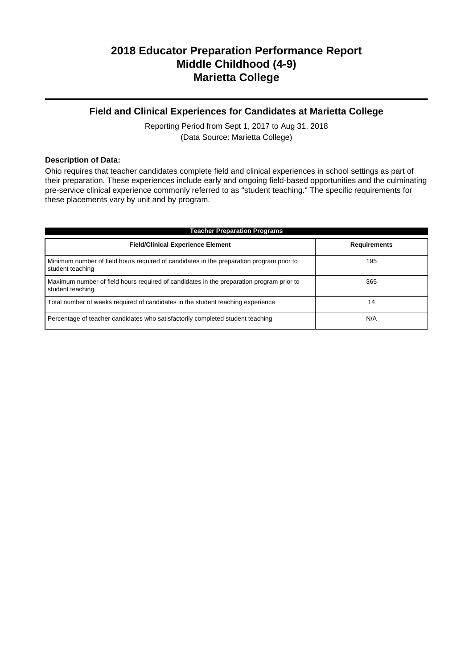### **Field and Clinical Experiences for Candidates at Marietta College**

Reporting Period from Sept 1, 2017 to Aug 31, 2018 (Data Source: Marietta College)

#### **Description of Data:**

Ohio requires that teacher candidates complete field and clinical experiences in school settings as part of their preparation. These experiences include early and ongoing field-based opportunities and the culminating pre-service clinical experience commonly referred to as "student teaching." The specific requirements for these placements vary by unit and by program.

| <b>Teacher Preparation Programs</b>                                                                          |                     |  |  |  |
|--------------------------------------------------------------------------------------------------------------|---------------------|--|--|--|
| <b>Field/Clinical Experience Element</b>                                                                     | <b>Requirements</b> |  |  |  |
| Minimum number of field hours required of candidates in the preparation program prior to<br>student teaching | 195                 |  |  |  |
| Maximum number of field hours required of candidates in the preparation program prior to<br>student teaching | 365                 |  |  |  |
| Total number of weeks required of candidates in the student teaching experience                              | 14                  |  |  |  |
| Percentage of teacher candidates who satisfactorily completed student teaching                               | N/A                 |  |  |  |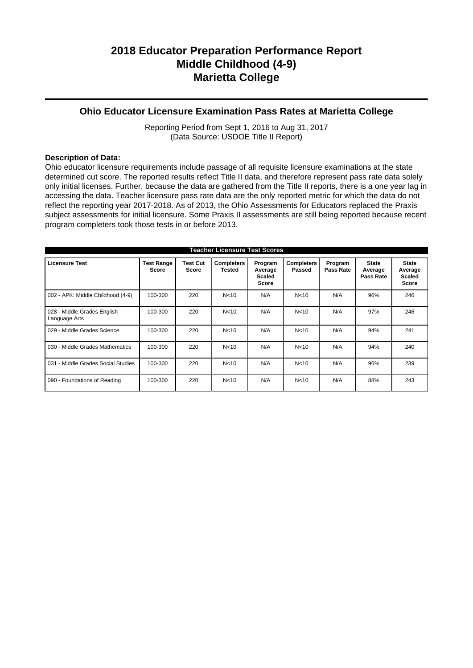### **Ohio Educator Licensure Examination Pass Rates at Marietta College**

Reporting Period from Sept 1, 2016 to Aug 31, 2017 (Data Source: USDOE Title II Report)

#### **Description of Data:**

Ohio educator licensure requirements include passage of all requisite licensure examinations at the state determined cut score. The reported results reflect Title II data, and therefore represent pass rate data solely only initial licenses. Further, because the data are gathered from the Title II reports, there is a one year lag in accessing the data. Teacher licensure pass rate data are the only reported metric for which the data do not reflect the reporting year 2017-2018. As of 2013, the Ohio Assessments for Educators replaced the Praxis subject assessments for initial licensure. Some Praxis II assessments are still being reported because recent program completers took those tests in or before 2013.

| <b>Teacher Licensure Test Scores</b>         |                            |                          |                             |                                              |                             |                      |                                      |                                                          |
|----------------------------------------------|----------------------------|--------------------------|-----------------------------|----------------------------------------------|-----------------------------|----------------------|--------------------------------------|----------------------------------------------------------|
| <b>Licensure Test</b>                        | <b>Test Range</b><br>Score | <b>Test Cut</b><br>Score | <b>Completers</b><br>Tested | Program<br>Average<br><b>Scaled</b><br>Score | <b>Completers</b><br>Passed | Program<br>Pass Rate | <b>State</b><br>Average<br>Pass Rate | <b>State</b><br>Average<br><b>Scaled</b><br><b>Score</b> |
| 002 - APK: Middle Childhood (4-9)            | 100-300                    | 220                      | N <sub>10</sub>             | N/A                                          | N <sub>10</sub>             | N/A                  | 96%                                  | 246                                                      |
| 028 - Middle Grades English<br>Language Arts | 100-300                    | 220                      | N <sub>10</sub>             | N/A                                          | N <sub>10</sub>             | N/A                  | 97%                                  | 246                                                      |
| 029 - Middle Grades Science                  | 100-300                    | 220                      | N <sub>10</sub>             | N/A                                          | N <sub>10</sub>             | N/A                  | 94%                                  | 241                                                      |
| 030 - Middle Grades Mathematics              | 100-300                    | 220                      | N <sub>10</sub>             | N/A                                          | N <sub>10</sub>             | N/A                  | 94%                                  | 240                                                      |
| 031 - Middle Grades Social Studies           | 100-300                    | 220                      | N <sub>10</sub>             | N/A                                          | N <sub>10</sub>             | N/A                  | 96%                                  | 239                                                      |
| 090 - Foundations of Reading                 | 100-300                    | 220                      | N <sub>10</sub>             | N/A                                          | N <sub>10</sub>             | N/A                  | 88%                                  | 243                                                      |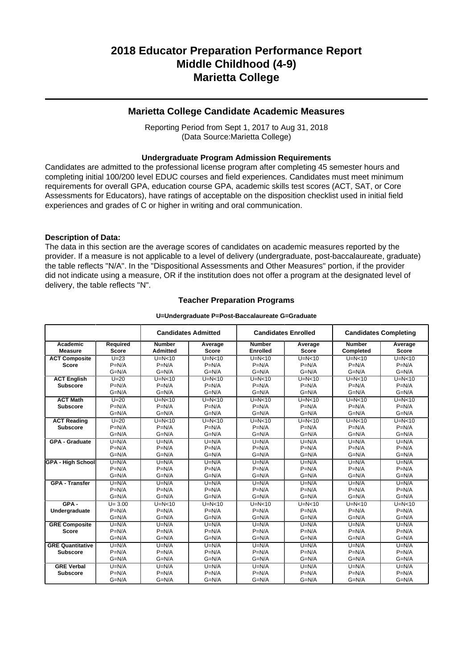#### **Marietta College Candidate Academic Measures**

Reporting Period from Sept 1, 2017 to Aug 31, 2018 (Data Source:Marietta College)

#### **Undergraduate Program Admission Requirements**

Candidates are admitted to the professional license program after completing 45 semester hours and completing initial 100/200 level EDUC courses and field experiences. Candidates must meet minimum requirements for overall GPA, education course GPA, academic skills test scores (ACT, SAT, or Core Assessments for Educators), have ratings of acceptable on the disposition checklist used in initial field experiences and grades of C or higher in writing and oral communication.

#### **Description of Data:**

The data in this section are the average scores of candidates on academic measures reported by the provider. If a measure is not applicable to a level of delivery (undergraduate, post-baccalaureate, graduate) the table reflects "N/A". In the "Dispositional Assessments and Other Measures" portion, if the provider did not indicate using a measure, OR if the institution does not offer a program at the designated level of delivery, the table reflects "N".

#### **Teacher Preparation Programs**

#### **U=Undergraduate P=Post-Baccalaureate G=Graduate**

|                          |              |                 | <b>Candidates Admitted</b> | <b>Candidates Enrolled</b> |              |               | <b>Candidates Completing</b> |
|--------------------------|--------------|-----------------|----------------------------|----------------------------|--------------|---------------|------------------------------|
| Academic                 | Required     | <b>Number</b>   | Average                    | <b>Number</b>              | Average      | <b>Number</b> | Average                      |
| <b>Measure</b>           | <b>Score</b> | <b>Admitted</b> | <b>Score</b>               | <b>Enrolled</b>            | <b>Score</b> | Completed     | <b>Score</b>                 |
| <b>ACT Composite</b>     | $U=23$       | $U=N<10$        | $U=N<10$                   | $U=N<10$                   | $U=N<10$     | $U=N<10$      | $U=N<10$                     |
| <b>Score</b>             | $P=N/A$      | $P=N/A$         | $P=N/A$                    | $P=N/A$                    | $P=N/A$      | $P=N/A$       | $P=N/A$                      |
|                          | $G=N/A$      | $G=N/A$         | $G=N/A$                    | $G=N/A$                    | $G=N/A$      | $G=N/A$       | $G=N/A$                      |
| <b>ACT English</b>       | $U = 20$     | $U=N<10$        | $U=N<10$                   | $U=N<10$                   | $U=N<10$     | $U=N<10$      | $U=N<10$                     |
| <b>Subscore</b>          | $P=N/A$      | $P=N/A$         | $P=N/A$                    | $P=N/A$                    | $P=N/A$      | $P=N/A$       | $P=N/A$                      |
|                          | $G=N/A$      | $G=N/A$         | $G=N/A$                    | $G=N/A$                    | $G=N/A$      | $G=N/A$       | $G=N/A$                      |
| <b>ACT Math</b>          | $U=20$       | $U=N<10$        | $U=N<10$                   | $U=N<10$                   | $U=N<10$     | $U=N<10$      | $U=N<10$                     |
| <b>Subscore</b>          | $P=N/A$      | $P=N/A$         | $P=N/A$                    | $P=N/A$                    | $P=N/A$      | $P=N/A$       | $P=N/A$                      |
|                          | $G=N/A$      | $G=N/A$         | $G=N/A$                    | $G=N/A$                    | $G=N/A$      | $G=N/A$       | $G=N/A$                      |
| <b>ACT Reading</b>       | $U=20$       | $U=N<10$        | $U=N<10$                   | $U=N<10$                   | $U=N<10$     | $U=N<10$      | $U=N10$                      |
| <b>Subscore</b>          | $P=N/A$      | $P=N/A$         | $P=N/A$                    | $P=N/A$                    | $P=N/A$      | $P=N/A$       | $P=N/A$                      |
|                          | $G=N/A$      | $G=N/A$         | $G=N/A$                    | $G=N/A$                    | $G=N/A$      | $G=N/A$       | $G=N/A$                      |
| <b>GPA - Graduate</b>    | $U=N/A$      | $U=N/A$         | $U=N/A$                    | $U=N/A$                    | $U=N/A$      | $U=N/A$       | $U=N/A$                      |
|                          | $P=N/A$      | $P=N/A$         | $P=N/A$                    | $P=N/A$                    | $P=N/A$      | $P=N/A$       | $P=N/A$                      |
|                          | $G=N/A$      | $G=N/A$         | $G=N/A$                    | $G=N/A$                    | $G=N/A$      | $G=N/A$       | $G=N/A$                      |
| <b>GPA - High School</b> | $U=N/A$      | $U=N/A$         | $U=N/A$                    | $U=N/A$                    | $U=N/A$      | $U=N/A$       | $U=N/A$                      |
|                          | $P=N/A$      | $P=N/A$         | $P=N/A$                    | $P=N/A$                    | $P=N/A$      | $P=N/A$       | $P=N/A$                      |
|                          | $G=N/A$      | $G=N/A$         | $G=N/A$                    | $G=N/A$                    | $G=N/A$      | $G=N/A$       | $G=N/A$                      |
| <b>GPA - Transfer</b>    | $U=N/A$      | $U=N/A$         | $U=N/A$                    | $U=N/A$                    | $U=N/A$      | $U=N/A$       | $U=N/A$                      |
|                          | $P=N/A$      | $P=N/A$         | $P=N/A$                    | $P=N/A$                    | $P=N/A$      | $P=N/A$       | $P=N/A$                      |
|                          | $G=N/A$      | $G=N/A$         | $G=N/A$                    | $G=N/A$                    | $G=N/A$      | $G=N/A$       | $G=N/A$                      |
| $GPA -$                  | $U = 3.00$   | $U=N<10$        | $U=N<10$                   | $U=N<10$                   | $U=N10$      | $U=N<10$      | $U=N10$                      |
| Undergraduate            | $P=N/A$      | $P=N/A$         | $P=N/A$                    | $P=N/A$                    | $P=N/A$      | $P=N/A$       | $P=N/A$                      |
|                          | $G=N/A$      | $G=N/A$         | $G=N/A$                    | $G=N/A$                    | $G=N/A$      | $G=N/A$       | $G=N/A$                      |
| <b>GRE Composite</b>     | $U=N/A$      | $U=N/A$         | $U=N/A$                    | $U=N/A$                    | $U=N/A$      | $U=N/A$       | $U=N/A$                      |
| <b>Score</b>             | $P=N/A$      | $P=N/A$         | $P=N/A$                    | $P=N/A$                    | $P=N/A$      | $P=N/A$       | $P=N/A$                      |
|                          | $G=N/A$      | $G=N/A$         | $G=N/A$                    | $G=N/A$                    | $G=N/A$      | $G=N/A$       | $G=N/A$                      |
| <b>GRE Quantitative</b>  | $U=N/A$      | $U=N/A$         | $U=N/A$                    | $U=N/A$                    | $U=N/A$      | $U=N/A$       | $U=N/A$                      |
| <b>Subscore</b>          | $P=N/A$      | $P=N/A$         | $P=N/A$                    | $P=N/A$                    | $P=N/A$      | $P=N/A$       | $P=N/A$                      |
|                          | $G=N/A$      | $G=N/A$         | $G=N/A$                    | $G=N/A$                    | $G=N/A$      | $G=N/A$       | $G=N/A$                      |
| <b>GRE Verbal</b>        | $U=N/A$      | $U=N/A$         | $U=N/A$                    | $U=N/A$                    | $U=N/A$      | $U=N/A$       | $U=N/A$                      |
| <b>Subscore</b>          | $P=N/A$      | $P=N/A$         | $P=N/A$                    | $P=N/A$                    | $P=N/A$      | $P=N/A$       | $P=N/A$                      |
|                          | $G=N/A$      | $G=N/A$         | $G=N/A$                    | $G=N/A$                    | $G=N/A$      | $G=N/A$       | $G=N/A$                      |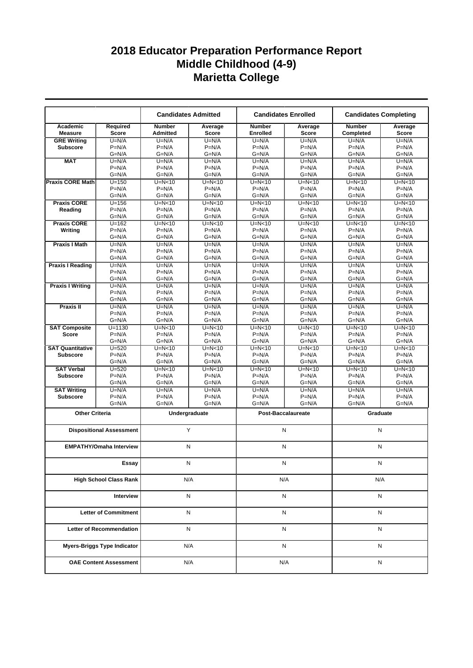|                                 |                                    |                           | <b>Candidates Admitted</b> |                                  | <b>Candidates Enrolled</b> | <b>Candidates Completing</b> |                         |
|---------------------------------|------------------------------------|---------------------------|----------------------------|----------------------------------|----------------------------|------------------------------|-------------------------|
| Academic<br><b>Measure</b>      | Required<br><b>Score</b>           | <b>Number</b><br>Admitted | Average<br><b>Score</b>    | <b>Number</b><br><b>Enrolled</b> | Average<br><b>Score</b>    | <b>Number</b><br>Completed   | Average<br><b>Score</b> |
| <b>GRE Writing</b>              | $U=N/A$                            | $U=N/A$                   | $U=N/A$                    | $U=N/A$                          | $U=N/A$                    | $U=N/A$                      | $U=N/A$                 |
| <b>Subscore</b>                 | $P=N/A$                            | $P=N/A$                   | $P=N/A$                    | $P=N/A$                          | $P=N/A$                    | $P=N/A$                      | $P=N/A$                 |
|                                 | $G=N/A$                            | G=N/A                     | $G=N/A$                    | $G=N/A$                          | $G=N/A$                    | $G=N/A$                      | $G=N/A$                 |
| <b>MAT</b>                      | $U=N/A$                            | $U=N/A$                   | $U=N/A$                    | $U=N/A$                          | $U=N/A$                    | $U=N/A$                      | $U=N/A$                 |
|                                 | $P=N/A$                            | $P=N/A$                   | $P=N/A$                    | $P=N/A$                          | $P=N/A$                    | $P=N/A$                      | $P=N/A$                 |
|                                 | $G=N/A$                            | $G=N/A$                   | $G=N/A$                    | $G=N/A$                          | $G=N/A$                    | $G=N/A$                      | $G=N/A$                 |
| <b>Praxis CORE Math</b>         | $U = 150$                          | $U=N0$                    | $U=N10$                    | $U=N<10$                         | $U=N<10$                   | $U=N10$                      | $U=N10$                 |
|                                 | $P=N/A$                            | $P=N/A$                   | $P=N/A$                    | $P=N/A$                          | $P=N/A$                    | $P=N/A$                      | $P=N/A$                 |
|                                 | $G=N/A$                            | $G=N/A$                   | $G=N/A$                    | $G=N/A$                          | $G=N/A$                    | $G=N/A$                      | $G=N/A$                 |
| <b>Praxis CORE</b>              | $U = 156$                          | $U=N<10$                  | $U=N<10$                   | $U=N<10$                         | $U=N<10$                   | $U=N<10$                     | $U=N<10$                |
| Reading                         | $P=N/A$                            | $P=N/A$                   | $P=N/A$                    | $P=N/A$                          | $P=N/A$                    | $P=N/A$                      | $P=N/A$                 |
|                                 | $G=N/A$                            | $G=N/A$                   | $G=N/A$                    | $G=N/A$                          | $G=N/A$                    | $G=N/A$                      | $G=N/A$                 |
| <b>Praxis CORE</b>              | $U = 162$                          | $U=N<10$                  | $U=N<10$                   | $U=N<10$                         | $U=N<10$                   | $U=N10$                      | $U=N10$                 |
| Writing                         | $P=N/A$                            | $P=N/A$                   | $P=N/A$                    | $P=N/A$                          | $P=N/A$                    | $P=N/A$                      | $P=N/A$                 |
|                                 | $G=N/A$                            | $G=N/A$                   | $G=N/A$                    | $G=N/A$                          | $G=N/A$                    | $G=N/A$                      | $G=N/A$                 |
| <b>Praxis I Math</b>            | $U=N/A$                            | $U=N/A$                   | $U=N/A$                    | $U=N/A$                          | $U=N/A$                    | $U=N/A$                      | $U=N/A$                 |
|                                 | $P=N/A$                            | $P=N/A$                   | $P=N/A$                    | $P=N/A$                          | $P=N/A$                    | $P=N/A$                      | $P=N/A$                 |
|                                 | $G=N/A$                            | $G=N/A$                   | $G=N/A$                    | $G=N/A$                          | $G=N/A$                    | $G=N/A$                      | $G=N/A$                 |
| <b>Praxis I Reading</b>         | $U=N/A$                            | $U=N/A$                   | $U=N/A$                    | $U=N/A$                          | $U=N/A$                    | $U=N/A$                      | $U=N/A$                 |
|                                 | $P=N/A$                            | $P=N/A$                   | $P=N/A$                    | $P=N/A$                          | $P=N/A$                    | $P=N/A$                      | $P=N/A$                 |
|                                 | $G=N/A$                            | $G=N/A$                   | $G=N/A$                    | $G=N/A$                          | $G=N/A$                    | $G=N/A$                      | $G=N/A$                 |
| <b>Praxis I Writing</b>         | $U=N/A$                            | $U=N/A$                   | $U=N/A$                    | $U=N/A$                          | $U=N/A$                    | $\overline{U}$ =N/A          | $U=N/A$                 |
|                                 | $P=N/A$                            | $P=N/A$                   | $P=N/A$                    | $P=N/A$                          | $P=N/A$                    | $P=N/A$                      | $P=N/A$                 |
|                                 | $G=N/A$                            | $G=N/A$                   | $G=N/A$                    | $G=N/A$                          | $G=N/A$                    | $G=N/A$                      | $G=N/A$                 |
| Praxis II                       | $U=N/A$                            | $U=N/A$                   | $U=N/A$                    | $U=N/A$                          | $U=N/A$                    | $U=N/A$                      | $U=N/A$                 |
|                                 | $P=N/A$                            | $P=N/A$                   | $P=N/A$                    | $P=N/A$                          | $P=N/A$                    | $P=N/A$                      | $P=N/A$                 |
|                                 | $G=N/A$                            | $G=N/A$                   | $G=N/A$                    | $G=N/A$                          | $G=N/A$                    | $G=N/A$                      | $G=N/A$                 |
| <b>SAT Composite</b>            | $U = 1130$                         | $U=N0$                    | $U=N<10$                   | $U=N<10$                         | $U=N<10$                   | $U=N<10$                     | $U=N10$                 |
| <b>Score</b>                    | $P=N/A$                            | $P=N/A$                   | $P=N/A$                    | $P=N/A$                          | $P=N/A$                    | $P=N/A$                      | $P=N/A$                 |
|                                 | $G=N/A$                            | $G=N/A$                   | $G=N/A$                    | $G=N/A$                          | $G=N/A$                    | $G=N/A$                      | $G=N/A$                 |
| <b>SAT Quantitative</b>         | $U = 520$                          | $U=N<10$                  | $U=N<10$                   | $U=N<10$                         | $U=N<10$                   | $U=N10$                      | $U=N<10$                |
| <b>Subscore</b>                 | $P=N/A$                            | $P=N/A$                   | $P=N/A$                    | $P=N/A$                          | $P=N/A$                    | $P=N/A$                      | $P=N/A$                 |
|                                 | $G=N/A$                            | $G=N/A$                   | $G=N/A$                    | $G=N/A$                          | $G=N/A$                    | $G=N/A$                      | $G=N/A$                 |
| <b>SAT Verbal</b>               | $U = 520$                          | $U=N<10$                  | $U=N<10$                   | $U=N<10$                         | $U=N<10$                   | $U=N<10$                     | $U=N<10$                |
| <b>Subscore</b>                 | $P=N/A$                            | $P=N/A$                   | $P=N/A$                    | $P=N/A$                          | $P=N/A$                    | $P=N/A$                      | $P=N/A$                 |
|                                 | $G=N/A$                            | $G=N/A$                   | $G=N/A$                    | $G=N/A$                          | $G=N/A$                    | $G=N/A$                      | $G=N/A$                 |
| <b>SAT Writing</b>              | $U=N/A$                            | $U=N/A$                   | $U=N/A$                    | $U=N/A$                          | $U=N/A$                    | $U=N/A$                      | $U=N/A$                 |
| <b>Subscore</b>                 | $P=N/A$                            | $P=N/A$                   | $P=N/A$                    | $P=N/A$                          | $P=N/A$                    | $P=N/A$                      | $P=N/A$                 |
|                                 | $G=N/A$                            | $G=N/A$                   | $G=N/A$                    | $G=N/A$                          | $G=N/A$                    | $G=N/A$                      | $G=N/A$                 |
| <b>Other Criteria</b>           |                                    |                           |                            |                                  | Post-Baccalaureate         | Graduate                     |                         |
|                                 |                                    |                           | Undergraduate              |                                  |                            |                              |                         |
|                                 | <b>Dispositional Assessment</b>    |                           | Y                          |                                  | N                          | N                            |                         |
|                                 | <b>EMPATHY/Omaha Interview</b>     |                           | N                          |                                  | N                          | N                            |                         |
|                                 | Essay                              |                           | N                          |                                  | N                          | Ν                            |                         |
| <b>High School Class Rank</b>   |                                    |                           | N/A                        |                                  | N/A                        | N/A                          |                         |
|                                 |                                    |                           |                            |                                  |                            |                              |                         |
| Interview                       |                                    |                           | N                          |                                  | N                          | Ν                            |                         |
| <b>Letter of Commitment</b>     |                                    |                           | N                          |                                  | N                          | Ν                            |                         |
| <b>Letter of Recommendation</b> |                                    |                           | N                          |                                  | N                          | Ν                            |                         |
|                                 | <b>Myers-Briggs Type Indicator</b> |                           | N/A                        |                                  | N                          | N                            |                         |
|                                 | <b>OAE Content Assessment</b>      |                           | N/A                        |                                  | N/A                        | Ν                            |                         |
|                                 |                                    |                           |                            |                                  |                            |                              |                         |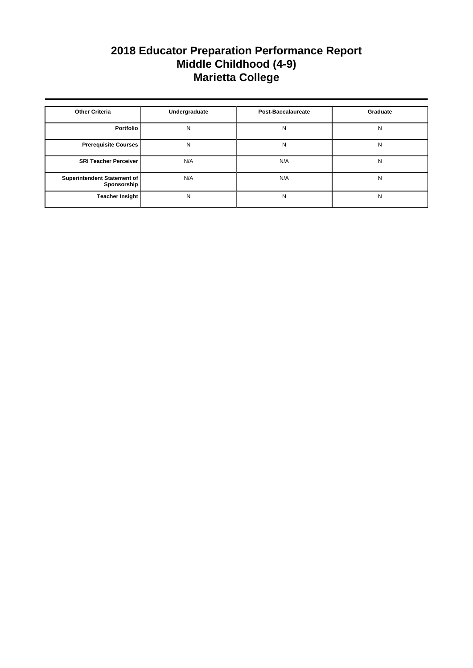| <b>Other Criteria</b>                      | Undergraduate | <b>Post-Baccalaureate</b> | Graduate |
|--------------------------------------------|---------------|---------------------------|----------|
| Portfolio                                  | N             | N                         | N        |
| <b>Prerequisite Courses</b>                | N             | N                         | N        |
| <b>SRI Teacher Perceiver</b>               | N/A           | N/A                       | N        |
| Superintendent Statement of<br>Sponsorship | N/A           | N/A                       | N        |
| <b>Teacher Insight</b>                     | N             | N                         | N        |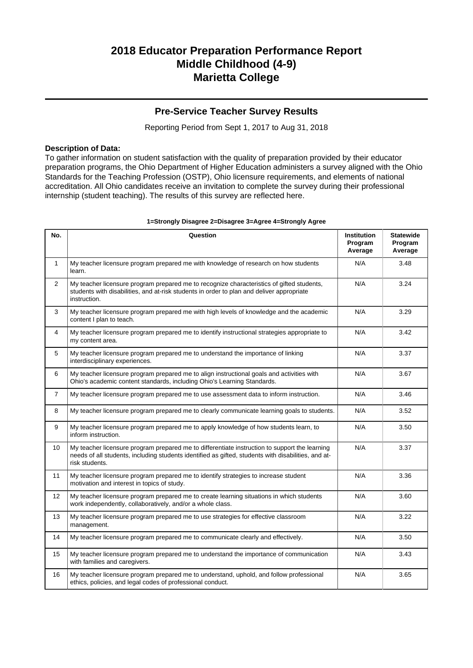### **Pre-Service Teacher Survey Results**

Reporting Period from Sept 1, 2017 to Aug 31, 2018

#### **Description of Data:**

To gather information on student satisfaction with the quality of preparation provided by their educator preparation programs, the Ohio Department of Higher Education administers a survey aligned with the Ohio Standards for the Teaching Profession (OSTP), Ohio licensure requirements, and elements of national accreditation. All Ohio candidates receive an invitation to complete the survey during their professional internship (student teaching). The results of this survey are reflected here.

| No.            | Question                                                                                                                                                                                                               | <b>Institution</b><br>Program<br>Average | <b>Statewide</b><br>Program<br>Average |
|----------------|------------------------------------------------------------------------------------------------------------------------------------------------------------------------------------------------------------------------|------------------------------------------|----------------------------------------|
| $\mathbf{1}$   | My teacher licensure program prepared me with knowledge of research on how students<br>learn.                                                                                                                          | N/A                                      | 3.48                                   |
| $\overline{2}$ | My teacher licensure program prepared me to recognize characteristics of gifted students,<br>students with disabilities, and at-risk students in order to plan and deliver appropriate<br>instruction.                 | N/A                                      | 3.24                                   |
| 3              | My teacher licensure program prepared me with high levels of knowledge and the academic<br>content I plan to teach.                                                                                                    | N/A                                      | 3.29                                   |
| 4              | My teacher licensure program prepared me to identify instructional strategies appropriate to<br>my content area.                                                                                                       | N/A                                      | 3.42                                   |
| 5              | My teacher licensure program prepared me to understand the importance of linking<br>interdisciplinary experiences.                                                                                                     | N/A                                      | 3.37                                   |
| 6              | My teacher licensure program prepared me to align instructional goals and activities with<br>Ohio's academic content standards, including Ohio's Learning Standards.                                                   | N/A                                      | 3.67                                   |
| $\overline{7}$ | My teacher licensure program prepared me to use assessment data to inform instruction.                                                                                                                                 | N/A                                      | 3.46                                   |
| 8              | My teacher licensure program prepared me to clearly communicate learning goals to students.                                                                                                                            | N/A                                      | 3.52                                   |
| 9              | My teacher licensure program prepared me to apply knowledge of how students learn, to<br>inform instruction.                                                                                                           | N/A                                      | 3.50                                   |
| 10             | My teacher licensure program prepared me to differentiate instruction to support the learning<br>needs of all students, including students identified as gifted, students with disabilities, and at-<br>risk students. | N/A                                      | 3.37                                   |
| 11             | My teacher licensure program prepared me to identify strategies to increase student<br>motivation and interest in topics of study.                                                                                     | N/A                                      | 3.36                                   |
| 12             | My teacher licensure program prepared me to create learning situations in which students<br>work independently, collaboratively, and/or a whole class.                                                                 | N/A                                      | 3.60                                   |
| 13             | My teacher licensure program prepared me to use strategies for effective classroom<br>management.                                                                                                                      | N/A                                      | 3.22                                   |
| 14             | My teacher licensure program prepared me to communicate clearly and effectively.                                                                                                                                       | N/A                                      | 3.50                                   |
| 15             | My teacher licensure program prepared me to understand the importance of communication<br>with families and caregivers.                                                                                                | N/A                                      | 3.43                                   |
| 16             | My teacher licensure program prepared me to understand, uphold, and follow professional<br>ethics, policies, and legal codes of professional conduct.                                                                  | N/A                                      | 3.65                                   |

#### **1=Strongly Disagree 2=Disagree 3=Agree 4=Strongly Agree**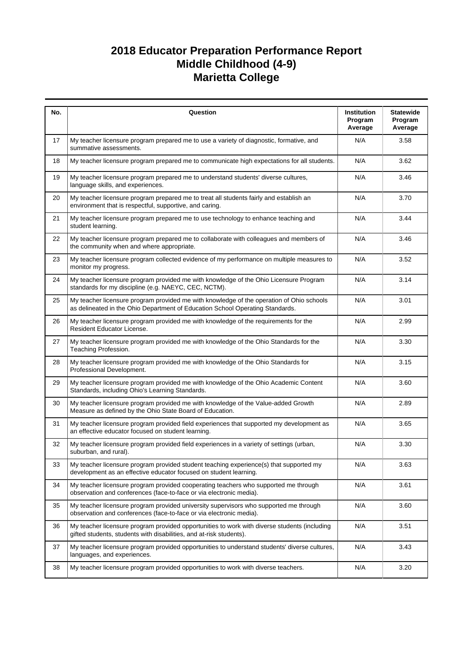| No. | Question                                                                                                                                                                  | Institution<br>Program<br>Average | <b>Statewide</b><br>Program<br>Average |
|-----|---------------------------------------------------------------------------------------------------------------------------------------------------------------------------|-----------------------------------|----------------------------------------|
| 17  | My teacher licensure program prepared me to use a variety of diagnostic, formative, and<br>summative assessments.                                                         | N/A                               | 3.58                                   |
| 18  | My teacher licensure program prepared me to communicate high expectations for all students.                                                                               | N/A                               | 3.62                                   |
| 19  | My teacher licensure program prepared me to understand students' diverse cultures,<br>language skills, and experiences.                                                   | N/A                               | 3.46                                   |
| 20  | My teacher licensure program prepared me to treat all students fairly and establish an<br>environment that is respectful, supportive, and caring.                         | N/A                               | 3.70                                   |
| 21  | My teacher licensure program prepared me to use technology to enhance teaching and<br>student learning.                                                                   | N/A                               | 3.44                                   |
| 22  | My teacher licensure program prepared me to collaborate with colleagues and members of<br>the community when and where appropriate.                                       | N/A                               | 3.46                                   |
| 23  | My teacher licensure program collected evidence of my performance on multiple measures to<br>monitor my progress.                                                         | N/A                               | 3.52                                   |
| 24  | My teacher licensure program provided me with knowledge of the Ohio Licensure Program<br>standards for my discipline (e.g. NAEYC, CEC, NCTM).                             | N/A                               | 3.14                                   |
| 25  | My teacher licensure program provided me with knowledge of the operation of Ohio schools<br>as delineated in the Ohio Department of Education School Operating Standards. | N/A                               | 3.01                                   |
| 26  | My teacher licensure program provided me with knowledge of the requirements for the<br>Resident Educator License.                                                         | N/A                               | 2.99                                   |
| 27  | My teacher licensure program provided me with knowledge of the Ohio Standards for the<br>Teaching Profession.                                                             | N/A                               | 3.30                                   |
| 28  | My teacher licensure program provided me with knowledge of the Ohio Standards for<br>Professional Development.                                                            | N/A                               | 3.15                                   |
| 29  | My teacher licensure program provided me with knowledge of the Ohio Academic Content<br>Standards, including Ohio's Learning Standards.                                   | N/A                               | 3.60                                   |
| 30  | My teacher licensure program provided me with knowledge of the Value-added Growth<br>Measure as defined by the Ohio State Board of Education.                             | N/A                               | 2.89                                   |
| 31  | My teacher licensure program provided field experiences that supported my development as<br>an effective educator focused on student learning.                            | N/A                               | 3.65                                   |
| 32  | My teacher licensure program provided field experiences in a variety of settings (urban,<br>suburban, and rural).                                                         | N/A                               | 3.30                                   |
| 33  | My teacher licensure program provided student teaching experience(s) that supported my<br>development as an effective educator focused on student learning.               | N/A                               | 3.63                                   |
| 34  | My teacher licensure program provided cooperating teachers who supported me through<br>observation and conferences (face-to-face or via electronic media).                | N/A                               | 3.61                                   |
| 35  | My teacher licensure program provided university supervisors who supported me through<br>observation and conferences (face-to-face or via electronic media).              | N/A                               | 3.60                                   |
| 36  | My teacher licensure program provided opportunities to work with diverse students (including<br>gifted students, students with disabilities, and at-risk students).       | N/A                               | 3.51                                   |
| 37  | My teacher licensure program provided opportunities to understand students' diverse cultures,<br>languages, and experiences.                                              | N/A                               | 3.43                                   |
| 38  | My teacher licensure program provided opportunities to work with diverse teachers.                                                                                        | N/A                               | 3.20                                   |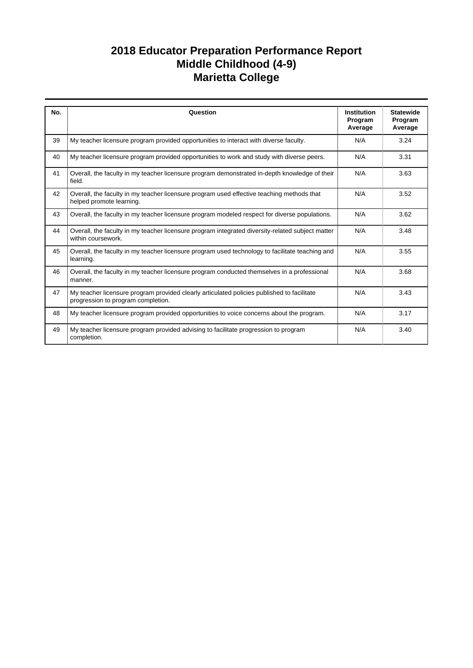| No. | Question                                                                                                                         | <b>Institution</b><br>Program<br>Average | <b>Statewide</b><br>Program<br>Average |
|-----|----------------------------------------------------------------------------------------------------------------------------------|------------------------------------------|----------------------------------------|
| 39  | My teacher licensure program provided opportunities to interact with diverse faculty.                                            | N/A                                      | 3.24                                   |
| 40  | My teacher licensure program provided opportunities to work and study with diverse peers.                                        | N/A                                      | 3.31                                   |
| 41  | Overall, the faculty in my teacher licensure program demonstrated in-depth knowledge of their<br>field.                          | N/A                                      | 3.63                                   |
| 42  | Overall, the faculty in my teacher licensure program used effective teaching methods that<br>helped promote learning.            | N/A                                      | 3.52                                   |
| 43  | Overall, the faculty in my teacher licensure program modeled respect for diverse populations.                                    | N/A                                      | 3.62                                   |
| 44  | Overall, the faculty in my teacher licensure program integrated diversity-related subject matter<br>within coursework.           | N/A                                      | 3.48                                   |
| 45  | Overall, the faculty in my teacher licensure program used technology to facilitate teaching and<br>learning.                     | N/A                                      | 3.55                                   |
| 46  | Overall, the faculty in my teacher licensure program conducted themselves in a professional<br>manner.                           | N/A                                      | 3.68                                   |
| 47  | My teacher licensure program provided clearly articulated policies published to facilitate<br>progression to program completion. | N/A                                      | 3.43                                   |
| 48  | My teacher licensure program provided opportunities to voice concerns about the program.                                         | N/A                                      | 3.17                                   |
| 49  | My teacher licensure program provided advising to facilitate progression to program<br>completion.                               | N/A                                      | 3.40                                   |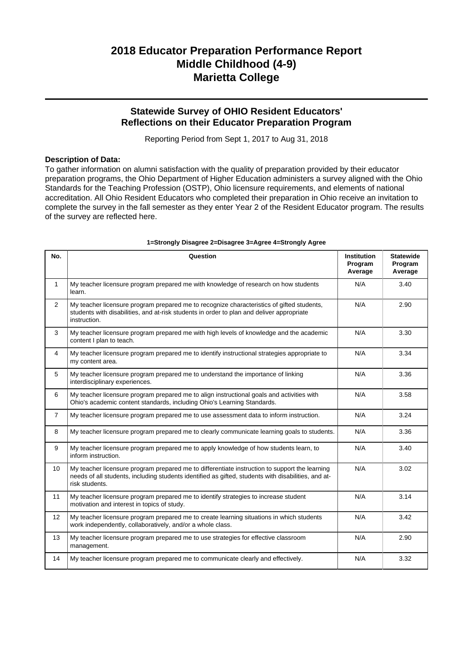### **Statewide Survey of OHIO Resident Educators' Reflections on their Educator Preparation Program**

Reporting Period from Sept 1, 2017 to Aug 31, 2018

#### **Description of Data:**

To gather information on alumni satisfaction with the quality of preparation provided by their educator preparation programs, the Ohio Department of Higher Education administers a survey aligned with the Ohio Standards for the Teaching Profession (OSTP), Ohio licensure requirements, and elements of national accreditation. All Ohio Resident Educators who completed their preparation in Ohio receive an invitation to complete the survey in the fall semester as they enter Year 2 of the Resident Educator program. The results of the survey are reflected here.

| No.            | Question                                                                                                                                                                                                               | <b>Institution</b><br>Program<br>Average | <b>Statewide</b><br>Program<br>Average |
|----------------|------------------------------------------------------------------------------------------------------------------------------------------------------------------------------------------------------------------------|------------------------------------------|----------------------------------------|
| $\mathbf{1}$   | My teacher licensure program prepared me with knowledge of research on how students<br>learn.                                                                                                                          | N/A                                      | 3.40                                   |
| $\overline{2}$ | My teacher licensure program prepared me to recognize characteristics of gifted students,<br>students with disabilities, and at-risk students in order to plan and deliver appropriate<br>instruction.                 | N/A                                      | 2.90                                   |
| 3              | My teacher licensure program prepared me with high levels of knowledge and the academic<br>content I plan to teach.                                                                                                    | N/A                                      | 3.30                                   |
| $\overline{4}$ | My teacher licensure program prepared me to identify instructional strategies appropriate to<br>my content area.                                                                                                       | N/A                                      | 3.34                                   |
| 5              | My teacher licensure program prepared me to understand the importance of linking<br>interdisciplinary experiences.                                                                                                     | N/A                                      | 3.36                                   |
| 6              | My teacher licensure program prepared me to align instructional goals and activities with<br>Ohio's academic content standards, including Ohio's Learning Standards.                                                   | N/A                                      | 3.58                                   |
| $\overline{7}$ | My teacher licensure program prepared me to use assessment data to inform instruction.                                                                                                                                 | N/A                                      | 3.24                                   |
| 8              | My teacher licensure program prepared me to clearly communicate learning goals to students.                                                                                                                            | N/A                                      | 3.36                                   |
| 9              | My teacher licensure program prepared me to apply knowledge of how students learn, to<br>inform instruction.                                                                                                           | N/A                                      | 3.40                                   |
| 10             | My teacher licensure program prepared me to differentiate instruction to support the learning<br>needs of all students, including students identified as gifted, students with disabilities, and at-<br>risk students. | N/A                                      | 3.02                                   |
| 11             | My teacher licensure program prepared me to identify strategies to increase student<br>motivation and interest in topics of study.                                                                                     | N/A                                      | 3.14                                   |
| 12             | My teacher licensure program prepared me to create learning situations in which students<br>work independently, collaboratively, and/or a whole class.                                                                 | N/A                                      | 3.42                                   |
| 13             | My teacher licensure program prepared me to use strategies for effective classroom<br>management.                                                                                                                      | N/A                                      | 2.90                                   |
| 14             | My teacher licensure program prepared me to communicate clearly and effectively.                                                                                                                                       | N/A                                      | 3.32                                   |

#### **1=Strongly Disagree 2=Disagree 3=Agree 4=Strongly Agree**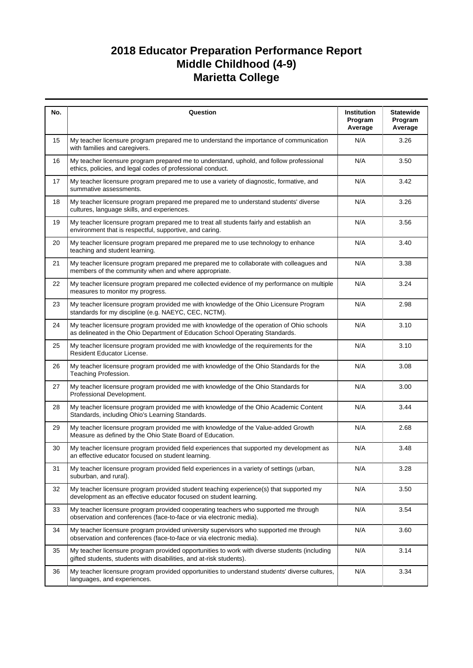| No. | Question                                                                                                                                                                  | Institution<br>Program<br>Average | <b>Statewide</b><br>Program<br>Average |
|-----|---------------------------------------------------------------------------------------------------------------------------------------------------------------------------|-----------------------------------|----------------------------------------|
| 15  | My teacher licensure program prepared me to understand the importance of communication<br>with families and caregivers.                                                   | N/A                               | 3.26                                   |
| 16  | My teacher licensure program prepared me to understand, uphold, and follow professional<br>ethics, policies, and legal codes of professional conduct.                     | N/A                               | 3.50                                   |
| 17  | My teacher licensure program prepared me to use a variety of diagnostic, formative, and<br>summative assessments.                                                         | N/A                               | 3.42                                   |
| 18  | My teacher licensure program prepared me prepared me to understand students' diverse<br>cultures, language skills, and experiences.                                       | N/A                               | 3.26                                   |
| 19  | My teacher licensure program prepared me to treat all students fairly and establish an<br>environment that is respectful, supportive, and caring.                         | N/A                               | 3.56                                   |
| 20  | My teacher licensure program prepared me prepared me to use technology to enhance<br>teaching and student learning.                                                       | N/A                               | 3.40                                   |
| 21  | My teacher licensure program prepared me prepared me to collaborate with colleagues and<br>members of the community when and where appropriate.                           | N/A                               | 3.38                                   |
| 22  | My teacher licensure program prepared me collected evidence of my performance on multiple<br>measures to monitor my progress.                                             | N/A                               | 3.24                                   |
| 23  | My teacher licensure program provided me with knowledge of the Ohio Licensure Program<br>standards for my discipline (e.g. NAEYC, CEC, NCTM).                             | N/A                               | 2.98                                   |
| 24  | My teacher licensure program provided me with knowledge of the operation of Ohio schools<br>as delineated in the Ohio Department of Education School Operating Standards. | N/A                               | 3.10                                   |
| 25  | My teacher licensure program provided me with knowledge of the requirements for the<br>Resident Educator License.                                                         | N/A                               | 3.10                                   |
| 26  | My teacher licensure program provided me with knowledge of the Ohio Standards for the<br>Teaching Profession.                                                             | N/A                               | 3.08                                   |
| 27  | My teacher licensure program provided me with knowledge of the Ohio Standards for<br>Professional Development.                                                            | N/A                               | 3.00                                   |
| 28  | My teacher licensure program provided me with knowledge of the Ohio Academic Content<br>Standards, including Ohio's Learning Standards.                                   | N/A                               | 3.44                                   |
| 29  | My teacher licensure program provided me with knowledge of the Value-added Growth<br>Measure as defined by the Ohio State Board of Education.                             | N/A                               | 2.68                                   |
| 30  | My teacher licensure program provided field experiences that supported my development as<br>an effective educator focused on student learning.                            | N/A                               | 3.48                                   |
| 31  | My teacher licensure program provided field experiences in a variety of settings (urban,<br>suburban, and rural).                                                         | N/A                               | 3.28                                   |
| 32  | My teacher licensure program provided student teaching experience(s) that supported my<br>development as an effective educator focused on student learning.               | N/A                               | 3.50                                   |
| 33  | My teacher licensure program provided cooperating teachers who supported me through<br>observation and conferences (face-to-face or via electronic media).                | N/A                               | 3.54                                   |
| 34  | My teacher licensure program provided university supervisors who supported me through<br>observation and conferences (face-to-face or via electronic media).              | N/A                               | 3.60                                   |
| 35  | My teacher licensure program provided opportunities to work with diverse students (including<br>gifted students, students with disabilities, and at-risk students).       | N/A                               | 3.14                                   |
| 36  | My teacher licensure program provided opportunities to understand students' diverse cultures,<br>languages, and experiences.                                              | N/A                               | 3.34                                   |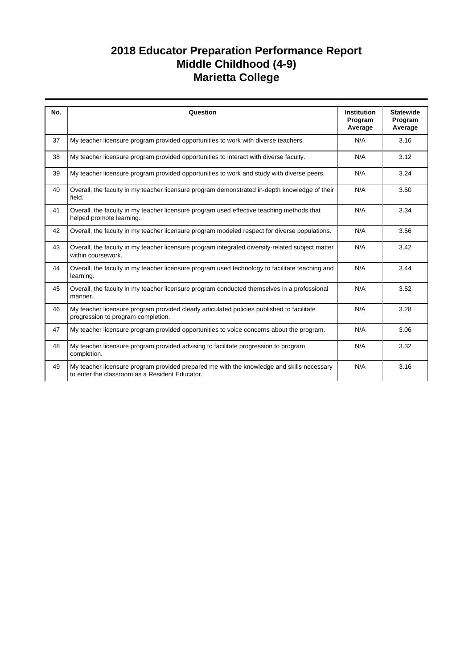| No. | Question                                                                                                                                    | <b>Institution</b> | <b>Statewide</b>   |
|-----|---------------------------------------------------------------------------------------------------------------------------------------------|--------------------|--------------------|
|     |                                                                                                                                             | Program<br>Average | Program<br>Average |
| 37  | My teacher licensure program provided opportunities to work with diverse teachers.                                                          | N/A                | 3.16               |
| 38  | My teacher licensure program provided opportunities to interact with diverse faculty.                                                       | N/A                | 3.12               |
| 39  | My teacher licensure program provided opportunities to work and study with diverse peers.                                                   | N/A                | 3.24               |
| 40  | Overall, the faculty in my teacher licensure program demonstrated in-depth knowledge of their<br>field.                                     | N/A                | 3.50               |
| 41  | Overall, the faculty in my teacher licensure program used effective teaching methods that<br>helped promote learning.                       | N/A                | 3.34               |
| 42  | Overall, the faculty in my teacher licensure program modeled respect for diverse populations.                                               | N/A                | 3.56               |
| 43  | Overall, the faculty in my teacher licensure program integrated diversity-related subject matter<br>within coursework.                      | N/A                | 3.42               |
| 44  | Overall, the faculty in my teacher licensure program used technology to facilitate teaching and<br>learning.                                | N/A                | 3.44               |
| 45  | Overall, the faculty in my teacher licensure program conducted themselves in a professional<br>manner.                                      | N/A                | 3.52               |
| 46  | My teacher licensure program provided clearly articulated policies published to facilitate<br>progression to program completion.            | N/A                | 3.28               |
| 47  | My teacher licensure program provided opportunities to voice concerns about the program.                                                    | N/A                | 3.06               |
| 48  | My teacher licensure program provided advising to facilitate progression to program<br>completion.                                          | N/A                | 3.32               |
| 49  | My teacher licensure program provided prepared me with the knowledge and skills necessary<br>to enter the classroom as a Resident Educator. | N/A                | 3.16               |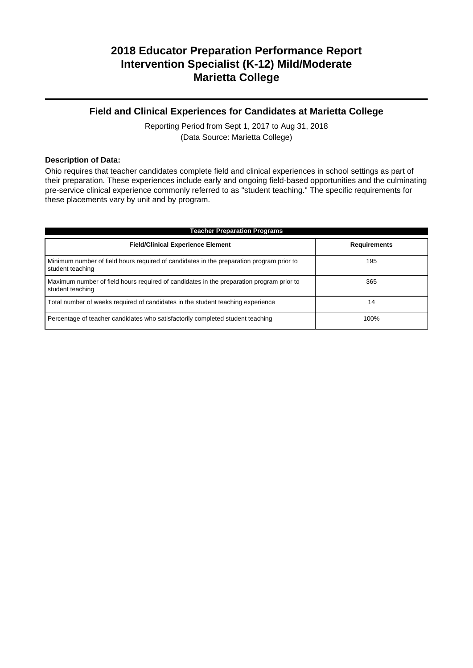### **Field and Clinical Experiences for Candidates at Marietta College**

Reporting Period from Sept 1, 2017 to Aug 31, 2018 (Data Source: Marietta College)

#### **Description of Data:**

Ohio requires that teacher candidates complete field and clinical experiences in school settings as part of their preparation. These experiences include early and ongoing field-based opportunities and the culminating pre-service clinical experience commonly referred to as "student teaching." The specific requirements for these placements vary by unit and by program.

| <b>Teacher Preparation Programs</b>                                                                          |                     |  |  |  |  |
|--------------------------------------------------------------------------------------------------------------|---------------------|--|--|--|--|
| <b>Field/Clinical Experience Element</b>                                                                     | <b>Requirements</b> |  |  |  |  |
| Minimum number of field hours required of candidates in the preparation program prior to<br>student teaching | 195                 |  |  |  |  |
| Maximum number of field hours required of candidates in the preparation program prior to<br>student teaching | 365                 |  |  |  |  |
| Total number of weeks required of candidates in the student teaching experience                              | 14                  |  |  |  |  |
| Percentage of teacher candidates who satisfactorily completed student teaching                               | 100%                |  |  |  |  |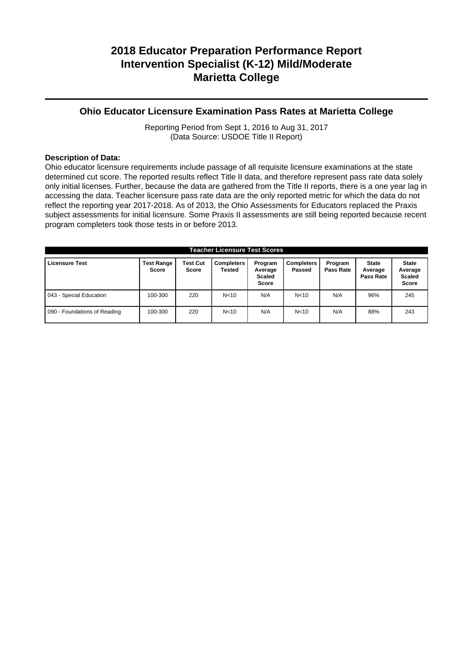### **Ohio Educator Licensure Examination Pass Rates at Marietta College**

Reporting Period from Sept 1, 2016 to Aug 31, 2017 (Data Source: USDOE Title II Report)

#### **Description of Data:**

Ohio educator licensure requirements include passage of all requisite licensure examinations at the state determined cut score. The reported results reflect Title II data, and therefore represent pass rate data solely only initial licenses. Further, because the data are gathered from the Title II reports, there is a one year lag in accessing the data. Teacher licensure pass rate data are the only reported metric for which the data do not reflect the reporting year 2017-2018. As of 2013, the Ohio Assessments for Educators replaced the Praxis subject assessments for initial licensure. Some Praxis II assessments are still being reported because recent program completers took those tests in or before 2013.

| <b>Teacher Licensure Test Scores</b> |                                   |                          |                             |                                              |                             |                      |                                      |                                                   |
|--------------------------------------|-----------------------------------|--------------------------|-----------------------------|----------------------------------------------|-----------------------------|----------------------|--------------------------------------|---------------------------------------------------|
| <b>Licensure Test</b>                | <b>Test Range</b><br><b>Score</b> | <b>Test Cut</b><br>Score | <b>Completers</b><br>Tested | Program<br>Average<br><b>Scaled</b><br>Score | <b>Completers</b><br>Passed | Program<br>Pass Rate | <b>State</b><br>Average<br>Pass Rate | <b>State</b><br>Average<br><b>Scaled</b><br>Score |
| 043 - Special Education              | 100-300                           | 220                      | N <sub>10</sub>             | N/A                                          | N <sub>10</sub>             | N/A                  | 96%                                  | 245                                               |
| 090 - Foundations of Reading         | 100-300                           | 220                      | N <sub>10</sub>             | N/A                                          | N <sub>10</sub>             | N/A                  | 88%                                  | 243                                               |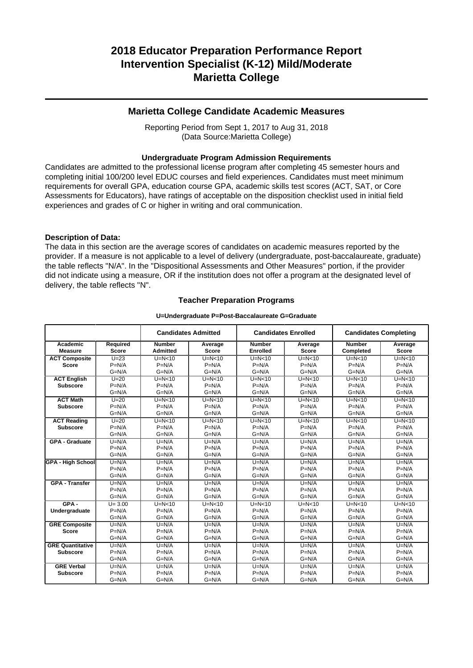#### **Marietta College Candidate Academic Measures**

Reporting Period from Sept 1, 2017 to Aug 31, 2018 (Data Source:Marietta College)

#### **Undergraduate Program Admission Requirements**

Candidates are admitted to the professional license program after completing 45 semester hours and completing initial 100/200 level EDUC courses and field experiences. Candidates must meet minimum requirements for overall GPA, education course GPA, academic skills test scores (ACT, SAT, or Core Assessments for Educators), have ratings of acceptable on the disposition checklist used in initial field experiences and grades of C or higher in writing and oral communication.

#### **Description of Data:**

The data in this section are the average scores of candidates on academic measures reported by the provider. If a measure is not applicable to a level of delivery (undergraduate, post-baccalaureate, graduate) the table reflects "N/A". In the "Dispositional Assessments and Other Measures" portion, if the provider did not indicate using a measure, OR if the institution does not offer a program at the designated level of delivery, the table reflects "N".

#### **Teacher Preparation Programs**

#### **U=Undergraduate P=Post-Baccalaureate G=Graduate**

|                          |              | <b>Candidates Admitted</b> |              |                 | <b>Candidates Enrolled</b> |               | <b>Candidates Completing</b> |  |
|--------------------------|--------------|----------------------------|--------------|-----------------|----------------------------|---------------|------------------------------|--|
| Academic                 | Required     | <b>Number</b>              | Average      | <b>Number</b>   | Average                    | <b>Number</b> | Average                      |  |
| <b>Measure</b>           | <b>Score</b> | <b>Admitted</b>            | <b>Score</b> | <b>Enrolled</b> | Score                      | Completed     | <b>Score</b>                 |  |
| <b>ACT Composite</b>     | $U=23$       | $U=N<10$                   | $U=N<10$     | $U=N<10$        | $U=N<10$                   | $U=N<10$      | $U=N<10$                     |  |
| <b>Score</b>             | $P=N/A$      | $P=N/A$                    | $P=N/A$      | $P=N/A$         | $P=N/A$                    | $P=N/A$       | $P=N/A$                      |  |
|                          | $G=N/A$      | $G=N/A$                    | $G=N/A$      | $G=N/A$         | $G=N/A$                    | $G=N/A$       | $G=N/A$                      |  |
| <b>ACT English</b>       | $U=20$       | $U=N<10$                   | $U=N<10$     | $U=N<10$        | $U=N<10$                   | $U=N<10$      | $U=N<10$                     |  |
| <b>Subscore</b>          | $P=N/A$      | $P=N/A$                    | $P=N/A$      | $P=N/A$         | $P=N/A$                    | $P=N/A$       | $P=N/A$                      |  |
|                          | $G=N/A$      | $G=N/A$                    | $G=N/A$      | $G=N/A$         | $G=N/A$                    | $G=N/A$       | $G=N/A$                      |  |
| <b>ACT Math</b>          | $U=20$       | $U=N<10$                   | $U=N<10$     | $U=N<10$        | $U=N<10$                   | $U=N<10$      | $U=N<10$                     |  |
| <b>Subscore</b>          | $P=N/A$      | $P=N/A$                    | $P=N/A$      | $P=N/A$         | $P=N/A$                    | $P=N/A$       | $P=N/A$                      |  |
|                          | $G=N/A$      | $G=N/A$                    | $G=N/A$      | $G=N/A$         | $G=N/A$                    | $G=N/A$       | $G=N/A$                      |  |
| <b>ACT Reading</b>       | $U=20$       | $U=N<10$                   | $U=N<10$     | $U=N<10$        | $U=N<10$                   | $U=N<10$      | $U=N10$                      |  |
| <b>Subscore</b>          | $P=N/A$      | $P=N/A$                    | $P=N/A$      | $P=N/A$         | $P=N/A$                    | $P=N/A$       | $P=N/A$                      |  |
|                          | $G=N/A$      | $G=N/A$                    | $G=N/A$      | $G=N/A$         | $G=N/A$                    | $G=N/A$       | $G=N/A$                      |  |
| <b>GPA - Graduate</b>    | $U=N/A$      | $U=N/A$                    | $U=N/A$      | $U=N/A$         | $U=N/A$                    | $U=N/A$       | $U=N/A$                      |  |
|                          | $P=N/A$      | $P=N/A$                    | $P=N/A$      | $P=N/A$         | $P=N/A$                    | $P=N/A$       | $P=N/A$                      |  |
|                          | $G=N/A$      | $G=N/A$                    | $G=N/A$      | $G=N/A$         | $G=N/A$                    | $G=N/A$       | $G=N/A$                      |  |
| <b>GPA - High School</b> | $U=N/A$      | $U=N/A$                    | $U=N/A$      | $U=N/A$         | $U=N/A$                    | $U=N/A$       | $U=N/A$                      |  |
|                          | $P=N/A$      | $P=N/A$                    | $P=N/A$      | $P=N/A$         | $P=N/A$                    | $P=N/A$       | $P=N/A$                      |  |
|                          | $G=N/A$      | $G=N/A$                    | $G=N/A$      | $G=N/A$         | $G=N/A$                    | $G=N/A$       | $G=N/A$                      |  |
| <b>GPA - Transfer</b>    | $U=N/A$      | $U=N/A$                    | $U=N/A$      | $U=N/A$         | $U=N/A$                    | $U=N/A$       | $U=N/A$                      |  |
|                          | $P=N/A$      | $P=N/A$                    | $P=N/A$      | $P=N/A$         | $P=N/A$                    | $P=N/A$       | $P=N/A$                      |  |
|                          | $G=N/A$      | $G=N/A$                    | $G=N/A$      | $G=N/A$         | $G=N/A$                    | $G=N/A$       | $G=N/A$                      |  |
| $GPA -$                  | $U = 3.00$   | $U=N<10$                   | $U=N<10$     | $U=N<10$        | $U=N<10$                   | $U=N<10$      | $U=N10$                      |  |
| Undergraduate            | $P=N/A$      | $P=N/A$                    | $P=N/A$      | $P=N/A$         | $P=N/A$                    | $P=N/A$       | $P=N/A$                      |  |
|                          | $G=N/A$      | $G=N/A$                    | $G=N/A$      | $G=N/A$         | $G=N/A$                    | $G=N/A$       | $G=N/A$                      |  |
| <b>GRE Composite</b>     | $U=N/A$      | $U=N/A$                    | $U=N/A$      | $U=N/A$         | $U=N/A$                    | $U=N/A$       | $U=N/A$                      |  |
| <b>Score</b>             | $P=N/A$      | $P=N/A$                    | $P=N/A$      | $P=N/A$         | $P=N/A$                    | $P=N/A$       | $P=N/A$                      |  |
|                          | $G=N/A$      | $G=N/A$                    | $G=N/A$      | $G=N/A$         | $G=N/A$                    | $G=N/A$       | $G=N/A$                      |  |
| <b>GRE Quantitative</b>  | $U=N/A$      | $U=N/A$                    | $U=N/A$      | $U=N/A$         | $U=N/A$                    | $U=N/A$       | $U=N/A$                      |  |
| <b>Subscore</b>          | $P=N/A$      | $P=N/A$                    | $P=N/A$      | $P=N/A$         | $P=N/A$                    | $P=N/A$       | $P=N/A$                      |  |
|                          | $G=N/A$      | $G=N/A$                    | $G=N/A$      | $G=N/A$         | $G=N/A$                    | $G=N/A$       | $G=N/A$                      |  |
| <b>GRE Verbal</b>        | $U=N/A$      | $U=N/A$                    | $U=N/A$      | $U=N/A$         | $U=N/A$                    | $U=N/A$       | $U=N/A$                      |  |
| <b>Subscore</b>          | $P=N/A$      | $P=N/A$                    | $P=N/A$      | $P=N/A$         | $P=N/A$                    | $P=N/A$       | $P=N/A$                      |  |
|                          | $G=N/A$      | $G=N/A$                    | $G=N/A$      | $G=N/A$         | $G=N/A$                    | $G=N/A$       | $G=N/A$                      |  |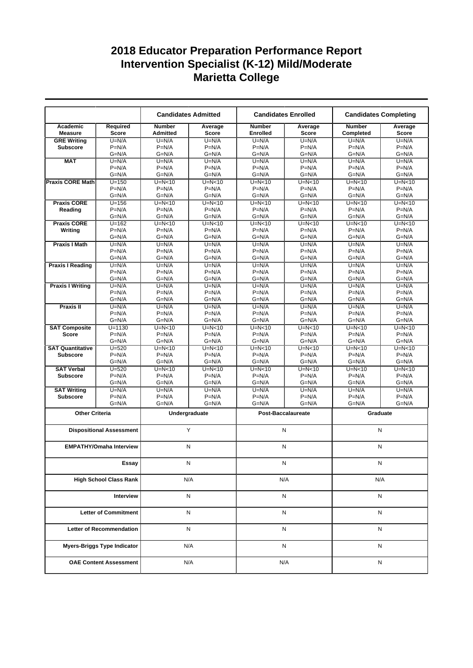|                               |                                    |                                  | <b>Candidates Admitted</b> | <b>Candidates Enrolled</b>       |                           | <b>Candidates Completing</b> |                  |
|-------------------------------|------------------------------------|----------------------------------|----------------------------|----------------------------------|---------------------------|------------------------------|------------------|
| Academic<br><b>Measure</b>    | Required<br><b>Score</b>           | <b>Number</b><br><b>Admitted</b> | Average<br><b>Score</b>    | <b>Number</b><br><b>Enrolled</b> | Average<br><b>Score</b>   | <b>Number</b><br>Completed   | Average<br>Score |
| <b>GRE Writing</b>            | $U=N/A$                            | $U=N/A$                          | $U=N/A$                    | $U=N/A$                          | $U=N/A$                   | $U=N/A$                      | $U=N/A$          |
| <b>Subscore</b>               | $P=N/A$                            | $P=N/A$                          | $P=N/A$                    | $P=N/A$                          | $P=N/A$                   | $P=N/A$                      | $P=N/A$          |
|                               | $G=N/A$                            | $G=N/A$                          | $G=N/A$                    | $G=N/A$                          | $G=N/A$                   | $G=N/A$                      | $G=N/A$          |
| <b>MAT</b>                    | $U=N/A$                            | $U=N/A$                          | $U=N/A$                    | $U=N/A$                          | $U=N/A$                   | $U=N/A$                      | $U=N/A$          |
|                               | $P=N/A$                            | $P=N/A$                          | $P=N/A$                    | $P=N/A$                          | $P=N/A$                   | $P=N/A$                      | $P=N/A$          |
|                               | $G=N/A$                            | $G=N/A$                          | $G=N/A$                    | $G=N/A$                          | $G=N/A$                   | $G=N/A$                      | $G=N/A$          |
| <b>Praxis CORE Math</b>       | $U = 150$                          | $U=N<10$                         | $U=N10$                    | $U=N<10$                         | $U=N<10$                  | $U=N10$                      | $U=N<10$         |
|                               | $P=N/A$                            | $P=N/A$                          | $P=N/A$                    | $P=N/A$                          | $P=N/A$                   | $P=N/A$                      | $P=N/A$          |
|                               | $G=N/A$                            | $G=N/A$                          | $G=N/A$                    | $G=N/A$                          | $G=N/A$                   | $G=N/A$                      | $G=N/A$          |
| <b>Praxis CORE</b>            | $U = 156$                          | $U=N<10$                         | $U=N<10$                   | $U=N<10$                         | $U=N<10$                  | $U=N<10$                     | $U=N<10$         |
| Reading                       | $P=N/A$                            | $P=N/A$                          | $P=N/A$                    | $P=N/A$                          | $P=N/A$                   | $P=N/A$                      | $P=N/A$          |
|                               | $G=N/A$                            | $G=N/A$                          | $G=N/A$                    | $G=N/A$                          | G=N/A                     | $G=N/A$                      | $G=N/A$          |
| <b>Praxis CORE</b>            | $U = 162$                          | $U=N<10$                         | $U=N<10$                   | $U=N<10$                         | $U=N<10$                  | $U=N<10$                     | $U=N<10$         |
| Writing                       | $P=N/A$                            | $P=N/A$                          | $P=N/A$                    | $P=N/A$                          | $P=N/A$                   | $P=N/A$                      | $P=N/A$          |
|                               | $G=N/A$                            | $G=N/A$                          | $G=N/A$                    | $G=N/A$                          | $G=N/A$                   | $G=N/A$                      | $G=N/A$          |
| <b>Praxis I Math</b>          | $U=N/A$                            | $U=N/A$                          | $U=N/A$                    | $U=N/A$                          | $U=N/A$                   | $U=N/A$                      | $U=N/A$          |
|                               | $P=N/A$                            | $P=N/A$                          | $P=N/A$                    | $P=N/A$                          | $P=N/A$                   | $P=N/A$                      | $P=N/A$          |
|                               | $G=N/A$                            | $G=N/A$                          | $G=N/A$                    | $G=N/A$                          | $G=N/A$                   | $G=N/A$                      | $G=N/A$          |
| <b>Praxis I Reading</b>       | $U=N/A$                            | $U=N/A$                          | $U=N/A$                    | $U=N/A$                          | $U=N/A$                   | $U=N/A$                      | $U=N/A$          |
|                               | $P=N/A$                            | $P=N/A$                          | $P=N/A$                    | $P=N/A$                          | $P=N/A$                   | $P=N/A$                      | $P=N/A$          |
|                               | $G=N/A$                            | $G=N/A$                          | $G=N/A$                    | $G=N/A$                          | $G=N/A$                   | $G=N/A$                      | $G=N/A$          |
| <b>Praxis I Writing</b>       | $U=N/A$                            | $U=N/A$                          | $U=N/A$                    | $U=N/A$                          | $U=N/A$                   | $U=N/A$                      | $U=N/A$          |
|                               | $P=N/A$                            | $P=N/A$                          | $P=N/A$                    | $P=N/A$                          | $P=N/A$                   | $P=N/A$                      | $P=N/A$          |
|                               | $G=N/A$                            | $G=N/A$                          | $G=N/A$                    | $G=N/A$                          | $G=N/A$                   | $G=N/A$                      | $G=N/A$          |
| <b>Praxis II</b>              | $U=N/A$                            | $U=N/A$                          | $\overline{U}$ =N/A        | $U=N/A$                          | $U=N/A$                   | $U=N/A$                      | $U=N/A$          |
|                               | $P=N/A$                            | $P=N/A$                          | $P=N/A$                    | $P=N/A$                          | $P=N/A$                   | $P=N/A$                      | $P=N/A$          |
|                               | $G=N/A$                            | $G=N/A$                          | $G=N/A$                    | $G=N/A$                          | $G=N/A$                   | $G=N/A$                      | $G=N/A$          |
| <b>SAT Composite</b>          | $U = 1130$                         | $U=N10$                          | $U=N<10$                   | $U=N<10$                         | $U=N<10$                  | $U=N10$                      | $U=N0$           |
| <b>Score</b>                  | $P=N/A$                            | $P=N/A$                          | $P=N/A$                    | $P=N/A$                          | $P=N/A$                   | $P=N/A$                      | $P=N/A$          |
|                               | $G=N/A$                            | $G=N/A$                          | $G=N/A$                    | $G=N/A$                          | G=N/A                     | $G=N/A$                      | $G=N/A$          |
| <b>SAT Quantitative</b>       | $U = 520$                          | $U=N<10$                         | $U=N<10$                   | $U=N<10$                         | $U=N<10$                  | $U=N10$                      | $U=N<10$         |
| <b>Subscore</b>               | $P=N/A$                            | $P=N/A$                          | $P=N/A$                    | $P=N/A$                          | $P=N/A$                   | $P=N/A$                      | $P=N/A$          |
|                               | $G=N/A$                            | $G=N/A$                          | $G=N/A$                    | $G=N/A$                          | $G=N/A$                   | $G=N/A$                      | $G=N/A$          |
| <b>SAT Verbal</b>             | $U = 520$                          | $U=N<10$                         | $U=N<10$                   | $U=N<10$                         | $U=N<10$                  | $U=N10$                      | $U=N10$          |
|                               | $P=N/A$                            | $P=N/A$                          | $P=N/A$                    | $P=N/A$                          | $P=N/A$                   | $P=N/A$                      | $P=N/A$          |
| <b>Subscore</b>               | $G=N/A$                            | $G=N/A$                          | $G=N/A$                    | $G=N/A$                          | $G=N/A$                   | $G=N/A$                      | $G=N/A$          |
| <b>SAT Writing</b>            |                                    |                                  |                            | $U=N/A$                          |                           |                              | $U=N/A$          |
| <b>Subscore</b>               | $U=N/A$<br>$P=N/A$                 | $U=N/A$<br>$P=N/A$               | $U=N/A$<br>$P=N/A$         | $P=N/A$                          | $U=N/A$<br>$P=N/A$        | $U=N/A$<br>$P=N/A$           | $P=N/A$          |
|                               | $G=N/A$                            | $G=N/A$                          | $G=N/A$                    | $G=N/A$                          | G=N/A                     | $G=N/A$                      | $G=N/A$          |
|                               |                                    |                                  |                            |                                  |                           |                              |                  |
| <b>Other Criteria</b>         |                                    |                                  | Undergraduate              |                                  | <b>Post-Baccalaureate</b> | Graduate                     |                  |
|                               |                                    |                                  |                            |                                  |                           |                              |                  |
|                               | <b>Dispositional Assessment</b>    |                                  | Y                          | N                                |                           | N                            |                  |
|                               |                                    |                                  |                            |                                  |                           |                              |                  |
|                               | <b>EMPATHY/Omaha Interview</b>     |                                  | N                          | N                                |                           | N                            |                  |
|                               |                                    |                                  |                            |                                  |                           |                              |                  |
|                               |                                    |                                  |                            | N                                |                           |                              |                  |
|                               | Essay                              |                                  | N                          |                                  |                           | N                            |                  |
|                               |                                    |                                  | N/A                        |                                  |                           | N/A                          |                  |
| <b>High School Class Rank</b> |                                    |                                  |                            | N/A                              |                           |                              |                  |
|                               | Interview                          |                                  | Ν                          |                                  | N                         | N                            |                  |
|                               |                                    |                                  |                            |                                  |                           |                              |                  |
| <b>Letter of Commitment</b>   |                                    |                                  | N                          |                                  | N                         | N                            |                  |
|                               |                                    |                                  |                            |                                  |                           |                              |                  |
|                               | <b>Letter of Recommendation</b>    |                                  | N                          |                                  | N                         | N                            |                  |
|                               | <b>Myers-Briggs Type Indicator</b> |                                  | N/A                        |                                  | N                         | N                            |                  |
|                               | <b>OAE Content Assessment</b>      |                                  | N/A                        |                                  | N/A                       | N                            |                  |
|                               |                                    |                                  |                            |                                  |                           |                              |                  |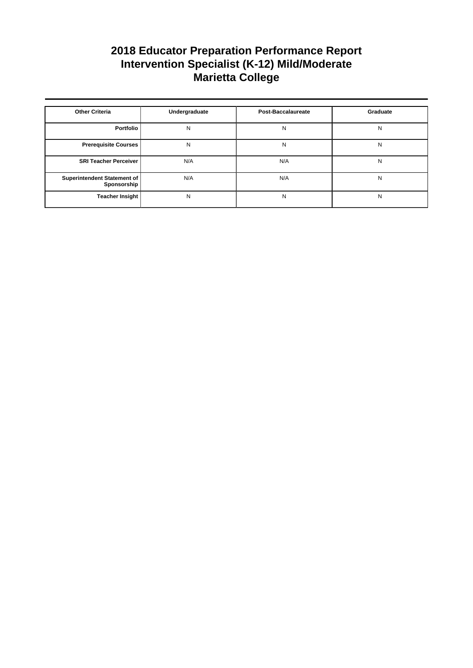| <b>Other Criteria</b>                      | Undergraduate | <b>Post-Baccalaureate</b> | Graduate |
|--------------------------------------------|---------------|---------------------------|----------|
| Portfolio                                  | N             | N                         | N        |
| <b>Prerequisite Courses</b>                | N             | N                         | N        |
| <b>SRI Teacher Perceiver</b>               | N/A           | N/A                       | N        |
| Superintendent Statement of<br>Sponsorship | N/A           | N/A                       | N        |
| <b>Teacher Insight</b>                     | N             | N                         | N        |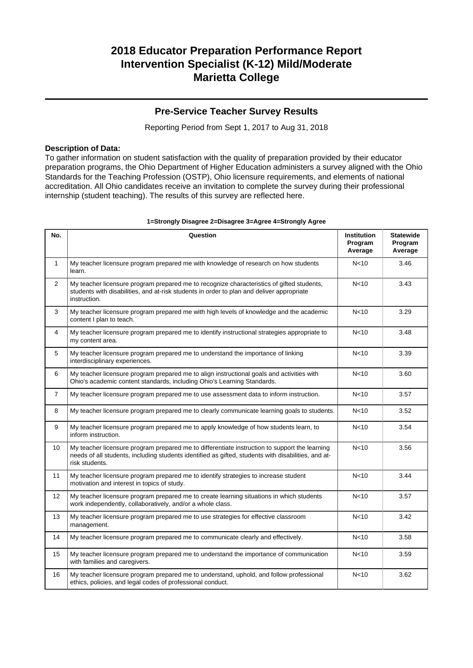### **Pre-Service Teacher Survey Results**

Reporting Period from Sept 1, 2017 to Aug 31, 2018

#### **Description of Data:**

To gather information on student satisfaction with the quality of preparation provided by their educator preparation programs, the Ohio Department of Higher Education administers a survey aligned with the Ohio Standards for the Teaching Profession (OSTP), Ohio licensure requirements, and elements of national accreditation. All Ohio candidates receive an invitation to complete the survey during their professional internship (student teaching). The results of this survey are reflected here.

| No.            | Question                                                                                                                                                                                                               | <b>Institution</b><br>Program<br>Average | <b>Statewide</b><br>Program<br>Average |
|----------------|------------------------------------------------------------------------------------------------------------------------------------------------------------------------------------------------------------------------|------------------------------------------|----------------------------------------|
| $\mathbf{1}$   | My teacher licensure program prepared me with knowledge of research on how students<br>learn.                                                                                                                          | N <sub>10</sub>                          | 3.46                                   |
| $\overline{2}$ | My teacher licensure program prepared me to recognize characteristics of gifted students,<br>students with disabilities, and at-risk students in order to plan and deliver appropriate<br>instruction.                 | N <sub>10</sub>                          | 3.43                                   |
| 3              | My teacher licensure program prepared me with high levels of knowledge and the academic<br>content I plan to teach.                                                                                                    | N <sub>10</sub>                          | 3.29                                   |
| 4              | My teacher licensure program prepared me to identify instructional strategies appropriate to<br>my content area.                                                                                                       | N <sub>10</sub>                          | 3.48                                   |
| 5              | My teacher licensure program prepared me to understand the importance of linking<br>interdisciplinary experiences.                                                                                                     | N <sub>10</sub>                          | 3.39                                   |
| 6              | My teacher licensure program prepared me to align instructional goals and activities with<br>Ohio's academic content standards, including Ohio's Learning Standards.                                                   | N <sub>10</sub>                          | 3.60                                   |
| $\overline{7}$ | My teacher licensure program prepared me to use assessment data to inform instruction.                                                                                                                                 | N <sub>10</sub>                          | 3.57                                   |
| 8              | My teacher licensure program prepared me to clearly communicate learning goals to students.                                                                                                                            | N <sub>10</sub>                          | 3.52                                   |
| 9              | My teacher licensure program prepared me to apply knowledge of how students learn, to<br>inform instruction.                                                                                                           | N <sub>10</sub>                          | 3.54                                   |
| 10             | My teacher licensure program prepared me to differentiate instruction to support the learning<br>needs of all students, including students identified as gifted, students with disabilities, and at-<br>risk students. | N <sub>10</sub>                          | 3.56                                   |
| 11             | My teacher licensure program prepared me to identify strategies to increase student<br>motivation and interest in topics of study.                                                                                     | N <sub>10</sub>                          | 3.44                                   |
| 12             | My teacher licensure program prepared me to create learning situations in which students<br>work independently, collaboratively, and/or a whole class.                                                                 | N <sub>10</sub>                          | 3.57                                   |
| 13             | My teacher licensure program prepared me to use strategies for effective classroom<br>management.                                                                                                                      | N <sub>10</sub>                          | 3.42                                   |
| 14             | My teacher licensure program prepared me to communicate clearly and effectively.                                                                                                                                       | N <sub>10</sub>                          | 3.58                                   |
| 15             | My teacher licensure program prepared me to understand the importance of communication<br>with families and caregivers.                                                                                                | N <sub>10</sub>                          | 3.59                                   |
| 16             | My teacher licensure program prepared me to understand, uphold, and follow professional<br>ethics, policies, and legal codes of professional conduct.                                                                  | N <sub>10</sub>                          | 3.62                                   |

#### **1=Strongly Disagree 2=Disagree 3=Agree 4=Strongly Agree**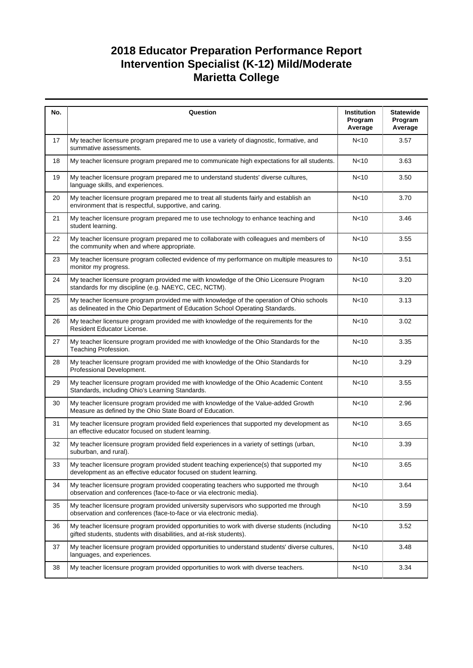| No. | Question                                                                                                                                                                  | Institution<br>Program<br>Average | <b>Statewide</b><br>Program<br>Average |
|-----|---------------------------------------------------------------------------------------------------------------------------------------------------------------------------|-----------------------------------|----------------------------------------|
| 17  | My teacher licensure program prepared me to use a variety of diagnostic, formative, and<br>summative assessments.                                                         | N <sub>10</sub>                   | 3.57                                   |
| 18  | My teacher licensure program prepared me to communicate high expectations for all students.                                                                               | N <sub>10</sub>                   | 3.63                                   |
| 19  | My teacher licensure program prepared me to understand students' diverse cultures,<br>language skills, and experiences.                                                   | N <sub>10</sub>                   | 3.50                                   |
| 20  | My teacher licensure program prepared me to treat all students fairly and establish an<br>environment that is respectful, supportive, and caring.                         | N <sub>10</sub>                   | 3.70                                   |
| 21  | My teacher licensure program prepared me to use technology to enhance teaching and<br>student learning.                                                                   | N <sub>10</sub>                   | 3.46                                   |
| 22  | My teacher licensure program prepared me to collaborate with colleagues and members of<br>the community when and where appropriate.                                       | N <sub>10</sub>                   | 3.55                                   |
| 23  | My teacher licensure program collected evidence of my performance on multiple measures to<br>monitor my progress.                                                         | N <sub>10</sub>                   | 3.51                                   |
| 24  | My teacher licensure program provided me with knowledge of the Ohio Licensure Program<br>standards for my discipline (e.g. NAEYC, CEC, NCTM).                             | N <sub>10</sub>                   | 3.20                                   |
| 25  | My teacher licensure program provided me with knowledge of the operation of Ohio schools<br>as delineated in the Ohio Department of Education School Operating Standards. | N <sub>10</sub>                   | 3.13                                   |
| 26  | My teacher licensure program provided me with knowledge of the requirements for the<br>Resident Educator License.                                                         | N <sub>10</sub>                   | 3.02                                   |
| 27  | My teacher licensure program provided me with knowledge of the Ohio Standards for the<br>Teaching Profession.                                                             | N<10                              | 3.35                                   |
| 28  | My teacher licensure program provided me with knowledge of the Ohio Standards for<br>Professional Development.                                                            | N <sub>10</sub>                   | 3.29                                   |
| 29  | My teacher licensure program provided me with knowledge of the Ohio Academic Content<br>Standards, including Ohio's Learning Standards.                                   | N <sub>10</sub>                   | 3.55                                   |
| 30  | My teacher licensure program provided me with knowledge of the Value-added Growth<br>Measure as defined by the Ohio State Board of Education.                             | N <sub>10</sub>                   | 2.96                                   |
| 31  | My teacher licensure program provided field experiences that supported my development as<br>an effective educator focused on student learning.                            | N <sub>10</sub>                   | 3.65                                   |
| 32  | My teacher licensure program provided field experiences in a variety of settings (urban,<br>suburban, and rural).                                                         | N <sub>10</sub>                   | 3.39                                   |
| 33  | My teacher licensure program provided student teaching experience(s) that supported my<br>development as an effective educator focused on student learning.               | N <sub>10</sub>                   | 3.65                                   |
| 34  | My teacher licensure program provided cooperating teachers who supported me through<br>observation and conferences (face-to-face or via electronic media).                | N <sub>10</sub>                   | 3.64                                   |
| 35  | My teacher licensure program provided university supervisors who supported me through<br>observation and conferences (face-to-face or via electronic media).              | N <sub>10</sub>                   | 3.59                                   |
| 36  | My teacher licensure program provided opportunities to work with diverse students (including<br>gifted students, students with disabilities, and at-risk students).       | N <sub>10</sub>                   | 3.52                                   |
| 37  | My teacher licensure program provided opportunities to understand students' diverse cultures,<br>languages, and experiences.                                              | N <sub>10</sub>                   | 3.48                                   |
| 38  | My teacher licensure program provided opportunities to work with diverse teachers.                                                                                        | N <sub>10</sub>                   | 3.34                                   |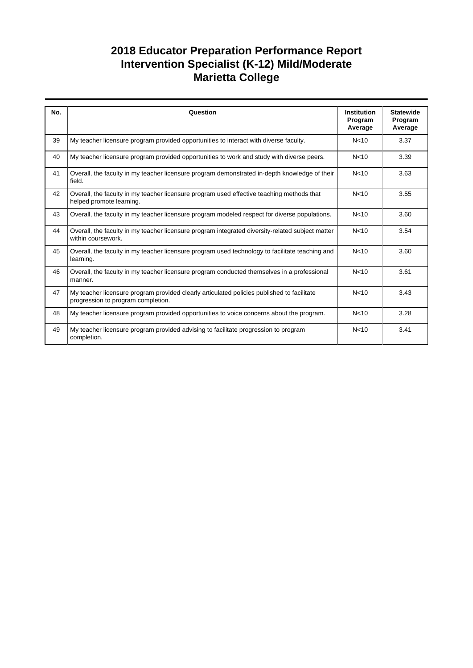| No. | Question                                                                                                                         | <b>Institution</b><br>Program<br>Average | <b>Statewide</b><br>Program<br>Average |
|-----|----------------------------------------------------------------------------------------------------------------------------------|------------------------------------------|----------------------------------------|
| 39  | My teacher licensure program provided opportunities to interact with diverse faculty.                                            | N < 10                                   | 3.37                                   |
| 40  | My teacher licensure program provided opportunities to work and study with diverse peers.                                        | N < 10                                   | 3.39                                   |
| 41  | Overall, the faculty in my teacher licensure program demonstrated in-depth knowledge of their<br>field.                          | N <sub>10</sub>                          | 3.63                                   |
| 42  | Overall, the faculty in my teacher licensure program used effective teaching methods that<br>helped promote learning.            | N <sub>10</sub>                          | 3.55                                   |
| 43  | Overall, the faculty in my teacher licensure program modeled respect for diverse populations.                                    | N <sub>10</sub>                          | 3.60                                   |
| 44  | Overall, the faculty in my teacher licensure program integrated diversity-related subject matter<br>within coursework.           | N <sub>10</sub>                          | 3.54                                   |
| 45  | Overall, the faculty in my teacher licensure program used technology to facilitate teaching and<br>learning.                     | N <sub>10</sub>                          | 3.60                                   |
| 46  | Overall, the faculty in my teacher licensure program conducted themselves in a professional<br>manner.                           | N <sub>10</sub>                          | 3.61                                   |
| 47  | My teacher licensure program provided clearly articulated policies published to facilitate<br>progression to program completion. | N <sub>10</sub>                          | 3.43                                   |
| 48  | My teacher licensure program provided opportunities to voice concerns about the program.                                         | N <sub>10</sub>                          | 3.28                                   |
| 49  | My teacher licensure program provided advising to facilitate progression to program<br>completion.                               | N < 10                                   | 3.41                                   |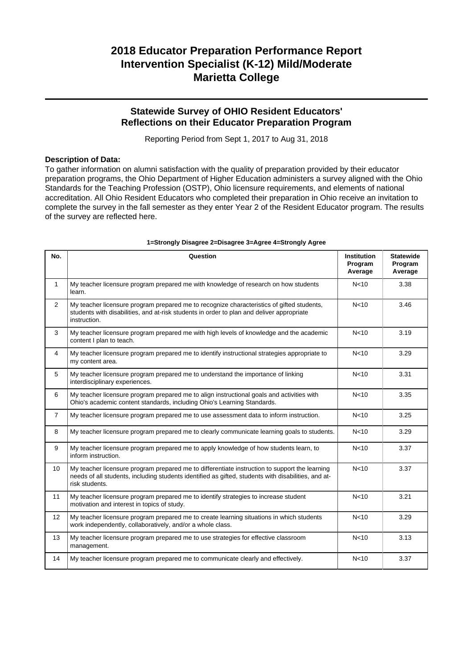### **Statewide Survey of OHIO Resident Educators' Reflections on their Educator Preparation Program**

Reporting Period from Sept 1, 2017 to Aug 31, 2018

#### **Description of Data:**

To gather information on alumni satisfaction with the quality of preparation provided by their educator preparation programs, the Ohio Department of Higher Education administers a survey aligned with the Ohio Standards for the Teaching Profession (OSTP), Ohio licensure requirements, and elements of national accreditation. All Ohio Resident Educators who completed their preparation in Ohio receive an invitation to complete the survey in the fall semester as they enter Year 2 of the Resident Educator program. The results of the survey are reflected here.

| No.            | Question                                                                                                                                                                                                               | <b>Institution</b><br>Program<br>Average | <b>Statewide</b><br>Program<br>Average |
|----------------|------------------------------------------------------------------------------------------------------------------------------------------------------------------------------------------------------------------------|------------------------------------------|----------------------------------------|
| $\mathbf{1}$   | My teacher licensure program prepared me with knowledge of research on how students<br>learn.                                                                                                                          | N <sub>10</sub>                          | 3.38                                   |
| $\overline{2}$ | My teacher licensure program prepared me to recognize characteristics of gifted students,<br>students with disabilities, and at-risk students in order to plan and deliver appropriate<br>instruction.                 | N <sub>10</sub>                          | 3.46                                   |
| 3              | My teacher licensure program prepared me with high levels of knowledge and the academic<br>content I plan to teach.                                                                                                    | N <sub>10</sub>                          | 3.19                                   |
| 4              | My teacher licensure program prepared me to identify instructional strategies appropriate to<br>my content area.                                                                                                       | N <sub>10</sub>                          | 3.29                                   |
| 5              | My teacher licensure program prepared me to understand the importance of linking<br>interdisciplinary experiences.                                                                                                     | N <sub>10</sub>                          | 3.31                                   |
| 6              | My teacher licensure program prepared me to align instructional goals and activities with<br>Ohio's academic content standards, including Ohio's Learning Standards.                                                   | N <sub>10</sub>                          | 3.35                                   |
| $\overline{7}$ | My teacher licensure program prepared me to use assessment data to inform instruction.                                                                                                                                 | N <sub>10</sub>                          | 3.25                                   |
| 8              | My teacher licensure program prepared me to clearly communicate learning goals to students.                                                                                                                            | N <sub>10</sub>                          | 3.29                                   |
| 9              | My teacher licensure program prepared me to apply knowledge of how students learn, to<br>inform instruction.                                                                                                           | N <sub>10</sub>                          | 3.37                                   |
| 10             | My teacher licensure program prepared me to differentiate instruction to support the learning<br>needs of all students, including students identified as gifted, students with disabilities, and at-<br>risk students. | N <sub>10</sub>                          | 3.37                                   |
| 11             | My teacher licensure program prepared me to identify strategies to increase student<br>motivation and interest in topics of study.                                                                                     | N <sub>10</sub>                          | 3.21                                   |
| 12             | My teacher licensure program prepared me to create learning situations in which students<br>work independently, collaboratively, and/or a whole class.                                                                 | N <sub>10</sub>                          | 3.29                                   |
| 13             | My teacher licensure program prepared me to use strategies for effective classroom<br>management.                                                                                                                      | N <sub>10</sub>                          | 3.13                                   |
| 14             | My teacher licensure program prepared me to communicate clearly and effectively.                                                                                                                                       | N <sub>10</sub>                          | 3.37                                   |

#### **1=Strongly Disagree 2=Disagree 3=Agree 4=Strongly Agree**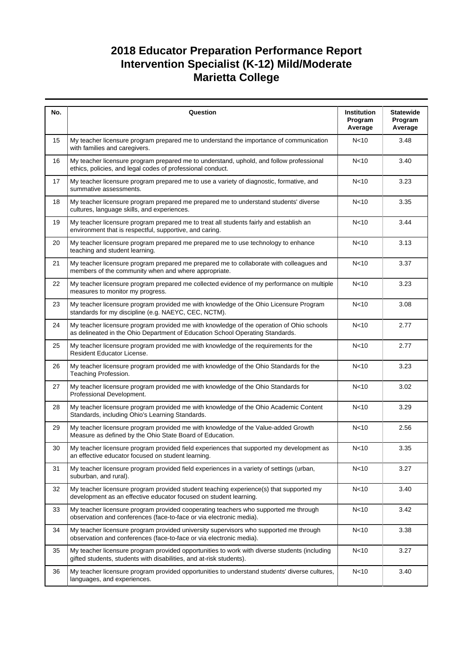| No. | Question                                                                                                                                                                  | Institution<br>Program<br>Average | <b>Statewide</b><br>Program<br>Average |
|-----|---------------------------------------------------------------------------------------------------------------------------------------------------------------------------|-----------------------------------|----------------------------------------|
| 15  | My teacher licensure program prepared me to understand the importance of communication<br>with families and caregivers.                                                   | N <sub>10</sub>                   | 3.48                                   |
| 16  | My teacher licensure program prepared me to understand, uphold, and follow professional<br>ethics, policies, and legal codes of professional conduct.                     | N <sub>10</sub>                   | 3.40                                   |
| 17  | My teacher licensure program prepared me to use a variety of diagnostic, formative, and<br>summative assessments.                                                         | N <sub>10</sub>                   | 3.23                                   |
| 18  | My teacher licensure program prepared me prepared me to understand students' diverse<br>cultures, language skills, and experiences.                                       | N <sub>10</sub>                   | 3.35                                   |
| 19  | My teacher licensure program prepared me to treat all students fairly and establish an<br>environment that is respectful, supportive, and caring.                         | N <sub>10</sub>                   | 3.44                                   |
| 20  | My teacher licensure program prepared me prepared me to use technology to enhance<br>teaching and student learning.                                                       | N <sub>10</sub>                   | 3.13                                   |
| 21  | My teacher licensure program prepared me prepared me to collaborate with colleagues and<br>members of the community when and where appropriate.                           | N <sub>10</sub>                   | 3.37                                   |
| 22  | My teacher licensure program prepared me collected evidence of my performance on multiple<br>measures to monitor my progress.                                             | N <sub>10</sub>                   | 3.23                                   |
| 23  | My teacher licensure program provided me with knowledge of the Ohio Licensure Program<br>standards for my discipline (e.g. NAEYC, CEC, NCTM).                             | N <sub>10</sub>                   | 3.08                                   |
| 24  | My teacher licensure program provided me with knowledge of the operation of Ohio schools<br>as delineated in the Ohio Department of Education School Operating Standards. | N <sub>10</sub>                   | 2.77                                   |
| 25  | My teacher licensure program provided me with knowledge of the requirements for the<br>Resident Educator License.                                                         | N <sub>10</sub>                   | 2.77                                   |
| 26  | My teacher licensure program provided me with knowledge of the Ohio Standards for the<br>Teaching Profession.                                                             | N<10                              | 3.23                                   |
| 27  | My teacher licensure program provided me with knowledge of the Ohio Standards for<br>Professional Development.                                                            | N <sub>10</sub>                   | 3.02                                   |
| 28  | My teacher licensure program provided me with knowledge of the Ohio Academic Content<br>Standards, including Ohio's Learning Standards.                                   | N <sub>10</sub>                   | 3.29                                   |
| 29  | My teacher licensure program provided me with knowledge of the Value-added Growth<br>Measure as defined by the Ohio State Board of Education.                             | N <sub>10</sub>                   | 2.56                                   |
| 30  | My teacher licensure program provided field experiences that supported my development as<br>an effective educator focused on student learning.                            | N <sub>10</sub>                   | 3.35                                   |
| 31  | My teacher licensure program provided field experiences in a variety of settings (urban,<br>suburban, and rural).                                                         | N <sub>10</sub>                   | 3.27                                   |
| 32  | My teacher licensure program provided student teaching experience(s) that supported my<br>development as an effective educator focused on student learning.               | N<10                              | 3.40                                   |
| 33  | My teacher licensure program provided cooperating teachers who supported me through<br>observation and conferences (face-to-face or via electronic media).                | N <sub>10</sub>                   | 3.42                                   |
| 34  | My teacher licensure program provided university supervisors who supported me through<br>observation and conferences (face-to-face or via electronic media).              | N <sub>10</sub>                   | 3.38                                   |
| 35  | My teacher licensure program provided opportunities to work with diverse students (including<br>gifted students, students with disabilities, and at-risk students).       | N<10                              | 3.27                                   |
| 36  | My teacher licensure program provided opportunities to understand students' diverse cultures,<br>languages, and experiences.                                              | N <sub>10</sub>                   | 3.40                                   |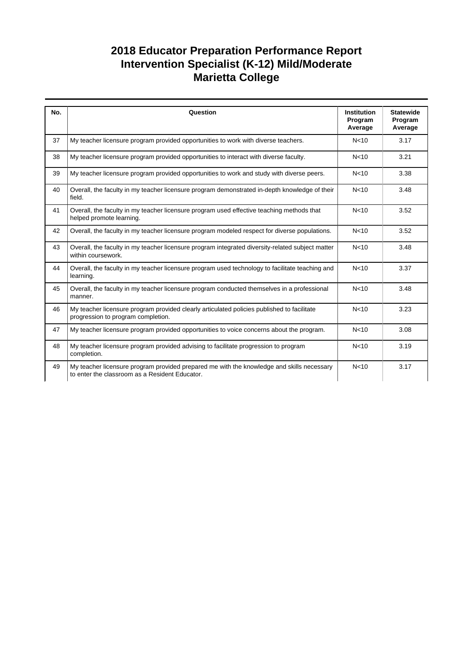| No. | Question                                                                                                                                    | <b>Institution</b><br>Program<br>Average | <b>Statewide</b><br>Program<br>Average |
|-----|---------------------------------------------------------------------------------------------------------------------------------------------|------------------------------------------|----------------------------------------|
| 37  | My teacher licensure program provided opportunities to work with diverse teachers.                                                          | N <sub>10</sub>                          | 3.17                                   |
| 38  | My teacher licensure program provided opportunities to interact with diverse faculty.                                                       | N <sub>10</sub>                          | 3.21                                   |
| 39  | My teacher licensure program provided opportunities to work and study with diverse peers.                                                   | N <sub>10</sub>                          | 3.38                                   |
| 40  | Overall, the faculty in my teacher licensure program demonstrated in-depth knowledge of their<br>field.                                     | N <sub>10</sub>                          | 3.48                                   |
| 41  | Overall, the faculty in my teacher licensure program used effective teaching methods that<br>helped promote learning.                       | N <sub>10</sub>                          | 3.52                                   |
| 42  | Overall, the faculty in my teacher licensure program modeled respect for diverse populations.                                               | N <sub>10</sub>                          | 3.52                                   |
| 43  | Overall, the faculty in my teacher licensure program integrated diversity-related subject matter<br>within coursework.                      | N <sub>10</sub>                          | 3.48                                   |
| 44  | Overall, the faculty in my teacher licensure program used technology to facilitate teaching and<br>learning.                                | N <sub>10</sub>                          | 3.37                                   |
| 45  | Overall, the faculty in my teacher licensure program conducted themselves in a professional<br>manner.                                      | N <sub>10</sub>                          | 3.48                                   |
| 46  | My teacher licensure program provided clearly articulated policies published to facilitate<br>progression to program completion.            | N <sub>10</sub>                          | 3.23                                   |
| 47  | My teacher licensure program provided opportunities to voice concerns about the program.                                                    | N <sub>10</sub>                          | 3.08                                   |
| 48  | My teacher licensure program provided advising to facilitate progression to program<br>completion.                                          | N <sub>10</sub>                          | 3.19                                   |
| 49  | My teacher licensure program provided prepared me with the knowledge and skills necessary<br>to enter the classroom as a Resident Educator. | N <sub>10</sub>                          | 3.17                                   |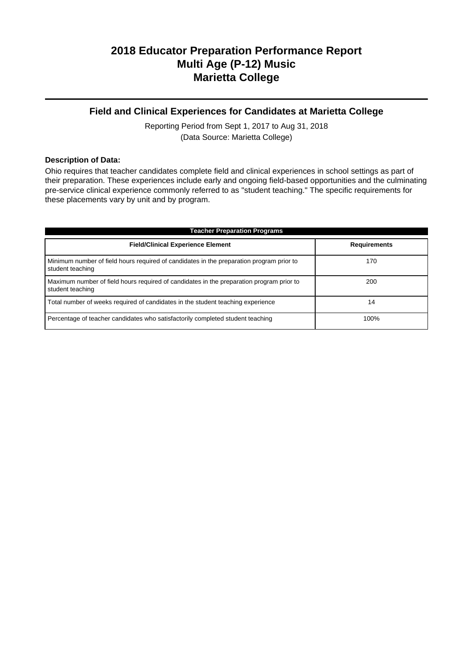### **Field and Clinical Experiences for Candidates at Marietta College**

Reporting Period from Sept 1, 2017 to Aug 31, 2018 (Data Source: Marietta College)

#### **Description of Data:**

Ohio requires that teacher candidates complete field and clinical experiences in school settings as part of their preparation. These experiences include early and ongoing field-based opportunities and the culminating pre-service clinical experience commonly referred to as "student teaching." The specific requirements for these placements vary by unit and by program.

| <b>Teacher Preparation Programs</b>                                                                          |                     |  |  |  |  |
|--------------------------------------------------------------------------------------------------------------|---------------------|--|--|--|--|
| <b>Field/Clinical Experience Element</b>                                                                     | <b>Requirements</b> |  |  |  |  |
| Minimum number of field hours required of candidates in the preparation program prior to<br>student teaching | 170                 |  |  |  |  |
| Maximum number of field hours required of candidates in the preparation program prior to<br>student teaching | 200                 |  |  |  |  |
| Total number of weeks required of candidates in the student teaching experience                              | 14                  |  |  |  |  |
| Percentage of teacher candidates who satisfactorily completed student teaching                               | 100%                |  |  |  |  |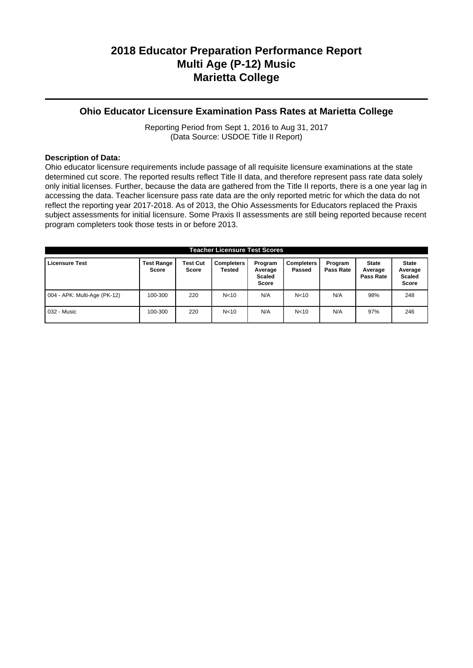### **Ohio Educator Licensure Examination Pass Rates at Marietta College**

Reporting Period from Sept 1, 2016 to Aug 31, 2017 (Data Source: USDOE Title II Report)

#### **Description of Data:**

Ohio educator licensure requirements include passage of all requisite licensure examinations at the state determined cut score. The reported results reflect Title II data, and therefore represent pass rate data solely only initial licenses. Further, because the data are gathered from the Title II reports, there is a one year lag in accessing the data. Teacher licensure pass rate data are the only reported metric for which the data do not reflect the reporting year 2017-2018. As of 2013, the Ohio Assessments for Educators replaced the Praxis subject assessments for initial licensure. Some Praxis II assessments are still being reported because recent program completers took those tests in or before 2013.

| <b>Teacher Licensure Test Scores</b> |                                   |                          |                             |                                              |                             |                      |                                      |                                                   |
|--------------------------------------|-----------------------------------|--------------------------|-----------------------------|----------------------------------------------|-----------------------------|----------------------|--------------------------------------|---------------------------------------------------|
| <b>Licensure Test</b>                | <b>Test Range</b><br><b>Score</b> | <b>Test Cut</b><br>Score | <b>Completers</b><br>Tested | Program<br>Average<br><b>Scaled</b><br>Score | <b>Completers</b><br>Passed | Program<br>Pass Rate | <b>State</b><br>Average<br>Pass Rate | <b>State</b><br>Average<br><b>Scaled</b><br>Score |
| 004 - APK: Multi-Age (PK-12)         | 100-300                           | 220                      | N <sub>10</sub>             | N/A                                          | N <sub>10</sub>             | N/A                  | 98%                                  | 248                                               |
| 032 - Music                          | 100-300                           | 220                      | N <sub>10</sub>             | N/A                                          | N <sub>10</sub>             | N/A                  | 97%                                  | 246                                               |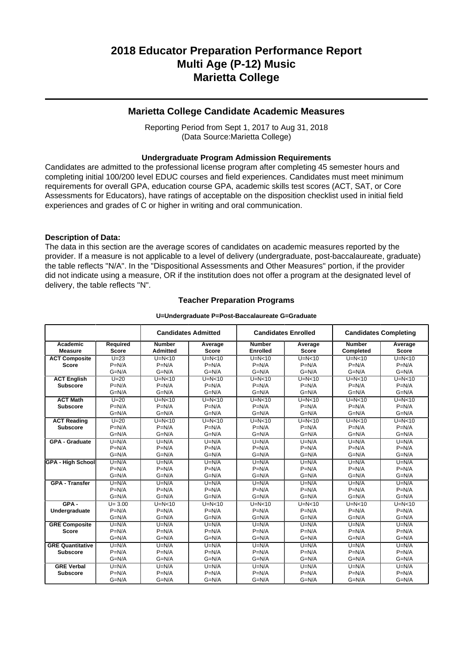### **Marietta College Candidate Academic Measures**

Reporting Period from Sept 1, 2017 to Aug 31, 2018 (Data Source:Marietta College)

#### **Undergraduate Program Admission Requirements**

Candidates are admitted to the professional license program after completing 45 semester hours and completing initial 100/200 level EDUC courses and field experiences. Candidates must meet minimum requirements for overall GPA, education course GPA, academic skills test scores (ACT, SAT, or Core Assessments for Educators), have ratings of acceptable on the disposition checklist used in initial field experiences and grades of C or higher in writing and oral communication.

#### **Description of Data:**

The data in this section are the average scores of candidates on academic measures reported by the provider. If a measure is not applicable to a level of delivery (undergraduate, post-baccalaureate, graduate) the table reflects "N/A". In the "Dispositional Assessments and Other Measures" portion, if the provider did not indicate using a measure, OR if the institution does not offer a program at the designated level of delivery, the table reflects "N".

#### **Teacher Preparation Programs**

#### **U=Undergraduate P=Post-Baccalaureate G=Graduate**

|                          |              |                 | <b>Candidates Admitted</b> |                 | <b>Candidates Enrolled</b><br><b>Candidates Completing</b> |               |              |
|--------------------------|--------------|-----------------|----------------------------|-----------------|------------------------------------------------------------|---------------|--------------|
| Academic                 | Required     | <b>Number</b>   | Average                    | <b>Number</b>   | Average                                                    | <b>Number</b> | Average      |
| <b>Measure</b>           | <b>Score</b> | <b>Admitted</b> | <b>Score</b>               | <b>Enrolled</b> | <b>Score</b>                                               | Completed     | <b>Score</b> |
| <b>ACT Composite</b>     | $U=23$       | $U=N<10$        | $U=N<10$                   | $U=N<10$        | $U=N<10$                                                   | $U=N<10$      | $U=N<10$     |
| <b>Score</b>             | $P=N/A$      | $P=N/A$         | $P=N/A$                    | $P=N/A$         | $P=N/A$                                                    | $P=N/A$       | $P=N/A$      |
|                          | $G=N/A$      | $G=N/A$         | $G=N/A$                    | $G=N/A$         | $G=N/A$                                                    | $G=N/A$       | $G=N/A$      |
| <b>ACT English</b>       | $U = 20$     | $U=N<10$        | $U=N<10$                   | $U=N<10$        | $U=N<10$                                                   | $U=N<10$      | $U=N<10$     |
| <b>Subscore</b>          | $P=N/A$      | $P=N/A$         | $P=N/A$                    | $P=N/A$         | $P=N/A$                                                    | $P=N/A$       | $P=N/A$      |
|                          | $G=N/A$      | $G=N/A$         | $G=N/A$                    | $G=N/A$         | $G=N/A$                                                    | $G=N/A$       | $G=N/A$      |
| <b>ACT Math</b>          | $U=20$       | $U=N<10$        | $U=N<10$                   | $U=N<10$        | $U=N<10$                                                   | $U=N<10$      | $U=N<10$     |
| <b>Subscore</b>          | $P=N/A$      | $P=N/A$         | $P=N/A$                    | $P=N/A$         | $P=N/A$                                                    | $P=N/A$       | $P=N/A$      |
|                          | $G=N/A$      | $G=N/A$         | $G=N/A$                    | $G=N/A$         | $G=N/A$                                                    | $G=N/A$       | $G=N/A$      |
| <b>ACT Reading</b>       | $U=20$       | $U=N<10$        | $U=N<10$                   | $U=N<10$        | $U=N<10$                                                   | $U=N<10$      | $U=N10$      |
| <b>Subscore</b>          | $P=N/A$      | $P=N/A$         | $P=N/A$                    | $P=N/A$         | $P=N/A$                                                    | $P=N/A$       | $P=N/A$      |
|                          | $G=N/A$      | $G=N/A$         | $G=N/A$                    | $G=N/A$         | $G=N/A$                                                    | $G=N/A$       | $G=N/A$      |
| <b>GPA - Graduate</b>    | $U=N/A$      | $U=N/A$         | $U=N/A$                    | $U=N/A$         | $U=N/A$                                                    | $U=N/A$       | $U=N/A$      |
|                          | $P=N/A$      | $P=N/A$         | $P=N/A$                    | $P=N/A$         | $P=N/A$                                                    | $P=N/A$       | $P=N/A$      |
|                          | $G=N/A$      | $G=N/A$         | $G=N/A$                    | $G=N/A$         | $G=N/A$                                                    | $G=N/A$       | $G=N/A$      |
| <b>GPA - High School</b> | $U=N/A$      | $U=N/A$         | $U=N/A$                    | $U=N/A$         | $U=N/A$                                                    | $U=N/A$       | $U=N/A$      |
|                          | $P=N/A$      | $P=N/A$         | $P=N/A$                    | $P=N/A$         | $P=N/A$                                                    | $P=N/A$       | $P=N/A$      |
|                          | $G=N/A$      | $G=N/A$         | $G=N/A$                    | $G=N/A$         | $G=N/A$                                                    | $G=N/A$       | $G=N/A$      |
| <b>GPA - Transfer</b>    | $U=N/A$      | $U=N/A$         | $U=N/A$                    | $U=N/A$         | $U=N/A$                                                    | $U=N/A$       | $U=N/A$      |
|                          | $P=N/A$      | $P=N/A$         | $P=N/A$                    | $P=N/A$         | $P=N/A$                                                    | $P=N/A$       | $P=N/A$      |
|                          | $G=N/A$      | $G=N/A$         | $G=N/A$                    | $G=N/A$         | $G=N/A$                                                    | $G=N/A$       | $G=N/A$      |
| $GPA -$                  | $U = 3.00$   | $U=N<10$        | $U=N<10$                   | $U=N<10$        | $U=N10$                                                    | $U=N<10$      | $U=N10$      |
| Undergraduate            | $P=N/A$      | $P=N/A$         | $P=N/A$                    | $P=N/A$         | $P=N/A$                                                    | $P=N/A$       | $P=N/A$      |
|                          | $G=N/A$      | $G=N/A$         | $G=N/A$                    | $G=N/A$         | $G=N/A$                                                    | $G=N/A$       | $G=N/A$      |
| <b>GRE Composite</b>     | $U=N/A$      | $U=N/A$         | $U=N/A$                    | $U=N/A$         | $U=N/A$                                                    | $U=N/A$       | $U=N/A$      |
| <b>Score</b>             | $P=N/A$      | $P=N/A$         | $P=N/A$                    | $P=N/A$         | $P=N/A$                                                    | $P=N/A$       | $P=N/A$      |
|                          | $G=N/A$      | $G=N/A$         | $G=N/A$                    | $G=N/A$         | $G=N/A$                                                    | $G=N/A$       | $G=N/A$      |
| <b>GRE Quantitative</b>  | $U=N/A$      | $U=N/A$         | $U=N/A$                    | $U=N/A$         | $U=N/A$                                                    | $U=N/A$       | $U=N/A$      |
| <b>Subscore</b>          | $P=N/A$      | $P=N/A$         | $P=N/A$                    | $P=N/A$         | $P=N/A$                                                    | $P=N/A$       | $P=N/A$      |
|                          | $G=N/A$      | $G=N/A$         | $G=N/A$                    | $G=N/A$         | $G=N/A$                                                    | $G=N/A$       | $G=N/A$      |
| <b>GRE Verbal</b>        | $U=N/A$      | $U=N/A$         | $U=N/A$                    | $U=N/A$         | $U=N/A$                                                    | $U=N/A$       | $U=N/A$      |
| <b>Subscore</b>          | $P=N/A$      | $P=N/A$         | $P=N/A$                    | $P=N/A$         | $P=N/A$                                                    | $P=N/A$       | $P=N/A$      |
|                          | $G=N/A$      | $G=N/A$         | $G=N/A$                    | $G=N/A$         | $G=N/A$                                                    | $G=N/A$       | $G=N/A$      |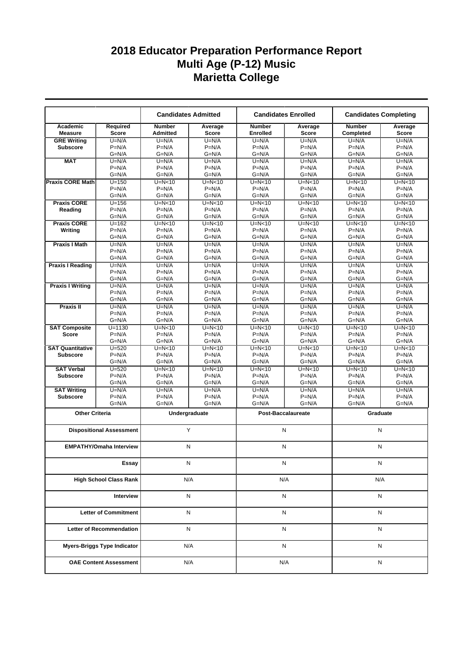|                             |                                    |                                  | <b>Candidates Admitted</b> |                                  | <b>Candidates Enrolled</b> | <b>Candidates Completing</b> |                  |
|-----------------------------|------------------------------------|----------------------------------|----------------------------|----------------------------------|----------------------------|------------------------------|------------------|
| Academic<br><b>Measure</b>  | Required<br><b>Score</b>           | <b>Number</b><br><b>Admitted</b> | Average<br><b>Score</b>    | <b>Number</b><br><b>Enrolled</b> | Average<br><b>Score</b>    | <b>Number</b><br>Completed   | Average<br>Score |
| <b>GRE Writing</b>          | $U=N/A$                            | $U=N/A$                          | $U=N/A$                    | $U=N/A$                          | $U=N/A$                    | $U=N/A$                      | $U=N/A$          |
| <b>Subscore</b>             | $P=N/A$                            | $P=N/A$                          | $P=N/A$                    | $P=N/A$                          | $P=N/A$                    | $P=N/A$                      | $P=N/A$          |
|                             | $G=N/A$                            | $G=N/A$                          | $G=N/A$                    | $G=N/A$                          | $G=N/A$                    | $G=N/A$                      | $G=N/A$          |
| <b>MAT</b>                  | $U=N/A$                            | $U=N/A$                          | $U=N/A$                    | $U=N/A$                          | $U=N/A$                    | $U=N/A$                      | $U=N/A$          |
|                             | $P=N/A$                            | $P=N/A$                          | $P=N/A$                    | $P=N/A$                          | $P=N/A$                    | $P=N/A$                      | $P=N/A$          |
|                             | $G=N/A$                            | $G=N/A$                          | $G=N/A$                    | $G=N/A$                          | $G=N/A$                    | $G=N/A$                      | $G=N/A$          |
| <b>Praxis CORE Math</b>     | $U = 150$                          | $U=N<10$                         | $U=N10$                    | $U=N<10$                         | $U=N<10$                   | $U=N10$                      | $U=N<10$         |
|                             | $P=N/A$                            | $P=N/A$                          | $P=N/A$                    | $P=N/A$                          | $P=N/A$                    | $P=N/A$                      | $P=N/A$          |
|                             | $G=N/A$                            | $G=N/A$                          | $G=N/A$                    | $G=N/A$                          | $G=N/A$                    | $G=N/A$                      | $G=N/A$          |
| <b>Praxis CORE</b>          | $U = 156$                          | $U=N<10$                         | $U=N<10$                   | $U=N<10$                         | $U=N<10$                   | $U=N<10$                     | $U=N<10$         |
| Reading                     | $P=N/A$                            | $P=N/A$                          | $P=N/A$                    | $P=N/A$                          | $P=N/A$                    | $P=N/A$                      | $P=N/A$          |
|                             | $G=N/A$                            | $G=N/A$                          | $G=N/A$                    | $G=N/A$                          | G=N/A                      | $G=N/A$                      | $G=N/A$          |
| <b>Praxis CORE</b>          | $U = 162$                          | $U=N<10$                         | $U=N<10$                   | $U=N<10$                         | $U=N<10$                   | $U=N<10$                     | $U=N<10$         |
| Writing                     | $P=N/A$                            | $P=N/A$                          | $P=N/A$                    | $P=N/A$                          | $P=N/A$                    | $P=N/A$                      | $P=N/A$          |
|                             | $G=N/A$                            | $G=N/A$                          | $G=N/A$                    | $G=N/A$                          | $G=N/A$                    | $G=N/A$                      | $G=N/A$          |
| <b>Praxis I Math</b>        | $U=N/A$                            | $U=N/A$                          | $U=N/A$                    | $U=N/A$                          | $U=N/A$                    | $U=N/A$                      | $U=N/A$          |
|                             | $P=N/A$                            | $P=N/A$                          | $P=N/A$                    | $P=N/A$                          | $P=N/A$                    | $P=N/A$                      | $P=N/A$          |
|                             | $G=N/A$                            | $G=N/A$                          | $G=N/A$                    | $G=N/A$                          | $G=N/A$                    | $G=N/A$                      | $G=N/A$          |
| <b>Praxis I Reading</b>     | $U=N/A$                            | $U=N/A$                          | $U=N/A$                    | $U=N/A$                          | $U=N/A$                    | $U=N/A$                      | $U=N/A$          |
|                             | $P=N/A$                            | $P=N/A$                          | $P=N/A$                    | $P=N/A$                          | $P=N/A$                    | $P=N/A$                      | $P=N/A$          |
|                             | $G=N/A$                            | $G=N/A$                          | $G=N/A$                    | $G=N/A$                          | $G=N/A$                    | $G=N/A$                      | $G=N/A$          |
| <b>Praxis I Writing</b>     | $U=N/A$                            | $U=N/A$                          | $U=N/A$                    | $U=N/A$                          | $U=N/A$                    | $U=N/A$                      | $U=N/A$          |
|                             | $P=N/A$                            | $P=N/A$                          | $P=N/A$                    | $P=N/A$                          | $P=N/A$                    | $P=N/A$                      | $P=N/A$          |
|                             | $G=N/A$                            | $G=N/A$                          | $G=N/A$                    | $G=N/A$                          | $G=N/A$                    | $G=N/A$                      | $G=N/A$          |
| <b>Praxis II</b>            | $U=N/A$                            | $U=N/A$                          | $\overline{U}$ =N/A        | $U=N/A$                          | $U=N/A$                    | $U=N/A$                      | $U=N/A$          |
|                             | $P=N/A$                            | $P=N/A$                          | $P=N/A$                    | $P=N/A$                          | $P=N/A$                    | $P=N/A$                      | $P=N/A$          |
|                             | $G=N/A$                            | $G=N/A$                          | $G=N/A$                    | $G=N/A$                          | $G=N/A$                    | $G=N/A$                      | $G=N/A$          |
| <b>SAT Composite</b>        | $U = 1130$                         | $U=N10$                          | $U=N<10$                   | $U=N<10$                         | $U=N10$                    | $U=N10$                      | $U=N<10$         |
| <b>Score</b>                | $P=N/A$                            | $P=N/A$                          | $P=N/A$                    | $P=N/A$                          | $P=N/A$                    | $P=N/A$                      | $P=N/A$          |
|                             | $G=N/A$                            | $G=N/A$                          | $G=N/A$                    | $G=N/A$                          | G=N/A                      | $G=N/A$                      | $G=N/A$          |
| <b>SAT Quantitative</b>     | $U = 520$                          | $U=N<10$                         | $U=N<10$                   | $U=N<10$                         | $U=N<10$                   | $U=N10$                      | $U=N<10$         |
| <b>Subscore</b>             | $P=N/A$                            | $P=N/A$                          | $P=N/A$                    | $P=N/A$                          | $P=N/A$                    | $P=N/A$                      | $P=N/A$          |
|                             | $G=N/A$                            | $G=N/A$                          | $G=N/A$                    | $G=N/A$                          | $G=N/A$                    | $G=N/A$                      | $G=N/A$          |
| <b>SAT Verbal</b>           | $U = 520$                          | $U=N<10$                         | $U=N<10$                   | $U=N<10$                         | $U=N<10$                   | $U=N10$                      | $U=N10$          |
|                             | $P=N/A$                            | $P=N/A$                          | $P=N/A$                    | $P=N/A$                          | $P=N/A$                    | $P=N/A$                      | $P=N/A$          |
| <b>Subscore</b>             | $G=N/A$                            | $G=N/A$                          | $G=N/A$                    | $G=N/A$                          | $G=N/A$                    | $G=N/A$                      | $G=N/A$          |
| <b>SAT Writing</b>          |                                    |                                  |                            | $U=N/A$                          |                            |                              | $U=N/A$          |
| <b>Subscore</b>             | $U=N/A$<br>$P=N/A$                 | $U=N/A$<br>$P=N/A$               | $U=N/A$<br>$P=N/A$         | $P=N/A$                          | $U=N/A$<br>$P=N/A$         | $U=N/A$<br>$P=N/A$           | $P=N/A$          |
|                             | $G=N/A$                            | $G=N/A$                          | $G=N/A$                    | $G=N/A$                          | G=N/A                      | $G=N/A$                      | $G=N/A$          |
|                             |                                    |                                  |                            |                                  |                            |                              |                  |
| <b>Other Criteria</b>       |                                    |                                  | Undergraduate              |                                  | <b>Post-Baccalaureate</b>  | Graduate                     |                  |
|                             |                                    |                                  |                            |                                  |                            |                              |                  |
|                             | <b>Dispositional Assessment</b>    |                                  | Y                          | N                                |                            | N                            |                  |
|                             |                                    |                                  |                            |                                  |                            |                              |                  |
|                             | <b>EMPATHY/Omaha Interview</b>     |                                  | N                          | N                                |                            | N                            |                  |
|                             |                                    |                                  |                            |                                  |                            |                              |                  |
|                             |                                    |                                  |                            |                                  |                            |                              |                  |
|                             | Essay                              |                                  | N                          | N                                |                            | N                            |                  |
|                             | <b>High School Class Rank</b>      |                                  | N/A                        |                                  | N/A                        | N/A                          |                  |
|                             |                                    |                                  |                            |                                  |                            |                              |                  |
| Interview                   |                                    |                                  | Ν                          |                                  | N                          | N                            |                  |
|                             |                                    |                                  |                            |                                  |                            |                              |                  |
| <b>Letter of Commitment</b> |                                    |                                  | N                          |                                  | N                          | N                            |                  |
|                             |                                    |                                  |                            |                                  |                            |                              |                  |
|                             | <b>Letter of Recommendation</b>    |                                  | N                          | N                                |                            | N                            |                  |
|                             | <b>Myers-Briggs Type Indicator</b> |                                  | N/A                        |                                  | N                          | N                            |                  |
|                             | <b>OAE Content Assessment</b>      |                                  | N/A                        |                                  | N/A                        | N                            |                  |
|                             |                                    |                                  |                            |                                  |                            |                              |                  |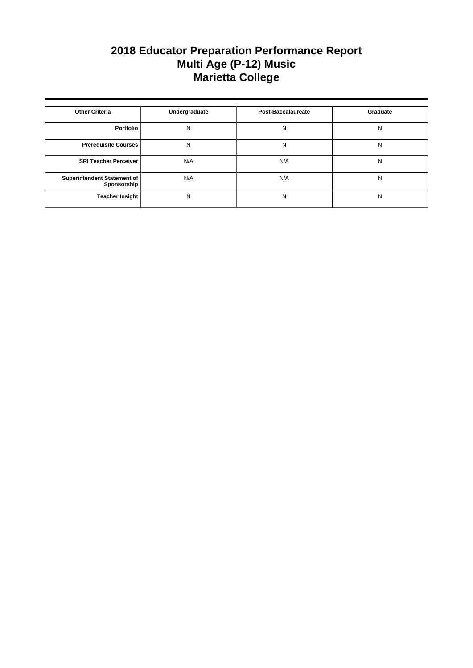| <b>Other Criteria</b>                      | Undergraduate | <b>Post-Baccalaureate</b> | Graduate |
|--------------------------------------------|---------------|---------------------------|----------|
| Portfolio                                  | N             | N                         | N        |
| <b>Prerequisite Courses</b>                | N             | N                         | N        |
| <b>SRI Teacher Perceiver</b>               | N/A           | N/A                       | N        |
| Superintendent Statement of<br>Sponsorship | N/A           | N/A                       | N        |
| <b>Teacher Insight</b>                     | N             | N                         | N        |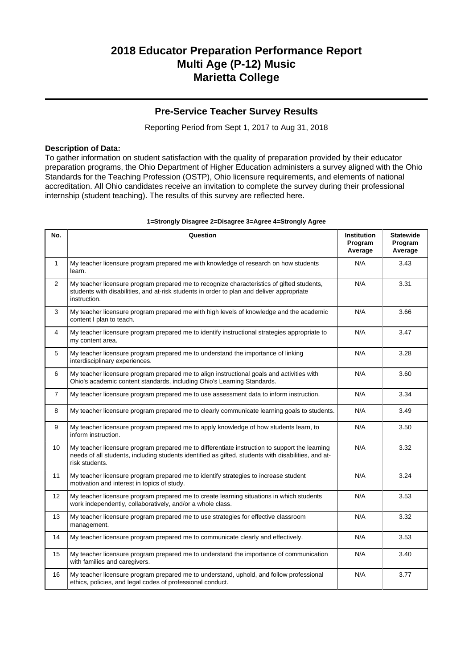### **Pre-Service Teacher Survey Results**

Reporting Period from Sept 1, 2017 to Aug 31, 2018

#### **Description of Data:**

To gather information on student satisfaction with the quality of preparation provided by their educator preparation programs, the Ohio Department of Higher Education administers a survey aligned with the Ohio Standards for the Teaching Profession (OSTP), Ohio licensure requirements, and elements of national accreditation. All Ohio candidates receive an invitation to complete the survey during their professional internship (student teaching). The results of this survey are reflected here.

| No.            | Question                                                                                                                                                                                                               | <b>Institution</b><br>Program<br>Average | <b>Statewide</b><br>Program<br>Average |
|----------------|------------------------------------------------------------------------------------------------------------------------------------------------------------------------------------------------------------------------|------------------------------------------|----------------------------------------|
| $\mathbf{1}$   | My teacher licensure program prepared me with knowledge of research on how students<br>learn.                                                                                                                          | N/A                                      | 3.43                                   |
| $\overline{2}$ | My teacher licensure program prepared me to recognize characteristics of gifted students,<br>students with disabilities, and at-risk students in order to plan and deliver appropriate<br>instruction.                 | N/A                                      | 3.31                                   |
| 3              | My teacher licensure program prepared me with high levels of knowledge and the academic<br>content I plan to teach.                                                                                                    | N/A                                      | 3.66                                   |
| 4              | My teacher licensure program prepared me to identify instructional strategies appropriate to<br>my content area.                                                                                                       | N/A                                      | 3.47                                   |
| 5              | My teacher licensure program prepared me to understand the importance of linking<br>interdisciplinary experiences.                                                                                                     | N/A                                      | 3.28                                   |
| 6              | My teacher licensure program prepared me to align instructional goals and activities with<br>Ohio's academic content standards, including Ohio's Learning Standards.                                                   | N/A                                      | 3.60                                   |
| $\overline{7}$ | My teacher licensure program prepared me to use assessment data to inform instruction.                                                                                                                                 | N/A                                      | 3.34                                   |
| 8              | My teacher licensure program prepared me to clearly communicate learning goals to students.                                                                                                                            | N/A                                      | 3.49                                   |
| 9              | My teacher licensure program prepared me to apply knowledge of how students learn, to<br>inform instruction.                                                                                                           | N/A                                      | 3.50                                   |
| 10             | My teacher licensure program prepared me to differentiate instruction to support the learning<br>needs of all students, including students identified as gifted, students with disabilities, and at-<br>risk students. | N/A                                      | 3.32                                   |
| 11             | My teacher licensure program prepared me to identify strategies to increase student<br>motivation and interest in topics of study.                                                                                     | N/A                                      | 3.24                                   |
| 12             | My teacher licensure program prepared me to create learning situations in which students<br>work independently, collaboratively, and/or a whole class.                                                                 | N/A                                      | 3.53                                   |
| 13             | My teacher licensure program prepared me to use strategies for effective classroom<br>management.                                                                                                                      | N/A                                      | 3.32                                   |
| 14             | My teacher licensure program prepared me to communicate clearly and effectively.                                                                                                                                       | N/A                                      | 3.53                                   |
| 15             | My teacher licensure program prepared me to understand the importance of communication<br>with families and caregivers.                                                                                                | N/A                                      | 3.40                                   |
| 16             | My teacher licensure program prepared me to understand, uphold, and follow professional<br>ethics, policies, and legal codes of professional conduct.                                                                  | N/A                                      | 3.77                                   |

#### **1=Strongly Disagree 2=Disagree 3=Agree 4=Strongly Agree**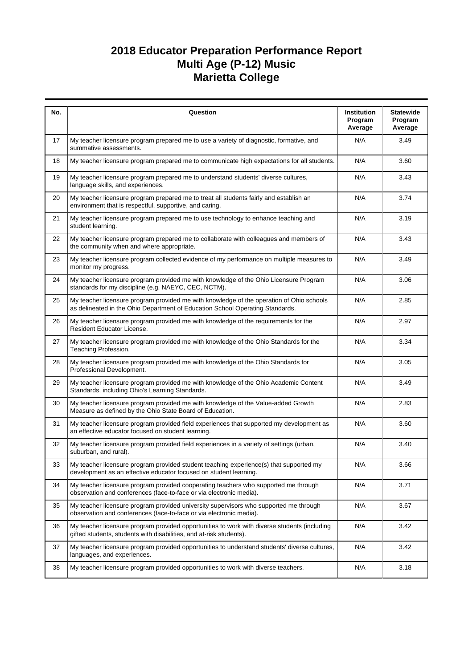| No. | Question                                                                                                                                                                  | <b>Institution</b><br>Program<br>Average | <b>Statewide</b><br>Program<br>Average |
|-----|---------------------------------------------------------------------------------------------------------------------------------------------------------------------------|------------------------------------------|----------------------------------------|
| 17  | My teacher licensure program prepared me to use a variety of diagnostic, formative, and<br>summative assessments.                                                         | N/A                                      | 3.49                                   |
| 18  | My teacher licensure program prepared me to communicate high expectations for all students.                                                                               | N/A                                      | 3.60                                   |
| 19  | My teacher licensure program prepared me to understand students' diverse cultures,<br>language skills, and experiences.                                                   | N/A                                      | 3.43                                   |
| 20  | My teacher licensure program prepared me to treat all students fairly and establish an<br>environment that is respectful, supportive, and caring.                         | N/A                                      | 3.74                                   |
| 21  | My teacher licensure program prepared me to use technology to enhance teaching and<br>student learning.                                                                   | N/A                                      | 3.19                                   |
| 22  | My teacher licensure program prepared me to collaborate with colleagues and members of<br>the community when and where appropriate.                                       | N/A                                      | 3.43                                   |
| 23  | My teacher licensure program collected evidence of my performance on multiple measures to<br>monitor my progress.                                                         | N/A                                      | 3.49                                   |
| 24  | My teacher licensure program provided me with knowledge of the Ohio Licensure Program<br>standards for my discipline (e.g. NAEYC, CEC, NCTM).                             | N/A                                      | 3.06                                   |
| 25  | My teacher licensure program provided me with knowledge of the operation of Ohio schools<br>as delineated in the Ohio Department of Education School Operating Standards. | N/A                                      | 2.85                                   |
| 26  | My teacher licensure program provided me with knowledge of the requirements for the<br>Resident Educator License.                                                         | N/A                                      | 2.97                                   |
| 27  | My teacher licensure program provided me with knowledge of the Ohio Standards for the<br>Teaching Profession.                                                             | N/A                                      | 3.34                                   |
| 28  | My teacher licensure program provided me with knowledge of the Ohio Standards for<br>Professional Development.                                                            | N/A                                      | 3.05                                   |
| 29  | My teacher licensure program provided me with knowledge of the Ohio Academic Content<br>Standards, including Ohio's Learning Standards.                                   | N/A                                      | 3.49                                   |
| 30  | My teacher licensure program provided me with knowledge of the Value-added Growth<br>Measure as defined by the Ohio State Board of Education.                             | N/A                                      | 2.83                                   |
| 31  | My teacher licensure program provided field experiences that supported my development as<br>an effective educator focused on student learning.                            | N/A                                      | 3.60                                   |
| 32  | My teacher licensure program provided field experiences in a variety of settings (urban,<br>suburban, and rural).                                                         | N/A                                      | 3.40                                   |
| 33  | My teacher licensure program provided student teaching experience(s) that supported my<br>development as an effective educator focused on student learning.               | N/A                                      | 3.66                                   |
| 34  | My teacher licensure program provided cooperating teachers who supported me through<br>observation and conferences (face-to-face or via electronic media).                | N/A                                      | 3.71                                   |
| 35  | My teacher licensure program provided university supervisors who supported me through<br>observation and conferences (face-to-face or via electronic media).              | N/A                                      | 3.67                                   |
| 36  | My teacher licensure program provided opportunities to work with diverse students (including<br>gifted students, students with disabilities, and at-risk students).       | N/A                                      | 3.42                                   |
| 37  | My teacher licensure program provided opportunities to understand students' diverse cultures,<br>languages, and experiences.                                              | N/A                                      | 3.42                                   |
| 38  | My teacher licensure program provided opportunities to work with diverse teachers.                                                                                        | N/A                                      | 3.18                                   |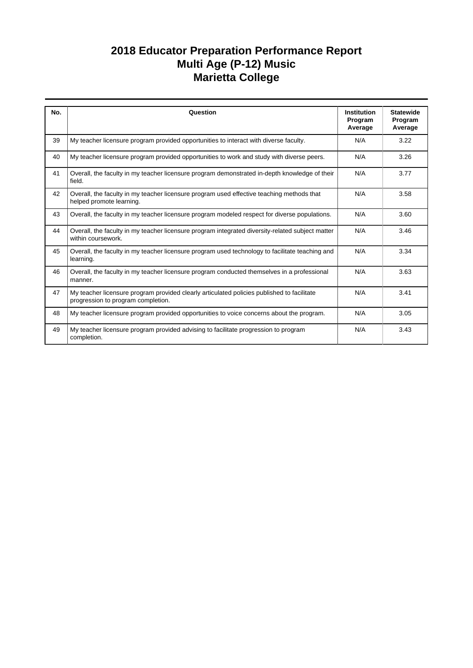| No. | Question                                                                                                                         | <b>Institution</b><br>Program | <b>Statewide</b><br>Program |
|-----|----------------------------------------------------------------------------------------------------------------------------------|-------------------------------|-----------------------------|
|     |                                                                                                                                  | Average                       | Average                     |
| 39  | My teacher licensure program provided opportunities to interact with diverse faculty.                                            | N/A                           | 3.22                        |
| 40  | My teacher licensure program provided opportunities to work and study with diverse peers.                                        | N/A                           | 3.26                        |
| 41  | Overall, the faculty in my teacher licensure program demonstrated in-depth knowledge of their<br>field.                          | N/A                           | 3.77                        |
| 42  | Overall, the faculty in my teacher licensure program used effective teaching methods that<br>helped promote learning.            | N/A                           | 3.58                        |
| 43  | Overall, the faculty in my teacher licensure program modeled respect for diverse populations.                                    | N/A                           | 3.60                        |
| 44  | Overall, the faculty in my teacher licensure program integrated diversity-related subject matter<br>within coursework.           | N/A                           | 3.46                        |
| 45  | Overall, the faculty in my teacher licensure program used technology to facilitate teaching and<br>learning.                     | N/A                           | 3.34                        |
| 46  | Overall, the faculty in my teacher licensure program conducted themselves in a professional<br>manner.                           | N/A                           | 3.63                        |
| 47  | My teacher licensure program provided clearly articulated policies published to facilitate<br>progression to program completion. | N/A                           | 3.41                        |
| 48  | My teacher licensure program provided opportunities to voice concerns about the program.                                         | N/A                           | 3.05                        |
| 49  | My teacher licensure program provided advising to facilitate progression to program<br>completion.                               | N/A                           | 3.43                        |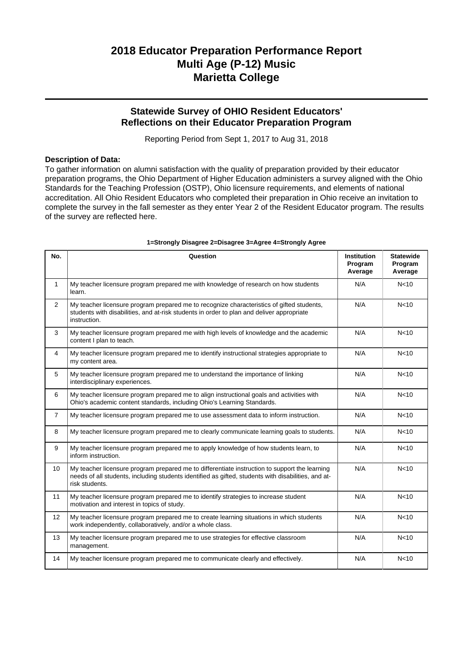### **Statewide Survey of OHIO Resident Educators' Reflections on their Educator Preparation Program**

Reporting Period from Sept 1, 2017 to Aug 31, 2018

#### **Description of Data:**

To gather information on alumni satisfaction with the quality of preparation provided by their educator preparation programs, the Ohio Department of Higher Education administers a survey aligned with the Ohio Standards for the Teaching Profession (OSTP), Ohio licensure requirements, and elements of national accreditation. All Ohio Resident Educators who completed their preparation in Ohio receive an invitation to complete the survey in the fall semester as they enter Year 2 of the Resident Educator program. The results of the survey are reflected here.

| No.            | Question                                                                                                                                                                                                               | <b>Institution</b><br>Program<br>Average | <b>Statewide</b><br>Program<br>Average |
|----------------|------------------------------------------------------------------------------------------------------------------------------------------------------------------------------------------------------------------------|------------------------------------------|----------------------------------------|
| $\mathbf{1}$   | My teacher licensure program prepared me with knowledge of research on how students<br>learn.                                                                                                                          | N/A                                      | N <sub>10</sub>                        |
| $\overline{2}$ | My teacher licensure program prepared me to recognize characteristics of gifted students,<br>students with disabilities, and at-risk students in order to plan and deliver appropriate<br>instruction.                 | N/A                                      | N <sub>10</sub>                        |
| 3              | My teacher licensure program prepared me with high levels of knowledge and the academic<br>content I plan to teach.                                                                                                    | N/A                                      | N <sub>10</sub>                        |
| 4              | My teacher licensure program prepared me to identify instructional strategies appropriate to<br>my content area.                                                                                                       | N/A                                      | N <sub>10</sub>                        |
| 5              | My teacher licensure program prepared me to understand the importance of linking<br>interdisciplinary experiences.                                                                                                     | N/A                                      | N <sub>10</sub>                        |
| 6              | My teacher licensure program prepared me to align instructional goals and activities with<br>Ohio's academic content standards, including Ohio's Learning Standards.                                                   | N/A                                      | N <sub>10</sub>                        |
| $\overline{7}$ | My teacher licensure program prepared me to use assessment data to inform instruction.                                                                                                                                 | N/A                                      | N <sub>10</sub>                        |
| 8              | My teacher licensure program prepared me to clearly communicate learning goals to students.                                                                                                                            | N/A                                      | N <sub>10</sub>                        |
| 9              | My teacher licensure program prepared me to apply knowledge of how students learn, to<br>inform instruction.                                                                                                           | N/A                                      | N <sub>10</sub>                        |
| 10             | My teacher licensure program prepared me to differentiate instruction to support the learning<br>needs of all students, including students identified as gifted, students with disabilities, and at-<br>risk students. | N/A                                      | N <sub>10</sub>                        |
| 11             | My teacher licensure program prepared me to identify strategies to increase student<br>motivation and interest in topics of study.                                                                                     | N/A                                      | N <sub>10</sub>                        |
| 12             | My teacher licensure program prepared me to create learning situations in which students<br>work independently, collaboratively, and/or a whole class.                                                                 | N/A                                      | N <sub>10</sub>                        |
| 13             | My teacher licensure program prepared me to use strategies for effective classroom<br>management.                                                                                                                      | N/A                                      | N <sub>10</sub>                        |
| 14             | My teacher licensure program prepared me to communicate clearly and effectively.                                                                                                                                       | N/A                                      | N <sub>10</sub>                        |

#### **1=Strongly Disagree 2=Disagree 3=Agree 4=Strongly Agree**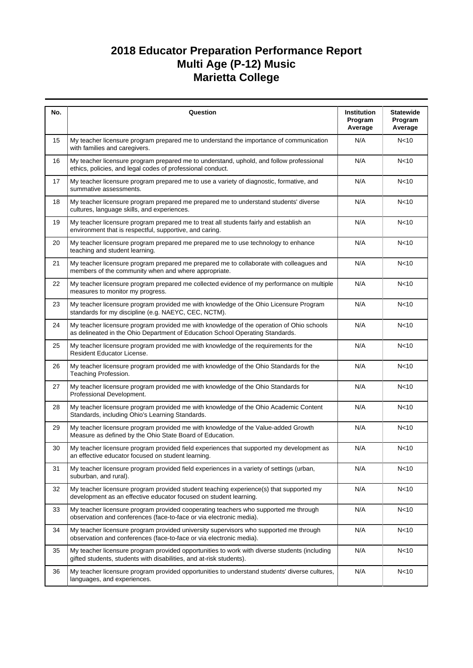| No. | Question                                                                                                                                                                  | Institution<br>Program<br>Average | <b>Statewide</b><br>Program<br>Average |
|-----|---------------------------------------------------------------------------------------------------------------------------------------------------------------------------|-----------------------------------|----------------------------------------|
| 15  | My teacher licensure program prepared me to understand the importance of communication<br>with families and caregivers.                                                   | N/A                               | N <sub>10</sub>                        |
| 16  | My teacher licensure program prepared me to understand, uphold, and follow professional<br>ethics, policies, and legal codes of professional conduct.                     | N/A                               | N <sub>10</sub>                        |
| 17  | My teacher licensure program prepared me to use a variety of diagnostic, formative, and<br>summative assessments.                                                         | N/A                               | N <sub>10</sub>                        |
| 18  | My teacher licensure program prepared me prepared me to understand students' diverse<br>cultures, language skills, and experiences.                                       | N/A                               | N <sub>10</sub>                        |
| 19  | My teacher licensure program prepared me to treat all students fairly and establish an<br>environment that is respectful, supportive, and caring.                         | N/A                               | N <sub>10</sub>                        |
| 20  | My teacher licensure program prepared me prepared me to use technology to enhance<br>teaching and student learning.                                                       | N/A                               | N <sub>10</sub>                        |
| 21  | My teacher licensure program prepared me prepared me to collaborate with colleagues and<br>members of the community when and where appropriate.                           | N/A                               | N <sub>10</sub>                        |
| 22  | My teacher licensure program prepared me collected evidence of my performance on multiple<br>measures to monitor my progress.                                             | N/A                               | N <sub>10</sub>                        |
| 23  | My teacher licensure program provided me with knowledge of the Ohio Licensure Program<br>standards for my discipline (e.g. NAEYC, CEC, NCTM).                             | N/A                               | N <sub>10</sub>                        |
| 24  | My teacher licensure program provided me with knowledge of the operation of Ohio schools<br>as delineated in the Ohio Department of Education School Operating Standards. | N/A                               | N <sub>10</sub>                        |
| 25  | My teacher licensure program provided me with knowledge of the requirements for the<br>Resident Educator License.                                                         | N/A                               | N <sub>10</sub>                        |
| 26  | My teacher licensure program provided me with knowledge of the Ohio Standards for the<br>Teaching Profession.                                                             | N/A                               | N <sub>10</sub>                        |
| 27  | My teacher licensure program provided me with knowledge of the Ohio Standards for<br>Professional Development.                                                            | N/A                               | N <sub>10</sub>                        |
| 28  | My teacher licensure program provided me with knowledge of the Ohio Academic Content<br>Standards, including Ohio's Learning Standards.                                   | N/A                               | N<10                                   |
| 29  | My teacher licensure program provided me with knowledge of the Value-added Growth<br>Measure as defined by the Ohio State Board of Education.                             | N/A                               | N <sub>10</sub>                        |
| 30  | My teacher licensure program provided field experiences that supported my development as<br>an effective educator focused on student learning.                            | N/A                               | N <sub>10</sub>                        |
| 31  | My teacher licensure program provided field experiences in a variety of settings (urban,<br>suburban, and rural).                                                         | N/A                               | N <sub>10</sub>                        |
| 32  | My teacher licensure program provided student teaching experience(s) that supported my<br>development as an effective educator focused on student learning.               | N/A                               | N <sub>10</sub>                        |
| 33  | My teacher licensure program provided cooperating teachers who supported me through<br>observation and conferences (face-to-face or via electronic media).                | N/A                               | N <sub>10</sub>                        |
| 34  | My teacher licensure program provided university supervisors who supported me through<br>observation and conferences (face-to-face or via electronic media).              | N/A                               | N <sub>10</sub>                        |
| 35  | My teacher licensure program provided opportunities to work with diverse students (including<br>gifted students, students with disabilities, and at-risk students).       | N/A                               | N <sub>10</sub>                        |
| 36  | My teacher licensure program provided opportunities to understand students' diverse cultures,<br>languages, and experiences.                                              | N/A                               | N<10                                   |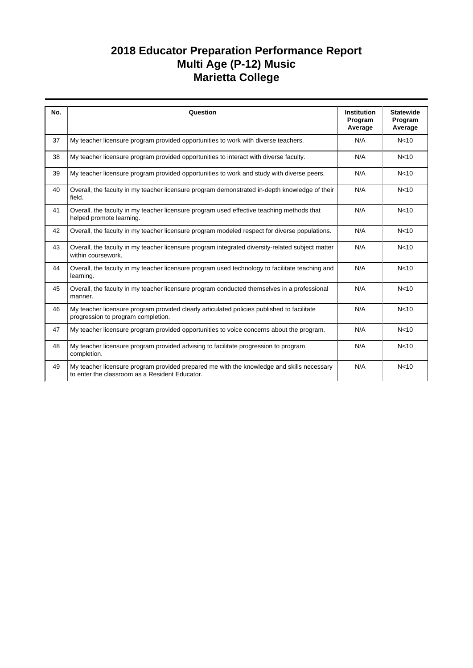| No. | Question                                                                                                                                    | <b>Institution</b><br>Program<br>Average | <b>Statewide</b><br>Program<br>Average |
|-----|---------------------------------------------------------------------------------------------------------------------------------------------|------------------------------------------|----------------------------------------|
| 37  | My teacher licensure program provided opportunities to work with diverse teachers.                                                          | N/A                                      | N <sub>10</sub>                        |
| 38  | My teacher licensure program provided opportunities to interact with diverse faculty.                                                       | N/A                                      | N <sub>10</sub>                        |
| 39  | My teacher licensure program provided opportunities to work and study with diverse peers.                                                   | N/A                                      | N <sub>10</sub>                        |
| 40  | Overall, the faculty in my teacher licensure program demonstrated in-depth knowledge of their<br>field.                                     | N/A                                      | N <sub>10</sub>                        |
| 41  | Overall, the faculty in my teacher licensure program used effective teaching methods that<br>helped promote learning.                       | N/A                                      | N <sub>10</sub>                        |
| 42  | Overall, the faculty in my teacher licensure program modeled respect for diverse populations.                                               | N/A                                      | N <sub>10</sub>                        |
| 43  | Overall, the faculty in my teacher licensure program integrated diversity-related subject matter<br>within coursework.                      | N/A                                      | N <sub>10</sub>                        |
| 44  | Overall, the faculty in my teacher licensure program used technology to facilitate teaching and<br>learning.                                | N/A                                      | N <sub>10</sub>                        |
| 45  | Overall, the faculty in my teacher licensure program conducted themselves in a professional<br>manner.                                      | N/A                                      | N <sub>10</sub>                        |
| 46  | My teacher licensure program provided clearly articulated policies published to facilitate<br>progression to program completion.            | N/A                                      | N <sub>10</sub>                        |
| 47  | My teacher licensure program provided opportunities to voice concerns about the program.                                                    | N/A                                      | N <sub>10</sub>                        |
| 48  | My teacher licensure program provided advising to facilitate progression to program<br>completion.                                          | N/A                                      | N <sub>10</sub>                        |
| 49  | My teacher licensure program provided prepared me with the knowledge and skills necessary<br>to enter the classroom as a Resident Educator. | N/A                                      | N <sub>10</sub>                        |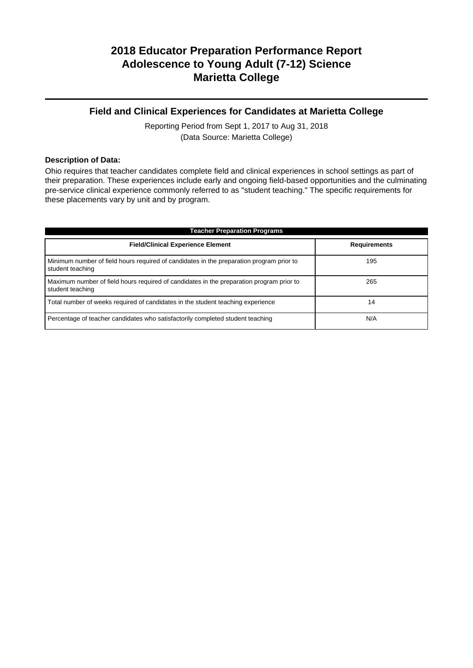## **2018 Educator Preparation Performance Report Adolescence to Young Adult (7-12) Science Marietta College**

### **Field and Clinical Experiences for Candidates at Marietta College**

Reporting Period from Sept 1, 2017 to Aug 31, 2018 (Data Source: Marietta College)

#### **Description of Data:**

Ohio requires that teacher candidates complete field and clinical experiences in school settings as part of their preparation. These experiences include early and ongoing field-based opportunities and the culminating pre-service clinical experience commonly referred to as "student teaching." The specific requirements for these placements vary by unit and by program.

| <b>Teacher Preparation Programs</b>                                                                          |                     |  |  |  |  |
|--------------------------------------------------------------------------------------------------------------|---------------------|--|--|--|--|
| <b>Field/Clinical Experience Element</b>                                                                     | <b>Requirements</b> |  |  |  |  |
| Minimum number of field hours required of candidates in the preparation program prior to<br>student teaching | 195                 |  |  |  |  |
| Maximum number of field hours required of candidates in the preparation program prior to<br>student teaching | 265                 |  |  |  |  |
| Total number of weeks required of candidates in the student teaching experience                              | 14                  |  |  |  |  |
| Percentage of teacher candidates who satisfactorily completed student teaching                               | N/A                 |  |  |  |  |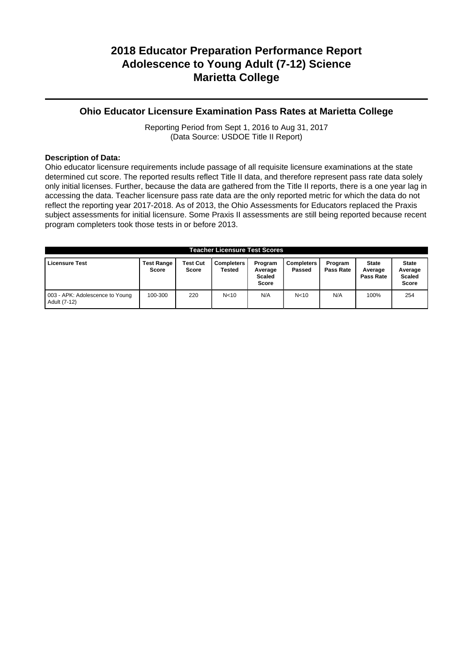## **2018 Educator Preparation Performance Report Adolescence to Young Adult (7-12) Science Marietta College**

### **Ohio Educator Licensure Examination Pass Rates at Marietta College**

Reporting Period from Sept 1, 2016 to Aug 31, 2017 (Data Source: USDOE Title II Report)

#### **Description of Data:**

Ohio educator licensure requirements include passage of all requisite licensure examinations at the state determined cut score. The reported results reflect Title II data, and therefore represent pass rate data solely only initial licenses. Further, because the data are gathered from the Title II reports, there is a one year lag in accessing the data. Teacher licensure pass rate data are the only reported metric for which the data do not reflect the reporting year 2017-2018. As of 2013, the Ohio Assessments for Educators replaced the Praxis subject assessments for initial licensure. Some Praxis II assessments are still being reported because recent program completers took those tests in or before 2013.

| Teacher Licensure Test Scores                   |                                   |                          |                             |                                                     |                             |                      |                                      |                                                   |
|-------------------------------------------------|-----------------------------------|--------------------------|-----------------------------|-----------------------------------------------------|-----------------------------|----------------------|--------------------------------------|---------------------------------------------------|
| <b>Licensure Test</b>                           | <b>Test Range</b><br><b>Score</b> | Test Cut<br><b>Score</b> | <b>Completers</b><br>Tested | Program<br>Average<br><b>Scaled</b><br><b>Score</b> | <b>Completers</b><br>Passed | Program<br>Pass Rate | <b>State</b><br>Average<br>Pass Rate | <b>State</b><br>Average<br><b>Scaled</b><br>Score |
| 003 - APK: Adolescence to Young<br>Adult (7-12) | 100-300                           | 220                      | N <sub>10</sub>             | N/A                                                 | N <sub>10</sub>             | N/A                  | 100%                                 | 254                                               |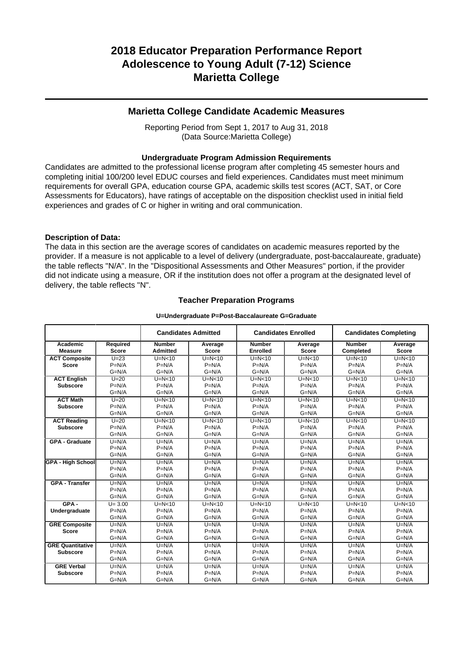### **Marietta College Candidate Academic Measures**

Reporting Period from Sept 1, 2017 to Aug 31, 2018 (Data Source:Marietta College)

#### **Undergraduate Program Admission Requirements**

Candidates are admitted to the professional license program after completing 45 semester hours and completing initial 100/200 level EDUC courses and field experiences. Candidates must meet minimum requirements for overall GPA, education course GPA, academic skills test scores (ACT, SAT, or Core Assessments for Educators), have ratings of acceptable on the disposition checklist used in initial field experiences and grades of C or higher in writing and oral communication.

#### **Description of Data:**

The data in this section are the average scores of candidates on academic measures reported by the provider. If a measure is not applicable to a level of delivery (undergraduate, post-baccalaureate, graduate) the table reflects "N/A". In the "Dispositional Assessments and Other Measures" portion, if the provider did not indicate using a measure, OR if the institution does not offer a program at the designated level of delivery, the table reflects "N".

#### **Teacher Preparation Programs**

#### **U=Undergraduate P=Post-Baccalaureate G=Graduate**

|                                            |                                  |                                | <b>Candidates Admitted</b>     |                                | <b>Candidates Enrolled</b>     |                                | <b>Candidates Completing</b>   |
|--------------------------------------------|----------------------------------|--------------------------------|--------------------------------|--------------------------------|--------------------------------|--------------------------------|--------------------------------|
| Academic<br><b>Measure</b>                 | Required<br><b>Score</b>         | <b>Number</b><br>Admitted      | Average<br><b>Score</b>        | <b>Number</b><br>Enrolled      | Average<br><b>Score</b>        | <b>Number</b><br>Completed     | Average<br><b>Score</b>        |
| <b>ACT Composite</b><br><b>Score</b>       | $U=23$<br>$P=N/A$<br>$G=N/A$     | $U=N<10$<br>$P=N/A$<br>$G=N/A$ | $U=N<10$<br>$P=N/A$<br>$G=N/A$ | $U=N<10$<br>$P=N/A$<br>$G=N/A$ | $U=N<10$<br>$P=N/A$<br>$G=N/A$ | $U=N<10$<br>$P=N/A$<br>$G=N/A$ | $U=N<10$<br>$P=N/A$<br>$G=N/A$ |
| <b>ACT English</b><br><b>Subscore</b>      | $U=20$<br>$P=N/A$<br>$G=N/A$     | $U=N<10$<br>$P=N/A$<br>$G=N/A$ | $U=N<10$<br>$P=N/A$<br>$G=N/A$ | $U=N<10$<br>$P=N/A$<br>$G=N/A$ | $U=N<10$<br>$P=N/A$<br>$G=N/A$ | $U=N<10$<br>$P=N/A$<br>$G=N/A$ | $U=N<10$<br>$P=N/A$<br>$G=N/A$ |
| <b>ACT Math</b><br><b>Subscore</b>         | $U=20$<br>$P=N/A$<br>$G=N/A$     | $U=N<10$<br>$P=N/A$<br>$G=N/A$ | $U=N<10$<br>$P=N/A$<br>$G=N/A$ | $U=N<10$<br>$P=N/A$<br>$G=N/A$ | $U=N<10$<br>$P=N/A$<br>$G=N/A$ | $U=N<10$<br>$P=N/A$<br>$G=N/A$ | $U=N<10$<br>$P=N/A$<br>$G=N/A$ |
| <b>ACT Reading</b><br><b>Subscore</b>      | $U=20$<br>$P=N/A$<br>$G=N/A$     | $U=N10$<br>$P=N/A$<br>$G=N/A$  | $U=N<10$<br>$P=N/A$<br>$G=N/A$ | $U=N<10$<br>$P=N/A$<br>$G=N/A$ | $U=N0$<br>$P=N/A$<br>$G=N/A$   | $U=N<10$<br>$P=N/A$<br>$G=N/A$ | $U=N<10$<br>$P=N/A$<br>$G=N/A$ |
| GPA - Graduate                             | $U=N/A$<br>$P=N/A$<br>$G=N/A$    | $U=N/A$<br>$P=N/A$<br>$G=N/A$  | $U=N/A$<br>$P=N/A$<br>$G=N/A$  | $U=N/A$<br>$P=N/A$<br>$G=N/A$  | $U=N/A$<br>$P=N/A$<br>$G=N/A$  | $U=N/A$<br>$P=N/A$<br>$G=N/A$  | $U=N/A$<br>$P=N/A$<br>$G=N/A$  |
| <b>GPA - High School</b>                   | $U=N/A$<br>$P=N/A$<br>$G=N/A$    | $U=N/A$<br>$P=N/A$<br>$G=N/A$  | $U=N/A$<br>$P=N/A$<br>$G=N/A$  | $U=N/A$<br>$P=N/A$<br>$G=N/A$  | $U=N/A$<br>$P=N/A$<br>$G=N/A$  | $U=N/A$<br>$P=N/A$<br>$G=N/A$  | $U=N/A$<br>$P=N/A$<br>$G=N/A$  |
| <b>GPA - Transfer</b>                      | $U=N/A$<br>$P=N/A$<br>$G=N/A$    | $U=N/A$<br>$P=N/A$<br>$G=N/A$  | $U=N/A$<br>$P=N/A$<br>$G=N/A$  | $U=N/A$<br>$P=N/A$<br>$G=N/A$  | $U=N/A$<br>$P=N/A$<br>$G=N/A$  | $U=N/A$<br>$P=N/A$<br>$G=N/A$  | $U=N/A$<br>$P=N/A$<br>$G=N/A$  |
| $GPA -$<br>Undergraduate                   | $U = 3.00$<br>$P=N/A$<br>$G=N/A$ | $U=N<10$<br>$P=N/A$<br>$G=N/A$ | $U=N<10$<br>$P=N/A$<br>$G=N/A$ | $U=N<10$<br>$P=N/A$<br>$G=N/A$ | $U=N<10$<br>$P=N/A$<br>$G=N/A$ | $U=N<10$<br>$P=N/A$<br>$G=N/A$ | $U=N<10$<br>$P=N/A$<br>$G=N/A$ |
| <b>GRE Composite</b><br><b>Score</b>       | $U=N/A$<br>$P=N/A$<br>$G=N/A$    | $U=N/A$<br>$P=N/A$<br>$G=N/A$  | $U=N/A$<br>$P=N/A$<br>$G=N/A$  | $U=N/A$<br>$P=N/A$<br>$G=N/A$  | $U=N/A$<br>$P=N/A$<br>$G=N/A$  | $U=N/A$<br>$P=N/A$<br>$G=N/A$  | $U=N/A$<br>$P=N/A$<br>$G=N/A$  |
| <b>GRE Quantitative</b><br><b>Subscore</b> | $U=N/A$<br>$P=N/A$<br>$G=N/A$    | $U=N/A$<br>$P=N/A$<br>$G=N/A$  | $U=N/A$<br>$P=N/A$<br>$G=N/A$  | $U=N/A$<br>$P=N/A$<br>$G=N/A$  | $U=N/A$<br>$P=N/A$<br>$G=N/A$  | $U=N/A$<br>$P=N/A$<br>$G=N/A$  | $U=N/A$<br>$P=N/A$<br>$G=N/A$  |
| <b>GRE Verbal</b><br><b>Subscore</b>       | $U=N/A$<br>$P=N/A$<br>$G=N/A$    | $U=N/A$<br>$P=N/A$<br>$G=N/A$  | $U=N/A$<br>$P=N/A$<br>$G=N/A$  | $U=N/A$<br>$P=N/A$<br>$G=N/A$  | $U=N/A$<br>$P=N/A$<br>$G=N/A$  | $U=N/A$<br>$P=N/A$<br>$G=N/A$  | $U=N/A$<br>$P=N/A$<br>$G=N/A$  |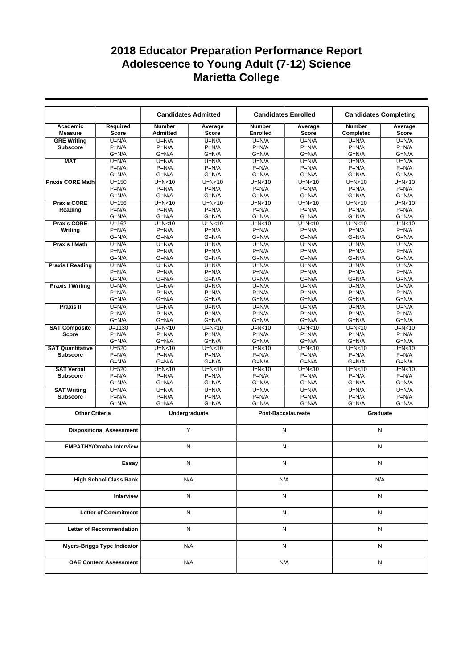|                                 |                                    |                                  | <b>Candidates Admitted</b><br><b>Candidates Enrolled</b> |                           | <b>Candidates Completing</b> |                            |                         |
|---------------------------------|------------------------------------|----------------------------------|----------------------------------------------------------|---------------------------|------------------------------|----------------------------|-------------------------|
| Academic<br><b>Measure</b>      | Required<br><b>Score</b>           | <b>Number</b><br><b>Admitted</b> | Average<br><b>Score</b>                                  | <b>Number</b><br>Enrolled | Average<br><b>Score</b>      | <b>Number</b><br>Completed | Average<br><b>Score</b> |
| <b>GRE Writing</b>              | $U=N/A$                            | $U=N/A$                          | $U=N/A$                                                  | $U=N/A$                   | $U=N/A$                      | $U=N/A$                    | $U=N/A$                 |
| <b>Subscore</b>                 | $P=N/A$                            | $P=N/A$                          | $P=N/A$                                                  | $P=N/A$                   | $P=N/A$                      | $P=N/A$                    | $P=N/A$                 |
|                                 | $G=N/A$                            | $G=N/A$                          | $G=N/A$                                                  | $G=N/A$                   | $G=N/A$                      | $G=N/A$                    | $G=N/A$                 |
| <b>MAT</b>                      | $U=N/A$                            | $U=N/A$                          | $U=N/A$                                                  | $U=N/A$                   | $U=N/A$                      | $U=N/A$                    | $U=N/A$                 |
|                                 | $P=N/A$                            | $P=N/A$                          | $P=N/A$                                                  | $P=N/A$                   | $P=N/A$                      | $P=N/A$                    | $P=N/A$                 |
|                                 | $G=N/A$                            | $G=N/A$                          | $G=N/A$                                                  | $G=N/A$                   | $G=N/A$                      | $G=N/A$                    | $G=N/A$                 |
| <b>Praxis CORE Math</b>         | $U = 150$                          | $U=N10$                          | $U=N10$                                                  | $U=N<10$                  | $U=N10$                      | $U=N10$                    | $U=N10$                 |
|                                 | $P=N/A$                            | $P=N/A$                          | $P=N/A$                                                  | $P=N/A$                   | $P=N/A$                      | $P=N/A$                    | $P=N/A$                 |
|                                 | $G=N/A$                            | $G=N/A$                          | $G=N/A$                                                  | $G=N/A$                   | $G=N/A$                      | $G=N/A$                    | $G=N/A$                 |
| <b>Praxis CORE</b>              | $U = 156$                          | $U=N<10$                         | $U=N<10$                                                 | $U=N<10$                  | $U=N<10$                     | $U=N<10$                   | $U=N<10$                |
| Reading                         | $P=N/A$                            | $P=N/A$                          | $P=N/A$                                                  | $P=N/A$                   | $P=N/A$                      | $P=N/A$                    | $P=N/A$                 |
|                                 | $G=N/A$                            | $G=N/A$                          | $G=N/A$                                                  | $G=N/A$                   | $G=N/A$                      | $G=N/A$                    | $G=N/A$                 |
| <b>Praxis CORE</b>              | $U = 162$                          | $U=N<10$                         | $U=N<10$                                                 | $U=N<10$                  | $U=N<10$                     | $U=N<10$                   | $U=N10$                 |
| Writing                         | $P=N/A$                            | $P=N/A$                          | $P=N/A$                                                  | $P=N/A$                   | $P=N/A$                      | $P=N/A$                    | $P=N/A$                 |
|                                 | $G=N/A$                            | $G=N/A$                          | $G=N/A$                                                  | $G=N/A$                   | $G=N/A$                      | $G=N/A$                    | $G=N/A$                 |
| <b>Praxis I Math</b>            | $U=N/A$                            | $U=N/A$                          | $U=N/A$                                                  | $U=N/A$                   | $U=N/A$                      | $U=N/A$                    | $U=N/A$                 |
|                                 | $P=N/A$                            | $P=N/A$                          | $P=N/A$                                                  | $P=N/A$                   | $P=N/A$                      | $P=N/A$                    | $P=N/A$                 |
|                                 | $G=N/A$                            | $G=N/A$                          | $G=N/A$                                                  | $G=N/A$                   | $G=N/A$                      | $G=N/A$                    | $G=N/A$                 |
| <b>Praxis I Reading</b>         | $U=N/A$                            | $U=N/A$                          | $U=N/A$                                                  | $U=N/A$                   | $U=N/A$                      | $U=N/A$                    | $U=N/A$                 |
|                                 | $P=N/A$                            | $P=N/A$                          | $P=N/A$                                                  | $P=N/A$                   | $P=N/A$                      | $P=N/A$                    | $P=N/A$                 |
|                                 | $G=N/A$                            | $G=N/A$                          | $G=N/A$                                                  | $G=N/A$                   | $G=N/A$                      | $G=N/A$                    | $G=N/A$                 |
| <b>Praxis I Writing</b>         | $U=N/A$                            | $U=N/A$                          | $U=N/A$                                                  | $U=N/A$                   | $U=N/A$                      | $\overline{U}$ =N/A        | $U=N/A$                 |
|                                 | $P=N/A$                            | $P=N/A$                          | $P=N/A$                                                  | $P=N/A$                   | $P=N/A$                      | $P=N/A$                    | $P=N/A$                 |
|                                 | $G=N/A$                            | $G=N/A$                          | $G=N/A$                                                  | $G=N/A$                   | $G=N/A$                      | $G=N/A$                    | $G=N/A$                 |
| Praxis II                       | $U=N/A$                            | $U=N/A$                          | $U=N/A$                                                  | $U=N/A$                   | $U=N/A$                      | $U=N/A$                    | $U=N/A$                 |
|                                 | $P=N/A$                            | $P=N/A$                          | $P=N/A$                                                  | $P=N/A$                   | $P=N/A$                      | $P=N/A$                    | $P=N/A$                 |
|                                 | $G=N/A$                            | $G=N/A$                          | $G=N/A$                                                  | $G=N/A$                   | $G=N/A$                      | $G=N/A$                    | $G=N/A$                 |
| <b>SAT Composite</b>            | $U = 1130$                         | $U=N<10$                         | $U=N10$                                                  | $U=N<10$                  | $U=N<10$                     | $U=N<10$                   | $U=N<10$                |
| <b>Score</b>                    | $P=N/A$                            | $P=N/A$                          | $P=N/A$                                                  | $P=N/A$                   | $P=N/A$                      | $P=N/A$                    | $P=N/A$                 |
|                                 | $G=N/A$                            | $G=N/A$                          | $G=N/A$                                                  | $G=N/A$                   | $G=N/A$                      | $G=N/A$                    | $G=N/A$                 |
| <b>SAT Quantitative</b>         | $U = 520$                          | $U=N<10$                         | $U=N10$                                                  | $U=N<10$                  | $U=N<10$                     | $U=N<10$                   | $U=N<10$                |
| <b>Subscore</b>                 | $P=N/A$                            | $P=N/A$                          | $P=N/A$                                                  | $P=N/A$                   | $P=N/A$                      | $P=N/A$                    | $P=N/A$                 |
|                                 | $G=N/A$                            | $G=N/A$                          | $G=N/A$                                                  | $G=N/A$                   | $G=N/A$                      | $G=N/A$                    | $G=N/A$                 |
| <b>SAT Verbal</b>               | $U = 520$                          | $U=N<10$                         | $U=N<10$                                                 | $U=N<10$                  | $U=N<10$                     | $U=N<10$                   | $U=N<10$                |
| <b>Subscore</b>                 | $P=N/A$                            | $P=N/A$                          | $P=N/A$                                                  | $P=N/A$                   | $P=N/A$                      | $P=N/A$                    | $P=N/A$                 |
|                                 | $G=N/A$                            | $G=N/A$                          | $G=N/A$                                                  | $G=N/A$                   | G=N/A                        | $G=N/A$                    | $G=N/A$                 |
| <b>SAT Writing</b>              | $U=N/A$                            | $U=N/A$                          | $U=N/A$                                                  | $U=N/A$                   | $U=N/A$                      | $U=N/A$                    | $U=N/A$                 |
| <b>Subscore</b>                 | $P=N/A$                            | $P=N/A$                          | $P=N/A$                                                  | $P=N/A$                   | $P=N/A$                      | $P=N/A$                    | $P=N/A$                 |
|                                 | $G=N/A$                            | $G=N/A$                          | $G=N/A$                                                  | $G=N/A$                   | $G=N/A$                      | $G=N/A$                    | $G=N/A$                 |
| <b>Other Criteria</b>           |                                    |                                  | Undergraduate                                            |                           | Post-Baccalaureate           | Graduate                   |                         |
|                                 | <b>Dispositional Assessment</b>    |                                  | Y                                                        | N                         |                              | N                          |                         |
|                                 | <b>EMPATHY/Omaha Interview</b>     | N                                |                                                          | N                         |                              | N                          |                         |
|                                 |                                    |                                  |                                                          |                           |                              |                            |                         |
| Essay                           |                                    | N                                |                                                          | N                         |                              | Ν                          |                         |
| <b>High School Class Rank</b>   |                                    | N/A                              |                                                          | N/A                       |                              | N/A                        |                         |
| Interview                       |                                    | N                                |                                                          | N                         |                              | N                          |                         |
| <b>Letter of Commitment</b>     |                                    | N                                |                                                          | N                         |                              | N                          |                         |
| <b>Letter of Recommendation</b> |                                    | N                                |                                                          | N                         |                              | N                          |                         |
|                                 | <b>Myers-Briggs Type Indicator</b> |                                  |                                                          | N                         |                              | N                          |                         |
|                                 |                                    | N/A                              |                                                          |                           |                              |                            |                         |
| <b>OAE Content Assessment</b>   |                                    |                                  | N/A<br>N/A                                               |                           | Ν                            |                            |                         |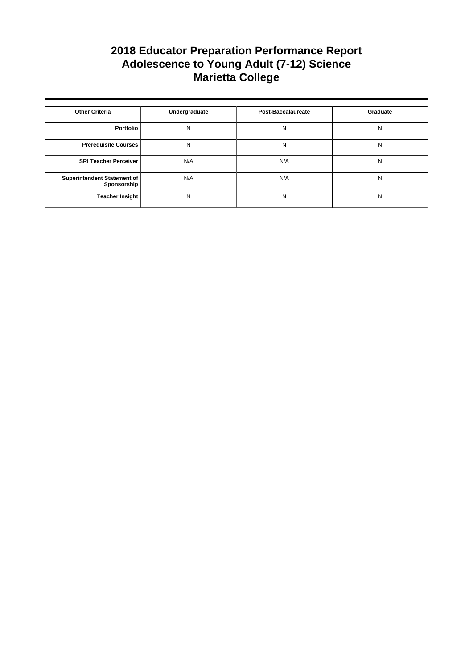| <b>Other Criteria</b>                      | Undergraduate | <b>Post-Baccalaureate</b> | Graduate |
|--------------------------------------------|---------------|---------------------------|----------|
| Portfolio                                  | N             | N                         | N        |
| <b>Prerequisite Courses</b>                | N             | N                         | N        |
| <b>SRI Teacher Perceiver</b>               | N/A           | N/A                       | N        |
| Superintendent Statement of<br>Sponsorship | N/A           | N/A                       | N        |
| <b>Teacher Insight</b>                     | N             | N                         | N        |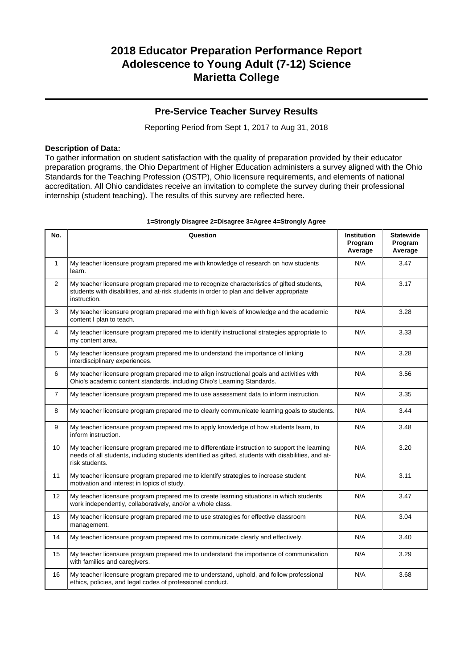### **Pre-Service Teacher Survey Results**

Reporting Period from Sept 1, 2017 to Aug 31, 2018

### **Description of Data:**

To gather information on student satisfaction with the quality of preparation provided by their educator preparation programs, the Ohio Department of Higher Education administers a survey aligned with the Ohio Standards for the Teaching Profession (OSTP), Ohio licensure requirements, and elements of national accreditation. All Ohio candidates receive an invitation to complete the survey during their professional internship (student teaching). The results of this survey are reflected here.

| No.            | Question                                                                                                                                                                                                               | <b>Institution</b><br>Program<br>Average | <b>Statewide</b><br>Program<br>Average |
|----------------|------------------------------------------------------------------------------------------------------------------------------------------------------------------------------------------------------------------------|------------------------------------------|----------------------------------------|
| $\mathbf{1}$   | My teacher licensure program prepared me with knowledge of research on how students<br>learn.                                                                                                                          | N/A                                      | 3.47                                   |
| $\overline{2}$ | My teacher licensure program prepared me to recognize characteristics of gifted students,<br>students with disabilities, and at-risk students in order to plan and deliver appropriate<br>instruction.                 | N/A                                      | 3.17                                   |
| 3              | My teacher licensure program prepared me with high levels of knowledge and the academic<br>content I plan to teach.                                                                                                    | N/A                                      | 3.28                                   |
| 4              | My teacher licensure program prepared me to identify instructional strategies appropriate to<br>my content area.                                                                                                       | N/A                                      | 3.33                                   |
| 5              | My teacher licensure program prepared me to understand the importance of linking<br>interdisciplinary experiences.                                                                                                     | N/A                                      | 3.28                                   |
| 6              | My teacher licensure program prepared me to align instructional goals and activities with<br>Ohio's academic content standards, including Ohio's Learning Standards.                                                   | N/A                                      | 3.56                                   |
| $\overline{7}$ | My teacher licensure program prepared me to use assessment data to inform instruction.                                                                                                                                 | N/A                                      | 3.35                                   |
| 8              | My teacher licensure program prepared me to clearly communicate learning goals to students.                                                                                                                            | N/A                                      | 3.44                                   |
| 9              | My teacher licensure program prepared me to apply knowledge of how students learn, to<br>inform instruction.                                                                                                           | N/A                                      | 3.48                                   |
| 10             | My teacher licensure program prepared me to differentiate instruction to support the learning<br>needs of all students, including students identified as gifted, students with disabilities, and at-<br>risk students. | N/A                                      | 3.20                                   |
| 11             | My teacher licensure program prepared me to identify strategies to increase student<br>motivation and interest in topics of study.                                                                                     | N/A                                      | 3.11                                   |
| 12             | My teacher licensure program prepared me to create learning situations in which students<br>work independently, collaboratively, and/or a whole class.                                                                 | N/A                                      | 3.47                                   |
| 13             | My teacher licensure program prepared me to use strategies for effective classroom<br>management.                                                                                                                      | N/A                                      | 3.04                                   |
| 14             | My teacher licensure program prepared me to communicate clearly and effectively.                                                                                                                                       | N/A                                      | 3.40                                   |
| 15             | My teacher licensure program prepared me to understand the importance of communication<br>with families and caregivers.                                                                                                | N/A                                      | 3.29                                   |
| 16             | My teacher licensure program prepared me to understand, uphold, and follow professional<br>ethics, policies, and legal codes of professional conduct.                                                                  | N/A                                      | 3.68                                   |

### **1=Strongly Disagree 2=Disagree 3=Agree 4=Strongly Agree**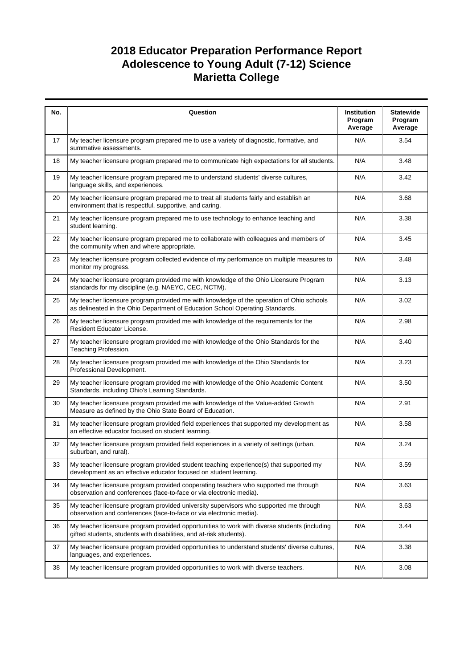| No. | Question                                                                                                                                                                  | <b>Institution</b><br>Program<br>Average | <b>Statewide</b><br>Program<br>Average |
|-----|---------------------------------------------------------------------------------------------------------------------------------------------------------------------------|------------------------------------------|----------------------------------------|
| 17  | My teacher licensure program prepared me to use a variety of diagnostic, formative, and<br>summative assessments.                                                         | N/A                                      | 3.54                                   |
| 18  | My teacher licensure program prepared me to communicate high expectations for all students.                                                                               | N/A                                      | 3.48                                   |
| 19  | My teacher licensure program prepared me to understand students' diverse cultures,<br>language skills, and experiences.                                                   | N/A                                      | 3.42                                   |
| 20  | My teacher licensure program prepared me to treat all students fairly and establish an<br>environment that is respectful, supportive, and caring.                         | N/A                                      | 3.68                                   |
| 21  | My teacher licensure program prepared me to use technology to enhance teaching and<br>student learning.                                                                   | N/A                                      | 3.38                                   |
| 22  | My teacher licensure program prepared me to collaborate with colleagues and members of<br>the community when and where appropriate.                                       | N/A                                      | 3.45                                   |
| 23  | My teacher licensure program collected evidence of my performance on multiple measures to<br>monitor my progress.                                                         | N/A                                      | 3.48                                   |
| 24  | My teacher licensure program provided me with knowledge of the Ohio Licensure Program<br>standards for my discipline (e.g. NAEYC, CEC, NCTM).                             | N/A                                      | 3.13                                   |
| 25  | My teacher licensure program provided me with knowledge of the operation of Ohio schools<br>as delineated in the Ohio Department of Education School Operating Standards. | N/A                                      | 3.02                                   |
| 26  | My teacher licensure program provided me with knowledge of the requirements for the<br>Resident Educator License.                                                         | N/A                                      | 2.98                                   |
| 27  | My teacher licensure program provided me with knowledge of the Ohio Standards for the<br>Teaching Profession.                                                             | N/A                                      | 3.40                                   |
| 28  | My teacher licensure program provided me with knowledge of the Ohio Standards for<br>Professional Development.                                                            | N/A                                      | 3.23                                   |
| 29  | My teacher licensure program provided me with knowledge of the Ohio Academic Content<br>Standards, including Ohio's Learning Standards.                                   | N/A                                      | 3.50                                   |
| 30  | My teacher licensure program provided me with knowledge of the Value-added Growth<br>Measure as defined by the Ohio State Board of Education.                             | N/A                                      | 2.91                                   |
| 31  | My teacher licensure program provided field experiences that supported my development as<br>an effective educator focused on student learning.                            | N/A                                      | 3.58                                   |
| 32  | My teacher licensure program provided field experiences in a variety of settings (urban,<br>suburban, and rural).                                                         | N/A                                      | 3.24                                   |
| 33  | My teacher licensure program provided student teaching experience(s) that supported my<br>development as an effective educator focused on student learning.               | N/A                                      | 3.59                                   |
| 34  | My teacher licensure program provided cooperating teachers who supported me through<br>observation and conferences (face-to-face or via electronic media).                | N/A                                      | 3.63                                   |
| 35  | My teacher licensure program provided university supervisors who supported me through<br>observation and conferences (face-to-face or via electronic media).              | N/A                                      | 3.63                                   |
| 36  | My teacher licensure program provided opportunities to work with diverse students (including<br>gifted students, students with disabilities, and at-risk students).       | N/A                                      | 3.44                                   |
| 37  | My teacher licensure program provided opportunities to understand students' diverse cultures,<br>languages, and experiences.                                              | N/A                                      | 3.38                                   |
| 38  | My teacher licensure program provided opportunities to work with diverse teachers.                                                                                        | N/A                                      | 3.08                                   |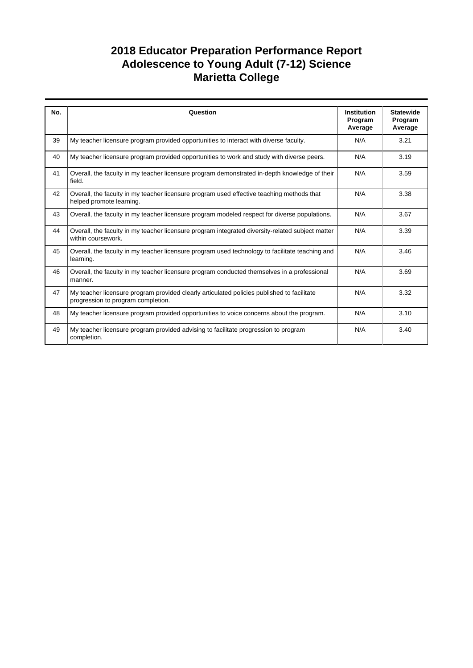| No. | Question                                                                                                                         | <b>Institution</b><br>Program<br>Average | <b>Statewide</b><br>Program<br>Average |
|-----|----------------------------------------------------------------------------------------------------------------------------------|------------------------------------------|----------------------------------------|
| 39  | My teacher licensure program provided opportunities to interact with diverse faculty.                                            | N/A                                      | 3.21                                   |
| 40  | My teacher licensure program provided opportunities to work and study with diverse peers.                                        | N/A                                      | 3.19                                   |
| 41  | Overall, the faculty in my teacher licensure program demonstrated in-depth knowledge of their<br>field.                          | N/A                                      | 3.59                                   |
| 42  | Overall, the faculty in my teacher licensure program used effective teaching methods that<br>helped promote learning.            | N/A                                      | 3.38                                   |
| 43  | Overall, the faculty in my teacher licensure program modeled respect for diverse populations.                                    | N/A                                      | 3.67                                   |
| 44  | Overall, the faculty in my teacher licensure program integrated diversity-related subject matter<br>within coursework.           | N/A                                      | 3.39                                   |
| 45  | Overall, the faculty in my teacher licensure program used technology to facilitate teaching and<br>learning.                     | N/A                                      | 3.46                                   |
| 46  | Overall, the faculty in my teacher licensure program conducted themselves in a professional<br>manner.                           | N/A                                      | 3.69                                   |
| 47  | My teacher licensure program provided clearly articulated policies published to facilitate<br>progression to program completion. | N/A                                      | 3.32                                   |
| 48  | My teacher licensure program provided opportunities to voice concerns about the program.                                         | N/A                                      | 3.10                                   |
| 49  | My teacher licensure program provided advising to facilitate progression to program<br>completion.                               | N/A                                      | 3.40                                   |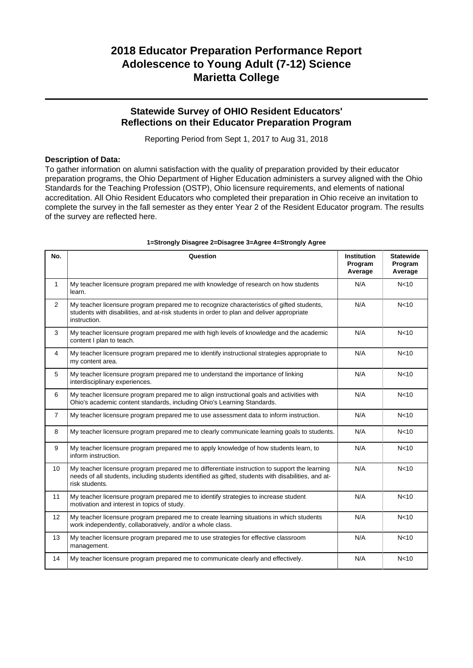### **Statewide Survey of OHIO Resident Educators' Reflections on their Educator Preparation Program**

Reporting Period from Sept 1, 2017 to Aug 31, 2018

### **Description of Data:**

To gather information on alumni satisfaction with the quality of preparation provided by their educator preparation programs, the Ohio Department of Higher Education administers a survey aligned with the Ohio Standards for the Teaching Profession (OSTP), Ohio licensure requirements, and elements of national accreditation. All Ohio Resident Educators who completed their preparation in Ohio receive an invitation to complete the survey in the fall semester as they enter Year 2 of the Resident Educator program. The results of the survey are reflected here.

| No.            | Question                                                                                                                                                                                                               | <b>Institution</b><br>Program<br>Average | <b>Statewide</b><br>Program<br>Average |
|----------------|------------------------------------------------------------------------------------------------------------------------------------------------------------------------------------------------------------------------|------------------------------------------|----------------------------------------|
| $\mathbf{1}$   | My teacher licensure program prepared me with knowledge of research on how students<br>learn.                                                                                                                          | N/A                                      | N <sub>10</sub>                        |
| $\overline{2}$ | My teacher licensure program prepared me to recognize characteristics of gifted students,<br>students with disabilities, and at-risk students in order to plan and deliver appropriate<br>instruction.                 | N/A                                      | N <sub>10</sub>                        |
| 3              | My teacher licensure program prepared me with high levels of knowledge and the academic<br>content I plan to teach.                                                                                                    | N/A                                      | N <sub>10</sub>                        |
| 4              | My teacher licensure program prepared me to identify instructional strategies appropriate to<br>my content area.                                                                                                       | N/A                                      | N <sub>10</sub>                        |
| 5              | My teacher licensure program prepared me to understand the importance of linking<br>interdisciplinary experiences.                                                                                                     | N/A                                      | N <sub>10</sub>                        |
| 6              | My teacher licensure program prepared me to align instructional goals and activities with<br>Ohio's academic content standards, including Ohio's Learning Standards.                                                   | N/A                                      | N <sub>10</sub>                        |
| $\overline{7}$ | My teacher licensure program prepared me to use assessment data to inform instruction.                                                                                                                                 | N/A                                      | N <sub>10</sub>                        |
| 8              | My teacher licensure program prepared me to clearly communicate learning goals to students.                                                                                                                            | N/A                                      | N <sub>10</sub>                        |
| 9              | My teacher licensure program prepared me to apply knowledge of how students learn, to<br>inform instruction.                                                                                                           | N/A                                      | N <sub>10</sub>                        |
| 10             | My teacher licensure program prepared me to differentiate instruction to support the learning<br>needs of all students, including students identified as gifted, students with disabilities, and at-<br>risk students. | N/A                                      | N <sub>10</sub>                        |
| 11             | My teacher licensure program prepared me to identify strategies to increase student<br>motivation and interest in topics of study.                                                                                     | N/A                                      | N <sub>10</sub>                        |
| 12             | My teacher licensure program prepared me to create learning situations in which students<br>work independently, collaboratively, and/or a whole class.                                                                 | N/A                                      | N <sub>10</sub>                        |
| 13             | My teacher licensure program prepared me to use strategies for effective classroom<br>management.                                                                                                                      | N/A                                      | N <sub>10</sub>                        |
| 14             | My teacher licensure program prepared me to communicate clearly and effectively.                                                                                                                                       | N/A                                      | N <sub>10</sub>                        |

#### **1=Strongly Disagree 2=Disagree 3=Agree 4=Strongly Agree**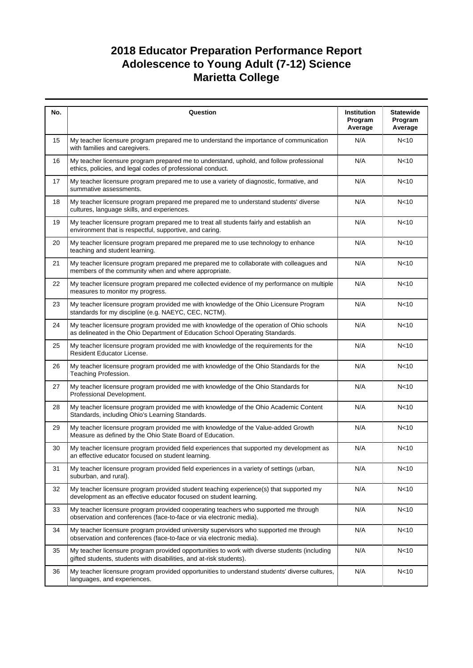| No. | Question                                                                                                                                                                  | Institution<br>Program<br>Average | <b>Statewide</b><br>Program<br>Average |
|-----|---------------------------------------------------------------------------------------------------------------------------------------------------------------------------|-----------------------------------|----------------------------------------|
| 15  | My teacher licensure program prepared me to understand the importance of communication<br>with families and caregivers.                                                   | N/A                               | N <sub>10</sub>                        |
| 16  | My teacher licensure program prepared me to understand, uphold, and follow professional<br>ethics, policies, and legal codes of professional conduct.                     | N/A                               | N <sub>10</sub>                        |
| 17  | My teacher licensure program prepared me to use a variety of diagnostic, formative, and<br>summative assessments.                                                         | N/A                               | N <sub>10</sub>                        |
| 18  | My teacher licensure program prepared me prepared me to understand students' diverse<br>cultures, language skills, and experiences.                                       | N/A                               | N <sub>10</sub>                        |
| 19  | My teacher licensure program prepared me to treat all students fairly and establish an<br>environment that is respectful, supportive, and caring.                         | N/A                               | N <sub>10</sub>                        |
| 20  | My teacher licensure program prepared me prepared me to use technology to enhance<br>teaching and student learning.                                                       | N/A                               | N <sub>10</sub>                        |
| 21  | My teacher licensure program prepared me prepared me to collaborate with colleagues and<br>members of the community when and where appropriate.                           | N/A                               | N <sub>10</sub>                        |
| 22  | My teacher licensure program prepared me collected evidence of my performance on multiple<br>measures to monitor my progress.                                             | N/A                               | N <sub>10</sub>                        |
| 23  | My teacher licensure program provided me with knowledge of the Ohio Licensure Program<br>standards for my discipline (e.g. NAEYC, CEC, NCTM).                             | N/A                               | N <sub>10</sub>                        |
| 24  | My teacher licensure program provided me with knowledge of the operation of Ohio schools<br>as delineated in the Ohio Department of Education School Operating Standards. | N/A                               | N <sub>10</sub>                        |
| 25  | My teacher licensure program provided me with knowledge of the requirements for the<br>Resident Educator License.                                                         | N/A                               | N <sub>10</sub>                        |
| 26  | My teacher licensure program provided me with knowledge of the Ohio Standards for the<br>Teaching Profession.                                                             | N/A                               | N <sub>10</sub>                        |
| 27  | My teacher licensure program provided me with knowledge of the Ohio Standards for<br>Professional Development.                                                            | N/A                               | N <sub>10</sub>                        |
| 28  | My teacher licensure program provided me with knowledge of the Ohio Academic Content<br>Standards, including Ohio's Learning Standards.                                   | N/A                               | N <sub>10</sub>                        |
| 29  | My teacher licensure program provided me with knowledge of the Value-added Growth<br>Measure as defined by the Ohio State Board of Education.                             | N/A                               | N <sub>10</sub>                        |
| 30  | My teacher licensure program provided field experiences that supported my development as<br>an effective educator focused on student learning.                            | N/A                               | N <sub>10</sub>                        |
| 31  | My teacher licensure program provided field experiences in a variety of settings (urban,<br>suburban, and rural).                                                         | N/A                               | N <sub>10</sub>                        |
| 32  | My teacher licensure program provided student teaching experience(s) that supported my<br>development as an effective educator focused on student learning.               | N/A                               | N <sub>10</sub>                        |
| 33  | My teacher licensure program provided cooperating teachers who supported me through<br>observation and conferences (face-to-face or via electronic media).                | N/A                               | N <sub>10</sub>                        |
| 34  | My teacher licensure program provided university supervisors who supported me through<br>observation and conferences (face-to-face or via electronic media).              | N/A                               | N <sub>10</sub>                        |
| 35  | My teacher licensure program provided opportunities to work with diverse students (including<br>gifted students, students with disabilities, and at-risk students).       | N/A                               | N <sub>10</sub>                        |
| 36  | My teacher licensure program provided opportunities to understand students' diverse cultures,<br>languages, and experiences.                                              | N/A                               | N <sub>10</sub>                        |